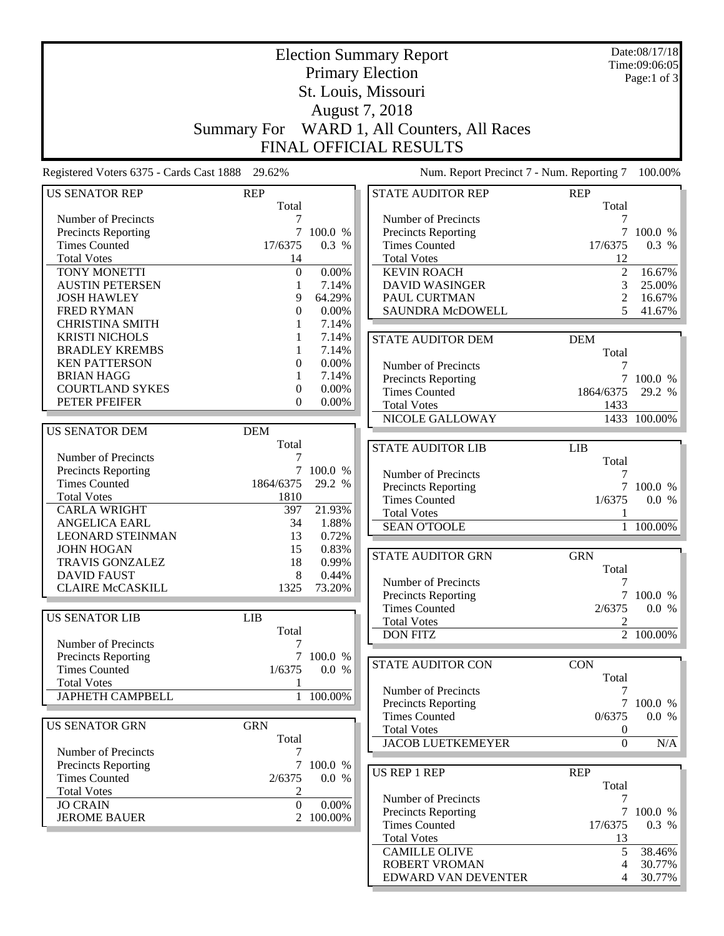|                                                 |                     |                | <b>Election Summary Report</b>             |                                      | Date:08/17/18<br>Time:09:06:05 |
|-------------------------------------------------|---------------------|----------------|--------------------------------------------|--------------------------------------|--------------------------------|
|                                                 |                     |                | <b>Primary Election</b>                    |                                      | Page:1 of 3                    |
|                                                 |                     |                | St. Louis, Missouri                        |                                      |                                |
|                                                 |                     |                | August 7, 2018                             |                                      |                                |
|                                                 |                     |                |                                            |                                      |                                |
|                                                 | <b>Summary For</b>  |                | WARD 1, All Counters, All Races            |                                      |                                |
|                                                 |                     |                | <b>FINAL OFFICIAL RESULTS</b>              |                                      |                                |
| Registered Voters 6375 - Cards Cast 1888 29.62% |                     |                | Num. Report Precinct 7 - Num. Reporting 7  |                                      | 100.00%                        |
| <b>US SENATOR REP</b>                           | <b>REP</b><br>Total |                | <b>STATE AUDITOR REP</b>                   | <b>REP</b><br>Total                  |                                |
| Number of Precincts                             | 7                   |                | Number of Precincts                        | 7                                    |                                |
| Precincts Reporting                             |                     | 7 100.0 %      | Precincts Reporting                        |                                      | 7 100.0 %                      |
| <b>Times Counted</b>                            | 17/6375             | 0.3 %          | <b>Times Counted</b>                       | 17/6375                              | 0.3 %                          |
| <b>Total Votes</b>                              | 14                  |                | <b>Total Votes</b>                         | 12                                   |                                |
| TONY MONETTI                                    | $\boldsymbol{0}$    | 0.00%          | <b>KEVIN ROACH</b>                         | $\overline{2}$                       | 16.67%                         |
| <b>AUSTIN PETERSEN</b>                          | 1                   | 7.14%          | <b>DAVID WASINGER</b>                      | 3                                    | 25.00%                         |
| <b>JOSH HAWLEY</b>                              | 9                   | 64.29%         | PAUL CURTMAN                               | 2                                    | 16.67%                         |
| <b>FRED RYMAN</b>                               | 0                   | 0.00%          | SAUNDRA McDOWELL                           | 5                                    | 41.67%                         |
| <b>CHRISTINA SMITH</b>                          |                     | 7.14%          |                                            |                                      |                                |
| <b>KRISTI NICHOLS</b>                           |                     | 7.14%          | <b>STATE AUDITOR DEM</b>                   | <b>DEM</b>                           |                                |
| <b>BRADLEY KREMBS</b>                           |                     | 7.14%          |                                            | Total                                |                                |
| <b>KEN PATTERSON</b>                            | 0                   | 0.00%          | Number of Precincts                        | 7                                    |                                |
| <b>BRIAN HAGG</b>                               | 1                   | 7.14%          | Precincts Reporting                        | $\tau$                               | 100.0 %                        |
| <b>COURTLAND SYKES</b>                          | 0                   | 0.00%          | <b>Times Counted</b>                       | 1864/6375                            | 29.2 %                         |
| PETER PFEIFER                                   | 0                   | $0.00\%$       | <b>Total Votes</b>                         | 1433                                 |                                |
|                                                 |                     |                | NICOLE GALLOWAY                            |                                      | 1433 100.00%                   |
| <b>US SENATOR DEM</b>                           | <b>DEM</b>          |                |                                            |                                      |                                |
|                                                 | Total               |                | <b>STATE AUDITOR LIB</b>                   | <b>LIB</b>                           |                                |
| Number of Precincts                             | 7                   |                |                                            | Total                                |                                |
| Precincts Reporting                             | 7                   | 100.0 %        | Number of Precincts                        | 7                                    |                                |
| <b>Times Counted</b>                            | 1864/6375           | 29.2 %         | Precincts Reporting                        |                                      | 7 100.0 %                      |
| <b>Total Votes</b>                              | 1810                |                | <b>Times Counted</b>                       | 1/6375                               | 0.0 %                          |
| <b>CARLA WRIGHT</b>                             | 397                 | 21.93%         | <b>Total Votes</b>                         | 1                                    |                                |
| <b>ANGELICA EARL</b>                            | 34                  | 1.88%          | <b>SEAN O'TOOLE</b>                        | $\overline{1}$                       | 100.00%                        |
| <b>LEONARD STEINMAN</b><br><b>JOHN HOGAN</b>    | 13                  | 0.72%          |                                            |                                      |                                |
| <b>TRAVIS GONZALEZ</b>                          | 15<br>18            | 0.83%<br>0.99% | <b>STATE AUDITOR GRN</b>                   | <b>GRN</b>                           |                                |
| <b>DAVID FAUST</b>                              | 8                   | 0.44%          |                                            | Total                                |                                |
| <b>CLAIRE McCASKILL</b>                         | 1325                | 73.20%         | Number of Precincts                        | 7                                    |                                |
|                                                 |                     |                | <b>Precincts Reporting</b>                 |                                      | 7 100.0 %                      |
| <b>US SENATOR LIB</b>                           | <b>LIB</b>          |                | <b>Times Counted</b>                       | 2/6375                               | 0.0 %                          |
|                                                 | Total               |                | <b>Total Votes</b>                         | 2                                    |                                |
| <b>Number of Precincts</b>                      | 7                   |                | <b>DON FITZ</b>                            |                                      | $\overline{2}$ 100.00%         |
| Precincts Reporting                             |                     | 7 100.0 %      |                                            |                                      |                                |
| <b>Times Counted</b>                            | 1/6375              | 0.0 %          | <b>STATE AUDITOR CON</b>                   | <b>CON</b>                           |                                |
| <b>Total Votes</b>                              | 1                   |                |                                            | Total                                |                                |
| <b>JAPHETH CAMPBELL</b>                         |                     | 1 100.00%      | Number of Precincts                        | 7                                    |                                |
|                                                 |                     |                | Precincts Reporting                        |                                      | 7 100.0 %                      |
| <b>US SENATOR GRN</b>                           | <b>GRN</b>          |                | <b>Times Counted</b>                       | 0/6375                               | 0.0 %                          |
|                                                 | Total               |                | <b>Total Votes</b>                         | $\boldsymbol{0}$<br>$\boldsymbol{0}$ |                                |
| Number of Precincts                             | 7                   |                | <b>JACOB LUETKEMEYER</b>                   |                                      | N/A                            |
| <b>Precincts Reporting</b>                      | 7                   | 100.0 %        |                                            |                                      |                                |
| <b>Times Counted</b>                            | 2/6375              | 0.0 %          | <b>US REP 1 REP</b>                        | <b>REP</b>                           |                                |
| <b>Total Votes</b>                              | 2                   |                |                                            | Total                                |                                |
| <b>JO CRAIN</b>                                 | $\overline{0}$      | 0.00%          | Number of Precincts<br>Precincts Reporting | 7<br>$\overline{7}$                  | 100.0 %                        |
| <b>JEROME BAUER</b>                             |                     | 2 100.00%      | <b>Times Counted</b>                       | 17/6375                              | 0.3 %                          |
|                                                 |                     |                | <b>Total Votes</b>                         | 13                                   |                                |
|                                                 |                     |                | <b>CAMILLE OLIVE</b>                       | 5                                    | 38.46%                         |
|                                                 |                     |                | <b>ROBERT VROMAN</b>                       | 4                                    | 30.77%                         |
|                                                 |                     |                | EDWARD VAN DEVENTER                        | 4                                    | 30.77%                         |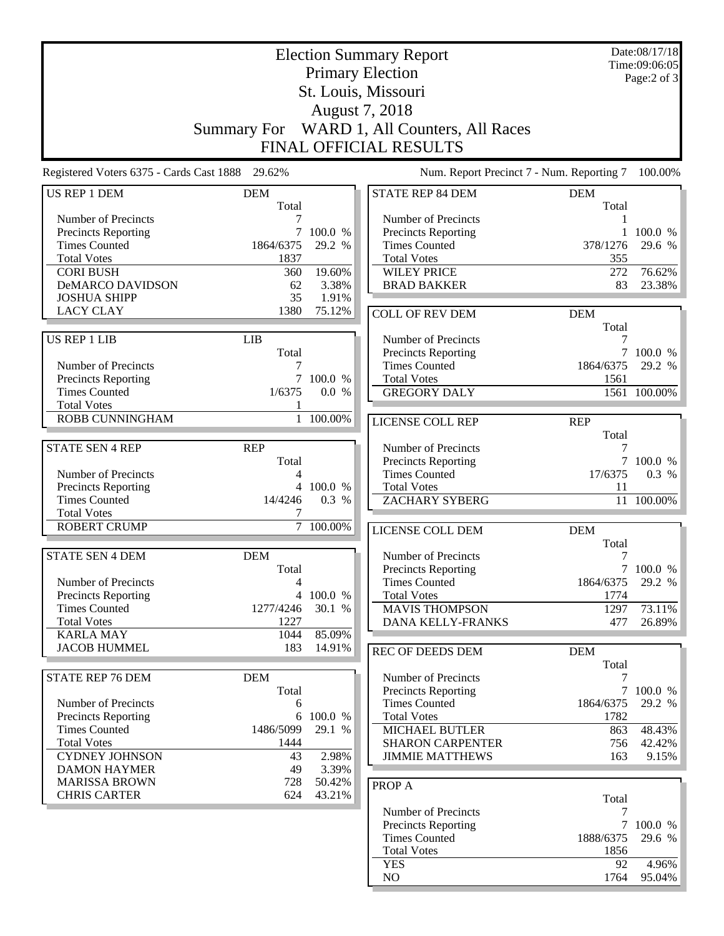|                                                 |                    |           | <b>Election Summary Report</b>  |                                           | Date:08/17/18<br>Time:09:06:05 |
|-------------------------------------------------|--------------------|-----------|---------------------------------|-------------------------------------------|--------------------------------|
|                                                 |                    |           | <b>Primary Election</b>         |                                           | Page:2 of 3                    |
|                                                 |                    |           | St. Louis, Missouri             |                                           |                                |
|                                                 |                    |           | August 7, 2018                  |                                           |                                |
|                                                 | <b>Summary For</b> |           | WARD 1, All Counters, All Races |                                           |                                |
|                                                 |                    |           | FINAL OFFICIAL RESULTS          |                                           |                                |
|                                                 |                    |           |                                 |                                           |                                |
| Registered Voters 6375 - Cards Cast 1888 29.62% |                    |           |                                 | Num. Report Precinct 7 - Num. Reporting 7 | 100.00%                        |
| <b>US REP 1 DEM</b>                             | <b>DEM</b>         |           | STATE REP 84 DEM                | <b>DEM</b>                                |                                |
| Number of Precincts                             | Total              |           | Number of Precincts             | Total                                     |                                |
| Precincts Reporting                             | 7                  | 100.0 %   | <b>Precincts Reporting</b>      | 1                                         | 100.0 %                        |
| <b>Times Counted</b>                            | 1864/6375          | 29.2 %    | <b>Times Counted</b>            | 378/1276                                  | 29.6 %                         |
| <b>Total Votes</b>                              | 1837               |           | <b>Total Votes</b>              | 355                                       |                                |
| <b>CORI BUSH</b>                                | 360                | 19.60%    | <b>WILEY PRICE</b>              | 272                                       | 76.62%                         |
| <b>DeMARCO DAVIDSON</b>                         | 62                 | 3.38%     | <b>BRAD BAKKER</b>              | 83                                        | 23.38%                         |
| <b>JOSHUA SHIPP</b>                             | 35                 | 1.91%     |                                 |                                           |                                |
| <b>LACY CLAY</b>                                | 1380               | 75.12%    | <b>COLL OF REV DEM</b>          | <b>DEM</b>                                |                                |
|                                                 |                    |           |                                 | Total                                     |                                |
| US REP 1 LIB                                    | <b>LIB</b>         |           | Number of Precincts             | 7                                         |                                |
|                                                 | Total              |           | Precincts Reporting             |                                           | 100.0 %                        |
| Number of Precincts                             | 7                  |           | <b>Times Counted</b>            | 1864/6375                                 | 29.2 %                         |
| Precincts Reporting                             | 7                  | 100.0 %   | <b>Total Votes</b>              | 1561                                      |                                |
| <b>Times Counted</b>                            | 1/6375             | 0.0 %     | <b>GREGORY DALY</b>             |                                           | 1561 100.00%                   |
| <b>Total Votes</b>                              |                    |           |                                 |                                           |                                |
| <b>ROBB CUNNINGHAM</b>                          |                    | 1 100.00% | LICENSE COLL REP                | <b>REP</b>                                |                                |
|                                                 |                    |           |                                 | Total                                     |                                |
| <b>STATE SEN 4 REP</b>                          | <b>REP</b>         |           | Number of Precincts             | 7                                         |                                |
|                                                 | Total              |           | Precincts Reporting             |                                           | 7 100.0 %                      |
| Number of Precincts                             | 4                  |           | <b>Times Counted</b>            | 17/6375                                   | 0.3 %                          |
| Precincts Reporting                             |                    | 4 100.0 % | <b>Total Votes</b>              | 11                                        |                                |
| <b>Times Counted</b>                            | 14/4246            | 0.3 %     | <b>ZACHARY SYBERG</b>           |                                           | 11 100.00%                     |
| <b>Total Votes</b>                              | 7                  |           |                                 |                                           |                                |
| <b>ROBERT CRUMP</b>                             | $\tau$             | 100.00%   | LICENSE COLL DEM                | <b>DEM</b>                                |                                |
|                                                 |                    |           |                                 | Total                                     |                                |
| <b>STATE SEN 4 DEM</b>                          | <b>DEM</b>         |           | Number of Precincts             | 7                                         |                                |
|                                                 | Total              |           | <b>Precincts Reporting</b>      |                                           | 7 100.0 %                      |
| Number of Precincts                             | $\overline{4}$     |           | <b>Times Counted</b>            | 1864/6375                                 | 29.2 %                         |
| Precincts Reporting                             | $\overline{4}$     | 100.0 %   | <b>Total Votes</b>              | 1774                                      |                                |
| <b>Times Counted</b><br><b>Total Votes</b>      | 1277/4246<br>1227  | 30.1 %    | <b>MAVIS THOMPSON</b>           | 1297                                      | 73.11%                         |
| <b>KARLA MAY</b>                                | 1044               | 85.09%    | DANA KELLY-FRANKS               | 477                                       | 26.89%                         |
| <b>JACOB HUMMEL</b>                             | 183                | 14.91%    |                                 |                                           |                                |
|                                                 |                    |           | <b>REC OF DEEDS DEM</b>         | <b>DEM</b>                                |                                |
| <b>STATE REP 76 DEM</b>                         | <b>DEM</b>         |           | Number of Precincts             | Total<br>7                                |                                |
|                                                 | Total              |           | Precincts Reporting             | 7                                         | 100.0 %                        |
| Number of Precincts                             | 6                  |           | <b>Times Counted</b>            | 1864/6375                                 | 29.2 %                         |
| Precincts Reporting                             |                    | 6 100.0 % | <b>Total Votes</b>              | 1782                                      |                                |
| <b>Times Counted</b>                            | 1486/5099          | 29.1 %    | MICHAEL BUTLER                  | 863                                       | 48.43%                         |
| <b>Total Votes</b>                              | 1444               |           | <b>SHARON CARPENTER</b>         | 756                                       | 42.42%                         |
| <b>CYDNEY JOHNSON</b>                           | 43                 | 2.98%     | <b>JIMMIE MATTHEWS</b>          | 163                                       | 9.15%                          |
| <b>DAMON HAYMER</b>                             | 49                 | 3.39%     |                                 |                                           |                                |
| <b>MARISSA BROWN</b>                            | 728                | 50.42%    | PROP A                          |                                           |                                |
| <b>CHRIS CARTER</b>                             | 624                | 43.21%    |                                 | Total                                     |                                |
|                                                 |                    |           | Number of Precincts             | 7                                         |                                |
|                                                 |                    |           | <b>Precincts Reporting</b>      | 7                                         | 100.0 %                        |
|                                                 |                    |           | <b>Times Counted</b>            | 1888/6375                                 | 29.6 %                         |
|                                                 |                    |           | <b>Total Votes</b>              | 1856                                      |                                |
|                                                 |                    |           | <b>YES</b>                      | 92                                        | 4.96%                          |
|                                                 |                    |           | NO                              | 1764                                      | 95.04%                         |
|                                                 |                    |           |                                 |                                           |                                |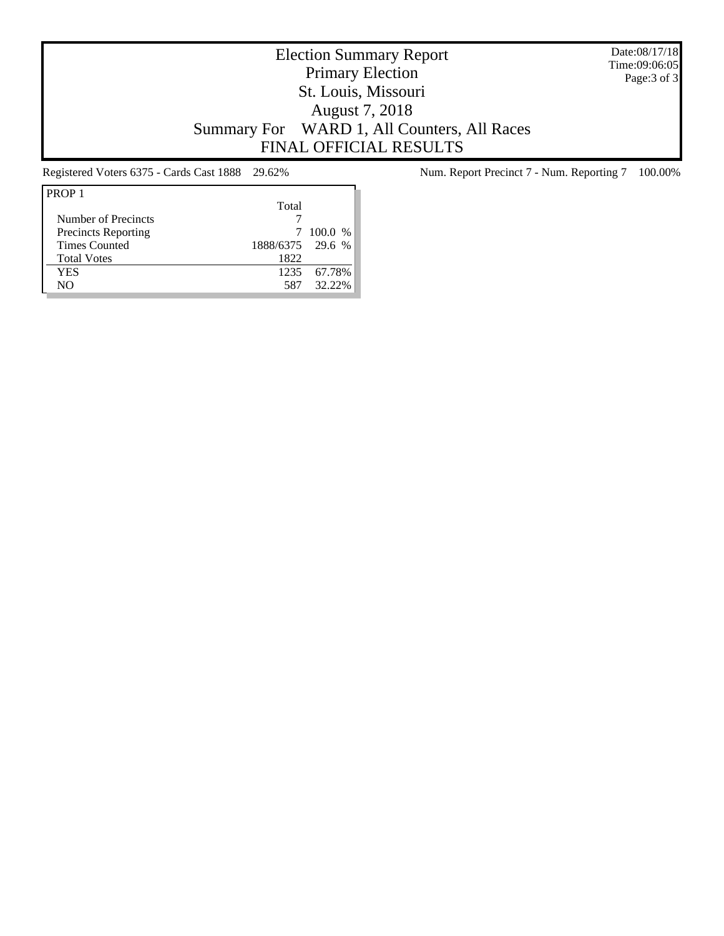Date:08/17/18 Time:09:06:05 Page:3 of 3

# Election Summary Report Primary Election St. Louis, Missouri August 7, 2018 Summary For WARD 1, All Counters, All Races FINAL OFFICIAL RESULTS

| PROP <sub>1</sub>          |                  |             |
|----------------------------|------------------|-------------|
|                            | Total            |             |
| Number of Precincts        |                  |             |
| <b>Precincts Reporting</b> |                  | 7 100.0 %   |
| <b>Times Counted</b>       | 1888/6375 29.6 % |             |
| <b>Total Votes</b>         | 1822             |             |
| YES                        |                  | 1235 67.78% |
| NΟ                         | 587              | 32.22%      |

Registered Voters 6375 - Cards Cast 1888 29.62% Num. Report Precinct 7 - Num. Reporting 7 100.00%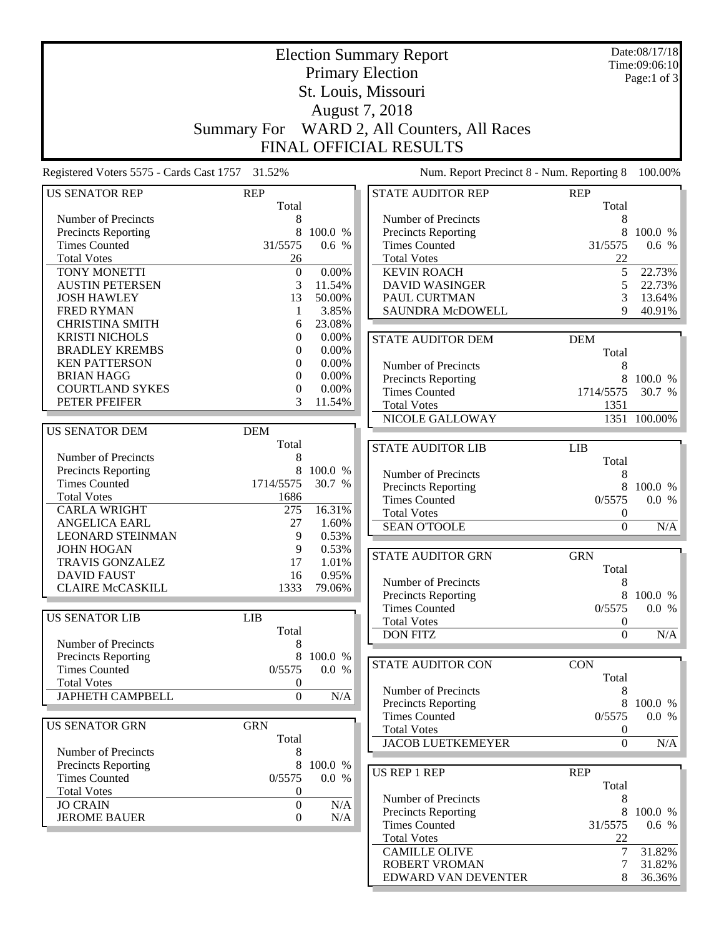|                                                 |                     |                 | <b>Election Summary Report</b>              |                     | Date:08/17/18<br>Time:09:06:10 |
|-------------------------------------------------|---------------------|-----------------|---------------------------------------------|---------------------|--------------------------------|
|                                                 |                     |                 | <b>Primary Election</b>                     |                     | Page:1 of 3                    |
|                                                 |                     |                 | St. Louis, Missouri                         |                     |                                |
|                                                 |                     |                 |                                             |                     |                                |
|                                                 |                     |                 | August 7, 2018                              |                     |                                |
|                                                 | <b>Summary For</b>  |                 | WARD 2, All Counters, All Races             |                     |                                |
|                                                 |                     |                 | <b>FINAL OFFICIAL RESULTS</b>               |                     |                                |
| Registered Voters 5575 - Cards Cast 1757 31.52% |                     |                 | Num. Report Precinct 8 - Num. Reporting 8   |                     | 100.00%                        |
| <b>US SENATOR REP</b>                           | <b>REP</b><br>Total |                 | <b>STATE AUDITOR REP</b>                    | <b>REP</b><br>Total |                                |
| Number of Precincts                             | 8                   |                 | Number of Precincts                         | 8                   |                                |
| Precincts Reporting                             | 8                   | 100.0 %         | Precincts Reporting                         | 8                   | 100.0 %                        |
| <b>Times Counted</b>                            | 31/5575             | 0.6 %           | <b>Times Counted</b>                        | 31/5575             | 0.6 %                          |
| <b>Total Votes</b>                              | 26                  |                 | <b>Total Votes</b>                          | 22                  |                                |
| TONY MONETTI                                    | $\boldsymbol{0}$    | 0.00%           | <b>KEVIN ROACH</b>                          | 5                   | 22.73%                         |
| <b>AUSTIN PETERSEN</b>                          | 3                   | 11.54%          | <b>DAVID WASINGER</b>                       | 5                   | 22.73%                         |
| <b>JOSH HAWLEY</b>                              | 13                  | 50.00%          | PAUL CURTMAN                                | 3                   | 13.64%                         |
| <b>FRED RYMAN</b>                               | 1                   | 3.85%<br>23.08% | <b>SAUNDRA McDOWELL</b>                     | 9                   | 40.91%                         |
| <b>CHRISTINA SMITH</b><br><b>KRISTI NICHOLS</b> | 6<br>0              | 0.00%           |                                             |                     |                                |
| <b>BRADLEY KREMBS</b>                           | 0                   | 0.00%           | <b>STATE AUDITOR DEM</b>                    | <b>DEM</b>          |                                |
| <b>KEN PATTERSON</b>                            | 0                   | 0.00%           | Number of Precincts                         | Total               |                                |
| <b>BRIAN HAGG</b>                               | 0                   | 0.00%           | Precincts Reporting                         | 8<br>8              | 100.0 %                        |
| <b>COURTLAND SYKES</b>                          | 0                   | 0.00%           | <b>Times Counted</b>                        | 1714/5575           | 30.7 %                         |
| PETER PFEIFER                                   | 3                   | 11.54%          | <b>Total Votes</b>                          | 1351                |                                |
|                                                 |                     |                 | NICOLE GALLOWAY                             |                     | 1351 100.00%                   |
| <b>US SENATOR DEM</b>                           | <b>DEM</b>          |                 |                                             |                     |                                |
|                                                 | Total               |                 | <b>STATE AUDITOR LIB</b>                    | <b>LIB</b>          |                                |
| Number of Precincts                             | 8                   |                 |                                             | Total               |                                |
| Precincts Reporting                             | 8                   | 100.0 %         | Number of Precincts                         | 8                   |                                |
| <b>Times Counted</b>                            | 1714/5575           | 30.7 %          | Precincts Reporting                         | 8                   | 100.0 %                        |
| <b>Total Votes</b>                              | 1686                |                 | <b>Times Counted</b>                        | 0/5575              | 0.0 %                          |
| <b>CARLA WRIGHT</b>                             | 275                 | 16.31%          | <b>Total Votes</b>                          | $\boldsymbol{0}$    |                                |
| <b>ANGELICA EARL</b>                            | 27                  | 1.60%           | <b>SEAN O'TOOLE</b>                         | $\boldsymbol{0}$    | N/A                            |
| <b>LEONARD STEINMAN</b>                         | 9                   | 0.53%           |                                             |                     |                                |
| <b>JOHN HOGAN</b>                               | 9                   | 0.53%           | <b>STATE AUDITOR GRN</b>                    | <b>GRN</b>          |                                |
| <b>TRAVIS GONZALEZ</b>                          | 17                  | 1.01%           |                                             | Total               |                                |
| <b>DAVID FAUST</b><br><b>CLAIRE McCASKILL</b>   | 16                  | 0.95%           | Number of Precincts                         | 8                   |                                |
|                                                 | 1333                | 79.06%          | <b>Precincts Reporting</b>                  | 8                   | 100.0 %                        |
|                                                 |                     |                 | <b>Times Counted</b>                        | 0/5575              | 0.0 %                          |
| <b>US SENATOR LIB</b>                           | <b>LIB</b>          |                 | <b>Total Votes</b>                          | $\boldsymbol{0}$    |                                |
| Number of Precincts                             | Total               |                 | <b>DON FITZ</b>                             | $\boldsymbol{0}$    | N/A                            |
| <b>Precincts Reporting</b>                      | 8<br>8              | 100.0 %         |                                             |                     |                                |
| <b>Times Counted</b>                            | 0/5575              | 0.0 %           | <b>STATE AUDITOR CON</b>                    | <b>CON</b>          |                                |
| <b>Total Votes</b>                              | $\boldsymbol{0}$    |                 |                                             | Total               |                                |
| <b>JAPHETH CAMPBELL</b>                         | $\boldsymbol{0}$    | N/A             | Number of Precincts                         | 8                   |                                |
|                                                 |                     |                 | Precincts Reporting                         | 8                   | 100.0 %                        |
| <b>US SENATOR GRN</b>                           | <b>GRN</b>          |                 | <b>Times Counted</b>                        | 0/5575              | 0.0 %                          |
|                                                 | Total               |                 | <b>Total Votes</b>                          | $\boldsymbol{0}$    |                                |
| Number of Precincts                             | 8                   |                 | <b>JACOB LUETKEMEYER</b>                    | $\boldsymbol{0}$    | N/A                            |
| <b>Precincts Reporting</b>                      | 8                   | 100.0 %         |                                             |                     |                                |
| <b>Times Counted</b>                            | 0/5575              | 0.0 %           | <b>US REP 1 REP</b>                         | <b>REP</b>          |                                |
| <b>Total Votes</b>                              | 0                   |                 |                                             | Total               |                                |
| <b>JO CRAIN</b>                                 | $\overline{0}$      | N/A             | Number of Precincts                         | 8                   |                                |
| <b>JEROME BAUER</b>                             | $\boldsymbol{0}$    | N/A             | Precincts Reporting<br><b>Times Counted</b> | 8<br>31/5575        | 100.0 %<br>0.6 %               |
|                                                 |                     |                 | <b>Total Votes</b>                          | 22                  |                                |
|                                                 |                     |                 | <b>CAMILLE OLIVE</b>                        | 7                   | 31.82%                         |
|                                                 |                     |                 | ROBERT VROMAN                               | 7                   | 31.82%                         |
|                                                 |                     |                 | EDWARD VAN DEVENTER                         | 8                   | 36.36%                         |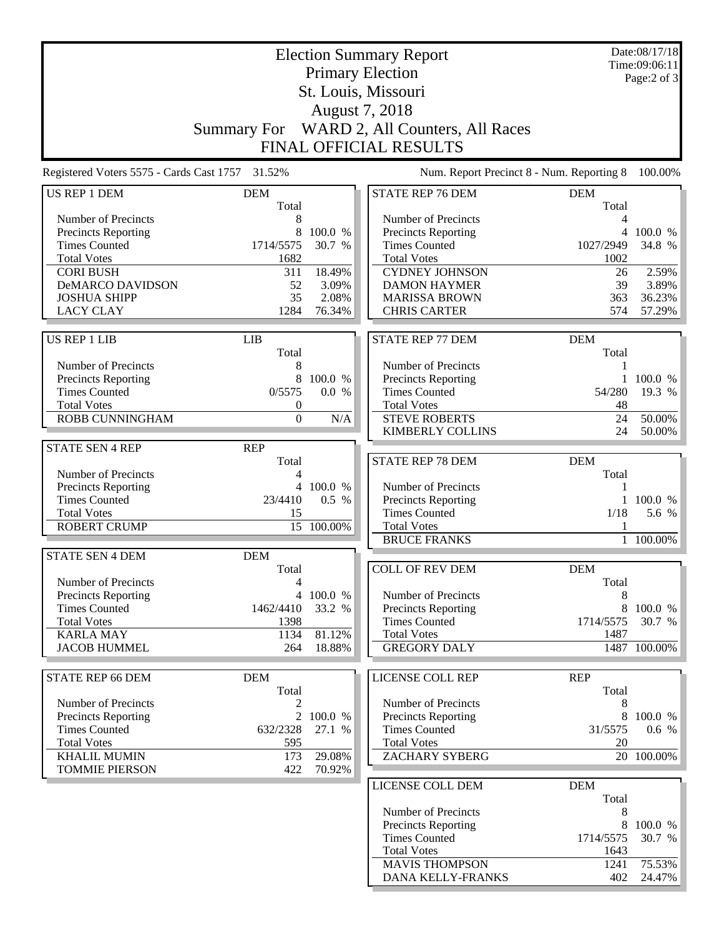|                                                 |                    |                 | <b>Election Summary Report</b>                  |                     | Date:08/17/18<br>Time:09:06:11 |
|-------------------------------------------------|--------------------|-----------------|-------------------------------------------------|---------------------|--------------------------------|
|                                                 |                    |                 | <b>Primary Election</b>                         |                     | Page:2 of 3                    |
|                                                 |                    |                 | St. Louis, Missouri                             |                     |                                |
|                                                 |                    |                 | August 7, 2018                                  |                     |                                |
|                                                 | <b>Summary For</b> |                 | WARD 2, All Counters, All Races                 |                     |                                |
|                                                 |                    |                 | <b>FINAL OFFICIAL RESULTS</b>                   |                     |                                |
| Registered Voters 5575 - Cards Cast 1757 31.52% |                    |                 | Num. Report Precinct 8 - Num. Reporting 8       |                     | 100.00%                        |
| US REP 1 DEM                                    | <b>DEM</b>         |                 | <b>STATE REP 76 DEM</b>                         | <b>DEM</b>          |                                |
|                                                 | Total              |                 |                                                 | Total               |                                |
| Number of Precincts                             | 8                  |                 | Number of Precincts                             | 4                   |                                |
| <b>Precincts Reporting</b>                      | 8                  | 100.0 %         | <b>Precincts Reporting</b>                      |                     | 4 100.0 %                      |
| <b>Times Counted</b>                            | 1714/5575          | 30.7 %          | <b>Times Counted</b>                            | 1027/2949           | 34.8 %                         |
| <b>Total Votes</b>                              | 1682               |                 | <b>Total Votes</b>                              | 1002                |                                |
| <b>CORI BUSH</b>                                | 311                | 18.49%          | <b>CYDNEY JOHNSON</b>                           | 26                  | 2.59%                          |
| DeMARCO DAVIDSON                                | 52                 | 3.09%           | <b>DAMON HAYMER</b>                             | 39                  | 3.89%                          |
| <b>JOSHUA SHIPP</b><br><b>LACY CLAY</b>         | 35<br>1284         | 2.08%<br>76.34% | <b>MARISSA BROWN</b><br><b>CHRIS CARTER</b>     | 363<br>574          | 36.23%<br>57.29%               |
|                                                 |                    |                 |                                                 |                     |                                |
| <b>US REP 1 LIB</b>                             | LIB                |                 | <b>STATE REP 77 DEM</b>                         | <b>DEM</b>          |                                |
|                                                 | Total              |                 |                                                 | Total               |                                |
| Number of Precincts                             | 8                  |                 | Number of Precincts                             | 1                   |                                |
| <b>Precincts Reporting</b>                      | 8                  | 100.0 %         | Precincts Reporting                             | 1                   | 100.0 %                        |
| <b>Times Counted</b>                            | 0/5575             | 0.0 %           | <b>Times Counted</b>                            | 54/280              | 19.3 %                         |
| <b>Total Votes</b>                              | $\boldsymbol{0}$   |                 | <b>Total Votes</b>                              | 48                  |                                |
| ROBB CUNNINGHAM                                 | $\boldsymbol{0}$   | $\rm N/A$       | <b>STEVE ROBERTS</b><br><b>KIMBERLY COLLINS</b> | 24<br>24            | 50.00%<br>50.00%               |
| <b>STATE SEN 4 REP</b>                          | <b>REP</b>         |                 |                                                 |                     |                                |
|                                                 | Total              |                 | <b>STATE REP 78 DEM</b>                         | <b>DEM</b>          |                                |
| Number of Precincts                             | 4                  |                 |                                                 | Total               |                                |
| Precincts Reporting                             | $\overline{4}$     | 100.0 %         | Number of Precincts                             | 1                   |                                |
| <b>Times Counted</b>                            | 23/4410            | 0.5 %           | <b>Precincts Reporting</b>                      | $\mathbf{1}$        | 100.0 %                        |
| <b>Total Votes</b>                              | 15                 |                 | <b>Times Counted</b>                            | 1/18                | 5.6 %                          |
| <b>ROBERT CRUMP</b>                             |                    | 15 100.00%      | <b>Total Votes</b>                              |                     |                                |
|                                                 |                    |                 | <b>BRUCE FRANKS</b>                             | $\mathbf{1}$        | 100.00%                        |
| <b>STATE SEN 4 DEM</b>                          | <b>DEM</b>         |                 |                                                 |                     |                                |
| Number of Precincts                             | Total<br>4         |                 | <b>COLL OF REV DEM</b>                          | <b>DEM</b><br>Total |                                |
| <b>Precincts Reporting</b>                      |                    | 4 100.0 %       | Number of Precincts                             | 8                   |                                |
| <b>Times Counted</b>                            | 1462/4410          | 33.2 %          | <b>Precincts Reporting</b>                      | 8                   | 100.0 %                        |
| <b>Total Votes</b>                              | 1398               |                 | <b>Times Counted</b>                            | 1714/5575           | 30.7 %                         |
| <b>KARLA MAY</b>                                | 1134               | 81.12%          | <b>Total Votes</b>                              | 1487                |                                |
| <b>JACOB HUMMEL</b>                             | 264                | 18.88%          | <b>GREGORY DALY</b>                             |                     | 1487 100.00%                   |
|                                                 |                    |                 |                                                 |                     |                                |
| <b>STATE REP 66 DEM</b>                         | <b>DEM</b>         |                 | LICENSE COLL REP                                | <b>REP</b>          |                                |
| Number of Precincts                             | Total              |                 | Number of Precincts                             | Total               |                                |
| <b>Precincts Reporting</b>                      | 2<br>2             | 100.0 %         | Precincts Reporting                             | 8<br>8              | 100.0 %                        |
| <b>Times Counted</b>                            | 632/2328           | 27.1 %          | <b>Times Counted</b>                            | 31/5575             | 0.6 %                          |
| <b>Total Votes</b>                              | 595                |                 | <b>Total Votes</b>                              | 20                  |                                |
| <b>KHALIL MUMIN</b>                             | 173                | 29.08%          | ZACHARY SYBERG                                  |                     | 20 100.00%                     |
| <b>TOMMIE PIERSON</b>                           | 422                | 70.92%          |                                                 |                     |                                |
|                                                 |                    |                 | LICENSE COLL DEM                                | <b>DEM</b>          |                                |
|                                                 |                    |                 |                                                 | Total               |                                |
|                                                 |                    |                 | Number of Precincts                             | 8                   |                                |
|                                                 |                    |                 | Precincts Reporting                             | 8                   | 100.0 %                        |
|                                                 |                    |                 | <b>Times Counted</b>                            | 1714/5575           | 30.7 %                         |
|                                                 |                    |                 | <b>Total Votes</b>                              | 1643                |                                |
|                                                 |                    |                 | <b>MAVIS THOMPSON</b>                           | 1241                | 75.53%                         |
|                                                 |                    |                 | DANA KELLY-FRANKS                               | 402                 | 24.47%                         |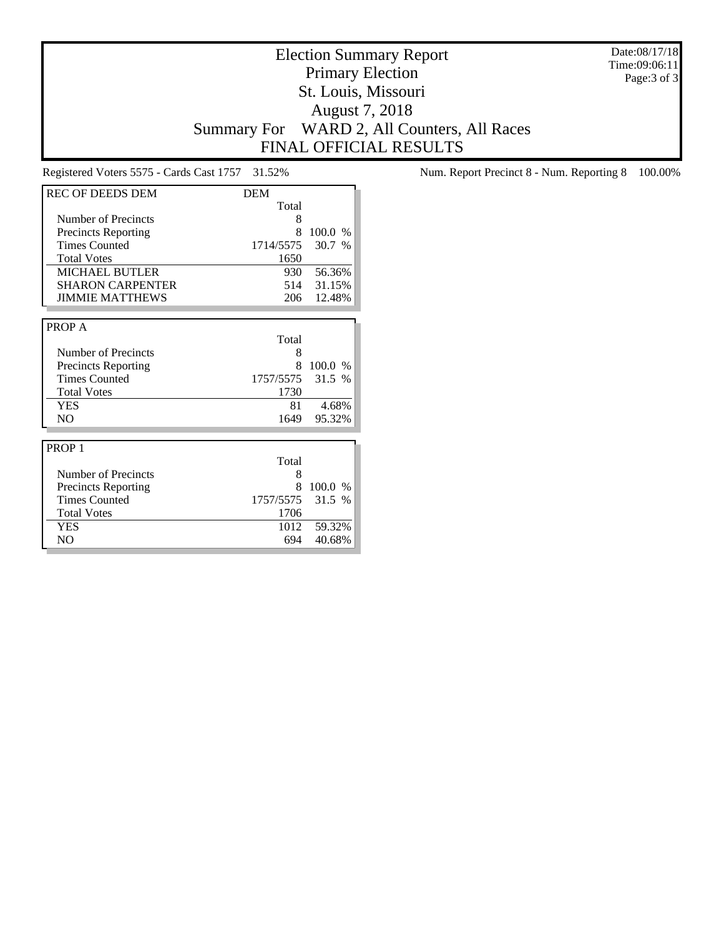Date:08/17/18 Time:09:06:11 Page:3 of 3

# Election Summary Report Primary Election St. Louis, Missouri August 7, 2018 Summary For WARD 2, All Counters, All Races FINAL OFFICIAL RESULTS

| <b>REC OF DEEDS DEM</b>    | <b>DEM</b> |               |
|----------------------------|------------|---------------|
|                            | Total      |               |
| Number of Precincts        | 8          |               |
| <b>Precincts Reporting</b> | 8          | 100.0<br>$\%$ |
| <b>Times Counted</b>       | 1714/5575  | 30.7<br>$\%$  |
| <b>Total Votes</b>         | 1650       |               |
| <b>MICHAEL BUTLER</b>      | 930        | 56.36%        |
| <b>SHARON CARPENTER</b>    | 514        | 31.15%        |
| <b>JIMMIE MATTHEWS</b>     | 206        | 12.48%        |
|                            |            |               |
| PROP A                     |            |               |
|                            | Total      |               |
| Number of Precincts        | 8          |               |
| <b>Precincts Reporting</b> | 8          | 100.0 %       |
| <b>Times Counted</b>       | 1757/5575  | 31.5 %        |
| <b>Total Votes</b>         | 1730       |               |
| YES                        | 81         | 4.68%         |
| N <sub>O</sub>             | 1649       | 95.32%        |
|                            |            |               |
| PROP <sub>1</sub>          |            |               |
|                            | Total      |               |
| Number of Precincts        | 8          |               |
| <b>Precincts Reporting</b> | 8          | 100.0<br>$\%$ |
| <b>Times Counted</b>       | 1757/5575  | 31.5 %        |
| <b>Total Votes</b>         | 1706       |               |
| <b>YES</b>                 | 1012       | 59.32%        |
| N <sub>O</sub>             | 694        | 40.68%        |

Registered Voters 5575 - Cards Cast 1757 31.52% Num. Report Precinct 8 - Num. Reporting 8 100.00%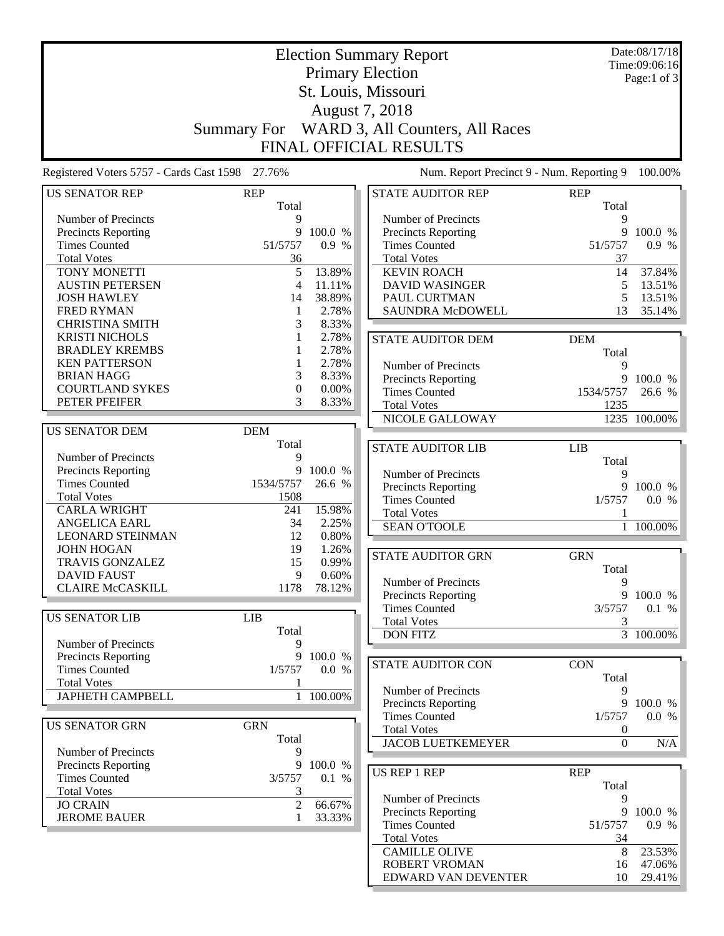|                                                 |                     |           | <b>Election Summary Report</b>              |                     | Date:08/17/18<br>Time:09:06:16 |
|-------------------------------------------------|---------------------|-----------|---------------------------------------------|---------------------|--------------------------------|
|                                                 |                     |           | <b>Primary Election</b>                     |                     | Page:1 of 3                    |
|                                                 |                     |           | St. Louis, Missouri                         |                     |                                |
|                                                 |                     |           | August 7, 2018                              |                     |                                |
|                                                 |                     |           |                                             |                     |                                |
|                                                 | <b>Summary For</b>  |           | WARD 3, All Counters, All Races             |                     |                                |
|                                                 |                     |           | FINAL OFFICIAL RESULTS                      |                     |                                |
| Registered Voters 5757 - Cards Cast 1598 27.76% |                     |           | Num. Report Precinct 9 - Num. Reporting 9   |                     | 100.00%                        |
| <b>US SENATOR REP</b>                           | <b>REP</b><br>Total |           | <b>STATE AUDITOR REP</b>                    | <b>REP</b><br>Total |                                |
| Number of Precincts                             | 9                   |           | Number of Precincts                         | 9                   |                                |
| Precincts Reporting                             | 9                   | 100.0 %   | Precincts Reporting                         | 9                   | 100.0 %                        |
| <b>Times Counted</b>                            | 51/5757             | 0.9%      | <b>Times Counted</b>                        | 51/5757             | 0.9 %                          |
| <b>Total Votes</b>                              | 36                  |           | <b>Total Votes</b>                          | 37                  |                                |
| TONY MONETTI                                    | 5                   | 13.89%    | <b>KEVIN ROACH</b>                          | 14                  | 37.84%                         |
| <b>AUSTIN PETERSEN</b>                          | $\overline{4}$      | 11.11%    | <b>DAVID WASINGER</b>                       | 5                   | 13.51%                         |
| <b>JOSH HAWLEY</b>                              | 14                  | 38.89%    | PAUL CURTMAN                                | 5                   | 13.51%                         |
| <b>FRED RYMAN</b>                               | 1                   | 2.78%     | <b>SAUNDRA McDOWELL</b>                     | 13                  | 35.14%                         |
| <b>CHRISTINA SMITH</b>                          | 3                   | 8.33%     |                                             |                     |                                |
| <b>KRISTI NICHOLS</b>                           | 1                   | 2.78%     | <b>STATE AUDITOR DEM</b>                    | <b>DEM</b>          |                                |
| <b>BRADLEY KREMBS</b>                           |                     | 2.78%     |                                             | Total               |                                |
| <b>KEN PATTERSON</b>                            | 1                   | 2.78%     | Number of Precincts                         | 9                   |                                |
| <b>BRIAN HAGG</b>                               | 3                   | 8.33%     | Precincts Reporting                         | 9                   | 100.0 %                        |
| <b>COURTLAND SYKES</b>                          | $\boldsymbol{0}$    | 0.00%     | <b>Times Counted</b>                        | 1534/5757           | 26.6 %                         |
| PETER PFEIFER                                   | 3                   | 8.33%     | <b>Total Votes</b>                          | 1235                |                                |
|                                                 |                     |           | NICOLE GALLOWAY                             |                     | 1235 100.00%                   |
| <b>US SENATOR DEM</b>                           | <b>DEM</b>          |           |                                             |                     |                                |
|                                                 | Total               |           | <b>STATE AUDITOR LIB</b>                    | <b>LIB</b>          |                                |
| Number of Precincts                             | 9                   |           |                                             | Total               |                                |
| Precincts Reporting                             | 9                   | 100.0 %   | Number of Precincts                         | 9                   |                                |
| <b>Times Counted</b>                            | 1534/5757           | 26.6 %    | Precincts Reporting                         | 9                   | 100.0 %                        |
| <b>Total Votes</b>                              | 1508                |           | <b>Times Counted</b>                        | 1/5757              | 0.0 %                          |
| <b>CARLA WRIGHT</b>                             | 241                 | 15.98%    | <b>Total Votes</b>                          | 1                   |                                |
| <b>ANGELICA EARL</b>                            | 34                  | 2.25%     | <b>SEAN O'TOOLE</b>                         | $\mathbf{1}$        | 100.00%                        |
| <b>LEONARD STEINMAN</b>                         | 12                  | 0.80%     |                                             |                     |                                |
| <b>JOHN HOGAN</b>                               | 19                  | 1.26%     | <b>STATE AUDITOR GRN</b>                    | <b>GRN</b>          |                                |
| TRAVIS GONZALEZ                                 | 15                  | 0.99%     |                                             | Total               |                                |
| <b>DAVID FAUST</b>                              | 9                   | 0.60%     | Number of Precincts                         | 9                   |                                |
| <b>CLAIRE McCASKILL</b>                         | 1178                | 78.12%    | Precincts Reporting                         | 9                   | 100.0 %                        |
|                                                 |                     |           | <b>Times Counted</b>                        | 3/5757              | 0.1 %                          |
| <b>US SENATOR LIB</b>                           | <b>LIB</b>          |           | <b>Total Votes</b>                          | 3                   |                                |
|                                                 | Total               |           | <b>DON FITZ</b>                             |                     | $\overline{3}$ 100.00%         |
| Number of Precincts                             | 9                   |           |                                             |                     |                                |
| <b>Precincts Reporting</b>                      |                     | 9 100.0 % | <b>STATE AUDITOR CON</b>                    | <b>CON</b>          |                                |
| <b>Times Counted</b>                            | 1/5757              | 0.0 %     |                                             | Total               |                                |
| <b>Total Votes</b>                              |                     |           | Number of Precincts                         | 9                   |                                |
| <b>JAPHETH CAMPBELL</b>                         |                     | 1 100.00% | Precincts Reporting                         |                     | 9 100.0 %                      |
|                                                 |                     |           | <b>Times Counted</b>                        | 1/5757              | 0.0 %                          |
| <b>US SENATOR GRN</b>                           | <b>GRN</b>          |           | <b>Total Votes</b>                          | $\boldsymbol{0}$    |                                |
|                                                 | Total               |           | <b>JACOB LUETKEMEYER</b>                    | $\boldsymbol{0}$    | N/A                            |
| Number of Precincts                             | 9                   |           |                                             |                     |                                |
| <b>Precincts Reporting</b>                      | 9                   | 100.0 %   | <b>US REP 1 REP</b>                         | <b>REP</b>          |                                |
| <b>Times Counted</b>                            | 3/5757              | 0.1 %     |                                             |                     |                                |
| <b>Total Votes</b>                              | 3                   |           |                                             | Total               |                                |
| <b>JO CRAIN</b>                                 | $\overline{2}$      | 66.67%    | Number of Precincts                         | 9<br>9              |                                |
| <b>JEROME BAUER</b>                             | 1                   | 33.33%    | Precincts Reporting<br><b>Times Counted</b> | 51/5757             | 100.0 %<br>0.9 %               |
|                                                 |                     |           | <b>Total Votes</b>                          | 34                  |                                |
|                                                 |                     |           | <b>CAMILLE OLIVE</b>                        | 8                   | 23.53%                         |
|                                                 |                     |           | <b>ROBERT VROMAN</b>                        | 16                  | 47.06%                         |
|                                                 |                     |           | EDWARD VAN DEVENTER                         | 10                  | 29.41%                         |
|                                                 |                     |           |                                             |                     |                                |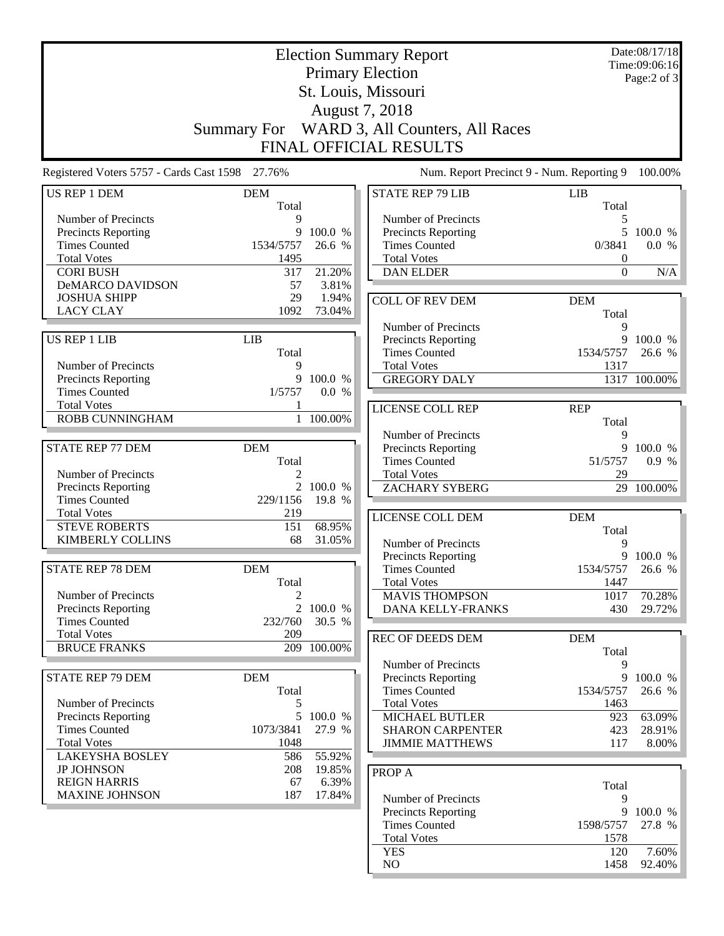|                                                                                                                                         |                                          |                                      | <b>Election Summary Report</b><br><b>Primary Election</b><br>St. Louis, Missouri<br>August 7, 2018                       |                                                  | Date:08/17/18<br>Time:09:06:16<br>Page:2 of 3 |
|-----------------------------------------------------------------------------------------------------------------------------------------|------------------------------------------|--------------------------------------|--------------------------------------------------------------------------------------------------------------------------|--------------------------------------------------|-----------------------------------------------|
|                                                                                                                                         | <b>Summary For</b>                       |                                      | WARD 3, All Counters, All Races<br>FINAL OFFICIAL RESULTS                                                                |                                                  |                                               |
| Registered Voters 5757 - Cards Cast 1598 27.76%                                                                                         |                                          |                                      | Num. Report Precinct 9 - Num. Reporting 9                                                                                |                                                  | 100.00%                                       |
| US REP 1 DEM                                                                                                                            | <b>DEM</b><br>Total                      |                                      | <b>STATE REP 79 LIB</b>                                                                                                  | <b>LIB</b><br>Total                              |                                               |
| Number of Precincts<br>Precincts Reporting<br><b>Times Counted</b><br><b>Total Votes</b><br><b>CORI BUSH</b><br><b>DeMARCO DAVIDSON</b> | 9<br>9<br>1534/5757<br>1495<br>317<br>57 | 100.0 %<br>26.6 %<br>21.20%<br>3.81% | Number of Precincts<br><b>Precincts Reporting</b><br><b>Times Counted</b><br><b>Total Votes</b><br><b>DAN ELDER</b>      | 5<br>5<br>0/3841<br>$\boldsymbol{0}$<br>$\Omega$ | 100.0 %<br>0.0 %<br>N/A                       |
| <b>JOSHUA SHIPP</b><br><b>LACY CLAY</b>                                                                                                 | 29<br>1092                               | 1.94%<br>73.04%                      | <b>COLL OF REV DEM</b>                                                                                                   | <b>DEM</b><br>Total                              |                                               |
| <b>US REP 1 LIB</b><br>Number of Precincts<br>Precincts Reporting                                                                       | <b>LIB</b><br>Total<br>9<br>9            | 100.0 %                              | Number of Precincts<br><b>Precincts Reporting</b><br><b>Times Counted</b><br><b>Total Votes</b><br><b>GREGORY DALY</b>   | 9<br>9<br>1534/5757<br>1317                      | 100.0 %<br>26.6 %<br>1317 100.00%             |
| <b>Times Counted</b><br><b>Total Votes</b><br><b>ROBB CUNNINGHAM</b>                                                                    | 1/5757                                   | 0.0 %<br>1 100.00%                   | LICENSE COLL REP                                                                                                         | <b>REP</b><br>Total                              |                                               |
| <b>STATE REP 77 DEM</b><br>Number of Precincts                                                                                          | <b>DEM</b><br>Total                      |                                      | Number of Precincts<br>Precincts Reporting<br><b>Times Counted</b><br><b>Total Votes</b>                                 | 9<br>9<br>51/5757<br>29                          | 100.0%<br>0.9%                                |
| Precincts Reporting<br><b>Times Counted</b><br><b>Total Votes</b>                                                                       | $\overline{2}$<br>229/1156<br>219        | 100.0 %<br>19.8 %                    | ZACHARY SYBERG                                                                                                           |                                                  | 29 100.00%                                    |
| <b>STEVE ROBERTS</b><br><b>KIMBERLY COLLINS</b>                                                                                         | 151<br>68                                | 68.95%<br>31.05%                     | LICENSE COLL DEM<br>Number of Precincts                                                                                  | <b>DEM</b><br>Total<br>9                         |                                               |
| <b>STATE REP 78 DEM</b>                                                                                                                 | <b>DEM</b><br>Total                      |                                      | <b>Precincts Reporting</b><br><b>Times Counted</b><br><b>Total Votes</b>                                                 | 1534/5757<br>1447                                | 9 100.0 %<br>26.6 %                           |
| Number of Precincts<br><b>Precincts Reporting</b><br><b>Times Counted</b><br><b>Total Votes</b>                                         | $\overline{2}$<br>232/760<br>209         | 100.0 %<br>30.5 %                    | <b>MAVIS THOMPSON</b><br><b>DANA KELLY-FRANKS</b><br><b>REC OF DEEDS DEM</b>                                             | 1017<br>430<br><b>DEM</b>                        | 70.28%<br>29.72%                              |
| <b>BRUCE FRANKS</b><br><b>STATE REP 79 DEM</b>                                                                                          | 209<br><b>DEM</b>                        | 100.00%                              | Number of Precincts<br>Precincts Reporting                                                                               | Total<br>9<br>9                                  | 100.0 %                                       |
| Number of Precincts<br><b>Precincts Reporting</b><br><b>Times Counted</b><br><b>Total Votes</b>                                         | Total<br>5<br>5<br>1073/3841<br>1048     | 100.0 %<br>27.9 %                    | <b>Times Counted</b><br><b>Total Votes</b><br><b>MICHAEL BUTLER</b><br><b>SHARON CARPENTER</b><br><b>JIMMIE MATTHEWS</b> | 1534/5757<br>1463<br>923<br>423<br>117           | 26.6 %<br>63.09%<br>28.91%<br>8.00%           |
| <b>LAKEYSHA BOSLEY</b><br><b>JP JOHNSON</b><br><b>REIGN HARRIS</b><br><b>MAXINE JOHNSON</b>                                             | 586<br>208<br>67<br>187                  | 55.92%<br>19.85%<br>6.39%<br>17.84%  | PROP A<br>Number of Precincts<br>Precincts Reporting<br><b>Times Counted</b><br><b>Total Votes</b>                       | Total<br>9<br>9<br>1598/5757<br>1578             | 100.0 %<br>27.8 %                             |

YES 120 7.60% NO 1458 92.40%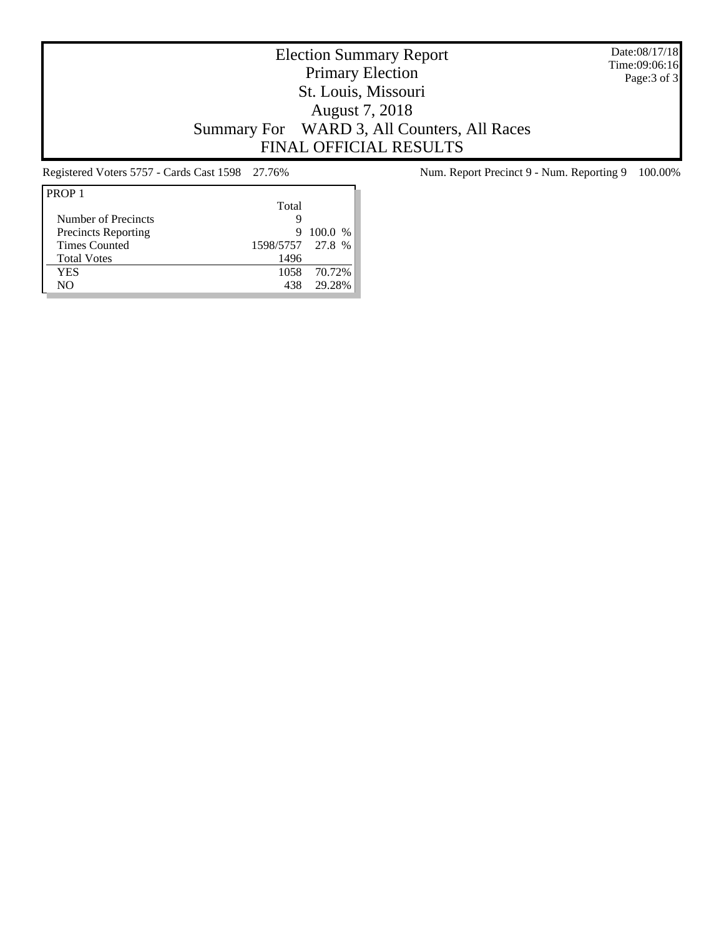Date:08/17/18 Time:09:06:16 Page:3 of 3

# Election Summary Report Primary Election St. Louis, Missouri August 7, 2018 Summary For WARD 3, All Counters, All Races FINAL OFFICIAL RESULTS

| PROP <sub>1</sub>          |                  |           |
|----------------------------|------------------|-----------|
|                            | Total            |           |
| Number of Precincts        | Ч                |           |
| <b>Precincts Reporting</b> | 9                | $100.0\%$ |
| <b>Times Counted</b>       | 1598/5757 27.8 % |           |
| <b>Total Votes</b>         | 1496             |           |
| YES                        | 1058             | 70.72%    |
| NΟ                         | 438              | 29.28%    |

Registered Voters 5757 - Cards Cast 1598 27.76% Num. Report Precinct 9 - Num. Reporting 9 100.00%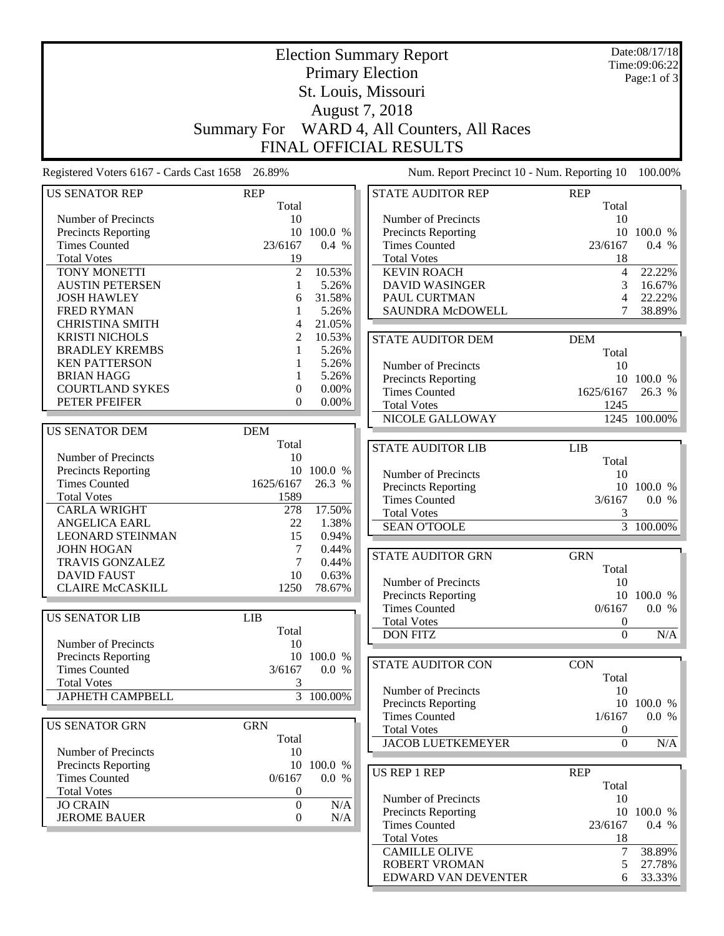|                                                 |                                    |                 | <b>Election Summary Report</b>              |                   | Date:08/17/18<br>Time:09:06:22 |
|-------------------------------------------------|------------------------------------|-----------------|---------------------------------------------|-------------------|--------------------------------|
|                                                 |                                    |                 | <b>Primary Election</b>                     |                   | Page:1 of 3                    |
|                                                 |                                    |                 | St. Louis, Missouri                         |                   |                                |
|                                                 |                                    |                 | August 7, 2018                              |                   |                                |
|                                                 | <b>Summary For</b>                 |                 | WARD 4, All Counters, All Races             |                   |                                |
|                                                 |                                    |                 | <b>FINAL OFFICIAL RESULTS</b>               |                   |                                |
| Registered Voters 6167 - Cards Cast 1658 26.89% |                                    |                 | Num. Report Precinct 10 - Num. Reporting 10 |                   | 100.00%                        |
| <b>US SENATOR REP</b>                           | <b>REP</b>                         |                 | <b>STATE AUDITOR REP</b>                    | <b>REP</b>        |                                |
|                                                 | Total                              |                 |                                             | Total             |                                |
| Number of Precincts                             | 10                                 |                 | Number of Precincts                         | 10                |                                |
| <b>Precincts Reporting</b>                      |                                    | 10 100.0 %      | <b>Precincts Reporting</b>                  | 10                | 100.0 %                        |
| <b>Times Counted</b>                            | 23/6167                            | 0.4 %           | <b>Times Counted</b>                        | 23/6167           | 0.4 %                          |
| <b>Total Votes</b>                              | 19                                 |                 | <b>Total Votes</b>                          | 18                |                                |
| TONY MONETTI                                    | $\overline{c}$                     | 10.53%          | <b>KEVIN ROACH</b>                          | $\overline{4}$    | 22.22%                         |
| <b>AUSTIN PETERSEN</b>                          | 1                                  | 5.26%           | <b>DAVID WASINGER</b>                       | 3                 | 16.67%                         |
| <b>JOSH HAWLEY</b>                              | 6                                  | 31.58%          | PAUL CURTMAN                                | 4                 | 22.22%                         |
| <b>FRED RYMAN</b>                               | 1                                  | 5.26%           | <b>SAUNDRA McDOWELL</b>                     | 7                 | 38.89%                         |
| <b>CHRISTINA SMITH</b>                          | 4                                  | 21.05%          |                                             |                   |                                |
| <b>KRISTI NICHOLS</b>                           | $\overline{2}$<br>1                | 10.53%<br>5.26% | <b>STATE AUDITOR DEM</b>                    | <b>DEM</b>        |                                |
| <b>BRADLEY KREMBS</b><br><b>KEN PATTERSON</b>   | 1                                  | 5.26%           |                                             | Total             |                                |
| <b>BRIAN HAGG</b>                               | 1                                  | 5.26%           | Number of Precincts                         | 10                |                                |
| <b>COURTLAND SYKES</b>                          | 0                                  | 0.00%           | Precincts Reporting                         | 10                | 100.0 %<br>26.3 %              |
| PETER PFEIFER                                   | $\theta$                           | 0.00%           | <b>Times Counted</b><br><b>Total Votes</b>  | 1625/6167<br>1245 |                                |
|                                                 |                                    |                 | NICOLE GALLOWAY                             |                   | 1245 100.00%                   |
| <b>US SENATOR DEM</b>                           | <b>DEM</b>                         |                 |                                             |                   |                                |
|                                                 | Total                              |                 | <b>STATE AUDITOR LIB</b>                    | LIB               |                                |
| Number of Precincts                             | 10                                 |                 |                                             | Total             |                                |
| <b>Precincts Reporting</b>                      |                                    | 10 100.0 %      | Number of Precincts                         | 10                |                                |
| <b>Times Counted</b>                            | 1625/6167                          | 26.3 %          | <b>Precincts Reporting</b>                  | 10                | 100.0 %                        |
| <b>Total Votes</b>                              | 1589                               |                 | <b>Times Counted</b>                        | 3/6167            | 0.0 %                          |
| <b>CARLA WRIGHT</b>                             | 278                                | 17.50%          | <b>Total Votes</b>                          | 3                 |                                |
| <b>ANGELICA EARL</b>                            | 22                                 | 1.38%           | <b>SEAN O'TOOLE</b>                         |                   | $\overline{3}$ 100.00%         |
| <b>LEONARD STEINMAN</b>                         | 15                                 | 0.94%           |                                             |                   |                                |
| <b>JOHN HOGAN</b>                               | 7                                  | 0.44%           | <b>STATE AUDITOR GRN</b>                    | <b>GRN</b>        |                                |
| <b>TRAVIS GONZALEZ</b>                          | 7                                  | 0.44%           |                                             | Total             |                                |
| DAVID FAUST<br><b>CLAIRE McCASKILL</b>          | 10<br>1250                         | 0.63%<br>78.67% | Number of Precincts                         | 10                |                                |
|                                                 |                                    |                 | Precincts Reporting                         |                   | 10 100.0 %                     |
| <b>US SENATOR LIB</b>                           | <b>LIB</b>                         |                 | <b>Times Counted</b>                        | 0/6167            | 0.0 %                          |
|                                                 | Total                              |                 | <b>Total Votes</b>                          | $\boldsymbol{0}$  |                                |
| Number of Precincts                             | 10                                 |                 | <b>DON FITZ</b>                             | $\boldsymbol{0}$  | $\rm N/A$                      |
| <b>Precincts Reporting</b>                      |                                    | 10 100.0 %      |                                             |                   |                                |
| <b>Times Counted</b>                            | 3/6167                             | 0.0 %           | <b>STATE AUDITOR CON</b>                    | <b>CON</b>        |                                |
| <b>Total Votes</b>                              | 3                                  |                 |                                             | Total             |                                |
| <b>JAPHETH CAMPBELL</b>                         | $\mathfrak{Z}$                     | $100.00\%$      | Number of Precincts<br>Precincts Reporting  | 10<br>10          | 100.0 %                        |
|                                                 |                                    |                 | <b>Times Counted</b>                        | 1/6167            | 0.0 %                          |
| <b>US SENATOR GRN</b>                           | <b>GRN</b>                         |                 | <b>Total Votes</b>                          | $\boldsymbol{0}$  |                                |
|                                                 | Total                              |                 | <b>JACOB LUETKEMEYER</b>                    | $\boldsymbol{0}$  | N/A                            |
| Number of Precincts                             | 10                                 |                 |                                             |                   |                                |
| Precincts Reporting                             |                                    | 10 100.0 %      | US REP 1 REP                                | <b>REP</b>        |                                |
| <b>Times Counted</b>                            | 0/6167                             | 0.0 %           |                                             | Total             |                                |
| <b>Total Votes</b>                              | 0                                  |                 | Number of Precincts                         | 10                |                                |
| <b>JO CRAIN</b><br><b>JEROME BAUER</b>          | $\overline{0}$<br>$\boldsymbol{0}$ | N/A<br>N/A      | Precincts Reporting                         | 10                | 100.0 %                        |
|                                                 |                                    |                 | <b>Times Counted</b>                        | 23/6167           | 0.4 %                          |
|                                                 |                                    |                 | <b>Total Votes</b>                          | 18                |                                |
|                                                 |                                    |                 | <b>CAMILLE OLIVE</b>                        | $\tau$            | 38.89%                         |
|                                                 |                                    |                 | ROBERT VROMAN                               | $\sqrt{5}$        | 27.78%                         |
|                                                 |                                    |                 | EDWARD VAN DEVENTER                         | 6                 | 33.33%                         |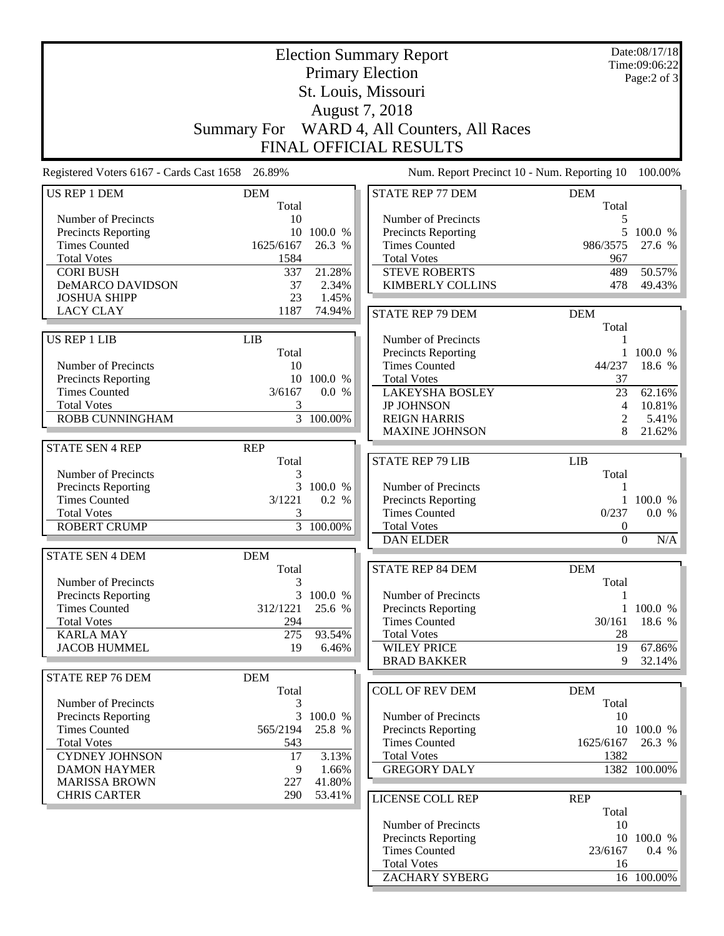|                                                    |                    |                       | <b>Election Summary Report</b><br><b>Primary Election</b><br>St. Louis, Missouri |                  | Date:08/17/18<br>Time:09:06:22<br>Page:2 of 3 |
|----------------------------------------------------|--------------------|-----------------------|----------------------------------------------------------------------------------|------------------|-----------------------------------------------|
|                                                    |                    |                       | August 7, 2018                                                                   |                  |                                               |
|                                                    | <b>Summary For</b> |                       | WARD 4, All Counters, All Races                                                  |                  |                                               |
|                                                    |                    |                       | <b>FINAL OFFICIAL RESULTS</b>                                                    |                  |                                               |
| Registered Voters 6167 - Cards Cast 1658 26.89%    |                    |                       | Num. Report Precinct 10 - Num. Reporting 10                                      |                  | 100.00%                                       |
| <b>US REP 1 DEM</b>                                | <b>DEM</b>         |                       | <b>STATE REP 77 DEM</b>                                                          | <b>DEM</b>       |                                               |
|                                                    | Total              |                       |                                                                                  | Total            |                                               |
| Number of Precincts                                | 10                 |                       | Number of Precincts                                                              | 5                |                                               |
| Precincts Reporting                                | 10                 | 100.0 %               | Precincts Reporting                                                              | 5                | 100.0 %                                       |
| <b>Times Counted</b><br><b>Total Votes</b>         | 1625/6167<br>1584  | 26.3 %                | <b>Times Counted</b><br><b>Total Votes</b>                                       | 986/3575<br>967  | 27.6 %                                        |
| <b>CORI BUSH</b>                                   | 337                | 21.28%                | <b>STEVE ROBERTS</b>                                                             | 489              | 50.57%                                        |
| <b>DeMARCO DAVIDSON</b>                            | 37                 | 2.34%                 | <b>KIMBERLY COLLINS</b>                                                          | 478              | 49.43%                                        |
| <b>JOSHUA SHIPP</b>                                | 23                 | 1.45%                 |                                                                                  |                  |                                               |
| <b>LACY CLAY</b>                                   | 1187               | 74.94%                | <b>STATE REP 79 DEM</b>                                                          | <b>DEM</b>       |                                               |
|                                                    |                    |                       |                                                                                  | Total            |                                               |
| <b>US REP 1 LIB</b>                                | LIB                |                       | Number of Precincts                                                              | 1                |                                               |
|                                                    | Total              |                       | <b>Precincts Reporting</b>                                                       |                  | 1 100.0 %                                     |
| Number of Precincts                                | 10                 |                       | <b>Times Counted</b>                                                             | 44/237           | 18.6 %                                        |
| Precincts Reporting                                |                    | 10 100.0 %            | <b>Total Votes</b>                                                               | 37               |                                               |
| <b>Times Counted</b>                               | 3/6167             | 0.0 %                 | <b>LAKEYSHA BOSLEY</b>                                                           | 23               | 62.16%                                        |
| <b>Total Votes</b>                                 | 3                  |                       | <b>JP JOHNSON</b>                                                                | 4                | 10.81%                                        |
| <b>ROBB CUNNINGHAM</b>                             |                    | $\frac{1}{3}$ 100.00% | <b>REIGN HARRIS</b>                                                              | $\overline{2}$   | 5.41%                                         |
|                                                    |                    |                       | <b>MAXINE JOHNSON</b>                                                            | 8                | 21.62%                                        |
| <b>STATE SEN 4 REP</b>                             | <b>REP</b>         |                       |                                                                                  |                  |                                               |
|                                                    | Total              |                       | <b>STATE REP 79 LIB</b>                                                          | <b>LIB</b>       |                                               |
| Number of Precincts                                | 3                  |                       |                                                                                  | Total            |                                               |
| <b>Precincts Reporting</b><br><b>Times Counted</b> | 3<br>3/1221        | 100.0 %<br>0.2 %      | Number of Precincts                                                              | 1                | 1 100.0 %                                     |
| <b>Total Votes</b>                                 | 3                  |                       | Precincts Reporting<br><b>Times Counted</b>                                      | 0/237            | 0.0 %                                         |
| <b>ROBERT CRUMP</b>                                | $\overline{3}$     | 100.00%               | <b>Total Votes</b>                                                               | $\boldsymbol{0}$ |                                               |
|                                                    |                    |                       | <b>DAN ELDER</b>                                                                 | $\boldsymbol{0}$ | N/A                                           |
| <b>STATE SEN 4 DEM</b>                             | <b>DEM</b>         |                       |                                                                                  |                  |                                               |
|                                                    | Total              |                       | <b>STATE REP 84 DEM</b>                                                          | <b>DEM</b>       |                                               |
| Number of Precincts                                | $\mathfrak{Z}$     |                       |                                                                                  | Total            |                                               |
| <b>Precincts Reporting</b>                         | 3                  | 100.0 %               | Number of Precincts                                                              | 1                |                                               |
| <b>Times Counted</b>                               | 312/1221           | 25.6 %                | Precincts Reporting                                                              | $\mathbf{1}$     | 100.0 %                                       |
| <b>Total Votes</b>                                 | 294                |                       | <b>Times Counted</b>                                                             | 30/161           | 18.6 %                                        |
| <b>KARLA MAY</b>                                   | 275                | 93.54%                | <b>Total Votes</b>                                                               | 28               |                                               |
| <b>JACOB HUMMEL</b>                                | 19                 | 6.46%                 | <b>WILEY PRICE</b>                                                               | 19               | 67.86%                                        |
|                                                    |                    |                       | <b>BRAD BAKKER</b>                                                               | 9                | 32.14%                                        |
| <b>STATE REP 76 DEM</b>                            | <b>DEM</b>         |                       |                                                                                  |                  |                                               |
|                                                    | Total              |                       | <b>COLL OF REV DEM</b>                                                           | <b>DEM</b>       |                                               |
| Number of Precincts                                | 3                  |                       |                                                                                  | Total            |                                               |
| Precincts Reporting                                | 3                  | 100.0 %               | Number of Precincts                                                              | 10               |                                               |
| <b>Times Counted</b><br><b>Total Votes</b>         | 565/2194           | 25.8 %                | <b>Precincts Reporting</b><br><b>Times Counted</b>                               | 1625/6167        | 10 100.0 %<br>26.3 %                          |
| <b>CYDNEY JOHNSON</b>                              | 543<br>17          | 3.13%                 | <b>Total Votes</b>                                                               | 1382             |                                               |
| <b>DAMON HAYMER</b>                                | 9                  | 1.66%                 | <b>GREGORY DALY</b>                                                              |                  | 1382 100.00%                                  |
| <b>MARISSA BROWN</b>                               | 227                | 41.80%                |                                                                                  |                  |                                               |
| <b>CHRIS CARTER</b>                                | 290                | 53.41%                | LICENSE COLL REP                                                                 | <b>REP</b>       |                                               |
|                                                    |                    |                       |                                                                                  | Total            |                                               |
|                                                    |                    |                       | Number of Precincts                                                              | 10               |                                               |
|                                                    |                    |                       | <b>Precincts Reporting</b>                                                       |                  | 10 100.0 %                                    |
|                                                    |                    |                       | <b>Times Counted</b>                                                             | 23/6167          | 0.4 %                                         |
|                                                    |                    |                       | <b>Total Votes</b>                                                               | 16               |                                               |
|                                                    |                    |                       | <b>ZACHARY SYBERG</b>                                                            |                  | 16 100.00%                                    |
|                                                    |                    |                       |                                                                                  |                  |                                               |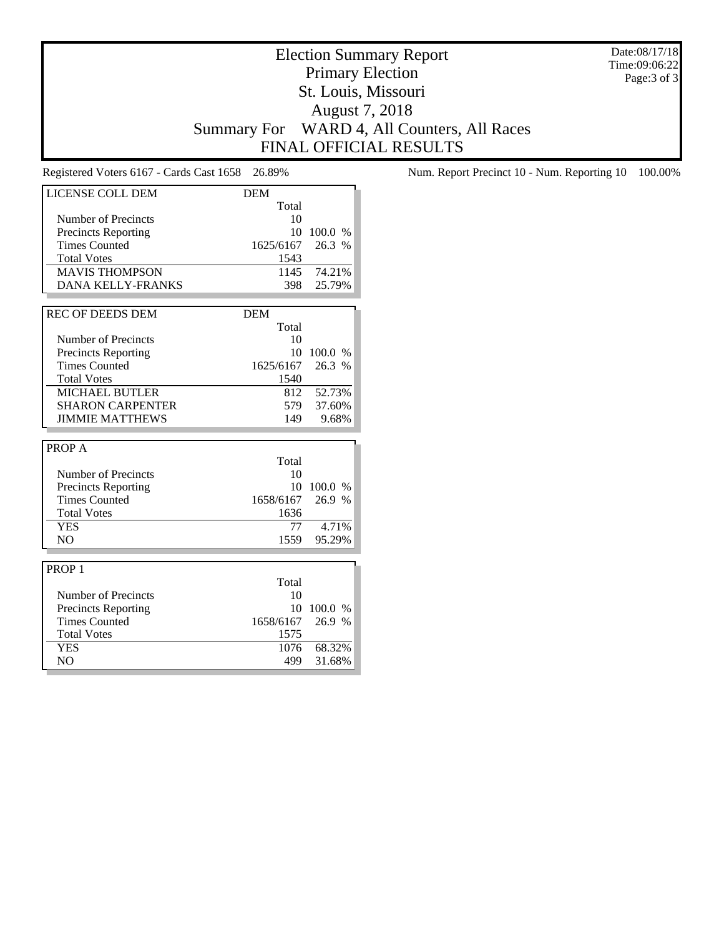Date:08/17/18 Time:09:06:22 Page:3 of 3

# Election Summary Report Primary Election St. Louis, Missouri August 7, 2018 Summary For WARD 4, All Counters, All Races FINAL OFFICIAL RESULTS

| LICENSE COLL DEM             | <b>DEM</b>       |                  |
|------------------------------|------------------|------------------|
|                              | Total            |                  |
| Number of Precincts          | 10               |                  |
| <b>Precincts Reporting</b>   | 10               | 100.0 %          |
| <b>Times Counted</b>         | 1625/6167 26.3 % |                  |
| <b>Total Votes</b>           | 1543             |                  |
| <b>MAVIS THOMPSON</b>        |                  | 1145 74.21%      |
| <b>DANA KELLY-FRANKS</b>     | 398              | 25.79%           |
|                              |                  |                  |
| <b>REC OF DEEDS DEM</b>      | <b>DEM</b>       |                  |
|                              | Total            |                  |
| Number of Precincts          | 10               |                  |
| <b>Precincts Reporting</b>   | 10               | 100.0 %          |
| <b>Times Counted</b>         | 1625/6167 26.3 % |                  |
| <b>Total Votes</b>           | 1540             |                  |
| <b>MICHAEL BUTLER</b>        | 812              | 52.73%           |
| <b>SHARON CARPENTER</b>      | 579              | 37.60%           |
| <b>JIMMIE MATTHEWS</b>       | 149              | 9.68%            |
|                              |                  |                  |
|                              |                  |                  |
| <b>PROPA</b>                 |                  |                  |
|                              | Total            |                  |
| Number of Precincts          | 10               |                  |
| <b>Precincts Reporting</b>   | 10               | 100.0 %          |
| <b>Times Counted</b>         | 1658/6167        | 26.9 %           |
| <b>Total Votes</b>           | 1636             |                  |
| <b>YES</b>                   | 77               | 4.71%            |
| N <sub>O</sub>               | 1559             | 95.29%           |
|                              |                  |                  |
| PROP <sub>1</sub>            |                  |                  |
|                              | Total            |                  |
| Number of Precincts          | 10               |                  |
| <b>Precincts Reporting</b>   | 10               | 100.0 %          |
| <b>Times Counted</b>         | 1658/6167        | 26.9 %           |
| <b>Total Votes</b>           | 1575             |                  |
| <b>YES</b><br>N <sub>O</sub> | 1076<br>499      | 68.32%<br>31.68% |

Registered Voters 6167 - Cards Cast 1658 26.89% Num. Report Precinct 10 - Num. Reporting 10 100.00%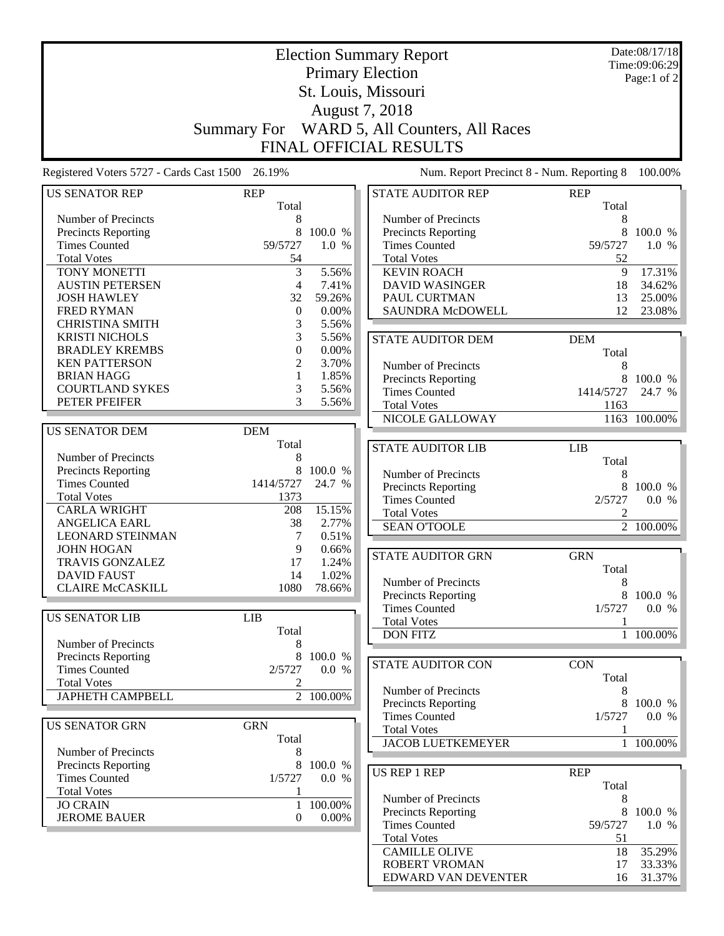|                                                 |                      |                 | <b>Election Summary Report</b>              |                | Date:08/17/18<br>Time:09:06:29 |
|-------------------------------------------------|----------------------|-----------------|---------------------------------------------|----------------|--------------------------------|
|                                                 |                      |                 | <b>Primary Election</b>                     |                | Page:1 of 2                    |
|                                                 |                      |                 | St. Louis, Missouri                         |                |                                |
|                                                 |                      |                 |                                             |                |                                |
|                                                 |                      |                 | August 7, 2018                              |                |                                |
|                                                 | <b>Summary For</b>   |                 | WARD 5, All Counters, All Races             |                |                                |
|                                                 |                      |                 | FINAL OFFICIAL RESULTS                      |                |                                |
| Registered Voters 5727 - Cards Cast 1500 26.19% |                      |                 | Num. Report Precinct 8 - Num. Reporting 8   |                | 100.00%                        |
| <b>US SENATOR REP</b>                           | <b>REP</b>           |                 | <b>STATE AUDITOR REP</b>                    | <b>REP</b>     |                                |
|                                                 | Total                |                 |                                             | Total          |                                |
| Number of Precincts                             | 8                    |                 | Number of Precincts                         | 8              |                                |
| Precincts Reporting                             | 8                    | 100.0 %         | Precincts Reporting                         | 8              | 100.0 %                        |
| <b>Times Counted</b>                            | 59/5727              | 1.0 %           | <b>Times Counted</b>                        | 59/5727        | 1.0 %                          |
| <b>Total Votes</b>                              | 54                   |                 | <b>Total Votes</b>                          | 52             |                                |
| TONY MONETTI                                    | 3                    | 5.56%           | <b>KEVIN ROACH</b>                          | 9              | 17.31%                         |
| <b>AUSTIN PETERSEN</b>                          | $\overline{4}$<br>32 | 7.41%<br>59.26% | DAVID WASINGER                              | 18             | 34.62%<br>25.00%               |
| <b>JOSH HAWLEY</b><br><b>FRED RYMAN</b>         | $\mathbf{0}$         | 0.00%           | PAUL CURTMAN<br>SAUNDRA McDOWELL            | 13<br>12       | 23.08%                         |
| <b>CHRISTINA SMITH</b>                          | 3                    | 5.56%           |                                             |                |                                |
| <b>KRISTI NICHOLS</b>                           | 3                    | 5.56%           |                                             |                |                                |
| <b>BRADLEY KREMBS</b>                           | $\mathbf{0}$         | 0.00%           | <b>STATE AUDITOR DEM</b>                    | <b>DEM</b>     |                                |
| <b>KEN PATTERSON</b>                            | 2                    | 3.70%           |                                             | Total          |                                |
| <b>BRIAN HAGG</b>                               | $\mathbf{1}$         | 1.85%           | Number of Precincts                         | 8              |                                |
| <b>COURTLAND SYKES</b>                          | 3                    | 5.56%           | Precincts Reporting<br><b>Times Counted</b> | 8<br>1414/5727 | 100.0 %                        |
| PETER PFEIFER                                   | 3                    | 5.56%           | <b>Total Votes</b>                          | 1163           | 24.7 %                         |
|                                                 |                      |                 | NICOLE GALLOWAY                             |                | 1163 100.00%                   |
| <b>US SENATOR DEM</b>                           | <b>DEM</b>           |                 |                                             |                |                                |
|                                                 | Total                |                 |                                             |                |                                |
| Number of Precincts                             | 8                    |                 | <b>STATE AUDITOR LIB</b>                    | <b>LIB</b>     |                                |
| Precincts Reporting                             | 8                    | 100.0 %         | Number of Precincts                         | Total<br>8     |                                |
| <b>Times Counted</b>                            | 1414/5727            | 24.7 %          | <b>Precincts Reporting</b>                  | 8              | 100.0 %                        |
| <b>Total Votes</b>                              | 1373                 |                 | <b>Times Counted</b>                        | 2/5727         | 0.0 %                          |
| <b>CARLA WRIGHT</b>                             | 208                  | 15.15%          | <b>Total Votes</b>                          | 2              |                                |
| <b>ANGELICA EARL</b>                            | 38                   | 2.77%           | <b>SEAN O'TOOLE</b>                         | $\overline{2}$ | 100.00%                        |
| <b>LEONARD STEINMAN</b>                         | 7                    | 0.51%           |                                             |                |                                |
| <b>JOHN HOGAN</b>                               | 9                    | 0.66%           | <b>STATE AUDITOR GRN</b>                    | <b>GRN</b>     |                                |
| TRAVIS GONZALEZ                                 | 17                   | 1.24%           |                                             |                |                                |
| <b>DAVID FAUST</b>                              | 14                   | 1.02%           | Number of Precincts                         | Total<br>$\,8$ |                                |
| <b>CLAIRE McCASKILL</b>                         | 1080                 | 78.66%          | Precincts Reporting                         | 8              | 100.0 %                        |
|                                                 |                      |                 | <b>Times Counted</b>                        | 1/5727         | 0.0 %                          |
| <b>US SENATOR LIB</b>                           | LIB                  |                 | <b>Total Votes</b>                          | 1              |                                |
|                                                 | Total                |                 | <b>DON FITZ</b>                             |                | 1 100.00%                      |
| Number of Precincts                             | 8                    |                 |                                             |                |                                |
| <b>Precincts Reporting</b>                      | 8                    | 100.0 %         | <b>STATE AUDITOR CON</b>                    | <b>CON</b>     |                                |
| <b>Times Counted</b>                            | 2/5727               | 0.0 %           |                                             | Total          |                                |
| <b>Total Votes</b>                              | 2                    |                 | Number of Precincts                         | 8              |                                |
| JAPHETH CAMPBELL                                |                      | 2 100.00%       | Precincts Reporting                         | 8              | 100.0 %                        |
|                                                 |                      |                 | <b>Times Counted</b>                        | 1/5727         | 0.0 %                          |
| <b>US SENATOR GRN</b>                           | <b>GRN</b>           |                 | <b>Total Votes</b>                          | 1              |                                |
|                                                 | Total                |                 | <b>JACOB LUETKEMEYER</b>                    |                | 1 100.00%                      |
| Number of Precincts                             | 8                    |                 |                                             |                |                                |
| <b>Precincts Reporting</b>                      | 8                    | 100.0 %         | US REP 1 REP                                | <b>REP</b>     |                                |
| <b>Times Counted</b>                            | 1/5727               | 0.0 %           |                                             | Total          |                                |
| <b>Total Votes</b>                              |                      |                 | Number of Precincts                         | 8              |                                |
| <b>JO CRAIN</b>                                 | 1                    | 100.00%         | <b>Precincts Reporting</b>                  | 8              | 100.0 %                        |
| <b>JEROME BAUER</b>                             | $\mathbf{0}$         | 0.00%           | <b>Times Counted</b>                        | 59/5727        | 1.0%                           |
|                                                 |                      |                 | <b>Total Votes</b>                          | 51             |                                |
|                                                 |                      |                 | <b>CAMILLE OLIVE</b>                        | 18             | 35.29%                         |
|                                                 |                      |                 | <b>ROBERT VROMAN</b>                        | 17             | 33.33%                         |
|                                                 |                      |                 | EDWARD VAN DEVENTER                         | 16             | 31.37%                         |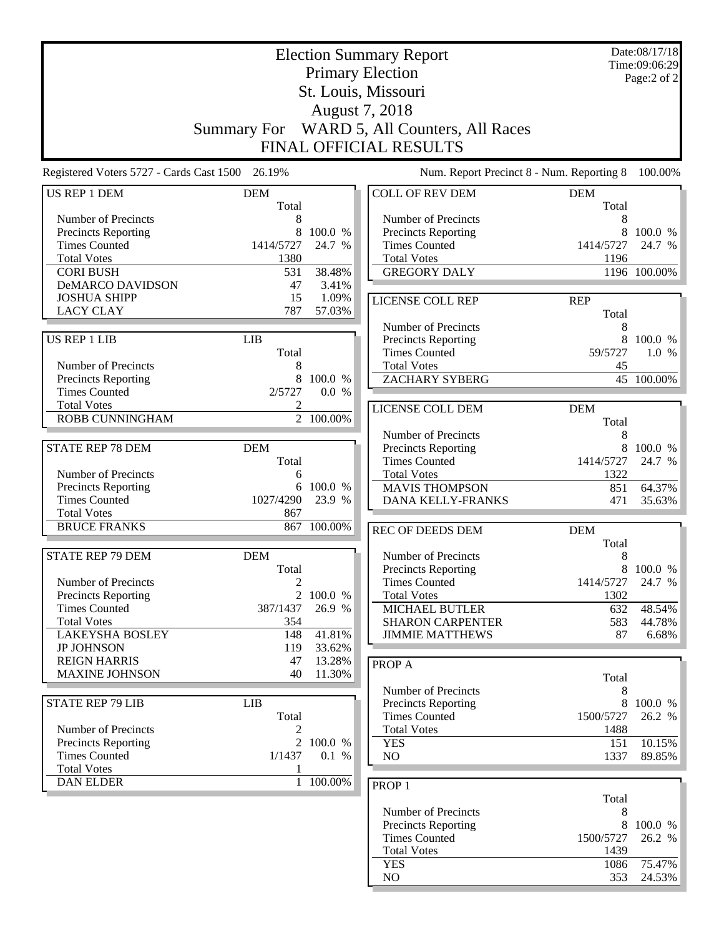|                                                 |                     |                  | <b>Election Summary Report</b>              |                                           | Date:08/17/18<br>Time:09:06:29 |
|-------------------------------------------------|---------------------|------------------|---------------------------------------------|-------------------------------------------|--------------------------------|
|                                                 |                     |                  | <b>Primary Election</b>                     |                                           | Page:2 of 2                    |
|                                                 |                     |                  | St. Louis, Missouri                         |                                           |                                |
|                                                 |                     |                  | August 7, 2018                              |                                           |                                |
|                                                 |                     |                  |                                             |                                           |                                |
|                                                 |                     |                  | Summary For WARD 5, All Counters, All Races |                                           |                                |
|                                                 |                     |                  | FINAL OFFICIAL RESULTS                      |                                           |                                |
| Registered Voters 5727 - Cards Cast 1500 26.19% |                     |                  |                                             | Num. Report Precinct 8 - Num. Reporting 8 | 100.00%                        |
| <b>US REP 1 DEM</b>                             | <b>DEM</b><br>Total |                  | <b>COLL OF REV DEM</b>                      | <b>DEM</b><br>Total                       |                                |
| Number of Precincts                             | 8                   |                  | Number of Precincts                         | 8                                         |                                |
| Precincts Reporting                             | 8                   | 100.0 %          | Precincts Reporting                         | 8                                         | 100.0 %                        |
| <b>Times Counted</b>                            | 1414/5727           | 24.7 %           | <b>Times Counted</b>                        | 1414/5727                                 | 24.7 %                         |
| <b>Total Votes</b>                              | 1380                |                  | <b>Total Votes</b>                          | 1196                                      |                                |
| <b>CORI BUSH</b>                                | 531                 | 38.48%           | <b>GREGORY DALY</b>                         |                                           | 1196 100.00%                   |
| DeMARCO DAVIDSON                                | 47                  | 3.41%            |                                             |                                           |                                |
| <b>JOSHUA SHIPP</b>                             | 15                  | 1.09%            | LICENSE COLL REP                            | <b>REP</b>                                |                                |
| <b>LACY CLAY</b>                                | 787                 | 57.03%           |                                             | Total                                     |                                |
|                                                 |                     |                  | Number of Precincts                         | 8                                         |                                |
| US REP 1 LIB                                    | <b>LIB</b>          |                  | Precincts Reporting                         |                                           | 8 100.0 %                      |
|                                                 | Total               |                  | <b>Times Counted</b>                        | 59/5727                                   | 1.0%                           |
| Number of Precincts                             | 8                   |                  | <b>Total Votes</b>                          | 45                                        |                                |
| Precincts Reporting<br><b>Times Counted</b>     | 8<br>2/5727         | 100.0 %<br>0.0 % | <b>ZACHARY SYBERG</b>                       |                                           | 45 100.00%                     |
| <b>Total Votes</b>                              |                     |                  |                                             |                                           |                                |
| ROBB CUNNINGHAM                                 |                     | 2 100.00%        | LICENSE COLL DEM                            | <b>DEM</b>                                |                                |
|                                                 |                     |                  |                                             | Total                                     |                                |
|                                                 |                     |                  | Number of Precincts                         | 8                                         |                                |
| <b>STATE REP 78 DEM</b>                         | <b>DEM</b><br>Total |                  | Precincts Reporting<br><b>Times Counted</b> | 8<br>1414/5727                            | 100.0 %                        |
| Number of Precincts                             | 6                   |                  | <b>Total Votes</b>                          | 1322                                      | 24.7 %                         |
| Precincts Reporting                             | 6                   | 100.0 %          | <b>MAVIS THOMPSON</b>                       | 851                                       | 64.37%                         |
| <b>Times Counted</b>                            | 1027/4290           | 23.9 %           | <b>DANA KELLY-FRANKS</b>                    | 471                                       | 35.63%                         |
| <b>Total Votes</b>                              | 867                 |                  |                                             |                                           |                                |
| <b>BRUCE FRANKS</b>                             | 867                 | 100.00%          | <b>REC OF DEEDS DEM</b>                     | <b>DEM</b>                                |                                |
|                                                 |                     |                  |                                             | Total                                     |                                |
| <b>STATE REP 79 DEM</b>                         | <b>DEM</b>          |                  | Number of Precincts                         | 8                                         |                                |
|                                                 | Total               |                  | <b>Precincts Reporting</b>                  | 8                                         | 100.0 %                        |
| Number of Precincts                             | $\overline{c}$      |                  | <b>Times Counted</b>                        | 1414/5727                                 | 24.7 %                         |
| Precincts Reporting                             |                     | 2 100.0 %        | <b>Total Votes</b>                          | 1302                                      |                                |
| <b>Times Counted</b>                            | 387/1437            | 26.9 %           | <b>MICHAEL BUTLER</b>                       | 632                                       | 48.54%                         |
| <b>Total Votes</b>                              | 354                 |                  | <b>SHARON CARPENTER</b>                     | 583                                       | 44.78%                         |
| <b>LAKEYSHA BOSLEY</b>                          | 148                 | 41.81%           | <b>JIMMIE MATTHEWS</b>                      | 87                                        | 6.68%                          |
| <b>JP JOHNSON</b>                               | 119                 | 33.62%           |                                             |                                           |                                |
| <b>REIGN HARRIS</b>                             | 47                  | 13.28%           | PROP A                                      |                                           |                                |
| <b>MAXINE JOHNSON</b>                           | 40                  | 11.30%           |                                             | Total                                     |                                |
|                                                 |                     |                  | Number of Precincts                         | 8                                         |                                |
| <b>STATE REP 79 LIB</b>                         | <b>LIB</b>          |                  | Precincts Reporting                         | 8                                         | 100.0 %                        |
|                                                 | Total               |                  | <b>Times Counted</b>                        | 1500/5727                                 | 26.2 %                         |
| Number of Precincts<br>Precincts Reporting      | 2<br>$\overline{2}$ | 100.0 %          | <b>Total Votes</b><br><b>YES</b>            | 1488<br>151                               | 10.15%                         |
| <b>Times Counted</b>                            | 1/1437              | 0.1 %            | NO                                          | 1337                                      | 89.85%                         |
| <b>Total Votes</b>                              | 1                   |                  |                                             |                                           |                                |
| <b>DAN ELDER</b>                                |                     | 1 100.00%        |                                             |                                           |                                |
|                                                 |                     |                  | PROP <sub>1</sub>                           | Total                                     |                                |
|                                                 |                     |                  | Number of Precincts                         | 8                                         |                                |
|                                                 |                     |                  | Precincts Reporting                         | 8                                         | 100.0 %                        |
|                                                 |                     |                  | <b>Times Counted</b>                        | 1500/5727                                 | 26.2 %                         |
|                                                 |                     |                  | <b>Total Votes</b>                          | 1439                                      |                                |

YES 1086 75.47% NO 353 24.53%

24.53%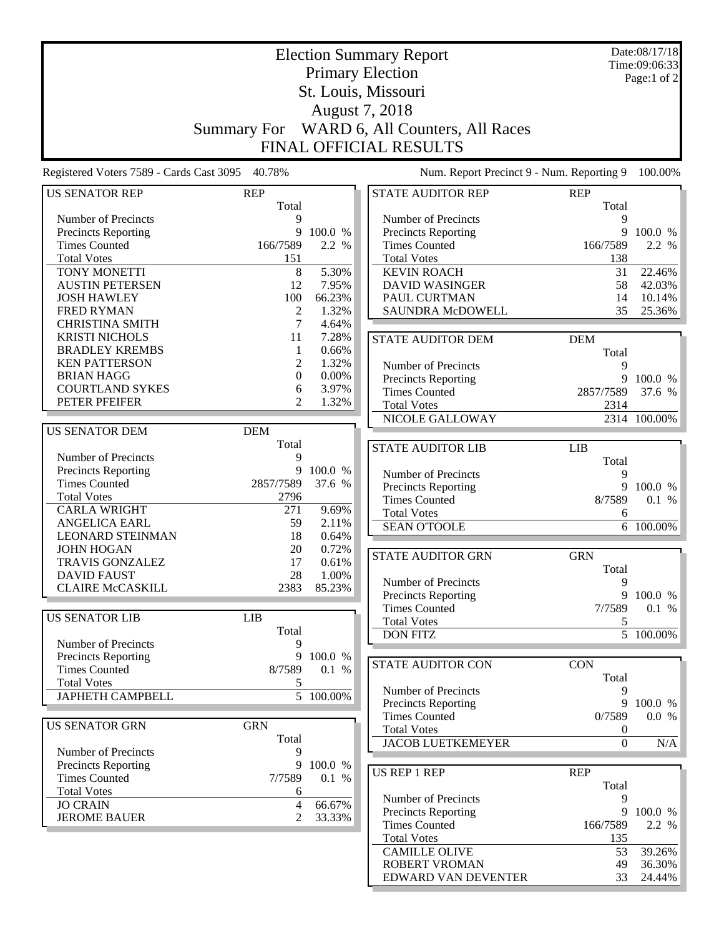|                                                 |                  |           | <b>Election Summary Report</b>              |                | Date:08/17/18<br>Time:09:06:33 |
|-------------------------------------------------|------------------|-----------|---------------------------------------------|----------------|--------------------------------|
|                                                 |                  |           | <b>Primary Election</b>                     |                | Page:1 of 2                    |
|                                                 |                  |           | St. Louis, Missouri                         |                |                                |
|                                                 |                  |           | August 7, 2018                              |                |                                |
|                                                 |                  |           | Summary For WARD 6, All Counters, All Races |                |                                |
|                                                 |                  |           |                                             |                |                                |
|                                                 |                  |           | <b>FINAL OFFICIAL RESULTS</b>               |                |                                |
| Registered Voters 7589 - Cards Cast 3095 40.78% |                  |           | Num. Report Precinct 9 - Num. Reporting 9   |                | 100.00%                        |
| <b>US SENATOR REP</b>                           | <b>REP</b>       |           | <b>STATE AUDITOR REP</b>                    | <b>REP</b>     |                                |
|                                                 | Total            |           |                                             | Total          |                                |
| Number of Precincts                             | 9                |           | Number of Precincts                         | 9              |                                |
| Precincts Reporting                             | 9                | 100.0 %   | Precincts Reporting                         | 9              | 100.0 %                        |
| <b>Times Counted</b>                            | 166/7589         | 2.2 %     | <b>Times Counted</b>                        | 166/7589       | 2.2 %                          |
| <b>Total Votes</b><br>TONY MONETTI              | 151              | 5.30%     | <b>Total Votes</b><br><b>KEVIN ROACH</b>    | 138            |                                |
| <b>AUSTIN PETERSEN</b>                          | 8<br>12          | 7.95%     | <b>DAVID WASINGER</b>                       | 31<br>58       | 22.46%<br>42.03%               |
| <b>JOSH HAWLEY</b>                              | 100              | 66.23%    | PAUL CURTMAN                                | 14             | 10.14%                         |
| <b>FRED RYMAN</b>                               | $\mathfrak{2}$   | 1.32%     | SAUNDRA McDOWELL                            | 35             | 25.36%                         |
| <b>CHRISTINA SMITH</b>                          | 7                | 4.64%     |                                             |                |                                |
| <b>KRISTI NICHOLS</b>                           | 11               | 7.28%     |                                             |                |                                |
| <b>BRADLEY KREMBS</b>                           | $\mathbf{1}$     | 0.66%     | STATE AUDITOR DEM                           | <b>DEM</b>     |                                |
| <b>KEN PATTERSON</b>                            | 2                | 1.32%     | Number of Precincts                         | Total<br>9     |                                |
| <b>BRIAN HAGG</b>                               | $\boldsymbol{0}$ | 0.00%     | <b>Precincts Reporting</b>                  | 9              | 100.0 %                        |
| <b>COURTLAND SYKES</b>                          | 6                | 3.97%     | <b>Times Counted</b>                        | 2857/7589      | 37.6 %                         |
| PETER PFEIFER                                   | 2                | 1.32%     | <b>Total Votes</b>                          | 2314           |                                |
|                                                 |                  |           | NICOLE GALLOWAY                             |                | 2314 100.00%                   |
| <b>US SENATOR DEM</b>                           | <b>DEM</b>       |           |                                             |                |                                |
|                                                 | Total            |           |                                             |                |                                |
| Number of Precincts                             | 9                |           | <b>STATE AUDITOR LIB</b>                    | <b>LIB</b>     |                                |
| Precincts Reporting                             | 9                | 100.0 %   |                                             | Total          |                                |
| <b>Times Counted</b>                            | 2857/7589        | 37.6 %    | Number of Precincts<br>Precincts Reporting  | 9<br>9         | 100.0 %                        |
| <b>Total Votes</b>                              | 2796             |           | <b>Times Counted</b>                        | 8/7589         | 0.1 %                          |
| <b>CARLA WRIGHT</b>                             | 271              | 9.69%     | <b>Total Votes</b>                          | 6              |                                |
| <b>ANGELICA EARL</b>                            | 59               | 2.11%     | <b>SEAN O'TOOLE</b>                         |                | 6 100.00%                      |
| <b>LEONARD STEINMAN</b>                         | 18               | 0.64%     |                                             |                |                                |
| <b>JOHN HOGAN</b>                               | 20               | 0.72%     | <b>STATE AUDITOR GRN</b>                    | <b>GRN</b>     |                                |
| TRAVIS GONZALEZ                                 | 17               | 0.61%     |                                             |                |                                |
| <b>DAVID FAUST</b>                              | 28               | 1.00%     | Number of Precincts                         | Total<br>9     |                                |
| <b>CLAIRE McCASKILL</b>                         | 2383             | 85.23%    | Precincts Reporting                         |                | 9 100.0 %                      |
|                                                 |                  |           | <b>Times Counted</b>                        | 7/7589         | 0.1 %                          |
| <b>US SENATOR LIB</b>                           | LIB              |           | <b>Total Votes</b>                          | 5              |                                |
|                                                 | Total            |           | <b>DON FITZ</b>                             |                | $\overline{5}$ 100.00%         |
| Number of Precincts                             | 9                |           |                                             |                |                                |
| <b>Precincts Reporting</b>                      | 9                | 100.0 %   | STATE AUDITOR CON                           | <b>CON</b>     |                                |
| <b>Times Counted</b>                            | 8/7589           | 0.1 %     |                                             | Total          |                                |
| <b>Total Votes</b>                              | 5                |           | Number of Precincts                         | 9              |                                |
| <b>JAPHETH CAMPBELL</b>                         |                  | 5 100.00% | Precincts Reporting                         | 9              | 100.0 %                        |
|                                                 |                  |           | <b>Times Counted</b>                        | 0/7589         | 0.0 %                          |
| <b>US SENATOR GRN</b>                           | <b>GRN</b>       |           | <b>Total Votes</b>                          | 0              |                                |
|                                                 | Total            |           | <b>JACOB LUETKEMEYER</b>                    | $\overline{0}$ | N/A                            |
| Number of Precincts                             | 9                |           |                                             |                |                                |
| <b>Precincts Reporting</b>                      | 9                | 100.0 %   | US REP 1 REP                                | <b>REP</b>     |                                |
| <b>Times Counted</b>                            | 7/7589           | 0.1 %     |                                             | Total          |                                |
| <b>Total Votes</b>                              | 6                |           | Number of Precincts                         | 9              |                                |
| <b>JO CRAIN</b>                                 | 4                | 66.67%    | Precincts Reporting                         | 9              | 100.0 %                        |
| <b>JEROME BAUER</b>                             | 2                | 33.33%    | <b>Times Counted</b>                        | 166/7589       | 2.2 %                          |
|                                                 |                  |           | <b>Total Votes</b>                          | 135            |                                |
|                                                 |                  |           | <b>CAMILLE OLIVE</b>                        | 53             | 39.26%                         |
|                                                 |                  |           | ROBERT VROMAN                               | 49             | 36.30%                         |
|                                                 |                  |           | EDWARD VAN DEVENTER                         | 33             | 24.44%                         |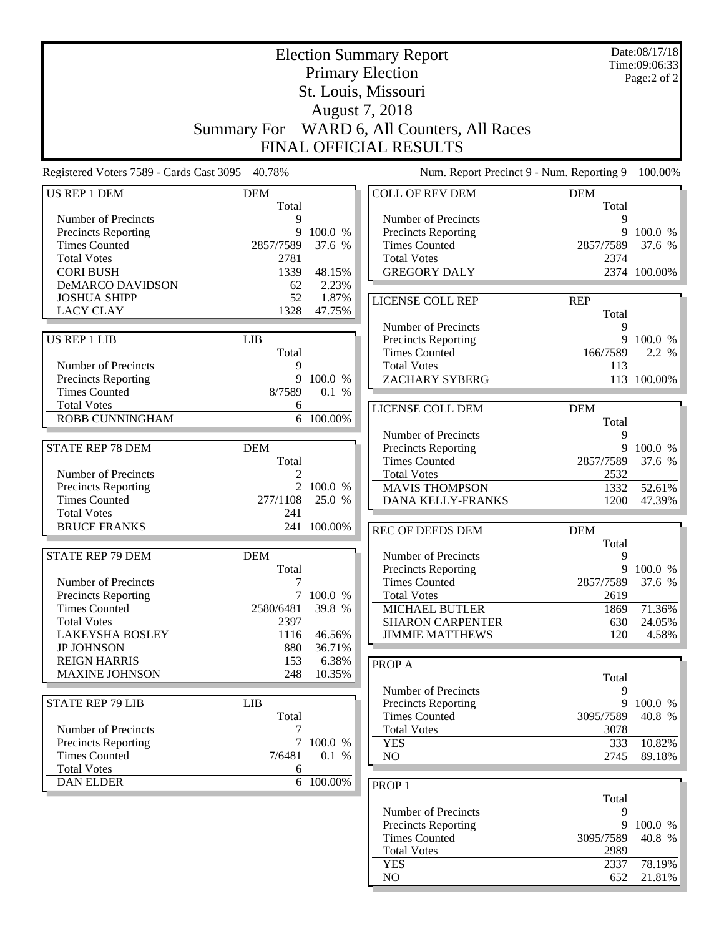|                                                 |                    |           | <b>Election Summary Report</b>              |              | Date:08/17/18<br>Time:09:06:33 |
|-------------------------------------------------|--------------------|-----------|---------------------------------------------|--------------|--------------------------------|
|                                                 |                    |           | <b>Primary Election</b>                     |              | Page:2 of 2                    |
|                                                 |                    |           | St. Louis, Missouri                         |              |                                |
|                                                 |                    |           | August 7, 2018                              |              |                                |
|                                                 |                    |           |                                             |              |                                |
|                                                 | <b>Summary For</b> |           | WARD 6, All Counters, All Races             |              |                                |
|                                                 |                    |           | <b>FINAL OFFICIAL RESULTS</b>               |              |                                |
| Registered Voters 7589 - Cards Cast 3095 40.78% |                    |           | Num. Report Precinct 9 - Num. Reporting 9   |              | 100.00%                        |
| US REP 1 DEM                                    | <b>DEM</b>         |           | <b>COLL OF REV DEM</b>                      | <b>DEM</b>   |                                |
|                                                 | Total              |           |                                             | Total        |                                |
| Number of Precincts                             | 9<br>9             | 100.0 %   | Number of Precincts                         | 9            | 9 100.0 %                      |
| Precincts Reporting<br><b>Times Counted</b>     | 2857/7589          | 37.6 %    | Precincts Reporting<br><b>Times Counted</b> | 2857/7589    | 37.6 %                         |
| <b>Total Votes</b>                              | 2781               |           | <b>Total Votes</b>                          | 2374         |                                |
| <b>CORI BUSH</b>                                | 1339               | 48.15%    | <b>GREGORY DALY</b>                         |              | 2374 100.00%                   |
| DeMARCO DAVIDSON                                | 62                 | 2.23%     |                                             |              |                                |
| <b>JOSHUA SHIPP</b>                             | 52                 | 1.87%     | <b>LICENSE COLL REP</b>                     | <b>REP</b>   |                                |
| <b>LACY CLAY</b>                                | 1328               | 47.75%    |                                             | Total        |                                |
|                                                 |                    |           | Number of Precincts                         | 9            |                                |
| <b>US REP 1 LIB</b>                             | <b>LIB</b>         |           | Precincts Reporting                         |              | 9 100.0 %                      |
|                                                 | Total              |           | <b>Times Counted</b>                        | 166/7589     | 2.2 %                          |
| Number of Precincts                             | 9                  |           | <b>Total Votes</b>                          | 113          |                                |
| <b>Precincts Reporting</b>                      | 9                  | 100.0 %   | <b>ZACHARY SYBERG</b>                       |              | 113 100.00%                    |
| <b>Times Counted</b>                            | 8/7589             | 0.1%      |                                             |              |                                |
| <b>Total Votes</b>                              | 6                  |           | LICENSE COLL DEM                            | <b>DEM</b>   |                                |
| <b>ROBB CUNNINGHAM</b>                          |                    | 6 100.00% |                                             | Total        |                                |
|                                                 |                    |           | Number of Precincts                         | 9            |                                |
| <b>STATE REP 78 DEM</b>                         | <b>DEM</b>         |           | Precincts Reporting                         | 9            | 100.0 %                        |
|                                                 | Total              |           | <b>Times Counted</b>                        | 2857/7589    | 37.6 %                         |
| Number of Precincts                             | 2                  | 2 100.0 % | <b>Total Votes</b>                          | 2532         |                                |
| Precincts Reporting<br><b>Times Counted</b>     | 277/1108           | 25.0 %    | <b>MAVIS THOMPSON</b><br>DANA KELLY-FRANKS  | 1332<br>1200 | 52.61%<br>47.39%               |
| <b>Total Votes</b>                              | 241                |           |                                             |              |                                |
| <b>BRUCE FRANKS</b>                             | 241                | 100.00%   | REC OF DEEDS DEM                            | <b>DEM</b>   |                                |
|                                                 |                    |           |                                             | Total        |                                |
| <b>STATE REP 79 DEM</b>                         | <b>DEM</b>         |           | Number of Precincts                         | 9            |                                |
|                                                 | Total              |           | <b>Precincts Reporting</b>                  |              | 9 100.0 %                      |
| Number of Precincts                             | 7                  |           | <b>Times Counted</b>                        | 2857/7589    | 37.6 %                         |
| Precincts Reporting                             |                    | 7 100.0 % | <b>Total Votes</b>                          | 2619         |                                |
| <b>Times Counted</b>                            | 2580/6481          | 39.8 %    | MICHAEL BUTLER                              | 1869         | 71.36%                         |
| <b>Total Votes</b>                              | 2397               |           | <b>SHARON CARPENTER</b>                     | 630          | 24.05%                         |
| <b>LAKEYSHA BOSLEY</b>                          | 1116               | 46.56%    | <b>JIMMIE MATTHEWS</b>                      | 120          | 4.58%                          |
| <b>JP JOHNSON</b>                               | 880                | 36.71%    |                                             |              |                                |
| <b>REIGN HARRIS</b>                             | 153                | 6.38%     | PROP A                                      |              |                                |
| <b>MAXINE JOHNSON</b>                           | 248                | 10.35%    |                                             | Total        |                                |
|                                                 |                    |           | Number of Precincts                         | 9            |                                |
| <b>STATE REP 79 LIB</b>                         | <b>LIB</b>         |           | Precincts Reporting                         | 9            | 100.0 %                        |
|                                                 | Total              |           | <b>Times Counted</b>                        | 3095/7589    | 40.8 %                         |
| Number of Precincts                             | 7                  | 7 100.0 % | <b>Total Votes</b>                          | 3078         |                                |
| Precincts Reporting<br><b>Times Counted</b>     | 7/6481             | 0.1 %     | <b>YES</b><br>NO                            | 333<br>2745  | 10.82%<br>89.18%               |
| <b>Total Votes</b>                              | 6                  |           |                                             |              |                                |
| <b>DAN ELDER</b>                                |                    | 6 100.00% |                                             |              |                                |
|                                                 |                    |           | PROP <sub>1</sub>                           |              |                                |
|                                                 |                    |           | Number of Precincts                         | Total<br>9   |                                |
|                                                 |                    |           | <b>Precincts Reporting</b>                  | 9            | 100.0 %                        |
|                                                 |                    |           | <b>Times Counted</b>                        | 3095/7589    | 40.8 %                         |
|                                                 |                    |           | <b>Total Votes</b>                          | 2989         |                                |
|                                                 |                    |           | <b>YES</b>                                  | 2337         | 78.19%                         |
|                                                 |                    |           | $\rm NO$                                    | 652          | 21.81%                         |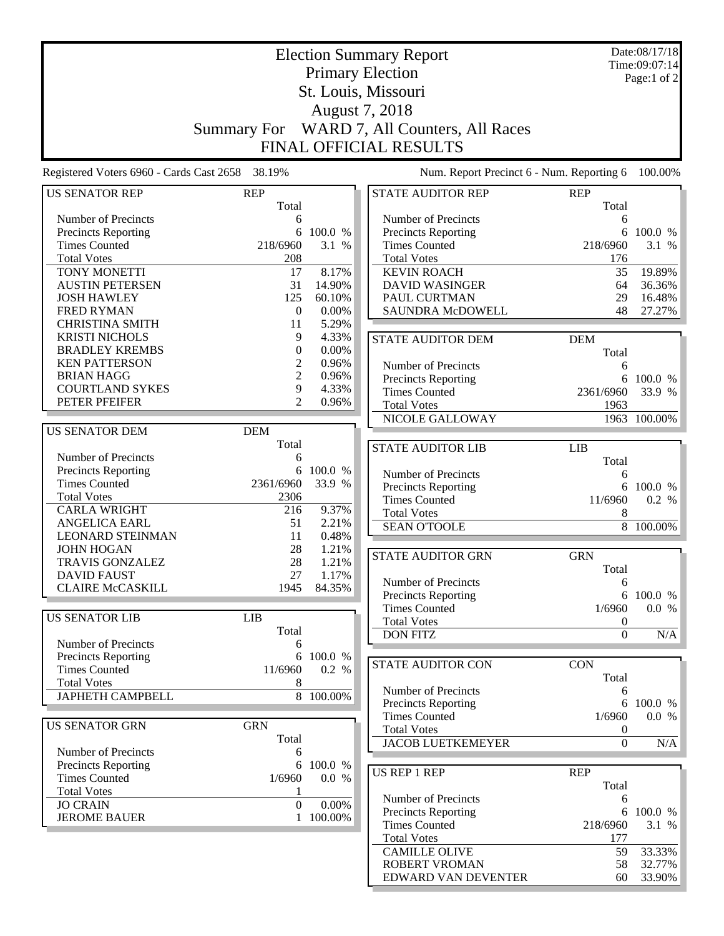|                                                 |                    |           | <b>Election Summary Report</b>                    |                  | Date:08/17/18<br>Time:09:07:14 |
|-------------------------------------------------|--------------------|-----------|---------------------------------------------------|------------------|--------------------------------|
|                                                 |                    |           | <b>Primary Election</b>                           |                  | Page:1 of 2                    |
|                                                 |                    |           | St. Louis, Missouri                               |                  |                                |
|                                                 |                    |           |                                                   |                  |                                |
|                                                 |                    |           | August 7, 2018                                    |                  |                                |
|                                                 | <b>Summary For</b> |           | WARD 7, All Counters, All Races                   |                  |                                |
|                                                 |                    |           | <b>FINAL OFFICIAL RESULTS</b>                     |                  |                                |
| Registered Voters 6960 - Cards Cast 2658 38.19% |                    |           | Num. Report Precinct 6 - Num. Reporting 6         |                  | 100.00%                        |
| US SENATOR REP                                  | <b>REP</b>         |           | <b>STATE AUDITOR REP</b>                          | <b>REP</b>       |                                |
|                                                 | Total              |           |                                                   | Total            |                                |
| Number of Precincts<br>Precincts Reporting      | 6<br>6             | 100.0 %   | Number of Precincts<br><b>Precincts Reporting</b> | 6                | 6 100.0 %                      |
| <b>Times Counted</b>                            | 218/6960           | 3.1 %     | <b>Times Counted</b>                              | 218/6960         | 3.1 %                          |
| <b>Total Votes</b>                              | 208                |           | <b>Total Votes</b>                                | 176              |                                |
| TONY MONETTI                                    | 17                 | 8.17%     | <b>KEVIN ROACH</b>                                | 35               | 19.89%                         |
| <b>AUSTIN PETERSEN</b>                          | 31                 | 14.90%    | <b>DAVID WASINGER</b>                             | 64               | 36.36%                         |
| <b>JOSH HAWLEY</b>                              | 125                | 60.10%    | PAUL CURTMAN                                      | 29               | 16.48%                         |
| <b>FRED RYMAN</b>                               | $\boldsymbol{0}$   | 0.00%     | <b>SAUNDRA McDOWELL</b>                           | 48               | 27.27%                         |
| <b>CHRISTINA SMITH</b>                          | 11                 | 5.29%     |                                                   |                  |                                |
| <b>KRISTI NICHOLS</b>                           | 9                  | 4.33%     |                                                   |                  |                                |
| <b>BRADLEY KREMBS</b>                           | $\boldsymbol{0}$   | $0.00\%$  | <b>STATE AUDITOR DEM</b>                          | <b>DEM</b>       |                                |
| <b>KEN PATTERSON</b>                            | $\overline{c}$     | 0.96%     |                                                   | Total            |                                |
| <b>BRIAN HAGG</b>                               | $\overline{c}$     | 0.96%     | Number of Precincts                               | 6                |                                |
| <b>COURTLAND SYKES</b>                          | 9                  | 4.33%     | <b>Precincts Reporting</b>                        | 6                | 100.0 %                        |
| PETER PFEIFER                                   | $\mathfrak{D}$     | 0.96%     | <b>Times Counted</b>                              | 2361/6960        | 33.9 %                         |
|                                                 |                    |           | <b>Total Votes</b><br>NICOLE GALLOWAY             | 1963             | $\overline{1963}$ 100.00%      |
| <b>US SENATOR DEM</b>                           | <b>DEM</b>         |           |                                                   |                  |                                |
|                                                 | Total              |           |                                                   |                  |                                |
| Number of Precincts                             | 6                  |           | <b>STATE AUDITOR LIB</b>                          | <b>LIB</b>       |                                |
| Precincts Reporting                             | 6                  | 100.0 %   |                                                   | Total            |                                |
| <b>Times Counted</b>                            | 2361/6960          | 33.9 %    | Number of Precincts                               | 6                |                                |
| <b>Total Votes</b>                              | 2306               |           | <b>Precincts Reporting</b>                        |                  | 6 100.0 %                      |
| <b>CARLA WRIGHT</b>                             | 216                | 9.37%     | <b>Times Counted</b>                              | 11/6960          | 0.2 %                          |
| <b>ANGELICA EARL</b>                            | 51                 | 2.21%     | <b>Total Votes</b>                                | 8                |                                |
| <b>LEONARD STEINMAN</b>                         | 11                 | 0.48%     | <b>SEAN O'TOOLE</b>                               |                  | $\overline{8}$ 100.00%         |
| <b>JOHN HOGAN</b>                               | 28                 | 1.21%     |                                                   |                  |                                |
| <b>TRAVIS GONZALEZ</b>                          | 28                 | 1.21%     | <b>STATE AUDITOR GRN</b>                          | <b>GRN</b>       |                                |
| DAVID FAUST                                     | 27                 | 1.17%     |                                                   | Total            |                                |
| <b>CLAIRE McCASKILL</b>                         | 1945               | 84.35%    | Number of Precincts                               | 6                |                                |
|                                                 |                    |           | <b>Precincts Reporting</b>                        | 6                | 100.0 %                        |
| <b>US SENATOR LIB</b>                           | <b>LIB</b>         |           | <b>Times Counted</b>                              | 1/6960           | 0.0 %                          |
|                                                 | Total              |           | <b>Total Votes</b>                                | $\boldsymbol{0}$ |                                |
| Number of Precincts                             | 6                  |           | <b>DON FITZ</b>                                   | $\overline{0}$   | $\rm N/A$                      |
| Precincts Reporting                             | 6                  | 100.0 %   |                                                   |                  |                                |
| <b>Times Counted</b>                            | 11/6960            | 0.2 %     | STATE AUDITOR CON                                 | <b>CON</b>       |                                |
| <b>Total Votes</b>                              | 8                  |           |                                                   | Total            |                                |
| <b>JAPHETH CAMPBELL</b>                         |                    | 8 100.00% | Number of Precincts                               | 6                |                                |
|                                                 |                    |           | Precincts Reporting                               | 6                | 100.0 %                        |
| <b>US SENATOR GRN</b>                           | <b>GRN</b>         |           | <b>Times Counted</b>                              | 1/6960           | 0.0 %                          |
|                                                 | Total              |           | <b>Total Votes</b>                                | $\boldsymbol{0}$ |                                |
| Number of Precincts                             | 6                  |           | <b>JACOB LUETKEMEYER</b>                          | $\boldsymbol{0}$ | N/A                            |
| Precincts Reporting                             | 6                  | 100.0 %   |                                                   |                  |                                |
| <b>Times Counted</b>                            | 1/6960             | 0.0 %     | <b>US REP 1 REP</b>                               | <b>REP</b>       |                                |
| <b>Total Votes</b>                              |                    |           |                                                   | Total            |                                |
| <b>JO CRAIN</b>                                 | $\boldsymbol{0}$   | 0.00%     | Number of Precincts                               | 6                |                                |
| <b>JEROME BAUER</b>                             |                    | 100.00%   | Precincts Reporting                               | 6                | 100.0 %                        |
|                                                 |                    |           | <b>Times Counted</b>                              | 218/6960         | 3.1 %                          |
|                                                 |                    |           | <b>Total Votes</b>                                | 177              |                                |
|                                                 |                    |           | <b>CAMILLE OLIVE</b>                              | 59               | 33.33%                         |
|                                                 |                    |           | ROBERT VROMAN                                     | 58               | 32.77%                         |
|                                                 |                    |           | EDWARD VAN DEVENTER                               | 60               | 33.90%                         |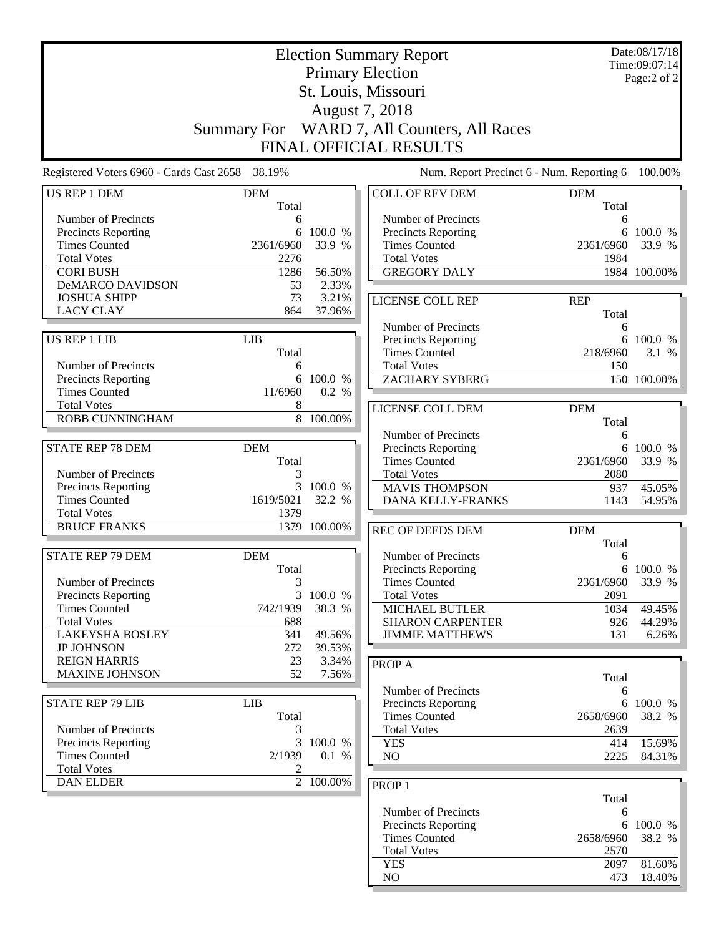|                                                 |                    |                | <b>Election Summary Report</b>              |                   | Date:08/17/18<br>Time:09:07:14 |
|-------------------------------------------------|--------------------|----------------|---------------------------------------------|-------------------|--------------------------------|
|                                                 |                    |                | <b>Primary Election</b>                     |                   | Page:2 of 2                    |
|                                                 |                    |                | St. Louis, Missouri                         |                   |                                |
|                                                 |                    |                | August 7, 2018                              |                   |                                |
|                                                 | <b>Summary For</b> |                | WARD 7, All Counters, All Races             |                   |                                |
|                                                 |                    |                |                                             |                   |                                |
|                                                 |                    |                | <b>FINAL OFFICIAL RESULTS</b>               |                   |                                |
| Registered Voters 6960 - Cards Cast 2658 38.19% |                    |                | Num. Report Precinct 6 - Num. Reporting 6   |                   | 100.00%                        |
| <b>US REP 1 DEM</b>                             | <b>DEM</b>         |                | <b>COLL OF REV DEM</b>                      | <b>DEM</b>        |                                |
| Number of Precincts                             | Total              |                | Number of Precincts                         | Total             |                                |
| Precincts Reporting                             | 6<br>6             | 100.0 %        | Precincts Reporting                         | 6                 | 6 100.0 %                      |
| <b>Times Counted</b>                            | 2361/6960          | 33.9 %         | <b>Times Counted</b>                        | 2361/6960         | 33.9 %                         |
| <b>Total Votes</b>                              | 2276               |                | <b>Total Votes</b>                          | 1984              |                                |
| <b>CORI BUSH</b>                                | 1286               | 56.50%         | <b>GREGORY DALY</b>                         |                   | 1984 100.00%                   |
| DeMARCO DAVIDSON                                | 53                 | 2.33%          |                                             |                   |                                |
| <b>JOSHUA SHIPP</b>                             | 73                 | 3.21%          | LICENSE COLL REP                            | <b>REP</b>        |                                |
| <b>LACY CLAY</b>                                | 864                | 37.96%         |                                             | Total             |                                |
|                                                 |                    |                | Number of Precincts                         | 6                 |                                |
| <b>US REP 1 LIB</b>                             | <b>LIB</b>         |                | <b>Precincts Reporting</b>                  |                   | 6 100.0 %                      |
|                                                 | Total              |                | <b>Times Counted</b>                        | 218/6960          | 3.1 %                          |
| Number of Precincts                             | 6                  |                | <b>Total Votes</b>                          | 150               |                                |
| Precincts Reporting                             | 6                  | 100.0 %        | <b>ZACHARY SYBERG</b>                       |                   | 150 100.00%                    |
| <b>Times Counted</b>                            | 11/6960            | 0.2 %          |                                             |                   |                                |
| <b>Total Votes</b><br>ROBB CUNNINGHAM           | 8                  | 8 100.00%      | LICENSE COLL DEM                            | <b>DEM</b>        |                                |
|                                                 |                    |                |                                             | Total             |                                |
|                                                 |                    |                | Number of Precincts                         | 6                 |                                |
| <b>STATE REP 78 DEM</b>                         | <b>DEM</b>         |                | Precincts Reporting                         | 6                 | 100.0 %                        |
| Number of Precincts                             | Total<br>3         |                | <b>Times Counted</b><br><b>Total Votes</b>  | 2361/6960<br>2080 | 33.9 %                         |
| <b>Precincts Reporting</b>                      | 3                  | 100.0 %        | <b>MAVIS THOMPSON</b>                       | 937               | 45.05%                         |
| <b>Times Counted</b>                            | 1619/5021          | 32.2 %         | DANA KELLY-FRANKS                           | 1143              | 54.95%                         |
| <b>Total Votes</b>                              | 1379               |                |                                             |                   |                                |
| <b>BRUCE FRANKS</b>                             |                    | 1379 100.00%   | REC OF DEEDS DEM                            | <b>DEM</b>        |                                |
|                                                 |                    |                |                                             | Total             |                                |
| <b>STATE REP 79 DEM</b>                         | <b>DEM</b>         |                | Number of Precincts                         | 6                 |                                |
|                                                 | Total              |                | <b>Precincts Reporting</b>                  |                   | 6 100.0 %                      |
| Number of Precincts                             | 3                  |                | <b>Times Counted</b>                        | 2361/6960         | 33.9 %                         |
| Precincts Reporting                             | $\overline{3}$     | 100.0 %        | <b>Total Votes</b>                          | 2091              |                                |
| <b>Times Counted</b>                            | 742/1939           | 38.3 %         | MICHAEL BUTLER                              | 1034              | 49.45%                         |
| <b>Total Votes</b>                              | 688                |                | <b>SHARON CARPENTER</b>                     | 926               | 44.29%                         |
| <b>LAKEYSHA BOSLEY</b>                          | 341                | 49.56%         | <b>JIMMIE MATTHEWS</b>                      | 131               | 6.26%                          |
| <b>JP JOHNSON</b>                               | 272                | 39.53%         |                                             |                   |                                |
| <b>REIGN HARRIS</b><br><b>MAXINE JOHNSON</b>    | 23<br>52           | 3.34%<br>7.56% | PROP A                                      |                   |                                |
|                                                 |                    |                |                                             | Total             |                                |
| <b>STATE REP 79 LIB</b>                         | <b>LIB</b>         |                | Number of Precincts                         | 6                 |                                |
|                                                 | Total              |                | Precincts Reporting<br><b>Times Counted</b> | 2658/6960         | 6 100.0 %<br>38.2 %            |
| Number of Precincts                             | 3                  |                | <b>Total Votes</b>                          | 2639              |                                |
| Precincts Reporting                             | 3                  | 100.0 %        | <b>YES</b>                                  | 414               | 15.69%                         |
| <b>Times Counted</b>                            | 2/1939             | 0.1 %          | NO                                          | 2225              | 84.31%                         |
| <b>Total Votes</b>                              | 2                  |                |                                             |                   |                                |
| <b>DAN ELDER</b>                                |                    | 2 100.00%      | PROP <sub>1</sub>                           |                   |                                |
|                                                 |                    |                |                                             | Total             |                                |
|                                                 |                    |                | Number of Precincts                         | 6                 |                                |
|                                                 |                    |                | Precincts Reporting                         | 6                 | 100.0 %                        |
|                                                 |                    |                | <b>Times Counted</b>                        | 2658/6960         | 38.2 %                         |
|                                                 |                    |                | <b>Total Votes</b>                          | 2570              |                                |
|                                                 |                    |                | <b>YES</b>                                  | 2097              | 81.60%                         |
|                                                 |                    |                | NO                                          | 473               | $18.40\%$                      |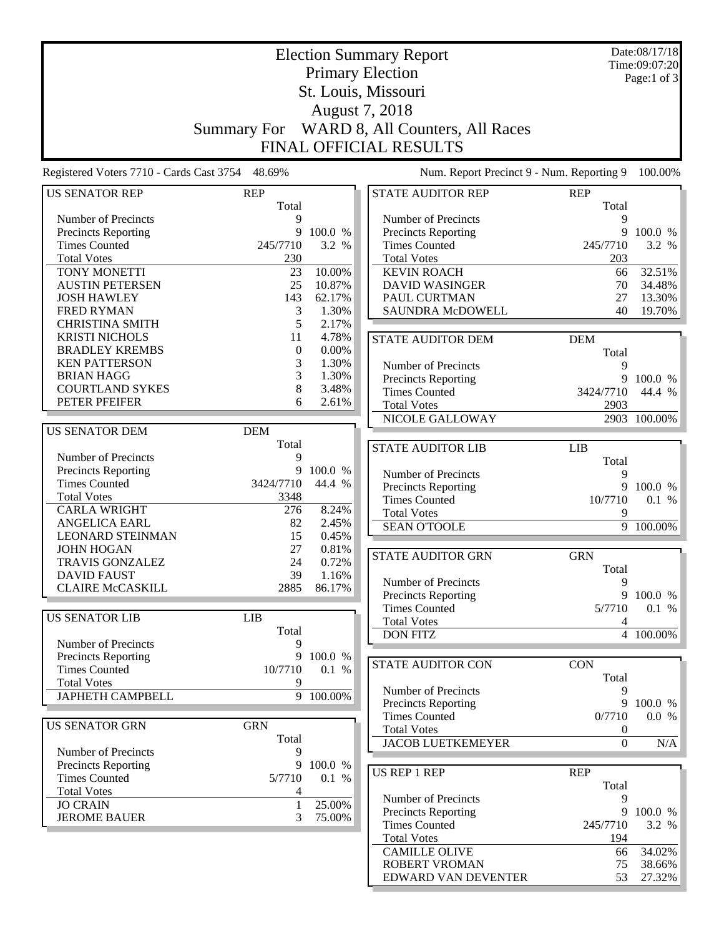|                                                 |                    |                 | <b>Election Summary Report</b>            |                  | Date:08/17/18<br>Time:09:07:20 |
|-------------------------------------------------|--------------------|-----------------|-------------------------------------------|------------------|--------------------------------|
|                                                 |                    |                 | <b>Primary Election</b>                   |                  | Page:1 of 3                    |
|                                                 |                    |                 | St. Louis, Missouri                       |                  |                                |
|                                                 |                    |                 | August 7, 2018                            |                  |                                |
|                                                 |                    |                 | WARD 8, All Counters, All Races           |                  |                                |
|                                                 | <b>Summary For</b> |                 |                                           |                  |                                |
|                                                 |                    |                 | <b>FINAL OFFICIAL RESULTS</b>             |                  |                                |
| Registered Voters 7710 - Cards Cast 3754 48.69% |                    |                 | Num. Report Precinct 9 - Num. Reporting 9 |                  | 100.00%                        |
| <b>US SENATOR REP</b>                           | <b>REP</b>         |                 | STATE AUDITOR REP                         | <b>REP</b>       |                                |
| Number of Precincts                             | Total<br>9         |                 | Number of Precincts                       | Total<br>9       |                                |
| Precincts Reporting                             | 9                  | 100.0 %         | Precincts Reporting                       | 9                | 100.0 %                        |
| <b>Times Counted</b>                            | 245/7710           | 3.2 %           | <b>Times Counted</b>                      | 245/7710         | 3.2 %                          |
| <b>Total Votes</b>                              | 230                |                 | <b>Total Votes</b>                        | 203              |                                |
| TONY MONETTI                                    | 23                 | 10.00%          | <b>KEVIN ROACH</b>                        | 66               | 32.51%                         |
| <b>AUSTIN PETERSEN</b>                          | 25                 | 10.87%          | <b>DAVID WASINGER</b>                     | 70               | 34.48%                         |
| <b>JOSH HAWLEY</b>                              | 143                | 62.17%          | PAUL CURTMAN                              | 27               | 13.30%                         |
| <b>FRED RYMAN</b>                               | 3                  | 1.30%           | SAUNDRA McDOWELL                          | 40               | 19.70%                         |
| <b>CHRISTINA SMITH</b>                          | 5                  | 2.17%           |                                           |                  |                                |
| <b>KRISTI NICHOLS</b>                           | 11                 | 4.78%           | <b>STATE AUDITOR DEM</b>                  | <b>DEM</b>       |                                |
| <b>BRADLEY KREMBS</b>                           | $\theta$           | 0.00%           |                                           | Total            |                                |
| <b>KEN PATTERSON</b>                            | 3                  | 1.30%           | Number of Precincts                       | 9                |                                |
| <b>BRIAN HAGG</b>                               | 3                  | 1.30%           | Precincts Reporting                       | 9                | 100.0 %                        |
| <b>COURTLAND SYKES</b>                          | 8                  | 3.48%           | <b>Times Counted</b>                      | 3424/7710        | 44.4 %                         |
| PETER PFEIFER                                   | 6                  | 2.61%           | <b>Total Votes</b>                        | 2903             |                                |
|                                                 |                    |                 | NICOLE GALLOWAY                           |                  | 2903 100.00%                   |
| <b>US SENATOR DEM</b>                           | <b>DEM</b>         |                 |                                           |                  |                                |
|                                                 | Total              |                 | <b>STATE AUDITOR LIB</b>                  | <b>LIB</b>       |                                |
| Number of Precincts                             | 9                  |                 |                                           | Total            |                                |
| <b>Precincts Reporting</b>                      | 9                  | 100.0 %         | Number of Precincts                       | 9                |                                |
| <b>Times Counted</b>                            | 3424/7710          | 44.4 %          | Precincts Reporting                       | 9                | 100.0 %                        |
| <b>Total Votes</b>                              | 3348               |                 | <b>Times Counted</b>                      | 10/7710          | 0.1 %                          |
| <b>CARLA WRIGHT</b>                             | 276                | 8.24%           | <b>Total Votes</b>                        | 9                |                                |
| <b>ANGELICA EARL</b>                            | 82                 | 2.45%           | <b>SEAN O'TOOLE</b>                       |                  | 9 100.00%                      |
| <b>LEONARD STEINMAN</b>                         | 15                 | 0.45%           |                                           |                  |                                |
| <b>JOHN HOGAN</b>                               | 27                 | 0.81%           | <b>STATE AUDITOR GRN</b>                  | <b>GRN</b>       |                                |
| <b>TRAVIS GONZALEZ</b>                          | 24                 | 0.72%           |                                           | Total            |                                |
| DAVID FAUST<br><b>CLAIRE McCASKILL</b>          | 39<br>2885         | 1.16%<br>86.17% | Number of Precincts                       | 9                |                                |
|                                                 |                    |                 | Precincts Reporting                       |                  | 9 100.0 %                      |
|                                                 |                    |                 | <b>Times Counted</b>                      | 5/7710           | $0.1 \%$                       |
| <b>US SENATOR LIB</b>                           | LIB                |                 | <b>Total Votes</b>                        | 4                |                                |
| Number of Precincts                             | Total<br>9         |                 | <b>DON FITZ</b>                           |                  | 4 100.00%                      |
| Precincts Reporting                             | 9                  | 100.0 %         |                                           |                  |                                |
| <b>Times Counted</b>                            | 10/7710            | 0.1 %           | <b>STATE AUDITOR CON</b>                  | <b>CON</b>       |                                |
| <b>Total Votes</b>                              | 9                  |                 |                                           | Total            |                                |
| <b>JAPHETH CAMPBELL</b>                         |                    | 9 100.00%       | Number of Precincts                       | 9                |                                |
|                                                 |                    |                 | <b>Precincts Reporting</b>                | 9                | 100.0 %                        |
|                                                 | <b>GRN</b>         |                 | <b>Times Counted</b>                      | 0/7710           | 0.0 %                          |
| <b>US SENATOR GRN</b>                           | Total              |                 | <b>Total Votes</b>                        | 0                |                                |
| Number of Precincts                             | 9                  |                 | <b>JACOB LUETKEMEYER</b>                  | $\boldsymbol{0}$ | N/A                            |
| Precincts Reporting                             | 9                  | 100.0 %         |                                           |                  |                                |
| <b>Times Counted</b>                            | 5/7710             | 0.1 %           | US REP 1 REP                              | <b>REP</b>       |                                |
| <b>Total Votes</b>                              | 4                  |                 |                                           | Total            |                                |
| <b>JO CRAIN</b>                                 | $\mathbf{1}$       | 25.00%          | Number of Precincts                       | 9                |                                |
| <b>JEROME BAUER</b>                             | 3                  | 75.00%          | Precincts Reporting                       | 9                | 100.0 %                        |
|                                                 |                    |                 | <b>Times Counted</b>                      | 245/7710         | 3.2 %                          |
|                                                 |                    |                 | <b>Total Votes</b>                        | 194              |                                |
|                                                 |                    |                 | <b>CAMILLE OLIVE</b>                      | 66               | 34.02%                         |
|                                                 |                    |                 | ROBERT VROMAN                             | 75               | 38.66%                         |
|                                                 |                    |                 | EDWARD VAN DEVENTER                       | 53               | 27.32%                         |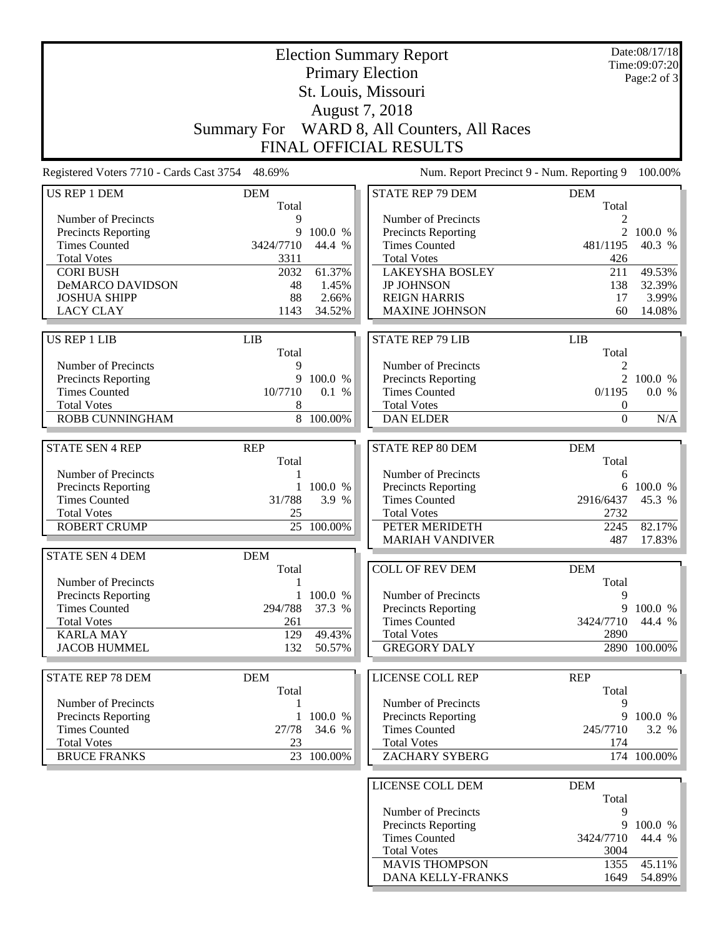|                                                 |                    |                  | <b>Election Summary Report</b>              |                   | Date:08/17/18<br>Time:09:07:20 |
|-------------------------------------------------|--------------------|------------------|---------------------------------------------|-------------------|--------------------------------|
|                                                 |                    |                  | <b>Primary Election</b>                     |                   | Page:2 of 3                    |
|                                                 |                    |                  | St. Louis, Missouri                         |                   |                                |
|                                                 |                    |                  | August 7, 2018                              |                   |                                |
|                                                 | <b>Summary For</b> |                  | WARD 8, All Counters, All Races             |                   |                                |
|                                                 |                    |                  | <b>FINAL OFFICIAL RESULTS</b>               |                   |                                |
| Registered Voters 7710 - Cards Cast 3754 48.69% |                    |                  | Num. Report Precinct 9 - Num. Reporting 9   |                   | 100.00%                        |
| <b>US REP 1 DEM</b>                             | <b>DEM</b>         |                  | <b>STATE REP 79 DEM</b>                     | <b>DEM</b>        |                                |
|                                                 | Total              |                  |                                             | Total             |                                |
| Number of Precincts                             | 9                  |                  | Number of Precincts                         | 2                 |                                |
| Precincts Reporting                             | 9                  | 100.0 %          | Precincts Reporting                         | $\overline{2}$    | 100.0 %                        |
| <b>Times Counted</b>                            | 3424/7710          | 44.4 %           | <b>Times Counted</b>                        | 481/1195          | 40.3 %                         |
| <b>Total Votes</b>                              | 3311               |                  | <b>Total Votes</b>                          | 426               |                                |
| <b>CORI BUSH</b><br><b>DeMARCO DAVIDSON</b>     | 2032<br>48         | 61.37%<br>1.45%  | <b>LAKEYSHA BOSLEY</b><br><b>JP JOHNSON</b> | 211               | 49.53%<br>32.39%               |
| <b>JOSHUA SHIPP</b>                             | 88                 | 2.66%            | <b>REIGN HARRIS</b>                         | 138<br>17         | 3.99%                          |
| <b>LACY CLAY</b>                                | 1143               | 34.52%           | <b>MAXINE JOHNSON</b>                       | 60                | 14.08%                         |
|                                                 |                    |                  |                                             |                   |                                |
| <b>US REP 1 LIB</b>                             | <b>LIB</b>         |                  | <b>STATE REP 79 LIB</b>                     | LIB               |                                |
|                                                 | Total              |                  |                                             | Total             |                                |
| Number of Precincts                             | 9                  |                  | Number of Precincts                         | $\overline{2}$    |                                |
| Precincts Reporting                             | 9                  | 100.0 %          | Precincts Reporting                         |                   | 2 100.0 %                      |
| <b>Times Counted</b>                            | 10/7710            | 0.1 %            | <b>Times Counted</b>                        | 0/1195            | 0.0 %                          |
| <b>Total Votes</b>                              | 8                  |                  | <b>Total Votes</b>                          | 0                 |                                |
| <b>ROBB CUNNINGHAM</b>                          |                    | 8 100.00%        | <b>DAN ELDER</b>                            | $\boldsymbol{0}$  | N/A                            |
| <b>STATE SEN 4 REP</b>                          | <b>REP</b>         |                  | STATE REP 80 DEM                            | <b>DEM</b>        |                                |
|                                                 | Total              |                  |                                             | Total             |                                |
| Number of Precincts                             | 1                  |                  | Number of Precincts                         | 6                 |                                |
| Precincts Reporting                             | 1                  | 100.0 %          | Precincts Reporting                         | 6                 | 100.0 %                        |
| <b>Times Counted</b>                            | 31/788             | 3.9 %            | <b>Times Counted</b>                        | 2916/6437         | 45.3 %                         |
| <b>Total Votes</b>                              | 25                 |                  | <b>Total Votes</b>                          | 2732              |                                |
| <b>ROBERT CRUMP</b>                             |                    | 25 100.00%       | PETER MERIDETH                              | 2245              | 82.17%                         |
|                                                 |                    |                  | <b>MARIAH VANDIVER</b>                      | 487               | 17.83%                         |
| <b>STATE SEN 4 DEM</b>                          | <b>DEM</b>         |                  |                                             |                   |                                |
|                                                 | Total              |                  | <b>COLL OF REV DEM</b>                      | <b>DEM</b>        |                                |
| Number of Precincts                             | 1                  |                  |                                             | Total             |                                |
| Precincts Reporting                             | 1                  | 100.0 %          | Number of Precincts                         | 9                 |                                |
| <b>Times Counted</b>                            | 294/788            | 37.3 %           | Precincts Reporting                         | 9                 | 100.0 %                        |
| <b>Total Votes</b>                              | 261                |                  | <b>Times Counted</b><br><b>Total Votes</b>  | 3424/7710<br>2890 | 44.4 %                         |
| <b>KARLA MAY</b><br><b>JACOB HUMMEL</b>         | 129<br>132         | 49.43%<br>50.57% | <b>GREGORY DALY</b>                         |                   | 2890 100.00%                   |
|                                                 |                    |                  |                                             |                   |                                |
| <b>STATE REP 78 DEM</b>                         | <b>DEM</b>         |                  | <b>LICENSE COLL REP</b>                     | <b>REP</b>        |                                |
|                                                 | Total              |                  |                                             | Total             |                                |
| Number of Precincts                             | 1                  |                  | Number of Precincts                         | 9                 |                                |
| Precincts Reporting                             | 1                  | 100.0 %          | <b>Precincts Reporting</b>                  | 9                 | 100.0 %                        |
| <b>Times Counted</b>                            | 27/78              | 34.6 %           | <b>Times Counted</b>                        | 245/7710          | 3.2 %                          |
| <b>Total Votes</b>                              | 23                 |                  | <b>Total Votes</b>                          | 174               |                                |
| <b>BRUCE FRANKS</b>                             |                    | 23 100.00%       | ZACHARY SYBERG                              |                   | 174 100.00%                    |
|                                                 |                    |                  |                                             |                   |                                |
|                                                 |                    |                  | LICENSE COLL DEM                            | <b>DEM</b>        |                                |
|                                                 |                    |                  | Number of Precincts                         | Total<br>9        |                                |
|                                                 |                    |                  | Precincts Reporting                         | 9                 | 100.0 %                        |
|                                                 |                    |                  | <b>Times Counted</b>                        | 3424/7710         | 44.4 %                         |
|                                                 |                    |                  | <b>Total Votes</b>                          | 3004              |                                |
|                                                 |                    |                  | <b>MAVIS THOMPSON</b>                       | 1355              | 45.11%                         |
|                                                 |                    |                  | DANA KELLY-FRANKS                           | 1649              | 54.89%                         |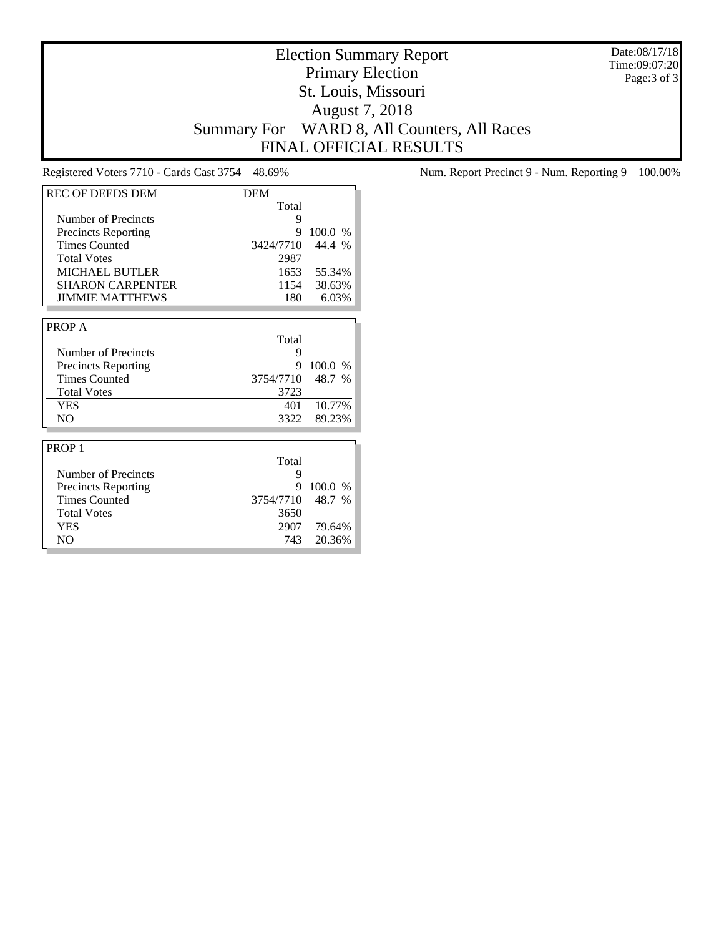Date:08/17/18 Time:09:07:20 Page:3 of 3

# Election Summary Report Primary Election St. Louis, Missouri August 7, 2018 Summary For WARD 8, All Counters, All Races FINAL OFFICIAL RESULTS

| <b>REC OF DEEDS DEM</b>    | <b>DEM</b> |               |
|----------------------------|------------|---------------|
|                            | Total      |               |
| Number of Precincts        | 9          |               |
| <b>Precincts Reporting</b> | 9          | 100.0 %       |
| <b>Times Counted</b>       | 3424/7710  | 44.4 %        |
| <b>Total Votes</b>         | 2987       |               |
| <b>MICHAEL BUTLER</b>      | 1653       | 55.34%        |
| <b>SHARON CARPENTER</b>    | 1154       | 38.63%        |
| <b>JIMMIE MATTHEWS</b>     | 180        | 6.03%         |
|                            |            |               |
| PROP A                     |            |               |
|                            | Total      |               |
| Number of Precincts        | 9          |               |
| <b>Precincts Reporting</b> | 9          | 100.0<br>$\%$ |
| <b>Times Counted</b>       | 3754/7710  | 48.7 %        |
| <b>Total Votes</b>         | 3723       |               |
| <b>YES</b>                 | 401        | 10.77%        |
| NO.                        | 3322       | 89.23%        |
|                            |            |               |
| PROP <sub>1</sub>          |            |               |
|                            | Total      |               |
| Number of Precincts        | 9          |               |
| <b>Precincts Reporting</b> | 9          | 100.0<br>$\%$ |
| <b>Times Counted</b>       | 3754/7710  | 48.7<br>$\%$  |
| <b>Total Votes</b>         | 3650       |               |
| <b>YES</b>                 | 2907       | 79.64%        |
| N <sub>O</sub>             | 743        | 20.36%        |

Registered Voters 7710 - Cards Cast 3754 48.69% Num. Report Precinct 9 - Num. Reporting 9 100.00%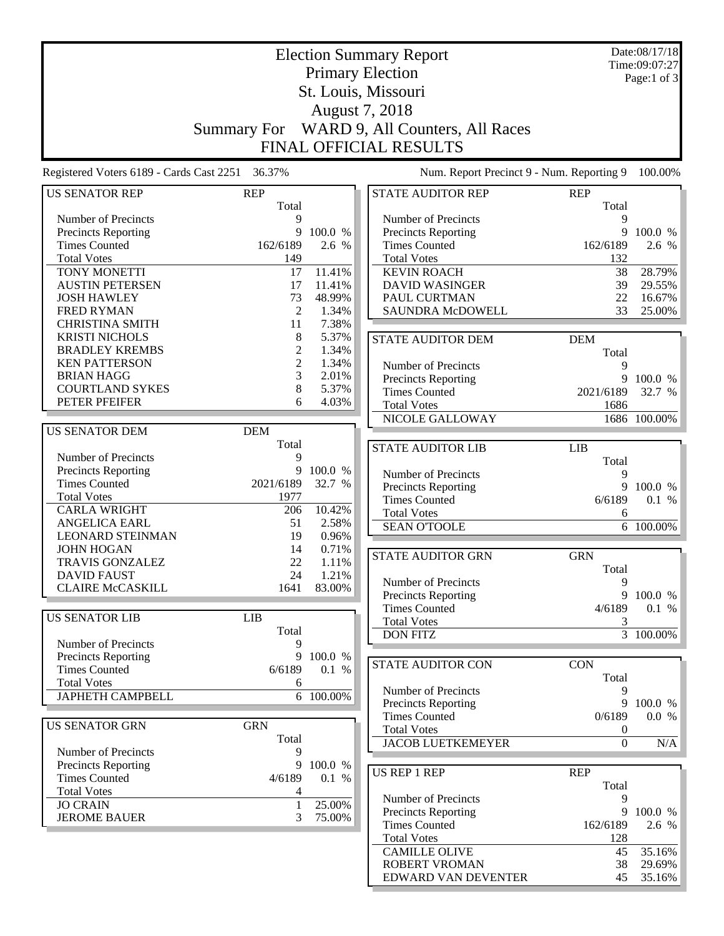|                                                   |                    |                  | <b>Election Summary Report</b>              |                  | Date:08/17/18          |
|---------------------------------------------------|--------------------|------------------|---------------------------------------------|------------------|------------------------|
|                                                   |                    |                  | <b>Primary Election</b>                     |                  | Time:09:07:27          |
|                                                   |                    |                  |                                             |                  | Page:1 of 3            |
|                                                   |                    |                  | St. Louis, Missouri                         |                  |                        |
|                                                   |                    |                  | August 7, 2018                              |                  |                        |
|                                                   | <b>Summary For</b> |                  | WARD 9, All Counters, All Races             |                  |                        |
|                                                   |                    |                  | <b>FINAL OFFICIAL RESULTS</b>               |                  |                        |
|                                                   |                    |                  |                                             |                  |                        |
| Registered Voters 6189 - Cards Cast 2251          | 36.37%             |                  | Num. Report Precinct 9 - Num. Reporting 9   |                  | 100.00%                |
| <b>US SENATOR REP</b>                             | <b>REP</b>         |                  | <b>STATE AUDITOR REP</b>                    | <b>REP</b>       |                        |
|                                                   | Total              |                  |                                             | Total            |                        |
| Number of Precincts                               | 9                  |                  | Number of Precincts                         | 9                |                        |
| Precincts Reporting<br><b>Times Counted</b>       | 9<br>162/6189      | 100.0 %<br>2.6 % | Precincts Reporting<br><b>Times Counted</b> | 9<br>162/6189    | 100.0 %<br>2.6 %       |
| <b>Total Votes</b>                                | 149                |                  | <b>Total Votes</b>                          | 132              |                        |
| TONY MONETTI                                      | 17                 | 11.41%           | <b>KEVIN ROACH</b>                          | 38               | 28.79%                 |
| <b>AUSTIN PETERSEN</b>                            | 17                 | 11.41%           | <b>DAVID WASINGER</b>                       | 39               | 29.55%                 |
| <b>JOSH HAWLEY</b>                                | 73                 | 48.99%           | PAUL CURTMAN                                | 22               | 16.67%                 |
| <b>FRED RYMAN</b>                                 | $\mathfrak{2}$     | 1.34%            | SAUNDRA McDOWELL                            | 33               | 25.00%                 |
| <b>CHRISTINA SMITH</b>                            | 11                 | 7.38%            |                                             |                  |                        |
| <b>KRISTI NICHOLS</b>                             | 8                  | 5.37%            | <b>STATE AUDITOR DEM</b>                    | <b>DEM</b>       |                        |
| <b>BRADLEY KREMBS</b>                             | 2                  | 1.34%            |                                             | Total            |                        |
| <b>KEN PATTERSON</b>                              | $\mathfrak{2}$     | 1.34%            | Number of Precincts                         | 9                |                        |
| <b>BRIAN HAGG</b>                                 | 3                  | 2.01%            | <b>Precincts Reporting</b>                  | 9                | 100.0 %                |
| <b>COURTLAND SYKES</b>                            | 8                  | 5.37%            | <b>Times Counted</b>                        | 2021/6189        | 32.7 %                 |
| PETER PFEIFER                                     | 6                  | 4.03%            | <b>Total Votes</b>                          | 1686             |                        |
|                                                   |                    |                  | NICOLE GALLOWAY                             |                  | 1686 100.00%           |
| <b>US SENATOR DEM</b>                             | <b>DEM</b>         |                  |                                             |                  |                        |
| Number of Precincts                               | Total<br>9         |                  | <b>STATE AUDITOR LIB</b>                    | LIB              |                        |
| Precincts Reporting                               | 9                  | 100.0 %          |                                             | Total            |                        |
| <b>Times Counted</b>                              | 2021/6189          | 32.7 %           | Number of Precincts                         | 9<br>9           |                        |
| <b>Total Votes</b>                                | 1977               |                  | Precincts Reporting<br><b>Times Counted</b> | 6/6189           | 100.0 %<br>0.1 %       |
| <b>CARLA WRIGHT</b>                               | 206                | 10.42%           | <b>Total Votes</b>                          | 6                |                        |
| <b>ANGELICA EARL</b>                              | 51                 | 2.58%            | <b>SEAN O'TOOLE</b>                         | 6                | 100.00%                |
| <b>LEONARD STEINMAN</b>                           | 19                 | 0.96%            |                                             |                  |                        |
| <b>JOHN HOGAN</b>                                 | 14                 | 0.71%            | <b>STATE AUDITOR GRN</b>                    | <b>GRN</b>       |                        |
| TRAVIS GONZALEZ                                   | 22                 | 1.11%            |                                             | Total            |                        |
| <b>DAVID FAUST</b>                                | 24                 | 1.21%            | Number of Precincts                         | 9                |                        |
| <b>CLAIRE McCASKILL</b>                           | 1641               | 83.00%           | Precincts Reporting                         | 9                | 100.0 %                |
|                                                   |                    |                  | <b>Times Counted</b>                        | 4/6189           | 0.1 %                  |
| <b>US SENATOR LIB</b>                             | <b>LIB</b>         |                  | <b>Total Votes</b>                          | 3                |                        |
|                                                   | Total              |                  | <b>DON FITZ</b>                             |                  | $\overline{3}$ 100.00% |
| Number of Precincts<br><b>Precincts Reporting</b> | 9                  | 9 100.0 %        |                                             |                  |                        |
| <b>Times Counted</b>                              | 6/6189             | 0.1 %            | <b>STATE AUDITOR CON</b>                    | <b>CON</b>       |                        |
| <b>Total Votes</b>                                | 6                  |                  |                                             | Total            |                        |
| <b>JAPHETH CAMPBELL</b>                           |                    | 6 100.00%        | Number of Precincts                         | 9                |                        |
|                                                   |                    |                  | Precincts Reporting                         | 9                | 100.0 %                |
| <b>US SENATOR GRN</b>                             | <b>GRN</b>         |                  | <b>Times Counted</b>                        | 0/6189           | 0.0 %                  |
|                                                   | Total              |                  | <b>Total Votes</b>                          | 0                |                        |
| Number of Precincts                               | 9                  |                  | <b>JACOB LUETKEMEYER</b>                    | $\boldsymbol{0}$ | N/A                    |
| <b>Precincts Reporting</b>                        | 9                  | 100.0 %          |                                             |                  |                        |
| <b>Times Counted</b>                              | 4/6189             | 0.1 %            | <b>US REP 1 REP</b>                         | <b>REP</b>       |                        |
| <b>Total Votes</b>                                | 4                  |                  |                                             | Total            |                        |
| <b>JO CRAIN</b>                                   | $\mathbf{1}$       | 25.00%           | Number of Precincts<br>Precincts Reporting  | 9                | 9 100.0 %              |
| <b>JEROME BAUER</b>                               | 3                  | 75.00%           | <b>Times Counted</b>                        | 162/6189         | 2.6 %                  |
|                                                   |                    |                  | <b>Total Votes</b>                          | 128              |                        |
|                                                   |                    |                  | <b>CAMILLE OLIVE</b>                        | 45               | 35.16%                 |
|                                                   |                    |                  | ROBERT VROMAN                               | 38               | 29.69%                 |
|                                                   |                    |                  | EDWARD VAN DEVENTER                         | 45               | 35.16%                 |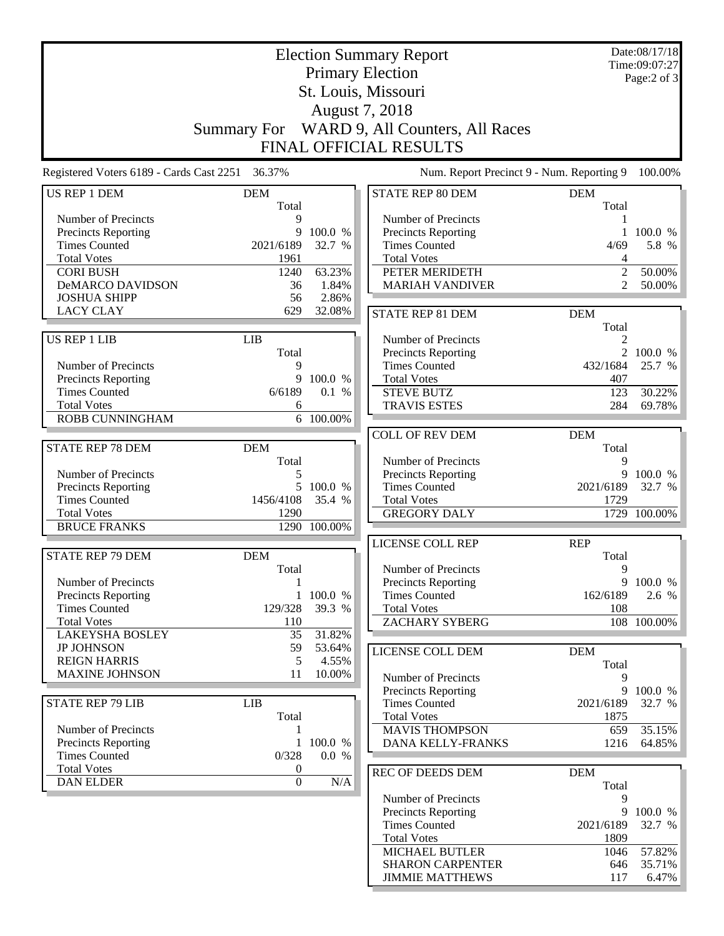|                                                 |                       |              | <b>Election Summary Report</b>                     |                | Date:08/17/18<br>Time:09:07:27 |
|-------------------------------------------------|-----------------------|--------------|----------------------------------------------------|----------------|--------------------------------|
|                                                 |                       |              | <b>Primary Election</b>                            |                | Page:2 of 3                    |
|                                                 |                       |              | St. Louis, Missouri                                |                |                                |
|                                                 |                       |              | August 7, 2018                                     |                |                                |
|                                                 | <b>Summary For</b>    |              | WARD 9, All Counters, All Races                    |                |                                |
|                                                 |                       |              | FINAL OFFICIAL RESULTS                             |                |                                |
| Registered Voters 6189 - Cards Cast 2251 36.37% |                       |              | Num. Report Precinct 9 - Num. Reporting 9          |                | 100.00%                        |
| <b>US REP 1 DEM</b>                             | <b>DEM</b>            |              | <b>STATE REP 80 DEM</b>                            | <b>DEM</b>     |                                |
|                                                 | Total                 |              |                                                    | Total          |                                |
| Number of Precincts                             | 9<br>9                | 100.0 %      | Number of Precincts                                | 1              |                                |
| Precincts Reporting<br><b>Times Counted</b>     | 2021/6189             | 32.7 %       | Precincts Reporting<br><b>Times Counted</b>        | 4/69           | $1\,100.0\%$<br>5.8 %          |
| <b>Total Votes</b>                              | 1961                  |              | <b>Total Votes</b>                                 | 4              |                                |
| <b>CORI BUSH</b>                                | 1240                  | 63.23%       | PETER MERIDETH                                     | $\overline{2}$ | 50.00%                         |
| <b>DeMARCO DAVIDSON</b>                         | 36                    | 1.84%        | <b>MARIAH VANDIVER</b>                             | $\overline{2}$ | 50.00%                         |
| <b>JOSHUA SHIPP</b>                             | 56                    | 2.86%        |                                                    |                |                                |
| <b>LACY CLAY</b>                                | 629                   | 32.08%       | STATE REP 81 DEM                                   | <b>DEM</b>     |                                |
|                                                 |                       |              |                                                    | Total          |                                |
| <b>US REP 1 LIB</b>                             | <b>LIB</b>            |              | Number of Precincts                                | 2              |                                |
|                                                 | Total                 |              | Precincts Reporting                                |                | 2 100.0 %                      |
| Number of Precincts                             | 9                     |              | <b>Times Counted</b>                               | 432/1684       | 25.7 %                         |
| Precincts Reporting                             | 9                     | 100.0 %      | <b>Total Votes</b>                                 | 407            |                                |
| <b>Times Counted</b><br><b>Total Votes</b>      | 6/6189                | 0.1 %        | <b>STEVE BUTZ</b>                                  | 123            | 30.22%                         |
| ROBB CUNNINGHAM                                 | 6                     | 6 100.00%    | <b>TRAVIS ESTES</b>                                | 284            | 69.78%                         |
|                                                 |                       |              |                                                    |                |                                |
|                                                 |                       |              | <b>COLL OF REV DEM</b>                             | <b>DEM</b>     |                                |
| <b>STATE REP 78 DEM</b>                         | <b>DEM</b><br>Total   |              | Number of Precincts                                | Total<br>9     |                                |
| Number of Precincts                             | 5                     |              | <b>Precincts Reporting</b>                         | 9              | 100.0 %                        |
| Precincts Reporting                             | 5                     | 100.0 %      | <b>Times Counted</b>                               | 2021/6189      | 32.7 %                         |
| <b>Times Counted</b>                            | 1456/4108             | 35.4 %       | <b>Total Votes</b>                                 | 1729           |                                |
| <b>Total Votes</b>                              | 1290                  |              | <b>GREGORY DALY</b>                                |                | 1729 100.00%                   |
| <b>BRUCE FRANKS</b>                             |                       | 1290 100.00% |                                                    |                |                                |
|                                                 |                       |              | LICENSE COLL REP                                   | <b>REP</b>     |                                |
| <b>STATE REP 79 DEM</b>                         | <b>DEM</b>            |              |                                                    | Total          |                                |
|                                                 | Total                 |              | Number of Precincts                                | 9              |                                |
| Number of Precincts                             | $\mathbf{1}$          |              | Precincts Reporting                                |                | 9 100.0 %                      |
| Precincts Reporting                             | $\mathbf{1}$          | 100.0 %      | <b>Times Counted</b>                               | 162/6189       | 2.6 %                          |
| <b>Times Counted</b>                            | 129/328               | 39.3 %       | <b>Total Votes</b>                                 | 108            |                                |
| <b>Total Votes</b>                              | 110                   |              | <b>ZACHARY SYBERG</b>                              |                | 108 100.00%                    |
| <b>LAKEYSHA BOSLEY</b>                          | 35                    | 31.82%       |                                                    |                |                                |
| <b>JP JOHNSON</b>                               | 59                    | 53.64%       | LICENSE COLL DEM                                   | <b>DEM</b>     |                                |
| <b>REIGN HARRIS</b>                             | 5                     | 4.55%        |                                                    | Total          |                                |
| <b>MAXINE JOHNSON</b>                           | 11                    | 10.00%       | Number of Precincts                                | 9              |                                |
|                                                 |                       |              | Precincts Reporting                                |                | 9 100.0 %                      |
| <b>STATE REP 79 LIB</b>                         | <b>LIB</b>            |              | <b>Times Counted</b>                               | 2021/6189      | 32.7 %                         |
|                                                 | Total                 |              | <b>Total Votes</b>                                 | 1875           |                                |
| Number of Precincts                             |                       |              | <b>MAVIS THOMPSON</b>                              | 659            | 35.15%                         |
| Precincts Reporting                             | 1                     | 100.0 %      | DANA KELLY-FRANKS                                  | 1216           | 64.85%                         |
| <b>Times Counted</b>                            | 0/328                 | 0.0 %        |                                                    |                |                                |
| <b>Total Votes</b><br><b>DAN ELDER</b>          | 0<br>$\boldsymbol{0}$ | $\rm N/A$    | REC OF DEEDS DEM                                   | <b>DEM</b>     |                                |
|                                                 |                       |              |                                                    | Total          |                                |
|                                                 |                       |              | Number of Precincts                                | 9              |                                |
|                                                 |                       |              | <b>Precincts Reporting</b><br><b>Times Counted</b> | 9<br>2021/6189 | 100.0 %<br>32.7 %              |
|                                                 |                       |              | <b>Total Votes</b>                                 | 1809           |                                |
|                                                 |                       |              | <b>MICHAEL BUTLER</b>                              | 1046           | 57.82%                         |
|                                                 |                       |              | <b>SHARON CARPENTER</b>                            | 646            | 35.71%                         |
|                                                 |                       |              | <b>JIMMIE MATTHEWS</b>                             | 117            | 6.47%                          |
|                                                 |                       |              |                                                    |                |                                |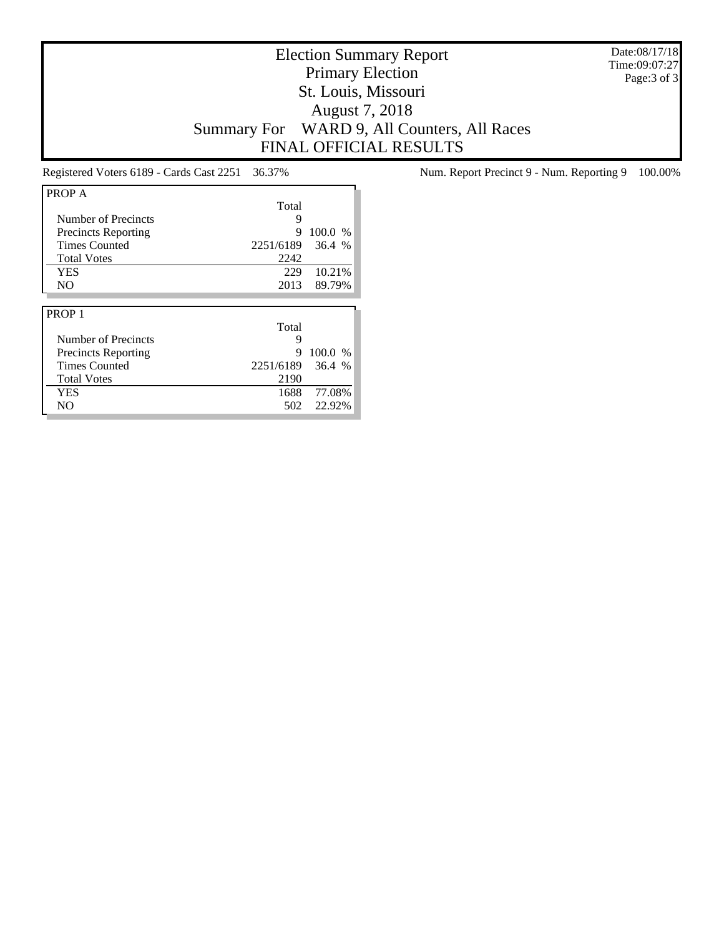Date:08/17/18 Time:09:07:27 Page:3 of 3

# Election Summary Report Primary Election St. Louis, Missouri August 7, 2018 Summary For WARD 9, All Counters, All Races FINAL OFFICIAL RESULTS

| PROP A                     |           |         |
|----------------------------|-----------|---------|
|                            | Total     |         |
| Number of Precincts        | 9         |         |
| <b>Precincts Reporting</b> | 9         | 100.0 % |
| <b>Times Counted</b>       | 2251/6189 | 36.4%   |
| <b>Total Votes</b>         | 2242      |         |
| <b>YES</b>                 | 229       | 10.21%  |
| N <sub>O</sub>             | 2013      | 89.79%  |
|                            |           |         |
|                            |           |         |
| PROP <sub>1</sub>          |           |         |
|                            | Total     |         |
| Number of Precincts        | 9         |         |
| Precincts Reporting        | 9         | 100.0 % |
| <b>Times Counted</b>       | 2251/6189 | 36.4%   |
| <b>Total Votes</b>         | 2190      |         |
| <b>YES</b>                 | 1688      | 77.08%  |

Registered Voters 6189 - Cards Cast 2251 36.37% Num. Report Precinct 9 - Num. Reporting 9 100.00%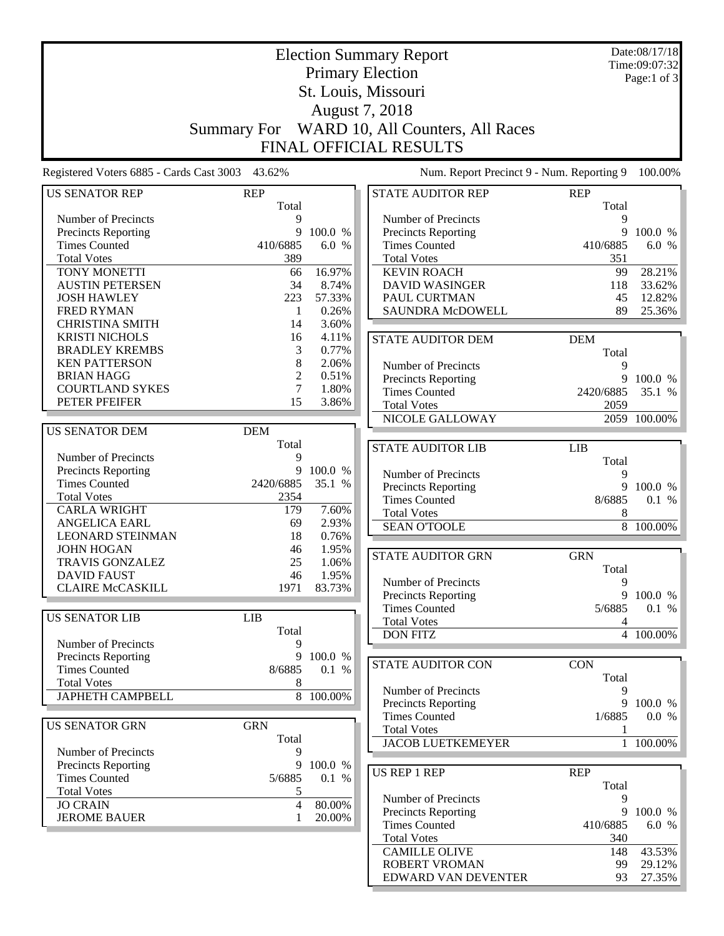|                                                 |                | Date:08/17/18 |                                              |                |               |
|-------------------------------------------------|----------------|---------------|----------------------------------------------|----------------|---------------|
| <b>Election Summary Report</b>                  |                |               |                                              |                | Time:09:07:32 |
| <b>Primary Election</b><br>St. Louis, Missouri  |                |               |                                              |                | Page:1 of 3   |
|                                                 |                |               |                                              |                |               |
|                                                 |                |               |                                              |                |               |
|                                                 |                |               | August 7, 2018                               |                |               |
|                                                 |                |               | Summary For WARD 10, All Counters, All Races |                |               |
|                                                 |                |               | <b>FINAL OFFICIAL RESULTS</b>                |                |               |
|                                                 |                |               |                                              |                |               |
| Registered Voters 6885 - Cards Cast 3003 43.62% |                |               | Num. Report Precinct 9 - Num. Reporting 9    |                | 100.00%       |
| <b>US SENATOR REP</b>                           | <b>REP</b>     |               | <b>STATE AUDITOR REP</b>                     | <b>REP</b>     |               |
|                                                 | Total          |               |                                              | Total          |               |
| Number of Precincts                             | 9              |               | Number of Precincts                          | 9              |               |
| Precincts Reporting                             | 9              | 100.0 %       | Precincts Reporting                          | 9              | 100.0 %       |
| <b>Times Counted</b>                            | 410/6885       | 6.0 %         | <b>Times Counted</b>                         | 410/6885       | 6.0 %         |
| <b>Total Votes</b>                              | 389            |               | <b>Total Votes</b>                           | 351            |               |
| TONY MONETTI                                    | 66             | 16.97%        | <b>KEVIN ROACH</b>                           | 99             | 28.21%        |
| <b>AUSTIN PETERSEN</b>                          | 34             | 8.74%         | <b>DAVID WASINGER</b>                        | 118            | 33.62%        |
| <b>JOSH HAWLEY</b>                              | 223            | 57.33%        | PAUL CURTMAN                                 | 45             | 12.82%        |
| <b>FRED RYMAN</b>                               | 1              | 0.26%         | <b>SAUNDRA McDOWELL</b>                      | 89             | 25.36%        |
| <b>CHRISTINA SMITH</b>                          | 14             | 3.60%         |                                              |                |               |
| <b>KRISTI NICHOLS</b>                           | 16             | 4.11%         | <b>STATE AUDITOR DEM</b>                     | <b>DEM</b>     |               |
| <b>BRADLEY KREMBS</b>                           | 3              | 0.77%         |                                              | Total          |               |
| <b>KEN PATTERSON</b>                            | 8              | 2.06%         | Number of Precincts                          | 9              |               |
| <b>BRIAN HAGG</b>                               | 2              | 0.51%         | <b>Precincts Reporting</b>                   | 9              | 100.0 %       |
| <b>COURTLAND SYKES</b>                          | 7              | 1.80%         | <b>Times Counted</b>                         | 2420/6885      | 35.1 %        |
| PETER PFEIFER                                   | 15             | 3.86%         | <b>Total Votes</b>                           | 2059           |               |
|                                                 |                |               | NICOLE GALLOWAY                              |                | 2059 100.00%  |
| <b>US SENATOR DEM</b>                           | <b>DEM</b>     |               |                                              |                |               |
|                                                 | Total          |               | <b>STATE AUDITOR LIB</b>                     | LIB            |               |
| Number of Precincts                             | 9              |               |                                              | Total          |               |
| Precincts Reporting                             | 9              | 100.0 %       | Number of Precincts                          | 9              |               |
| <b>Times Counted</b>                            | 2420/6885      | 35.1 %        | Precincts Reporting                          | 9              | 100.0 %       |
| <b>Total Votes</b>                              | 2354           |               | <b>Times Counted</b>                         | 8/6885         | 0.1 %         |
| <b>CARLA WRIGHT</b>                             | 179            | 7.60%         | <b>Total Votes</b>                           | 8              |               |
| <b>ANGELICA EARL</b>                            | 69             | 2.93%         | <b>SEAN O'TOOLE</b>                          | 8              | 100.00%       |
| <b>LEONARD STEINMAN</b>                         | 18             | 0.76%         |                                              |                |               |
| <b>JOHN HOGAN</b>                               | 46             | 1.95%         | <b>STATE AUDITOR GRN</b>                     | <b>GRN</b>     |               |
| <b>TRAVIS GONZALEZ</b>                          | 25             | 1.06%         |                                              | Total          |               |
| <b>DAVID FAUST</b>                              | 46             | 1.95%         | Number of Precincts                          | 9              |               |
| <b>CLAIRE McCASKILL</b>                         | 1971           | 83.73%        | <b>Precincts Reporting</b>                   | 9              | 100.0 %       |
|                                                 |                |               | <b>Times Counted</b>                         | 5/6885         | 0.1 %         |
| <b>US SENATOR LIB</b>                           | <b>LIB</b>     |               | <b>Total Votes</b>                           | $\overline{4}$ |               |
|                                                 | Total          |               | <b>DON FITZ</b>                              |                | 4 100.00%     |
| Number of Precincts                             | 9              |               |                                              |                |               |
| Precincts Reporting                             |                | 9 100.0 %     | <b>STATE AUDITOR CON</b>                     | <b>CON</b>     |               |
| <b>Times Counted</b>                            | 8/6885         | 0.1 %         |                                              | Total          |               |
| <b>Total Votes</b>                              | 8              |               | Number of Precincts                          | 9              |               |
| <b>JAPHETH CAMPBELL</b>                         |                | 8 100.00%     | Precincts Reporting                          | 9              | 100.0 %       |
|                                                 |                |               | <b>Times Counted</b>                         | 1/6885         | 0.0 %         |
| <b>US SENATOR GRN</b>                           | <b>GRN</b>     |               | <b>Total Votes</b>                           | 1              |               |
|                                                 | Total          |               | <b>JACOB LUETKEMEYER</b>                     | $\mathbf{1}$   | 100.00%       |
| Number of Precincts                             | 9              |               |                                              |                |               |
| <b>Precincts Reporting</b>                      | 9              | 100.0 %       | <b>US REP 1 REP</b>                          | <b>REP</b>     |               |
| <b>Times Counted</b>                            | 5/6885         | 0.1 %         |                                              | Total          |               |
| <b>Total Votes</b>                              | 5              |               | Number of Precincts                          | 9              |               |
| <b>JO CRAIN</b>                                 | $\overline{4}$ | 80.00%        | Precincts Reporting                          | 9              | 100.0 %       |
| <b>JEROME BAUER</b>                             | 1              | 20.00%        | <b>Times Counted</b>                         | 410/6885       | 6.0 %         |
|                                                 |                |               | <b>Total Votes</b>                           | 340            |               |
|                                                 |                |               | <b>CAMILLE OLIVE</b>                         | 148            | 43.53%        |
|                                                 |                |               | ROBERT VROMAN                                | 99             | 29.12%        |
|                                                 |                |               |                                              |                |               |

EDWARD VAN DEVENTER 93 27.35%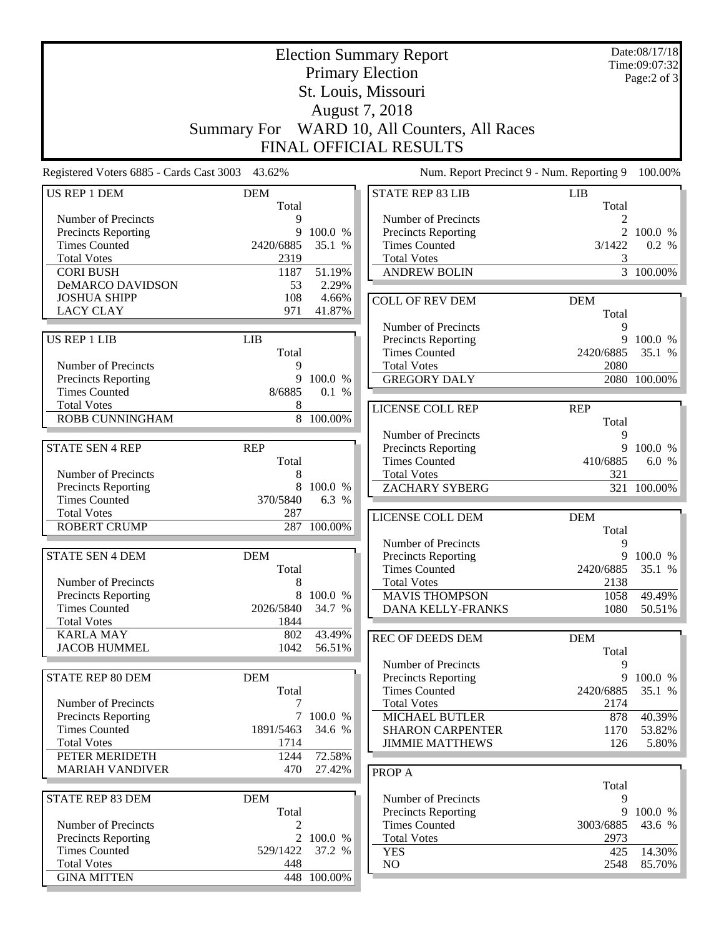| <b>Election Summary Report</b>                    |                     |             |                                                                |            | Date:08/17/18<br>Time:09:07:32 |
|---------------------------------------------------|---------------------|-------------|----------------------------------------------------------------|------------|--------------------------------|
| <b>Primary Election</b>                           |                     |             |                                                                |            | Page:2 of 3                    |
|                                                   |                     |             |                                                                |            |                                |
|                                                   |                     |             |                                                                |            |                                |
|                                                   |                     |             | August 7, 2018<br>Summary For WARD 10, All Counters, All Races |            |                                |
|                                                   |                     |             |                                                                |            |                                |
|                                                   |                     |             | <b>FINAL OFFICIAL RESULTS</b>                                  |            |                                |
| Registered Voters 6885 - Cards Cast 3003 43.62%   |                     |             | Num. Report Precinct 9 - Num. Reporting 9                      |            | 100.00%                        |
| US REP 1 DEM                                      | <b>DEM</b>          |             | <b>STATE REP 83 LIB</b>                                        | LIB        |                                |
| Number of Precincts                               | Total<br>9          |             | Number of Precincts                                            | Total      |                                |
| Precincts Reporting                               | 9                   | 100.0 %     | <b>Precincts Reporting</b>                                     |            | 2 100.0 %                      |
| <b>Times Counted</b>                              | 2420/6885           | 35.1 %      | <b>Times Counted</b>                                           | 3/1422     | 0.2 %                          |
| <b>Total Votes</b>                                | 2319                |             | <b>Total Votes</b>                                             | 3          |                                |
| <b>CORI BUSH</b>                                  | 1187                | 51.19%      | <b>ANDREW BOLIN</b>                                            |            | $\overline{3}$ 100.00%         |
| <b>DeMARCO DAVIDSON</b>                           | 53                  | 2.29%       |                                                                |            |                                |
| <b>JOSHUA SHIPP</b>                               | 108                 | 4.66%       | <b>COLL OF REV DEM</b>                                         | <b>DEM</b> |                                |
| <b>LACY CLAY</b>                                  | 971                 | 41.87%      |                                                                | Total      |                                |
|                                                   |                     |             | Number of Precincts                                            | 9          |                                |
| <b>US REP 1 LIB</b>                               | <b>LIB</b><br>Total |             | Precincts Reporting<br><b>Times Counted</b>                    | 2420/6885  | 9 100.0 %<br>35.1 %            |
| Number of Precincts                               | 9                   |             | <b>Total Votes</b>                                             | 2080       |                                |
| <b>Precincts Reporting</b>                        | 9                   | 100.0 %     | <b>GREGORY DALY</b>                                            |            | 2080 100.00%                   |
| <b>Times Counted</b>                              | 8/6885              | 0.1 %       |                                                                |            |                                |
| <b>Total Votes</b>                                | 8                   |             | <b>LICENSE COLL REP</b>                                        | <b>REP</b> |                                |
| <b>ROBB CUNNINGHAM</b>                            |                     | 8 100.00%   |                                                                | Total      |                                |
|                                                   |                     |             | Number of Precincts                                            | 9          |                                |
| <b>STATE SEN 4 REP</b>                            | <b>REP</b>          |             | <b>Precincts Reporting</b>                                     | 9          | 100.0 %                        |
|                                                   | Total               |             | <b>Times Counted</b>                                           | 410/6885   | 6.0 %                          |
| Number of Precincts<br><b>Precincts Reporting</b> | 8<br>8              | 100.0 %     | <b>Total Votes</b><br><b>ZACHARY SYBERG</b>                    | 321        | 321 100.00%                    |
| <b>Times Counted</b>                              | 370/5840            | 6.3 %       |                                                                |            |                                |
| <b>Total Votes</b>                                | 287                 |             | LICENSE COLL DEM                                               | <b>DEM</b> |                                |
| <b>ROBERT CRUMP</b>                               |                     | 287 100.00% |                                                                | Total      |                                |
|                                                   |                     |             | Number of Precincts                                            | 9          |                                |
| <b>STATE SEN 4 DEM</b>                            | <b>DEM</b>          |             | Precincts Reporting                                            |            | 9 100.0 %                      |
|                                                   | Total               |             | Times Counted                                                  | 2420/6885  | 35.1 %                         |
| Number of Precincts                               | 8                   |             | <b>Total Votes</b>                                             | 2138       |                                |
| <b>Precincts Reporting</b>                        | 8                   | 100.0 %     | <b>MAVIS THOMPSON</b>                                          | 1058       | 49.49%                         |
| <b>Times Counted</b><br><b>Total Votes</b>        | 2026/5840<br>1844   | 34.7 %      | <b>DANA KELLY-FRANKS</b>                                       | 1080       | 50.51%                         |
| <b>KARLA MAY</b>                                  | 802                 | 43.49%      | <b>REC OF DEEDS DEM</b>                                        | <b>DEM</b> |                                |
| <b>JACOB HUMMEL</b>                               | 1042                | 56.51%      |                                                                | Total      |                                |
|                                                   |                     |             | Number of Precincts                                            | 9          |                                |
| STATE REP 80 DEM                                  | <b>DEM</b>          |             | Precincts Reporting                                            | 9          | 100.0 %                        |
|                                                   | Total               |             | <b>Times Counted</b>                                           | 2420/6885  | 35.1 %                         |
| Number of Precincts                               | 7                   |             | <b>Total Votes</b>                                             | 2174       |                                |
| Precincts Reporting                               |                     | 7 100.0 %   | MICHAEL BUTLER                                                 | 878        | 40.39%                         |
| <b>Times Counted</b><br><b>Total Votes</b>        | 1891/5463<br>1714   | 34.6 %      | <b>SHARON CARPENTER</b>                                        | 1170       | 53.82%                         |
| PETER MERIDETH                                    | 1244                | 72.58%      | <b>JIMMIE MATTHEWS</b>                                         | 126        | 5.80%                          |
| <b>MARIAH VANDIVER</b>                            | 470                 | 27.42%      | PROP A                                                         |            |                                |
|                                                   |                     |             |                                                                | Total      |                                |
| STATE REP 83 DEM                                  | <b>DEM</b>          |             | Number of Precincts                                            | 9          |                                |
|                                                   | Total               |             | Precincts Reporting                                            | 9          | 100.0 %                        |
| Number of Precincts                               | 2                   |             | <b>Times Counted</b>                                           | 3003/6885  | 43.6 %                         |
| <b>Precincts Reporting</b>                        |                     | 2 100.0 %   | <b>Total Votes</b>                                             | 2973       |                                |
| <b>Times Counted</b>                              | 529/1422            | 37.2 %      | <b>YES</b>                                                     | 425        | 14.30%                         |
| <b>Total Votes</b>                                | 448                 |             | $\rm NO$                                                       | 2548       | 85.70%                         |
| <b>GINA MITTEN</b>                                |                     | 448 100.00% |                                                                |            |                                |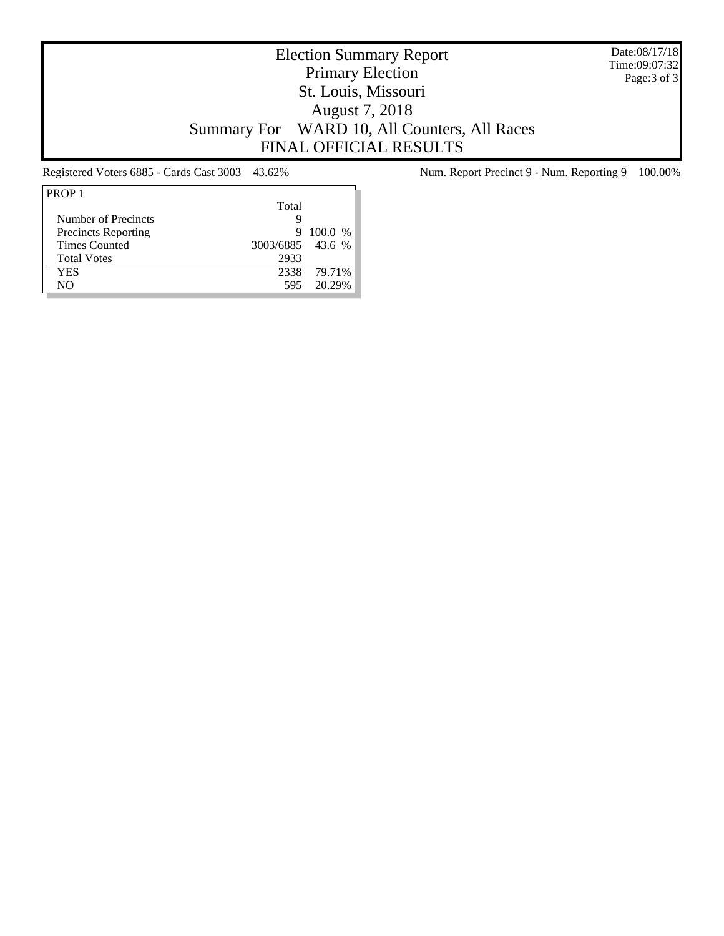Date:08/17/18 Time:09:07:32 Page:3 of 3

# Election Summary Report Primary Election St. Louis, Missouri August 7, 2018 Summary For WARD 10, All Counters, All Races FINAL OFFICIAL RESULTS

| PROP <sub>1</sub>          |                  |             |
|----------------------------|------------------|-------------|
|                            | Total            |             |
| Number of Precincts        | g                |             |
| <b>Precincts Reporting</b> | 9                | 100.0 %     |
| <b>Times Counted</b>       | 3003/6885 43.6 % |             |
| <b>Total Votes</b>         | 2933             |             |
| YES                        |                  | 2338 79.71% |
| NΟ                         | 595              | 20 29%      |
|                            |                  |             |

Registered Voters 6885 - Cards Cast 3003 43.62% Num. Report Precinct 9 - Num. Reporting 9 100.00%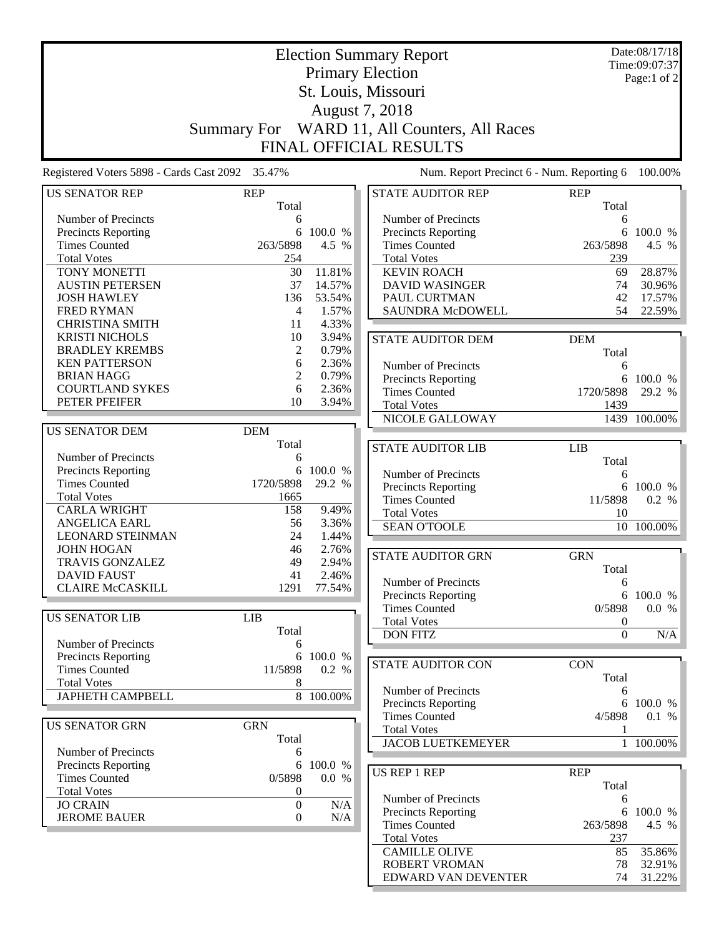|                                                    | <b>Election Summary Report</b> |                  |                                                                |                  |              |
|----------------------------------------------------|--------------------------------|------------------|----------------------------------------------------------------|------------------|--------------|
|                                                    | <b>Primary Election</b>        |                  |                                                                |                  |              |
|                                                    |                                |                  |                                                                |                  |              |
|                                                    |                                |                  |                                                                |                  |              |
|                                                    |                                |                  | August 7, 2018<br>Summary For WARD 11, All Counters, All Races |                  |              |
|                                                    |                                |                  |                                                                |                  |              |
|                                                    |                                |                  | <b>FINAL OFFICIAL RESULTS</b>                                  |                  |              |
| Registered Voters 5898 - Cards Cast 2092 35.47%    |                                |                  | Num. Report Precinct 6 - Num. Reporting 6                      |                  | 100.00%      |
| <b>US SENATOR REP</b>                              | <b>REP</b>                     |                  | <b>STATE AUDITOR REP</b>                                       | <b>REP</b>       |              |
| Number of Precincts                                | Total<br>6                     |                  | Number of Precincts                                            | Total<br>6       |              |
| Precincts Reporting                                | 6                              | 100.0 %          | <b>Precincts Reporting</b>                                     | 6                | 100.0 %      |
| <b>Times Counted</b>                               | 263/5898                       | 4.5 %            | <b>Times Counted</b>                                           | 263/5898         | 4.5 %        |
| <b>Total Votes</b>                                 | 254                            |                  | <b>Total Votes</b>                                             | 239              |              |
| TONY MONETTI                                       | 30                             | 11.81%           | <b>KEVIN ROACH</b>                                             | 69               | 28.87%       |
| <b>AUSTIN PETERSEN</b>                             | 37                             | 14.57%           | <b>DAVID WASINGER</b>                                          | 74               | 30.96%       |
| <b>JOSH HAWLEY</b>                                 | 136                            | 53.54%           | PAUL CURTMAN                                                   | 42               | 17.57%       |
| <b>FRED RYMAN</b>                                  | $\overline{4}$                 | 1.57%            | SAUNDRA McDOWELL                                               | 54               | 22.59%       |
| <b>CHRISTINA SMITH</b>                             | 11                             | 4.33%            |                                                                |                  |              |
| <b>KRISTI NICHOLS</b>                              | 10                             | 3.94%            | <b>STATE AUDITOR DEM</b>                                       | <b>DEM</b>       |              |
| <b>BRADLEY KREMBS</b>                              | $\overline{c}$                 | 0.79%            |                                                                | Total            |              |
| <b>KEN PATTERSON</b>                               | 6                              | 2.36%            | Number of Precincts                                            | 6                |              |
| <b>BRIAN HAGG</b>                                  | 2                              | 0.79%            | <b>Precincts Reporting</b>                                     | 6                | 100.0 %      |
| <b>COURTLAND SYKES</b>                             | 6                              | 2.36%            | <b>Times Counted</b>                                           | 1720/5898        | 29.2 %       |
| PETER PFEIFER                                      | 10                             | 3.94%            | <b>Total Votes</b>                                             | 1439             |              |
|                                                    |                                |                  | NICOLE GALLOWAY                                                |                  | 1439 100.00% |
| <b>US SENATOR DEM</b>                              | <b>DEM</b>                     |                  |                                                                |                  |              |
|                                                    | Total                          |                  | <b>STATE AUDITOR LIB</b>                                       | LIB              |              |
| Number of Precincts                                | 6                              | 100.0 %          |                                                                | Total            |              |
| Precincts Reporting<br><b>Times Counted</b>        | 6<br>1720/5898                 | 29.2 %           | Number of Precincts                                            | 6                |              |
| <b>Total Votes</b>                                 | 1665                           |                  | Precincts Reporting                                            |                  | 6 100.0 %    |
| <b>CARLA WRIGHT</b>                                | 158                            | 9.49%            | <b>Times Counted</b>                                           | 11/5898          | 0.2 %        |
| ANGELICA EARL                                      | 56                             | 3.36%            | <b>Total Votes</b>                                             | 10               |              |
| <b>LEONARD STEINMAN</b>                            | 24                             | 1.44%            | <b>SEAN O'TOOLE</b>                                            |                  | 10 100.00%   |
| <b>JOHN HOGAN</b>                                  | 46                             | 2.76%            |                                                                |                  |              |
| <b>TRAVIS GONZALEZ</b>                             | 49                             | 2.94%            | <b>STATE AUDITOR GRN</b>                                       | <b>GRN</b>       |              |
| <b>DAVID FAUST</b>                                 | 41                             | 2.46%            |                                                                | Total            |              |
| <b>CLAIRE McCASKILL</b>                            | 1291                           | 77.54%           | Number of Precincts<br><b>Precincts Reporting</b>              | 6<br>6           | 100.0 %      |
|                                                    |                                |                  | <b>Times Counted</b>                                           | 0/5898           | 0.0 %        |
| <b>US SENATOR LIB</b>                              | <b>LIB</b>                     |                  | <b>Total Votes</b>                                             | $\boldsymbol{0}$ |              |
|                                                    | Total                          |                  | <b>DON FITZ</b>                                                | $\boldsymbol{0}$ | N/A          |
| Number of Precincts                                | 6                              |                  |                                                                |                  |              |
| Precincts Reporting                                | 6                              | 100.0 %          | <b>STATE AUDITOR CON</b>                                       | <b>CON</b>       |              |
| <b>Times Counted</b>                               | 11/5898                        | 0.2 %            |                                                                | Total            |              |
| <b>Total Votes</b>                                 | 8                              |                  | Number of Precincts                                            | 6                |              |
| <b>JAPHETH CAMPBELL</b>                            |                                | 8 100.00%        | Precincts Reporting                                            |                  | 6 100.0 %    |
|                                                    |                                |                  | <b>Times Counted</b>                                           | 4/5898           | 0.1 %        |
| <b>US SENATOR GRN</b>                              | <b>GRN</b>                     |                  | <b>Total Votes</b>                                             | $\perp$          |              |
|                                                    | Total                          |                  | <b>JACOB LUETKEMEYER</b>                                       |                  | 1 100.00%    |
| Number of Precincts                                | 6                              |                  |                                                                |                  |              |
| <b>Precincts Reporting</b><br><b>Times Counted</b> | 6<br>0/5898                    | 100.0 %<br>0.0 % | <b>US REP 1 REP</b>                                            | <b>REP</b>       |              |
| <b>Total Votes</b>                                 | $\boldsymbol{0}$               |                  |                                                                | Total            |              |
| <b>JO CRAIN</b>                                    | $\overline{0}$                 | N/A              | Number of Precincts                                            | 6                |              |
| <b>JEROME BAUER</b>                                | $\boldsymbol{0}$               | N/A              | <b>Precincts Reporting</b>                                     | 6                | 100.0 %      |
|                                                    |                                |                  | <b>Times Counted</b>                                           | 263/5898         | 4.5 %        |
|                                                    |                                |                  | <b>Total Votes</b>                                             | 237              |              |
|                                                    |                                |                  | <b>CAMILLE OLIVE</b>                                           | 85               | 35.86%       |
|                                                    |                                |                  | <b>ROBERT VROMAN</b>                                           | 78               | 32.91%       |
|                                                    |                                |                  | EDWARD VAN DEVENTER                                            | 74               | 31.22%       |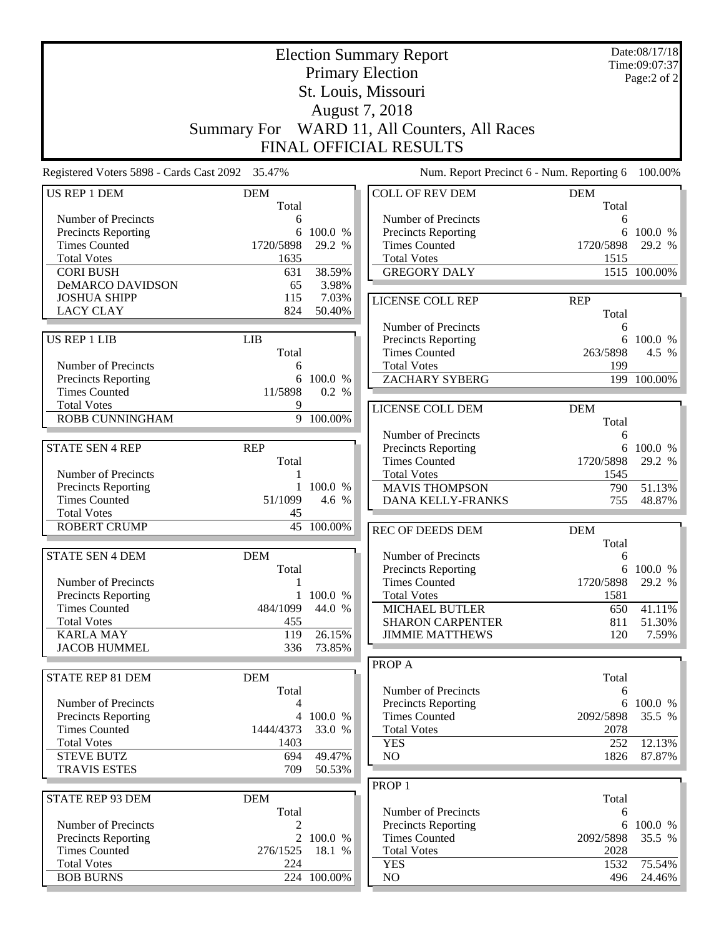|                                                 |                   | Date:08/17/18<br>Time:09:07:37 |                                                   |                     |                 |
|-------------------------------------------------|-------------------|--------------------------------|---------------------------------------------------|---------------------|-----------------|
|                                                 |                   | Page:2 of 2                    |                                                   |                     |                 |
|                                                 |                   |                                |                                                   |                     |                 |
|                                                 |                   |                                |                                                   |                     |                 |
|                                                 |                   |                                | Summary For WARD 11, All Counters, All Races      |                     |                 |
|                                                 |                   |                                | FINAL OFFICIAL RESULTS                            |                     |                 |
| Registered Voters 5898 - Cards Cast 2092 35.47% |                   |                                | Num. Report Precinct 6 - Num. Reporting 6         |                     | 100.00%         |
| US REP 1 DEM                                    | <b>DEM</b>        |                                | <b>COLL OF REV DEM</b>                            | <b>DEM</b>          |                 |
| Number of Precincts                             | Total<br>6        |                                | Number of Precincts                               | Total<br>6          |                 |
| Precincts Reporting                             | 6                 | 100.0 %                        | Precincts Reporting                               | 6                   | 100.0 %         |
| <b>Times Counted</b>                            | 1720/5898         | 29.2 %                         | <b>Times Counted</b>                              | 1720/5898           | 29.2 %          |
| <b>Total Votes</b>                              | 1635              |                                | <b>Total Votes</b>                                | 1515                |                 |
| <b>CORI BUSH</b>                                | 631               | 38.59%                         | <b>GREGORY DALY</b>                               |                     | 1515 100.00%    |
| <b>DeMARCO DAVIDSON</b><br><b>JOSHUA SHIPP</b>  | 65<br>115         | 3.98%<br>7.03%                 |                                                   |                     |                 |
| <b>LACY CLAY</b>                                | 824               | 50.40%                         | <b>LICENSE COLL REP</b>                           | <b>REP</b><br>Total |                 |
|                                                 |                   |                                | Number of Precincts                               | 6                   |                 |
| <b>US REP 1 LIB</b>                             | <b>LIB</b>        |                                | Precincts Reporting                               |                     | 6 100.0 %       |
|                                                 | Total             |                                | <b>Times Counted</b>                              | 263/5898            | 4.5 %           |
| Number of Precincts                             | 6                 |                                | <b>Total Votes</b>                                | 199                 |                 |
| Precincts Reporting                             | 6                 | 100.0 %                        | <b>ZACHARY SYBERG</b>                             |                     | 199 100.00%     |
| <b>Times Counted</b><br><b>Total Votes</b>      | 11/5898<br>9      | 0.2 %                          |                                                   |                     |                 |
| ROBB CUNNINGHAM                                 |                   | 9 100.00%                      | LICENSE COLL DEM                                  | <b>DEM</b>          |                 |
|                                                 |                   |                                | Number of Precincts                               | Total<br>6          |                 |
| <b>STATE SEN 4 REP</b>                          | <b>REP</b>        |                                | Precincts Reporting                               | 6                   | 100.0 %         |
|                                                 | Total             |                                | <b>Times Counted</b>                              | 1720/5898           | 29.2 %          |
| Number of Precincts                             |                   |                                | <b>Total Votes</b>                                | 1545                |                 |
| Precincts Reporting                             | $\mathbf{1}$      | 100.0 %                        | <b>MAVIS THOMPSON</b>                             | 790                 | 51.13%          |
| <b>Times Counted</b><br><b>Total Votes</b>      | 51/1099<br>45     | 4.6 %                          | <b>DANA KELLY-FRANKS</b>                          | 755                 | 48.87%          |
| <b>ROBERT CRUMP</b>                             |                   | 45 100.00%                     |                                                   |                     |                 |
|                                                 |                   |                                | REC OF DEEDS DEM                                  | <b>DEM</b><br>Total |                 |
| <b>STATE SEN 4 DEM</b>                          | <b>DEM</b>        |                                | Number of Precincts                               | 6                   |                 |
|                                                 | Total             |                                | Precincts Reporting                               |                     | 6 100.0 %       |
| Number of Precincts                             | 1                 |                                | <b>Times Counted</b>                              | 1720/5898           | 29.2 %          |
| <b>Precincts Reporting</b>                      | $\mathbf{1}$      | 100.0 %                        | <b>Total Votes</b>                                | 1581                |                 |
| <b>Times Counted</b>                            | 484/1099          | 44.0 %                         | MICHAEL BUTLER                                    | 650                 | 41.11%          |
| <b>Total Votes</b><br><b>KARLA MAY</b>          | 455<br>119        | 26.15%                         | <b>SHARON CARPENTER</b><br><b>JIMMIE MATTHEWS</b> | 811<br>120          | 51.30%<br>7.59% |
| <b>JACOB HUMMEL</b>                             | 336               | 73.85%                         |                                                   |                     |                 |
|                                                 |                   |                                | PROP A                                            |                     |                 |
| <b>STATE REP 81 DEM</b>                         | <b>DEM</b>        |                                |                                                   | Total               |                 |
|                                                 | Total             |                                | Number of Precincts                               | 6                   |                 |
| Number of Precincts                             | 4                 |                                | <b>Precincts Reporting</b>                        | 6                   | 100.0 %         |
| <b>Precincts Reporting</b>                      |                   | 4 100.0 %                      | <b>Times Counted</b>                              | 2092/5898           | 35.5 %          |
| <b>Times Counted</b><br><b>Total Votes</b>      | 1444/4373<br>1403 | 33.0 %                         | <b>Total Votes</b><br><b>YES</b>                  | 2078<br>252         | 12.13%          |
| <b>STEVE BUTZ</b>                               | 694               | 49.47%                         | N <sub>O</sub>                                    | 1826                | 87.87%          |
| <b>TRAVIS ESTES</b>                             | 709               | 50.53%                         |                                                   |                     |                 |
|                                                 |                   |                                | PROP <sub>1</sub>                                 |                     |                 |
| STATE REP 93 DEM                                | <b>DEM</b>        |                                |                                                   | Total               |                 |
|                                                 | Total             |                                | Number of Precincts                               | 6                   |                 |
| Number of Precincts                             | 2                 |                                | Precincts Reporting                               | 6                   | 100.0 %         |
| Precincts Reporting<br><b>Times Counted</b>     | 276/1525          | 2 100.0 %<br>18.1 %            | <b>Times Counted</b><br><b>Total Votes</b>        | 2092/5898<br>2028   | 35.5 %          |
| <b>Total Votes</b>                              | 224               |                                | <b>YES</b>                                        | 1532                | 75.54%          |
| <b>BOB BURNS</b>                                |                   | 224 100.00%                    | NO.                                               | 496                 | 24.46%          |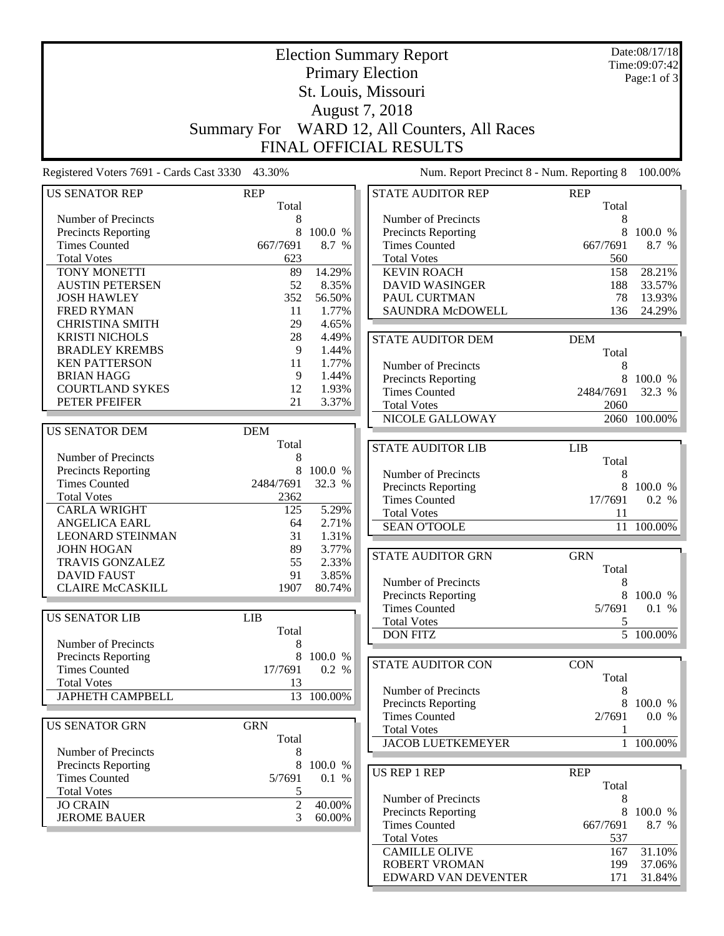|                                                 |                | Date:08/17/18 |                                              |              |                        |
|-------------------------------------------------|----------------|---------------|----------------------------------------------|--------------|------------------------|
|                                                 |                | Time:09:07:42 |                                              |              |                        |
|                                                 |                | Page:1 of 3   |                                              |              |                        |
|                                                 |                |               |                                              |              |                        |
|                                                 |                |               | August 7, 2018                               |              |                        |
|                                                 |                |               | Summary For WARD 12, All Counters, All Races |              |                        |
|                                                 |                |               | <b>FINAL OFFICIAL RESULTS</b>                |              |                        |
|                                                 |                |               |                                              |              |                        |
| Registered Voters 7691 - Cards Cast 3330 43.30% |                |               | Num. Report Precinct 8 - Num. Reporting 8    |              | 100.00%                |
| <b>US SENATOR REP</b>                           | <b>REP</b>     |               | <b>STATE AUDITOR REP</b>                     | <b>REP</b>   |                        |
| Number of Precincts                             | Total<br>8     |               | Number of Precincts                          | Total<br>8   |                        |
| Precincts Reporting                             | 8              | 100.0 %       | Precincts Reporting                          | 8            | 100.0 %                |
| <b>Times Counted</b>                            | 667/7691       | 8.7 %         | <b>Times Counted</b>                         | 667/7691     | 8.7 %                  |
| <b>Total Votes</b>                              | 623            |               | <b>Total Votes</b>                           | 560          |                        |
| TONY MONETTI                                    | 89             | 14.29%        | <b>KEVIN ROACH</b>                           | 158          | 28.21%                 |
| <b>AUSTIN PETERSEN</b>                          | 52             | 8.35%         | <b>DAVID WASINGER</b>                        | 188          | 33.57%                 |
| <b>JOSH HAWLEY</b>                              | 352            | 56.50%        | PAUL CURTMAN                                 | 78           | 13.93%                 |
| <b>FRED RYMAN</b>                               | 11             | 1.77%         | SAUNDRA McDOWELL                             | 136          | 24.29%                 |
| <b>CHRISTINA SMITH</b>                          | 29             | 4.65%         |                                              |              |                        |
| <b>KRISTI NICHOLS</b>                           | 28             | 4.49%         | <b>STATE AUDITOR DEM</b>                     | <b>DEM</b>   |                        |
| <b>BRADLEY KREMBS</b>                           | 9              | 1.44%         |                                              | Total        |                        |
| <b>KEN PATTERSON</b>                            | 11             | 1.77%         | Number of Precincts                          | 8            |                        |
| <b>BRIAN HAGG</b>                               | 9              | 1.44%         | <b>Precincts Reporting</b>                   | 8            | 100.0 %                |
| <b>COURTLAND SYKES</b>                          | 12             | 1.93%         | <b>Times Counted</b>                         | 2484/7691    | 32.3 %                 |
| PETER PFEIFER                                   | 21             | 3.37%         | <b>Total Votes</b>                           | 2060         |                        |
|                                                 |                |               | NICOLE GALLOWAY                              |              | 2060 100.00%           |
| <b>US SENATOR DEM</b>                           | <b>DEM</b>     |               |                                              |              |                        |
|                                                 | Total          |               | <b>STATE AUDITOR LIB</b>                     | LIB          |                        |
| Number of Precincts                             | 8              |               |                                              | Total        |                        |
| Precincts Reporting                             | 8              | 100.0 %       | Number of Precincts                          | 8            |                        |
| <b>Times Counted</b>                            | 2484/7691      | 32.3 %        | Precincts Reporting                          | 8            | 100.0 %                |
| <b>Total Votes</b>                              | 2362           |               | <b>Times Counted</b>                         | 17/7691      | 0.2 %                  |
| <b>CARLA WRIGHT</b>                             | 125            | 5.29%         | <b>Total Votes</b>                           | 11           |                        |
| <b>ANGELICA EARL</b>                            | 64             | 2.71%         | <b>SEAN O'TOOLE</b>                          | 11           | 100.00%                |
| <b>LEONARD STEINMAN</b>                         | 31             | 1.31%         |                                              |              |                        |
| <b>JOHN HOGAN</b>                               | 89             | 3.77%         | <b>STATE AUDITOR GRN</b>                     | <b>GRN</b>   |                        |
| TRAVIS GONZALEZ                                 | 55             | 2.33%         |                                              | Total        |                        |
| <b>DAVID FAUST</b>                              | 91             | 3.85%         | Number of Precincts                          | 8            |                        |
| <b>CLAIRE McCASKILL</b>                         | 1907           | 80.74%        | <b>Precincts Reporting</b>                   |              | 8 100.0 %              |
|                                                 |                |               | <b>Times Counted</b>                         | 5/7691       | 0.1 %                  |
| <b>US SENATOR LIB</b>                           | <b>LIB</b>     |               | <b>Total Votes</b>                           | 5            |                        |
|                                                 | Total          |               | <b>DON FITZ</b>                              |              | $\overline{5}$ 100.00% |
| Number of Precincts                             | 8              |               |                                              |              |                        |
| Precincts Reporting                             | 8              | 100.0 %       | <b>STATE AUDITOR CON</b>                     | <b>CON</b>   |                        |
| <b>Times Counted</b>                            | 17/7691        | 0.2 %         |                                              | Total        |                        |
| <b>Total Votes</b>                              | 13             |               | Number of Precincts                          | 8            |                        |
| <b>JAPHETH CAMPBELL</b>                         |                | 13 100.00%    | Precincts Reporting                          | 8            | 100.0 %                |
|                                                 |                |               | <b>Times Counted</b>                         | 2/7691       | 0.0 %                  |
| <b>US SENATOR GRN</b>                           | <b>GRN</b>     |               | <b>Total Votes</b>                           | 1            |                        |
|                                                 | Total          |               | <b>JACOB LUETKEMEYER</b>                     | $\mathbf{1}$ | 100.00%                |
| Number of Precincts                             | 8              |               |                                              |              |                        |
| Precincts Reporting                             | 8              | 100.0 %       | <b>US REP 1 REP</b>                          | <b>REP</b>   |                        |
| <b>Times Counted</b>                            | 5/7691         | 0.1 %         |                                              | Total        |                        |
| <b>Total Votes</b>                              | 5              |               | Number of Precincts                          | 8            |                        |
| <b>JO CRAIN</b>                                 | $\overline{c}$ | 40.00%        | Precincts Reporting                          |              | 8 100.0 %              |
| <b>JEROME BAUER</b>                             | 3              | 60.00%        | <b>Times Counted</b>                         | 667/7691     | 8.7 %                  |
|                                                 |                |               | <b>Total Votes</b>                           | 537          |                        |
|                                                 |                |               | <b>CAMILLE OLIVE</b>                         | 167          | 31.10%                 |
|                                                 |                |               | ROBERT VROMAN                                | 199          | 37.06%                 |
|                                                 |                |               | EDWARD VAN DEVENTER                          | 171          | 31.84%                 |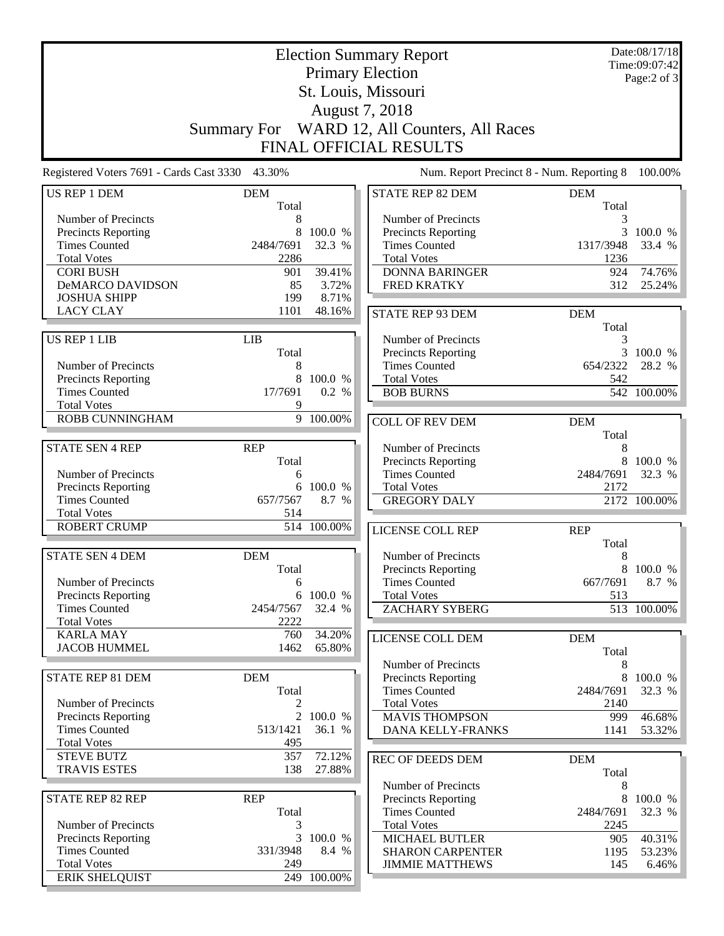|                                                 |              | Date:08/17/18<br>Time:09:07:42 |                                           |                     |              |  |  |
|-------------------------------------------------|--------------|--------------------------------|-------------------------------------------|---------------------|--------------|--|--|
|                                                 |              | Page:2 of 3                    |                                           |                     |              |  |  |
|                                                 |              |                                |                                           |                     |              |  |  |
| St. Louis, Missouri<br>August 7, 2018           |              |                                |                                           |                     |              |  |  |
|                                                 | Summary For  |                                | WARD 12, All Counters, All Races          |                     |              |  |  |
|                                                 |              |                                | FINAL OFFICIAL RESULTS                    |                     |              |  |  |
|                                                 |              |                                |                                           |                     |              |  |  |
| Registered Voters 7691 - Cards Cast 3330 43.30% |              |                                | Num. Report Precinct 8 - Num. Reporting 8 |                     | 100.00%      |  |  |
| US REP 1 DEM                                    | <b>DEM</b>   |                                | STATE REP 82 DEM                          | <b>DEM</b>          |              |  |  |
| Number of Precincts                             | Total<br>8   |                                | Number of Precincts                       | Total<br>3          |              |  |  |
| Precincts Reporting                             | 8            | 100.0 %                        | Precincts Reporting                       | 3                   | 100.0 %      |  |  |
| <b>Times Counted</b>                            | 2484/7691    | 32.3 %                         | <b>Times Counted</b>                      | 1317/3948           | 33.4 %       |  |  |
| <b>Total Votes</b>                              | 2286         |                                | <b>Total Votes</b>                        | 1236                |              |  |  |
| <b>CORI BUSH</b>                                | 901          | 39.41%                         | <b>DONNA BARINGER</b>                     | 924                 | 74.76%       |  |  |
| DeMARCO DAVIDSON                                | 85           | 3.72%                          | <b>FRED KRATKY</b>                        | 312                 | 25.24%       |  |  |
| <b>JOSHUA SHIPP</b>                             | 199          | 8.71%                          |                                           |                     |              |  |  |
| <b>LACY CLAY</b>                                | 1101         | 48.16%                         | <b>STATE REP 93 DEM</b>                   | <b>DEM</b>          |              |  |  |
|                                                 |              |                                |                                           | Total               |              |  |  |
| <b>US REP 1 LIB</b>                             | <b>LIB</b>   |                                | Number of Precincts                       | 3                   |              |  |  |
|                                                 | Total        |                                | Precincts Reporting                       | 3                   | 100.0 %      |  |  |
| Number of Precincts                             | 8            |                                | <b>Times Counted</b>                      | 654/2322            | 28.2 %       |  |  |
| Precincts Reporting                             | 8            | 100.0 %                        | <b>Total Votes</b>                        | 542                 |              |  |  |
| <b>Times Counted</b><br><b>Total Votes</b>      | 17/7691<br>9 | 0.2 %                          | <b>BOB BURNS</b>                          |                     | 542 100.00%  |  |  |
| ROBB CUNNINGHAM                                 |              | $\overline{9}$ 100.00%         |                                           |                     |              |  |  |
|                                                 |              |                                | <b>COLL OF REV DEM</b>                    | <b>DEM</b>          |              |  |  |
| <b>STATE SEN 4 REP</b>                          | <b>REP</b>   |                                | Number of Precincts                       | Total<br>8          |              |  |  |
|                                                 | Total        |                                | <b>Precincts Reporting</b>                |                     | 8 100.0 %    |  |  |
| Number of Precincts                             | 6            |                                | <b>Times Counted</b>                      | 2484/7691           | 32.3 %       |  |  |
| <b>Precincts Reporting</b>                      | 6            | 100.0 %                        | <b>Total Votes</b>                        | 2172                |              |  |  |
| <b>Times Counted</b>                            | 657/7567     | 8.7 %                          | <b>GREGORY DALY</b>                       |                     | 2172 100.00% |  |  |
| <b>Total Votes</b>                              | 514          |                                |                                           |                     |              |  |  |
| <b>ROBERT CRUMP</b>                             | 514          | 100.00%                        | LICENSE COLL REP                          | <b>REP</b>          |              |  |  |
|                                                 |              |                                |                                           | Total               |              |  |  |
| <b>STATE SEN 4 DEM</b>                          | <b>DEM</b>   |                                | Number of Precincts                       | 8                   |              |  |  |
|                                                 | Total        |                                | <b>Precincts Reporting</b>                | 8                   | 100.0 %      |  |  |
| Number of Precincts                             | 6            |                                | <b>Times Counted</b>                      | 667/7691            | 8.7 %        |  |  |
| Precincts Reporting<br><b>Times Counted</b>     | 2454/7567    | 6 100.0 %<br>32.4 %            | <b>Total Votes</b>                        | 513                 | 513 100.00%  |  |  |
| <b>Total Votes</b>                              | 2222         |                                | <b>ZACHARY SYBERG</b>                     |                     |              |  |  |
| <b>KARLA MAY</b>                                | 760          | 34.20%                         |                                           |                     |              |  |  |
| <b>JACOB HUMMEL</b>                             | 1462         | 65.80%                         | LICENSE COLL DEM                          | <b>DEM</b><br>Total |              |  |  |
|                                                 |              |                                | Number of Precincts                       | 8                   |              |  |  |
| STATE REP 81 DEM                                | <b>DEM</b>   |                                | <b>Precincts Reporting</b>                | 8                   | 100.0 %      |  |  |
|                                                 | Total        |                                | <b>Times Counted</b>                      | 2484/7691           | 32.3 %       |  |  |
| Number of Precincts                             | 2            |                                | <b>Total Votes</b>                        | 2140                |              |  |  |
| Precincts Reporting                             |              | 2 100.0 %                      | <b>MAVIS THOMPSON</b>                     | 999                 | 46.68%       |  |  |
| <b>Times Counted</b>                            | 513/1421     | 36.1 %                         | DANA KELLY-FRANKS                         | 1141                | 53.32%       |  |  |
| <b>Total Votes</b>                              | 495          |                                |                                           |                     |              |  |  |
| <b>STEVE BUTZ</b>                               | 357          | 72.12%                         | <b>REC OF DEEDS DEM</b>                   | <b>DEM</b>          |              |  |  |
| <b>TRAVIS ESTES</b>                             | 138          | 27.88%                         |                                           | Total               |              |  |  |
|                                                 |              |                                | Number of Precincts                       | 8                   |              |  |  |
| <b>STATE REP 82 REP</b>                         | <b>REP</b>   |                                | <b>Precincts Reporting</b>                | 8                   | 100.0 %      |  |  |
|                                                 | Total        |                                | <b>Times Counted</b>                      | 2484/7691           | 32.3 %       |  |  |
| Number of Precincts                             | 3            |                                | <b>Total Votes</b>                        | 2245                |              |  |  |
| <b>Precincts Reporting</b>                      | 3            | 100.0 %                        | <b>MICHAEL BUTLER</b>                     | 905                 | 40.31%       |  |  |
| <b>Times Counted</b>                            | 331/3948     | 8.4 %                          | <b>SHARON CARPENTER</b>                   | 1195                | 53.23%       |  |  |
| <b>Total Votes</b>                              | 249          |                                | <b>JIMMIE MATTHEWS</b>                    | 145                 | 6.46%        |  |  |
| <b>ERIK SHELQUIST</b>                           |              | 249 100.00%                    |                                           |                     |              |  |  |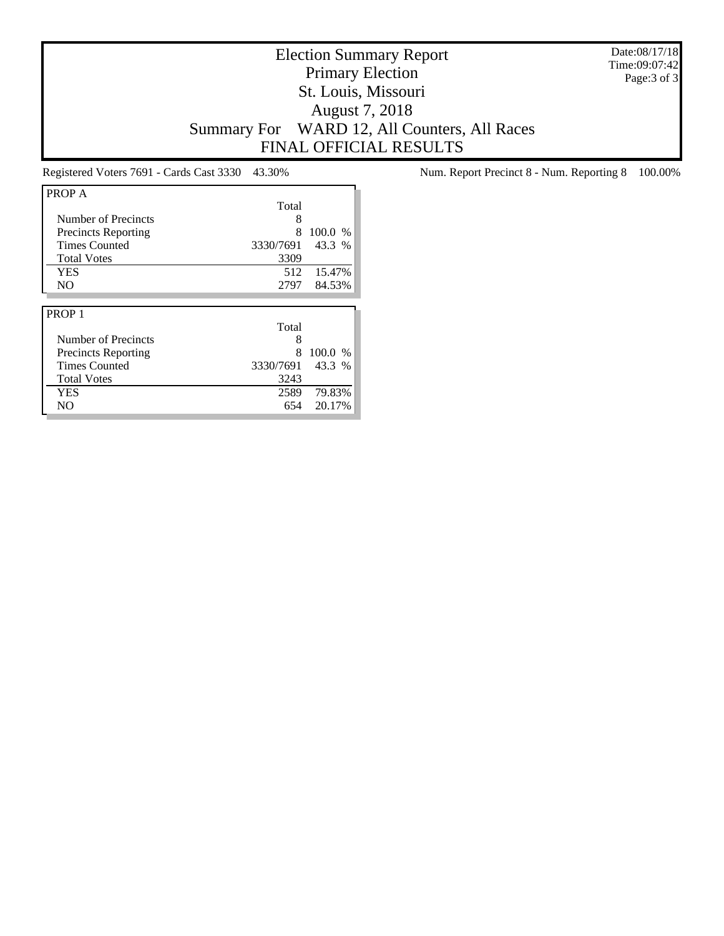Date:08/17/18 Time:09:07:42 Page:3 of 3

# Election Summary Report Primary Election St. Louis, Missouri August 7, 2018 Summary For WARD 12, All Counters, All Races FINAL OFFICIAL RESULTS

| PROP A                     |           |         |
|----------------------------|-----------|---------|
|                            | Total     |         |
| Number of Precincts        | 8         |         |
| <b>Precincts Reporting</b> | 8         | 100.0 % |
| <b>Times Counted</b>       | 3330/7691 | 43.3 %  |
| <b>Total Votes</b>         | 3309      |         |
| <b>YES</b>                 | 512       | 15.47%  |
| NO.                        | 2797      | 84.53%  |
|                            |           |         |
|                            |           |         |
| PROP <sub>1</sub>          |           |         |
|                            | Total     |         |
| Number of Precincts        | 8         |         |
| <b>Precincts Reporting</b> | 8         | 100.0%  |
| <b>Times Counted</b>       | 3330/7691 | 43.3 %  |
| <b>Total Votes</b>         | 3243      |         |
| <b>YES</b>                 | 2589      | 79.83%  |

Registered Voters 7691 - Cards Cast 3330 43.30% Num. Report Precinct 8 - Num. Reporting 8 100.00%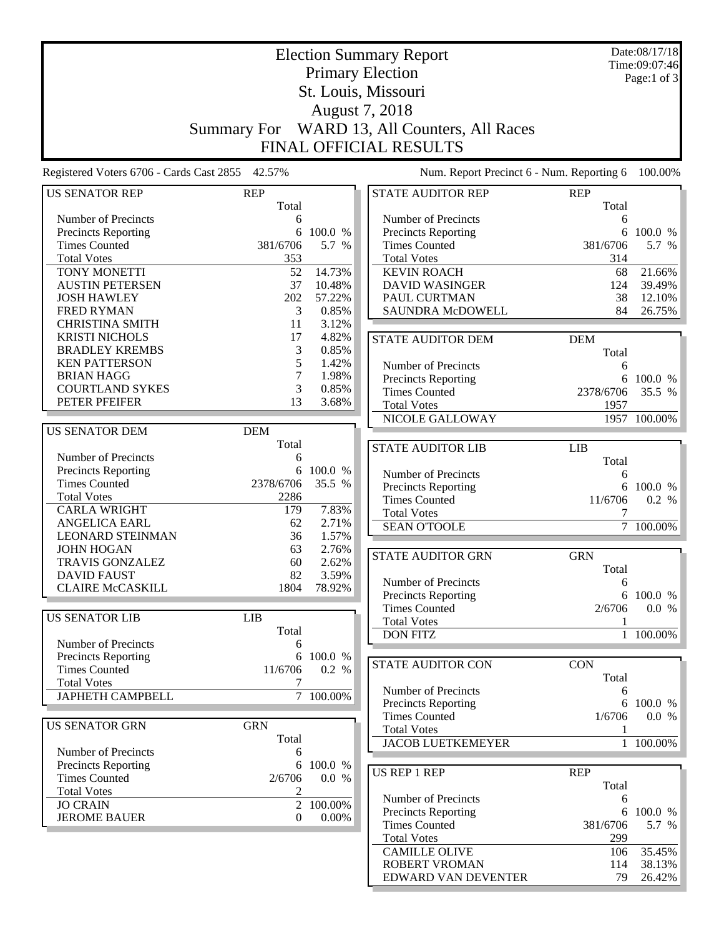|                                                           |                | Date:08/17/18  |  |                                                |                   |                        |
|-----------------------------------------------------------|----------------|----------------|--|------------------------------------------------|-------------------|------------------------|
| <b>Election Summary Report</b><br><b>Primary Election</b> |                |                |  |                                                |                   | Time:09:07:46          |
| St. Louis, Missouri                                       |                |                |  |                                                |                   | Page:1 of 3            |
|                                                           |                |                |  |                                                |                   |                        |
|                                                           |                | August 7, 2018 |  |                                                |                   |                        |
|                                                           |                |                |  | Summary For WARD 13, All Counters, All Races   |                   |                        |
|                                                           |                |                |  |                                                |                   |                        |
|                                                           |                |                |  | <b>FINAL OFFICIAL RESULTS</b>                  |                   |                        |
| Registered Voters 6706 - Cards Cast 2855 42.57%           |                |                |  | Num. Report Precinct 6 - Num. Reporting 6      |                   | 100.00%                |
| <b>US SENATOR REP</b>                                     | <b>REP</b>     |                |  | <b>STATE AUDITOR REP</b>                       | <b>REP</b>        |                        |
|                                                           | Total          |                |  |                                                | Total             |                        |
| Number of Precincts                                       | 6              |                |  | Number of Precincts                            | 6                 |                        |
| <b>Precincts Reporting</b>                                | 6              | 100.0 %        |  | <b>Precincts Reporting</b>                     | 6                 | 100.0 %                |
| <b>Times Counted</b>                                      | 381/6706       | 5.7 %          |  | <b>Times Counted</b>                           | 381/6706          | 5.7 %                  |
| <b>Total Votes</b>                                        | 353            |                |  | <b>Total Votes</b>                             | 314               |                        |
| TONY MONETTI                                              | 52             | 14.73%         |  | <b>KEVIN ROACH</b>                             | 68                | 21.66%                 |
| <b>AUSTIN PETERSEN</b>                                    | 37             | 10.48%         |  | <b>DAVID WASINGER</b>                          | 124               | 39.49%                 |
| <b>JOSH HAWLEY</b>                                        | 202            | 57.22%         |  | PAUL CURTMAN                                   | 38                | 12.10%                 |
| <b>FRED RYMAN</b>                                         | 3              | 0.85%          |  | <b>SAUNDRA McDOWELL</b>                        | 84                | 26.75%                 |
| <b>CHRISTINA SMITH</b>                                    | 11             | 3.12%          |  |                                                |                   |                        |
| <b>KRISTI NICHOLS</b>                                     | 17             | 4.82%          |  | <b>STATE AUDITOR DEM</b>                       | <b>DEM</b>        |                        |
| <b>BRADLEY KREMBS</b>                                     | 3              | 0.85%          |  |                                                | Total             |                        |
| <b>KEN PATTERSON</b>                                      | 5              | 1.42%          |  | Number of Precincts                            | 6                 |                        |
| <b>BRIAN HAGG</b>                                         | 7              | 1.98%          |  | Precincts Reporting                            |                   | 6 100.0 %              |
| <b>COURTLAND SYKES</b><br>PETER PFEIFER                   | 3<br>13        | 0.85%<br>3.68% |  | <b>Times Counted</b>                           | 2378/6706         | 35.5 %                 |
|                                                           |                |                |  | <b>Total Votes</b>                             | 1957              |                        |
|                                                           |                |                |  | NICOLE GALLOWAY                                |                   | 1957 100.00%           |
| <b>US SENATOR DEM</b>                                     | <b>DEM</b>     |                |  |                                                |                   |                        |
| Number of Precincts                                       | Total          |                |  | <b>STATE AUDITOR LIB</b>                       | <b>LIB</b>        |                        |
|                                                           | 6<br>6         | 100.0 %        |  |                                                | Total             |                        |
| Precincts Reporting<br><b>Times Counted</b>               | 2378/6706      | 35.5 %         |  | Number of Precincts                            | 6                 |                        |
| <b>Total Votes</b>                                        | 2286           |                |  | Precincts Reporting                            | 6                 | 100.0 %                |
| <b>CARLA WRIGHT</b>                                       | 179            | 7.83%          |  | <b>Times Counted</b>                           | 11/6706           | 0.2 %                  |
| <b>ANGELICA EARL</b>                                      | 62             | 2.71%          |  | <b>Total Votes</b>                             | 7                 |                        |
| <b>LEONARD STEINMAN</b>                                   | 36             | 1.57%          |  | <b>SEAN O'TOOLE</b>                            |                   | $\overline{7}$ 100.00% |
| <b>JOHN HOGAN</b>                                         | 63             | 2.76%          |  |                                                |                   |                        |
| TRAVIS GONZALEZ                                           | 60             | 2.62%          |  | <b>STATE AUDITOR GRN</b>                       | <b>GRN</b>        |                        |
| <b>DAVID FAUST</b>                                        | 82             | 3.59%          |  |                                                | Total             |                        |
| <b>CLAIRE McCASKILL</b>                                   | 1804           | 78.92%         |  | Number of Precincts                            | 6                 |                        |
|                                                           |                |                |  | Precincts Reporting                            |                   | 6 100.0 %              |
| <b>US SENATOR LIB</b>                                     | <b>LIB</b>     |                |  | <b>Times Counted</b>                           | 2/6706            | 0.0 %                  |
|                                                           | Total          |                |  | <b>Total Votes</b>                             |                   |                        |
| Number of Precincts                                       | 6              |                |  | <b>DON FITZ</b>                                |                   | 1 100.00%              |
| Precincts Reporting                                       | 6              | 100.0 %        |  |                                                |                   |                        |
| <b>Times Counted</b>                                      | 11/6706        | 0.2 %          |  | STATE AUDITOR CON                              | <b>CON</b>        |                        |
| <b>Total Votes</b>                                        | 7              |                |  |                                                | Total             |                        |
| <b>JAPHETH CAMPBELL</b>                                   |                | 7 100.00%      |  | Number of Precincts                            | 6                 |                        |
|                                                           |                |                |  | Precincts Reporting                            | 6                 | 100.0 %                |
| <b>US SENATOR GRN</b>                                     | <b>GRN</b>     |                |  | <b>Times Counted</b>                           | 1/6706            | 0.0 %                  |
|                                                           | Total          |                |  | <b>Total Votes</b><br><b>JACOB LUETKEMEYER</b> | 1<br>$\mathbf{1}$ | 100.00%                |
| Number of Precincts                                       | 6              |                |  |                                                |                   |                        |
| <b>Precincts Reporting</b>                                | 6              | 100.0 %        |  |                                                |                   |                        |
| <b>Times Counted</b>                                      | 2/6706         | 0.0 %          |  | <b>US REP 1 REP</b>                            | <b>REP</b>        |                        |
| <b>Total Votes</b>                                        | $\mathfrak{2}$ |                |  |                                                | Total             |                        |
| <b>JO CRAIN</b>                                           |                | 2 100.00%      |  | Number of Precincts                            | 6                 |                        |
| <b>JEROME BAUER</b>                                       | $\mathbf{0}$   | $0.00\%$       |  | Precincts Reporting<br><b>Times Counted</b>    | 381/6706          | 6 100.0 %<br>5.7 %     |
|                                                           |                |                |  | <b>Total Votes</b>                             | 299               |                        |
|                                                           |                |                |  | <b>CAMILLE OLIVE</b>                           | 106               | 35.45%                 |
|                                                           |                |                |  | <b>ROBERT VROMAN</b>                           | 114               | 38.13%                 |
|                                                           |                |                |  | EDWARD VAN DEVENTER                            | 79                | 26.42%                 |
|                                                           |                |                |  |                                                |                   |                        |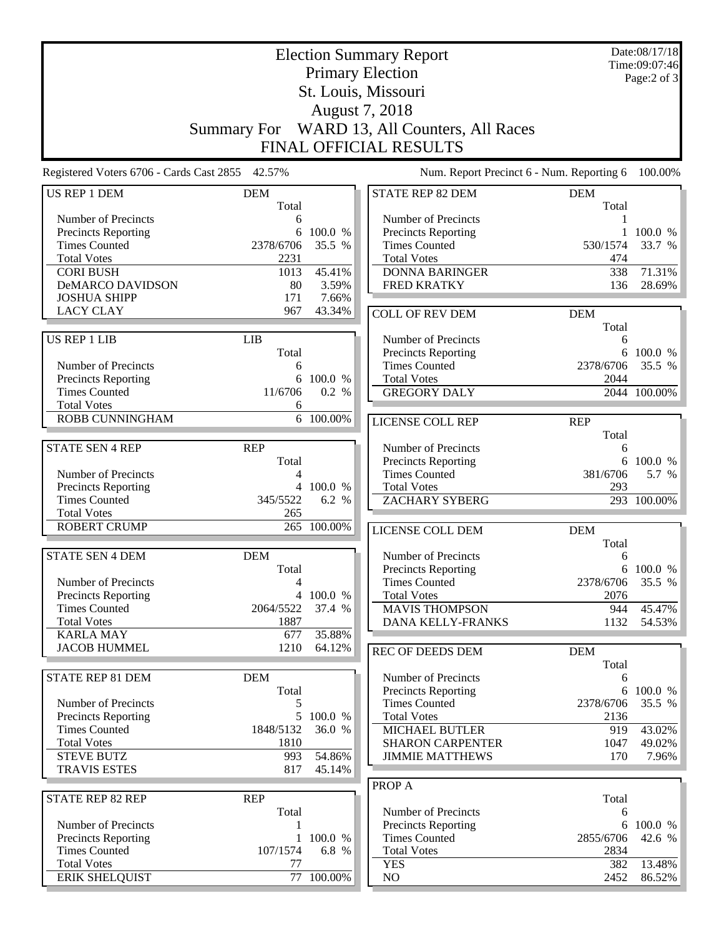| Date:08/17/18<br><b>Election Summary Report</b><br><b>Primary Election</b> |                |                              |                                                    |            |                     |  |
|----------------------------------------------------------------------------|----------------|------------------------------|----------------------------------------------------|------------|---------------------|--|
|                                                                            |                | Time:09:07:46<br>Page:2 of 3 |                                                    |            |                     |  |
| St. Louis, Missouri                                                        |                |                              |                                                    |            |                     |  |
| August 7, 2018                                                             |                |                              |                                                    |            |                     |  |
|                                                                            | Summary For    |                              | WARD 13, All Counters, All Races                   |            |                     |  |
|                                                                            |                |                              | FINAL OFFICIAL RESULTS                             |            |                     |  |
| Registered Voters 6706 - Cards Cast 2855 42.57%                            |                |                              | Num. Report Precinct 6 - Num. Reporting 6          |            | 100.00%             |  |
| <b>US REP 1 DEM</b>                                                        | <b>DEM</b>     |                              | <b>STATE REP 82 DEM</b>                            | <b>DEM</b> |                     |  |
|                                                                            | Total          |                              |                                                    | Total      |                     |  |
| Number of Precincts<br>Precincts Reporting                                 | 6<br>6         | 100.0 %                      | Number of Precincts<br>Precincts Reporting         |            | 100.0 %             |  |
| <b>Times Counted</b>                                                       | 2378/6706      | 35.5 %                       | <b>Times Counted</b>                               | 530/1574   | 33.7 %              |  |
| <b>Total Votes</b>                                                         | 2231           |                              | <b>Total Votes</b>                                 | 474        |                     |  |
| <b>CORI BUSH</b>                                                           | 1013           | 45.41%                       | <b>DONNA BARINGER</b>                              | 338        | 71.31%              |  |
| DeMARCO DAVIDSON                                                           | 80             | 3.59%                        | <b>FRED KRATKY</b>                                 | 136        | 28.69%              |  |
| <b>JOSHUA SHIPP</b>                                                        | 171            | 7.66%                        |                                                    |            |                     |  |
| <b>LACY CLAY</b>                                                           | 967            | 43.34%                       | <b>COLL OF REV DEM</b>                             | <b>DEM</b> |                     |  |
|                                                                            |                |                              |                                                    | Total      |                     |  |
| <b>US REP 1 LIB</b>                                                        | <b>LIB</b>     |                              | Number of Precincts                                | 6          |                     |  |
|                                                                            | Total          |                              | Precincts Reporting                                | 6          | 100.0 %             |  |
| Number of Precincts                                                        | 6              |                              | <b>Times Counted</b>                               | 2378/6706  | 35.5 %              |  |
| Precincts Reporting                                                        | 6              | 100.0 %                      | <b>Total Votes</b>                                 | 2044       |                     |  |
| <b>Times Counted</b>                                                       | 11/6706        | 0.2 %                        | <b>GREGORY DALY</b>                                |            | 2044 100.00%        |  |
| <b>Total Votes</b><br>ROBB CUNNINGHAM                                      | 6              | 6 100.00%                    |                                                    |            |                     |  |
|                                                                            |                |                              | <b>LICENSE COLL REP</b>                            | <b>REP</b> |                     |  |
| <b>STATE SEN 4 REP</b>                                                     | <b>REP</b>     |                              |                                                    | Total      |                     |  |
|                                                                            | Total          |                              | Number of Precincts<br>Precincts Reporting         | 6          | 6 100.0 %           |  |
| Number of Precincts                                                        | 4              |                              | <b>Times Counted</b>                               | 381/6706   | 5.7 %               |  |
| Precincts Reporting                                                        | $\overline{4}$ | 100.0 %                      | <b>Total Votes</b>                                 | 293        |                     |  |
| <b>Times Counted</b>                                                       | 345/5522       | 6.2 %                        | <b>ZACHARY SYBERG</b>                              |            | 293 100.00%         |  |
| <b>Total Votes</b>                                                         | 265            |                              |                                                    |            |                     |  |
| <b>ROBERT CRUMP</b>                                                        | 265            | 100.00%                      | LICENSE COLL DEM                                   | <b>DEM</b> |                     |  |
|                                                                            |                |                              |                                                    | Total      |                     |  |
| <b>STATE SEN 4 DEM</b>                                                     | <b>DEM</b>     |                              | Number of Precincts                                | 6          |                     |  |
|                                                                            | Total          |                              | <b>Precincts Reporting</b>                         |            | 6 100.0 %           |  |
| Number of Precincts                                                        | 4              |                              | <b>Times Counted</b>                               | 2378/6706  | 35.5 %              |  |
| Precincts Reporting                                                        |                | 4 100.0 %                    | <b>Total Votes</b>                                 | 2076       |                     |  |
| <b>Times Counted</b>                                                       | 2064/5522      | 37.4 %                       | <b>MAVIS THOMPSON</b>                              | 944        | 45.47%              |  |
| <b>Total Votes</b>                                                         | 1887           |                              | DANA KELLY-FRANKS                                  | 1132       | 54.53%              |  |
| <b>KARLA MAY</b>                                                           | 677            | 35.88%                       |                                                    |            |                     |  |
| <b>JACOB HUMMEL</b>                                                        | 1210           | 64.12%                       | <b>REC OF DEEDS DEM</b>                            | <b>DEM</b> |                     |  |
|                                                                            |                |                              |                                                    | Total      |                     |  |
| STATE REP 81 DEM                                                           | <b>DEM</b>     |                              | Number of Precincts                                | 6          |                     |  |
| Number of Precincts                                                        | Total<br>5     |                              | <b>Precincts Reporting</b><br><b>Times Counted</b> | 2378/6706  | 6 100.0 %<br>35.5 % |  |
| Precincts Reporting                                                        |                | 5 100.0 %                    | <b>Total Votes</b>                                 | 2136       |                     |  |
| <b>Times Counted</b>                                                       | 1848/5132      | 36.0 %                       | <b>MICHAEL BUTLER</b>                              | 919        | 43.02%              |  |
| <b>Total Votes</b>                                                         | 1810           |                              | <b>SHARON CARPENTER</b>                            | 1047       | 49.02%              |  |
| <b>STEVE BUTZ</b>                                                          | 993            | 54.86%                       | <b>JIMMIE MATTHEWS</b>                             | 170        | 7.96%               |  |
| <b>TRAVIS ESTES</b>                                                        | 817            | 45.14%                       |                                                    |            |                     |  |
|                                                                            |                |                              | PROP A                                             |            |                     |  |
| STATE REP 82 REP                                                           | <b>REP</b>     |                              |                                                    | Total      |                     |  |
|                                                                            | Total          |                              | Number of Precincts                                | 6          |                     |  |
| Number of Precincts                                                        |                |                              | <b>Precincts Reporting</b>                         | 6          | 100.0 %             |  |
| <b>Precincts Reporting</b>                                                 | 1              | 100.0 %                      | <b>Times Counted</b>                               | 2855/6706  | 42.6 %              |  |
| <b>Times Counted</b>                                                       | 107/1574       | 6.8 %                        | <b>Total Votes</b>                                 | 2834       |                     |  |
| <b>Total Votes</b>                                                         | 77             |                              | <b>YES</b>                                         | 382        | 13.48%              |  |
| <b>ERIK SHELQUIST</b>                                                      | 77             | 100.00%                      | NO                                                 | 2452       | 86.52%              |  |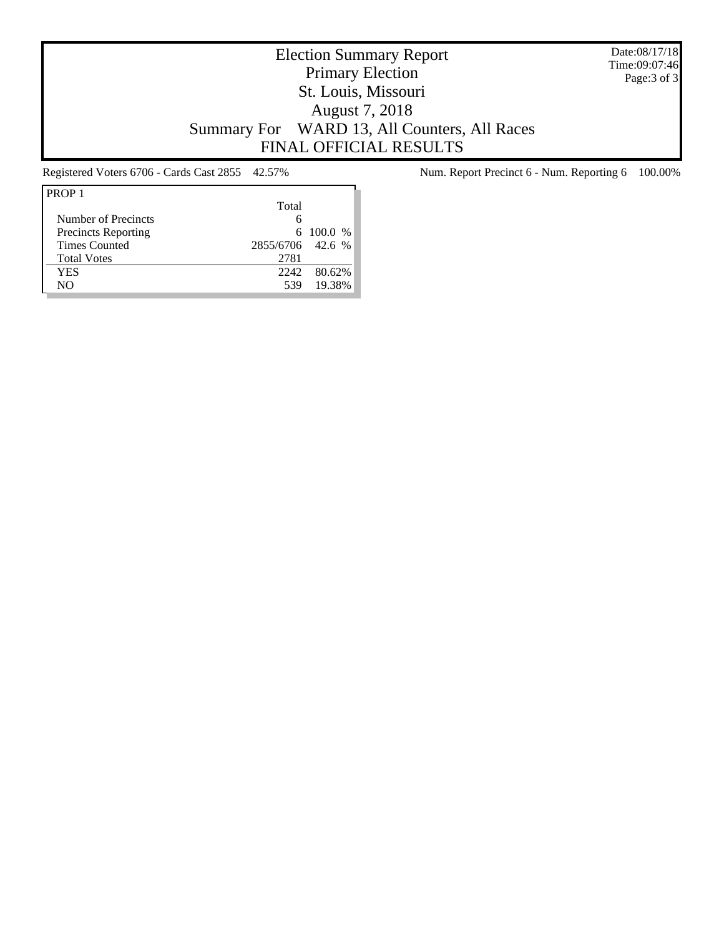Date:08/17/18 Time:09:07:46 Page:3 of 3

# Election Summary Report Primary Election St. Louis, Missouri August 7, 2018 Summary For WARD 13, All Counters, All Races FINAL OFFICIAL RESULTS

| Total |        |                                     |
|-------|--------|-------------------------------------|
| 6     |        |                                     |
|       |        |                                     |
|       |        |                                     |
| 2781  |        |                                     |
| 2242  | 80.62% |                                     |
| 539   | 19.38% |                                     |
|       |        | $6\quad100.0\%$<br>2855/6706 42.6 % |

Registered Voters 6706 - Cards Cast 2855 42.57% Num. Report Precinct 6 - Num. Reporting 6 100.00%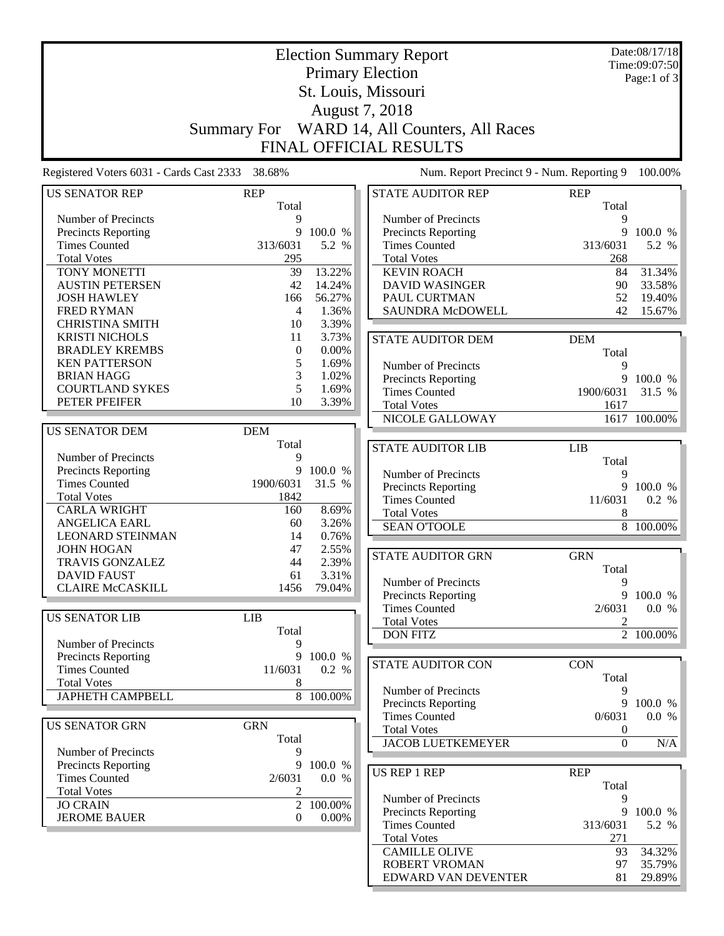|                                                 |                     | Date:08/17/18 |                                              |                     |                        |
|-------------------------------------------------|---------------------|---------------|----------------------------------------------|---------------------|------------------------|
|                                                 |                     | Time:09:07:50 |                                              |                     |                        |
|                                                 |                     | Page:1 of 3   |                                              |                     |                        |
|                                                 |                     |               |                                              |                     |                        |
|                                                 |                     |               |                                              |                     |                        |
|                                                 |                     |               | August 7, 2018                               |                     |                        |
|                                                 |                     |               | Summary For WARD 14, All Counters, All Races |                     |                        |
|                                                 |                     |               | <b>FINAL OFFICIAL RESULTS</b>                |                     |                        |
| Registered Voters 6031 - Cards Cast 2333 38.68% |                     |               | Num. Report Precinct 9 - Num. Reporting 9    |                     | 100.00%                |
|                                                 |                     |               |                                              |                     |                        |
| <b>US SENATOR REP</b>                           | <b>REP</b><br>Total |               | <b>STATE AUDITOR REP</b>                     | <b>REP</b><br>Total |                        |
| Number of Precincts                             | 9                   |               | Number of Precincts                          | 9                   |                        |
| <b>Precincts Reporting</b>                      | 9                   | 100.0 %       | <b>Precincts Reporting</b>                   | 9                   | 100.0 %                |
| <b>Times Counted</b>                            | 313/6031            | 5.2 %         | <b>Times Counted</b>                         | 313/6031            | 5.2 %                  |
| <b>Total Votes</b>                              | 295                 |               | <b>Total Votes</b>                           | 268                 |                        |
| TONY MONETTI                                    | 39                  | 13.22%        | <b>KEVIN ROACH</b>                           | 84                  | 31.34%                 |
| <b>AUSTIN PETERSEN</b>                          | 42                  | 14.24%        | <b>DAVID WASINGER</b>                        | 90                  | 33.58%                 |
| <b>JOSH HAWLEY</b>                              | 166                 | 56.27%        | PAUL CURTMAN                                 | 52                  | 19.40%                 |
| <b>FRED RYMAN</b>                               | $\overline{4}$      | 1.36%         | <b>SAUNDRA McDOWELL</b>                      | 42                  | 15.67%                 |
| <b>CHRISTINA SMITH</b>                          | 10                  | 3.39%         |                                              |                     |                        |
| <b>KRISTI NICHOLS</b>                           | 11                  | 3.73%         | <b>STATE AUDITOR DEM</b>                     | <b>DEM</b>          |                        |
| <b>BRADLEY KREMBS</b>                           | $\boldsymbol{0}$    | 0.00%         |                                              | Total               |                        |
| <b>KEN PATTERSON</b>                            | 5                   | 1.69%         | Number of Precincts                          | 9                   |                        |
| <b>BRIAN HAGG</b>                               | 3                   | 1.02%         | Precincts Reporting                          |                     | 9 100.0 %              |
| <b>COURTLAND SYKES</b>                          | 5                   | 1.69%         | <b>Times Counted</b>                         | 1900/6031           | 31.5 %                 |
| PETER PFEIFER                                   | 10                  | 3.39%         | <b>Total Votes</b>                           | 1617                |                        |
|                                                 |                     |               | NICOLE GALLOWAY                              |                     | 1617 100.00%           |
| <b>US SENATOR DEM</b>                           | <b>DEM</b>          |               |                                              |                     |                        |
|                                                 | Total               |               | <b>STATE AUDITOR LIB</b>                     | <b>LIB</b>          |                        |
| Number of Precincts                             | 9                   |               |                                              | Total               |                        |
| Precincts Reporting                             | 9                   | 100.0 %       | Number of Precincts                          | 9                   |                        |
| <b>Times Counted</b>                            | 1900/6031           | 31.5 %        | Precincts Reporting                          | 9                   | 100.0 %                |
| <b>Total Votes</b>                              | 1842                |               | <b>Times Counted</b>                         | 11/6031             | 0.2 %                  |
| <b>CARLA WRIGHT</b>                             | 160                 | 8.69%         | <b>Total Votes</b>                           | 8                   |                        |
| <b>ANGELICA EARL</b>                            | 60                  | 3.26%         | <b>SEAN O'TOOLE</b>                          |                     | 8 100.00%              |
| <b>LEONARD STEINMAN</b>                         | 14                  | 0.76%         |                                              |                     |                        |
| <b>JOHN HOGAN</b>                               | 47                  | 2.55%         | <b>STATE AUDITOR GRN</b>                     | <b>GRN</b>          |                        |
| TRAVIS GONZALEZ                                 | 44                  | 2.39%         |                                              | Total               |                        |
| <b>DAVID FAUST</b>                              | 61                  | 3.31%         | Number of Precincts                          | 9                   |                        |
| <b>CLAIRE McCASKILL</b>                         | 1456                | 79.04%        | Precincts Reporting                          |                     | 9 100.0 %              |
|                                                 |                     |               | <b>Times Counted</b>                         | 2/6031              | 0.0 %                  |
| <b>US SENATOR LIB</b>                           | LIB                 |               | <b>Total Votes</b>                           | 2                   |                        |
|                                                 | Total               |               | <b>DON FITZ</b>                              |                     | $\overline{2}$ 100.00% |
| Number of Precincts                             | 9                   |               |                                              |                     |                        |
| Precincts Reporting                             |                     | 9 100.0 %     | STATE AUDITOR CON                            | <b>CON</b>          |                        |
| <b>Times Counted</b>                            | 11/6031             | 0.2 %         |                                              | Total               |                        |
| <b>Total Votes</b>                              | 8                   |               | Number of Precincts                          | 9                   |                        |
| <b>JAPHETH CAMPBELL</b>                         |                     | 8 100.00%     | Precincts Reporting                          | 9                   | 100.0 %                |
|                                                 |                     |               | <b>Times Counted</b>                         | 0/6031              | 0.0 %                  |
| <b>US SENATOR GRN</b>                           | <b>GRN</b>          |               | <b>Total Votes</b>                           | 0                   |                        |
|                                                 | Total               |               | <b>JACOB LUETKEMEYER</b>                     | $\boldsymbol{0}$    | $\rm N/A$              |
| Number of Precincts                             | 9                   |               |                                              |                     |                        |
| Precincts Reporting                             | 9                   | 100.0 %       | <b>US REP 1 REP</b>                          | <b>REP</b>          |                        |
| <b>Times Counted</b>                            | 2/6031              | 0.0 %         |                                              | Total               |                        |
| <b>Total Votes</b>                              | $\mathfrak{2}$      |               | Number of Precincts                          | 9                   |                        |
| <b>JO CRAIN</b>                                 |                     | 2 100.00%     | Precincts Reporting                          |                     | 9 100.0 %              |
| <b>JEROME BAUER</b>                             | $\mathbf{0}$        | $0.00\%$      | <b>Times Counted</b>                         | 313/6031            | 5.2 %                  |
|                                                 |                     |               | <b>Total Votes</b>                           | 271                 |                        |
|                                                 |                     |               | <b>CAMILLE OLIVE</b>                         | 93                  | 34.32%                 |
|                                                 |                     |               | <b>ROBERT VROMAN</b>                         | 97                  | 35.79%                 |
|                                                 |                     |               | EDWARD VAN DEVENTER                          | 81                  | 29.89%                 |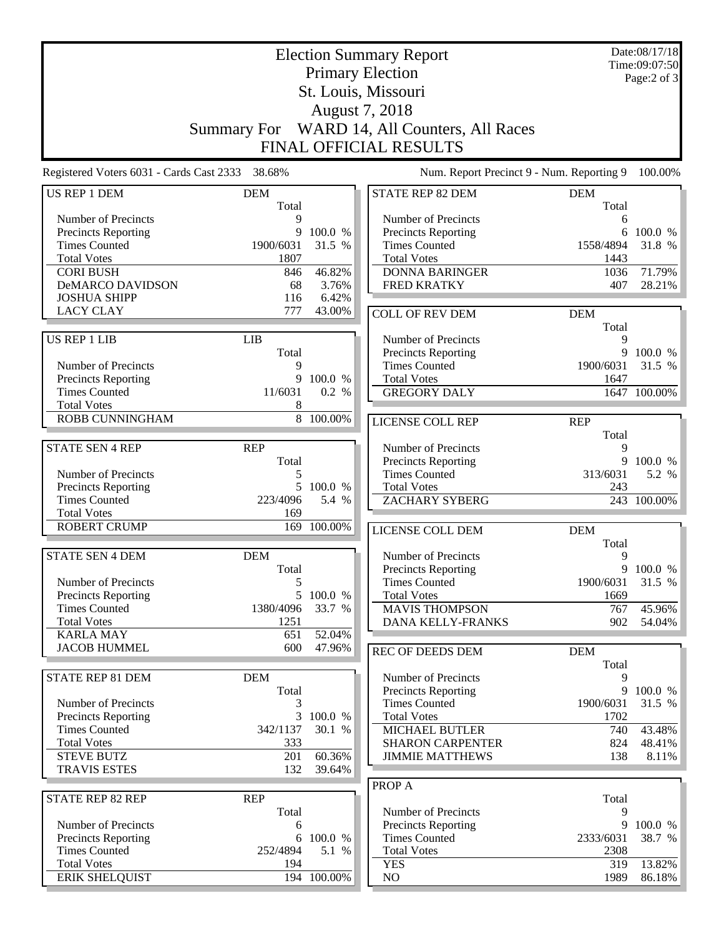| <b>Election Summary Report</b>                  |                        |                  |                                                   |             | Date:08/17/18<br>Time:09:07:50 |  |  |  |  |
|-------------------------------------------------|------------------------|------------------|---------------------------------------------------|-------------|--------------------------------|--|--|--|--|
|                                                 |                        |                  | <b>Primary Election</b>                           |             | Page:2 of 3                    |  |  |  |  |
| St. Louis, Missouri                             |                        |                  |                                                   |             |                                |  |  |  |  |
| August 7, 2018                                  |                        |                  |                                                   |             |                                |  |  |  |  |
|                                                 | <b>Summary For</b>     |                  | WARD 14, All Counters, All Races                  |             |                                |  |  |  |  |
|                                                 | FINAL OFFICIAL RESULTS |                  |                                                   |             |                                |  |  |  |  |
| Registered Voters 6031 - Cards Cast 2333 38.68% |                        |                  | Num. Report Precinct 9 - Num. Reporting 9         |             | 100.00%                        |  |  |  |  |
| US REP 1 DEM                                    | <b>DEM</b>             |                  | <b>STATE REP 82 DEM</b>                           | <b>DEM</b>  |                                |  |  |  |  |
|                                                 | Total                  |                  |                                                   | Total       |                                |  |  |  |  |
| Number of Precincts                             | 9<br>9                 | 100.0 %          | Number of Precincts                               | 6<br>6      | 100.0 %                        |  |  |  |  |
| Precincts Reporting<br><b>Times Counted</b>     | 1900/6031              | 31.5 %           | Precincts Reporting<br><b>Times Counted</b>       | 1558/4894   | 31.8 %                         |  |  |  |  |
| <b>Total Votes</b>                              | 1807                   |                  | <b>Total Votes</b>                                | 1443        |                                |  |  |  |  |
| <b>CORI BUSH</b>                                | 846                    | 46.82%           | <b>DONNA BARINGER</b>                             | 1036        | 71.79%                         |  |  |  |  |
| <b>DeMARCO DAVIDSON</b>                         | 68                     | 3.76%            | <b>FRED KRATKY</b>                                | 407         | 28.21%                         |  |  |  |  |
| <b>JOSHUA SHIPP</b>                             | 116                    | 6.42%            |                                                   |             |                                |  |  |  |  |
| <b>LACY CLAY</b>                                | 777                    | 43.00%           | <b>COLL OF REV DEM</b>                            | <b>DEM</b>  |                                |  |  |  |  |
|                                                 |                        |                  |                                                   | Total       |                                |  |  |  |  |
| <b>US REP 1 LIB</b>                             | LIB                    |                  | Number of Precincts                               | 9           |                                |  |  |  |  |
|                                                 | Total                  |                  | Precincts Reporting                               | 9           | 100.0 %                        |  |  |  |  |
| Number of Precincts                             | 9                      |                  | <b>Times Counted</b>                              | 1900/6031   | 31.5 %                         |  |  |  |  |
| <b>Precincts Reporting</b>                      | 9                      | 100.0 %          | <b>Total Votes</b>                                | 1647        |                                |  |  |  |  |
| <b>Times Counted</b>                            | 11/6031                | 0.2 %            | <b>GREGORY DALY</b>                               |             | 1647 100.00%                   |  |  |  |  |
| <b>Total Votes</b>                              | 8                      |                  |                                                   |             |                                |  |  |  |  |
| ROBB CUNNINGHAM                                 |                        | 8 100.00%        | LICENSE COLL REP                                  | <b>REP</b>  |                                |  |  |  |  |
| <b>STATE SEN 4 REP</b>                          | <b>REP</b>             |                  |                                                   | Total       |                                |  |  |  |  |
|                                                 | Total                  |                  | Number of Precincts<br><b>Precincts Reporting</b> | 9           | 9 100.0 %                      |  |  |  |  |
| Number of Precincts                             | 5                      |                  | <b>Times Counted</b>                              | 313/6031    | 5.2 %                          |  |  |  |  |
| Precincts Reporting                             | 5                      | 100.0 %          | <b>Total Votes</b>                                | 243         |                                |  |  |  |  |
| <b>Times Counted</b>                            | 223/4096               | 5.4 %            | <b>ZACHARY SYBERG</b>                             |             | 243 100.00%                    |  |  |  |  |
| <b>Total Votes</b>                              | 169                    |                  |                                                   |             |                                |  |  |  |  |
| <b>ROBERT CRUMP</b>                             | 169                    | 100.00%          | LICENSE COLL DEM                                  | <b>DEM</b>  |                                |  |  |  |  |
|                                                 |                        |                  |                                                   | Total       |                                |  |  |  |  |
| <b>STATE SEN 4 DEM</b>                          | <b>DEM</b>             |                  | Number of Precincts                               | 9           |                                |  |  |  |  |
|                                                 | Total                  |                  | Precincts Reporting                               |             | 9 100.0 %                      |  |  |  |  |
| Number of Precincts                             | 5                      |                  | <b>Times Counted</b>                              | 1900/6031   | 31.5 %                         |  |  |  |  |
| Precincts Reporting                             |                        | 5 100.0 %        | <b>Total Votes</b>                                | 1669        |                                |  |  |  |  |
| <b>Times Counted</b>                            | 1380/4096              | 33.7 %           | <b>MAVIS THOMPSON</b>                             | 767         | 45.96%                         |  |  |  |  |
| <b>Total Votes</b>                              | 1251                   |                  | DANA KELLY-FRANKS                                 | 902         | 54.04%                         |  |  |  |  |
| <b>KARLA MAY</b>                                | 651                    | 52.04%           |                                                   |             |                                |  |  |  |  |
| <b>JACOB HUMMEL</b>                             | 600                    | 47.96%           | <b>REC OF DEEDS DEM</b>                           | <b>DEM</b>  |                                |  |  |  |  |
|                                                 |                        |                  |                                                   | Total       |                                |  |  |  |  |
| STATE REP 81 DEM                                | <b>DEM</b>             |                  | Number of Precincts                               | 9           |                                |  |  |  |  |
|                                                 | Total                  |                  | <b>Precincts Reporting</b>                        | 9           | 100.0 %                        |  |  |  |  |
| Number of Precincts                             | 3                      |                  | <b>Times Counted</b>                              | 1900/6031   | 31.5 %                         |  |  |  |  |
| Precincts Reporting                             |                        | 3 100.0 %        | <b>Total Votes</b>                                | 1702        |                                |  |  |  |  |
| <b>Times Counted</b>                            | 342/1137               | 30.1 %           | <b>MICHAEL BUTLER</b>                             | 740         | 43.48%                         |  |  |  |  |
| <b>Total Votes</b>                              | 333                    |                  | <b>SHARON CARPENTER</b>                           | 824         | 48.41%                         |  |  |  |  |
| <b>STEVE BUTZ</b>                               | 201                    | 60.36%           | <b>JIMMIE MATTHEWS</b>                            | 138         | 8.11%                          |  |  |  |  |
| <b>TRAVIS ESTES</b>                             | 132                    | 39.64%           |                                                   |             |                                |  |  |  |  |
|                                                 |                        |                  | PROP A                                            |             |                                |  |  |  |  |
| <b>STATE REP 82 REP</b>                         | <b>REP</b>             |                  |                                                   | Total       |                                |  |  |  |  |
|                                                 | Total                  |                  | Number of Precincts                               | 9           |                                |  |  |  |  |
| Number of Precincts                             | 6                      |                  | <b>Precincts Reporting</b>                        |             | 9 100.0 %                      |  |  |  |  |
| Precincts Reporting<br><b>Times Counted</b>     | 6<br>252/4894          | 100.0 %<br>5.1 % | <b>Times Counted</b>                              | 2333/6031   | 38.7 %                         |  |  |  |  |
| <b>Total Votes</b>                              | 194                    |                  | <b>Total Votes</b>                                | 2308<br>319 | 13.82%                         |  |  |  |  |
| <b>ERIK SHELQUIST</b>                           |                        | 194 100.00%      | <b>YES</b><br>NO                                  | 1989        | 86.18%                         |  |  |  |  |
|                                                 |                        |                  |                                                   |             |                                |  |  |  |  |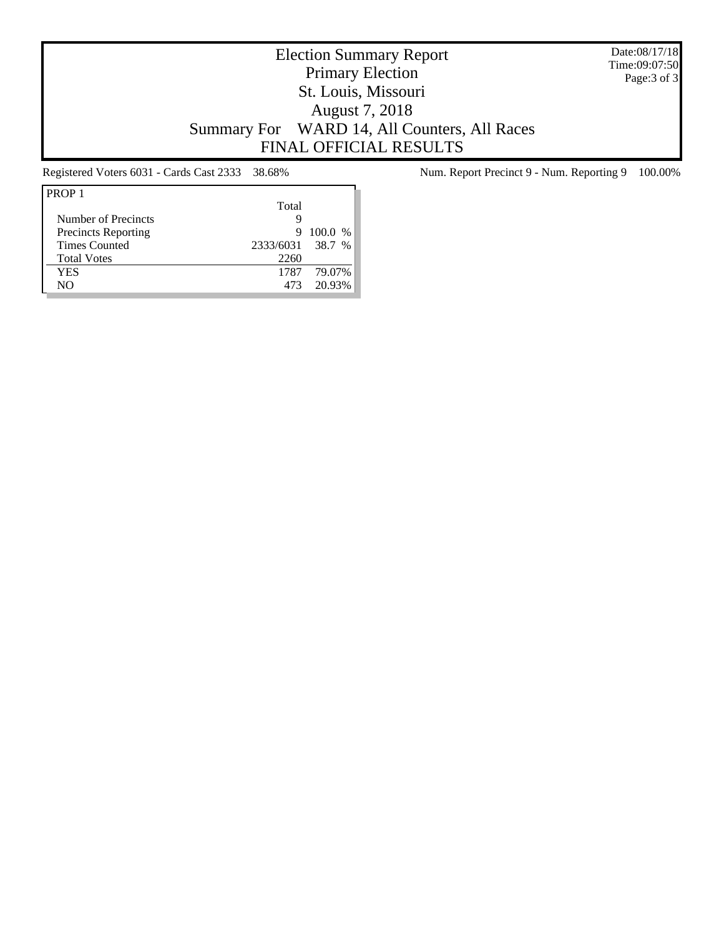Date:08/17/18 Time:09:07:50 Page:3 of 3

# Election Summary Report Primary Election St. Louis, Missouri August 7, 2018 Summary For WARD 14, All Counters, All Races FINAL OFFICIAL RESULTS

| PROP <sub>1</sub>          |                  |           |
|----------------------------|------------------|-----------|
|                            | Total            |           |
| Number of Precincts        | g                |           |
| <b>Precincts Reporting</b> | 9                | $100.0\%$ |
| <b>Times Counted</b>       | 2333/6031 38.7 % |           |
| <b>Total Votes</b>         | 2260             |           |
| YES                        | 1787             | 79.07%    |
| NO                         | 473              | 20.93%    |
|                            |                  |           |

Registered Voters 6031 - Cards Cast 2333 38.68% Num. Report Precinct 9 - Num. Reporting 9 100.00%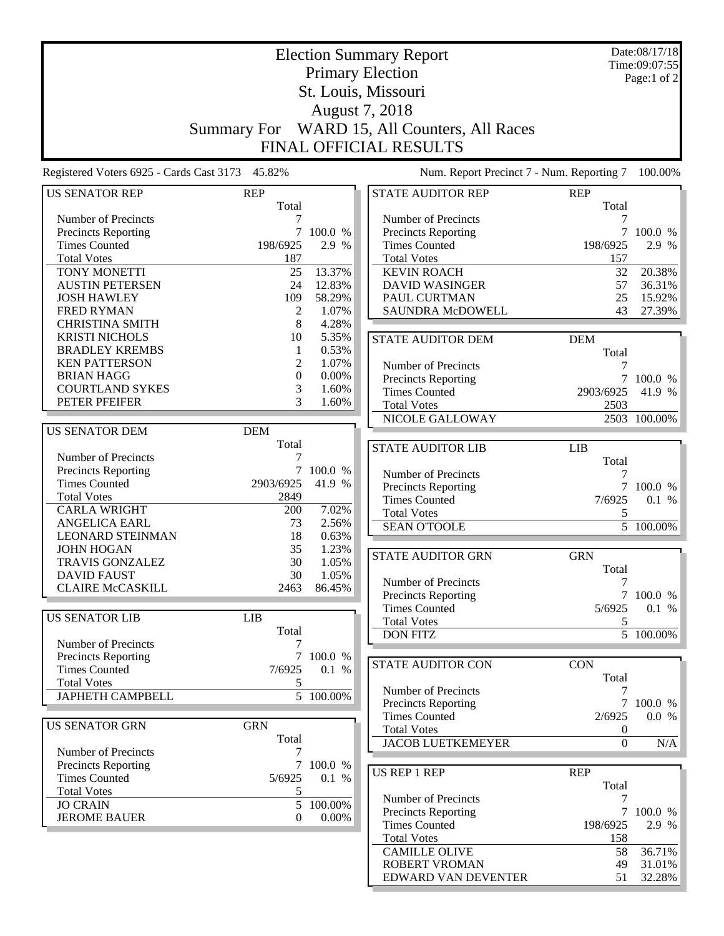| <b>Election Summary Report</b>                  |                     |               |                                              |                |                        |  |  |  |
|-------------------------------------------------|---------------------|---------------|----------------------------------------------|----------------|------------------------|--|--|--|
|                                                 |                     | Date:08/17/18 |                                              |                |                        |  |  |  |
|                                                 |                     | Time:09:07:55 |                                              |                |                        |  |  |  |
|                                                 |                     | Page:1 of 2   |                                              |                |                        |  |  |  |
|                                                 | St. Louis, Missouri |               |                                              |                |                        |  |  |  |
| August 7, 2018                                  |                     |               |                                              |                |                        |  |  |  |
|                                                 |                     |               |                                              |                |                        |  |  |  |
|                                                 |                     |               | Summary For WARD 15, All Counters, All Races |                |                        |  |  |  |
|                                                 |                     |               | <b>FINAL OFFICIAL RESULTS</b>                |                |                        |  |  |  |
|                                                 |                     |               |                                              |                |                        |  |  |  |
| Registered Voters 6925 - Cards Cast 3173 45.82% |                     |               | Num. Report Precinct 7 - Num. Reporting 7    |                | 100.00%                |  |  |  |
|                                                 |                     |               |                                              |                |                        |  |  |  |
| <b>US SENATOR REP</b>                           | <b>REP</b>          |               | <b>STATE AUDITOR REP</b>                     | <b>REP</b>     |                        |  |  |  |
|                                                 | Total               |               |                                              | Total          |                        |  |  |  |
| Number of Precincts                             | 7                   |               | Number of Precincts                          | 7              |                        |  |  |  |
| <b>Precincts Reporting</b>                      | 7                   | 100.0 %       | <b>Precincts Reporting</b>                   | $\tau$         | 100.0 %                |  |  |  |
| <b>Times Counted</b>                            | 198/6925            | 2.9 %         | <b>Times Counted</b>                         | 198/6925       | 2.9 %                  |  |  |  |
| <b>Total Votes</b>                              | 187                 |               | <b>Total Votes</b>                           | 157            |                        |  |  |  |
| TONY MONETTI                                    | 25                  | 13.37%        | <b>KEVIN ROACH</b>                           | 32             | 20.38%                 |  |  |  |
| <b>AUSTIN PETERSEN</b>                          | 24                  | 12.83%        | <b>DAVID WASINGER</b>                        | 57             | 36.31%                 |  |  |  |
| <b>JOSH HAWLEY</b>                              | 109                 | 58.29%        | PAUL CURTMAN                                 | 25             | 15.92%                 |  |  |  |
| <b>FRED RYMAN</b>                               | 2                   | 1.07%         | SAUNDRA McDOWELL                             | 43             | 27.39%                 |  |  |  |
| <b>CHRISTINA SMITH</b>                          | $\,8\,$             | 4.28%         |                                              |                |                        |  |  |  |
|                                                 |                     |               |                                              |                |                        |  |  |  |
| <b>KRISTI NICHOLS</b>                           | 10                  | 5.35%         | <b>STATE AUDITOR DEM</b>                     | <b>DEM</b>     |                        |  |  |  |
| <b>BRADLEY KREMBS</b>                           | 1                   | 0.53%         |                                              | Total          |                        |  |  |  |
| <b>KEN PATTERSON</b>                            | 2                   | 1.07%         | Number of Precincts                          | 7              |                        |  |  |  |
| <b>BRIAN HAGG</b>                               | $\mathbf{0}$        | 0.00%         | Precincts Reporting                          | $\tau$         | 100.0 %                |  |  |  |
| <b>COURTLAND SYKES</b>                          | 3                   | 1.60%         | <b>Times Counted</b>                         | 2903/6925      | 41.9 %                 |  |  |  |
| PETER PFEIFER                                   | 3                   | 1.60%         | <b>Total Votes</b>                           | 2503           |                        |  |  |  |
|                                                 |                     |               | NICOLE GALLOWAY                              |                | 2503 100.00%           |  |  |  |
| <b>US SENATOR DEM</b>                           | <b>DEM</b>          |               |                                              |                |                        |  |  |  |
|                                                 | Total               |               | <b>STATE AUDITOR LIB</b>                     | <b>LIB</b>     |                        |  |  |  |
| Number of Precincts                             | 7                   |               |                                              | Total          |                        |  |  |  |
| Precincts Reporting                             | $\overline{7}$      | 100.0 %       | Number of Precincts                          | 7              |                        |  |  |  |
| <b>Times Counted</b>                            | 2903/6925           | 41.9 %        |                                              | $\tau$         |                        |  |  |  |
| <b>Total Votes</b>                              | 2849                |               | Precincts Reporting<br><b>Times Counted</b>  |                | 100.0 %                |  |  |  |
| <b>CARLA WRIGHT</b>                             | 200                 | 7.02%         |                                              | 7/6925         | 0.1 %                  |  |  |  |
| <b>ANGELICA EARL</b>                            | 73                  | 2.56%         | <b>Total Votes</b>                           | 5              |                        |  |  |  |
| <b>LEONARD STEINMAN</b>                         | 18                  | 0.63%         | <b>SEAN O'TOOLE</b>                          |                | $\overline{5}$ 100.00% |  |  |  |
|                                                 |                     |               |                                              |                |                        |  |  |  |
| <b>JOHN HOGAN</b>                               | 35                  | 1.23%         | <b>STATE AUDITOR GRN</b>                     | <b>GRN</b>     |                        |  |  |  |
| TRAVIS GONZALEZ                                 | 30                  | 1.05%         |                                              | Total          |                        |  |  |  |
| <b>DAVID FAUST</b>                              | 30                  | 1.05%         | Number of Precincts                          | 7              |                        |  |  |  |
| <b>CLAIRE McCASKILL</b>                         | 2463                | 86.45%        | Precincts Reporting                          |                | 7 100.0 %              |  |  |  |
|                                                 |                     |               | <b>Times Counted</b>                         | 5/6925         | 0.1 %                  |  |  |  |
| <b>US SENATOR LIB</b>                           | <b>LIB</b>          |               | <b>Total Votes</b>                           | 5              |                        |  |  |  |
|                                                 | Total               |               | <b>DON FITZ</b>                              |                | $\overline{5}$ 100.00% |  |  |  |
| Number of Precincts                             | 7                   |               |                                              |                |                        |  |  |  |
| Precincts Reporting                             |                     | 7 100.0 %     |                                              |                |                        |  |  |  |
| <b>Times Counted</b>                            | 7/6925              | 0.1 %         | STATE AUDITOR CON                            | <b>CON</b>     |                        |  |  |  |
| <b>Total Votes</b>                              | 5                   |               |                                              | Total          |                        |  |  |  |
| <b>JAPHETH CAMPBELL</b>                         |                     | 5 100.00%     | Number of Precincts                          | 7              |                        |  |  |  |
|                                                 |                     |               | Precincts Reporting                          | $\overline{7}$ | 100.0 %                |  |  |  |
|                                                 |                     |               | <b>Times Counted</b>                         | 2/6925         | 0.0 %                  |  |  |  |
| <b>US SENATOR GRN</b>                           | <b>GRN</b>          |               | <b>Total Votes</b>                           | 0              |                        |  |  |  |
|                                                 | Total               |               | <b>JACOB LUETKEMEYER</b>                     | $\overline{0}$ | N/A                    |  |  |  |
| Number of Precincts                             | 7                   |               |                                              |                |                        |  |  |  |
| Precincts Reporting                             | 7                   | 100.0 %       | <b>US REP 1 REP</b>                          | <b>REP</b>     |                        |  |  |  |
| <b>Times Counted</b>                            | 5/6925              | 0.1 %         |                                              | Total          |                        |  |  |  |
| <b>Total Votes</b>                              | 5                   |               | Number of Precincts                          | 7              |                        |  |  |  |
| <b>JO CRAIN</b>                                 | 5                   | $100.00\%$    | Precincts Reporting                          |                | 7 100.0 %              |  |  |  |
| <b>JEROME BAUER</b>                             | $\mathbf{0}$        | $0.00\%$      | <b>Times Counted</b>                         | 198/6925       | 2.9 %                  |  |  |  |
|                                                 |                     |               |                                              |                |                        |  |  |  |
|                                                 |                     |               | <b>Total Votes</b>                           | 158            |                        |  |  |  |
|                                                 |                     |               | <b>CAMILLE OLIVE</b>                         | 58             | 36.71%                 |  |  |  |
|                                                 |                     |               | <b>ROBERT VROMAN</b>                         | 49             | 31.01%                 |  |  |  |
|                                                 |                     |               | EDWARD VAN DEVENTER                          | 51             | 32.28%                 |  |  |  |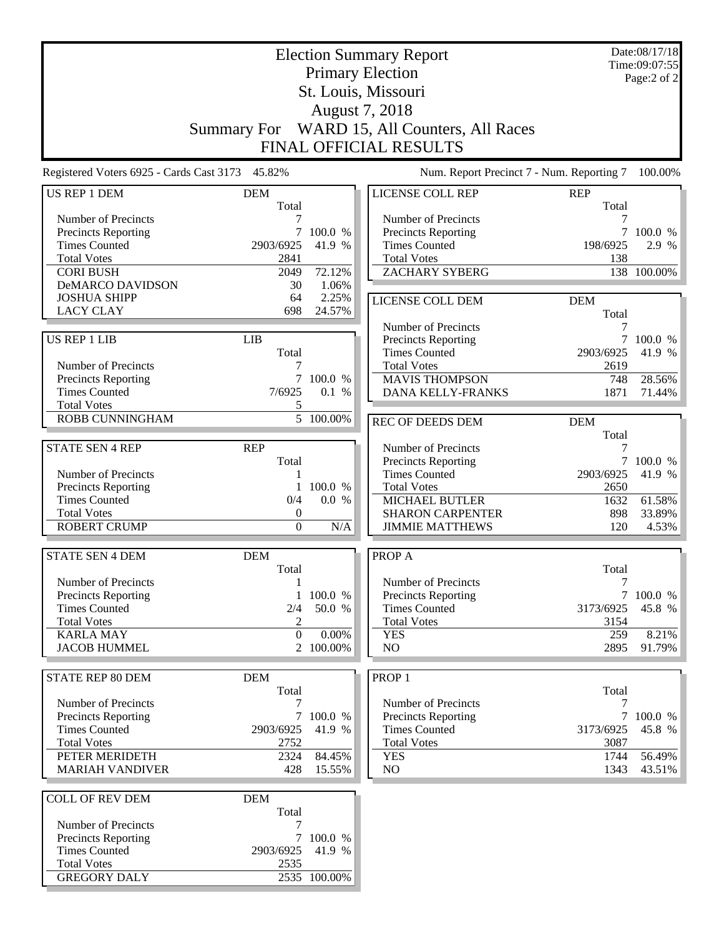|                                                 | Date:08/17/18<br><b>Election Summary Report</b><br>Time:09:07:55 |                        |                                             |                           |                  |  |  |  |
|-------------------------------------------------|------------------------------------------------------------------|------------------------|---------------------------------------------|---------------------------|------------------|--|--|--|
| <b>Primary Election</b>                         |                                                                  |                        |                                             |                           |                  |  |  |  |
|                                                 | St. Louis, Missouri                                              |                        |                                             |                           |                  |  |  |  |
| August 7, 2018                                  |                                                                  |                        |                                             |                           |                  |  |  |  |
|                                                 | <b>Summary For</b>                                               |                        | WARD 15, All Counters, All Races            |                           |                  |  |  |  |
|                                                 |                                                                  |                        | FINAL OFFICIAL RESULTS                      |                           |                  |  |  |  |
| Registered Voters 6925 - Cards Cast 3173 45.82% |                                                                  |                        | Num. Report Precinct 7 - Num. Reporting 7   |                           | 100.00%          |  |  |  |
| US REP 1 DEM                                    | <b>DEM</b>                                                       |                        | LICENSE COLL REP                            | <b>REP</b>                |                  |  |  |  |
|                                                 | Total                                                            |                        |                                             | Total                     |                  |  |  |  |
| Number of Precincts                             | 7                                                                |                        | Number of Precincts                         | 7                         |                  |  |  |  |
| Precincts Reporting<br><b>Times Counted</b>     | 7<br>2903/6925                                                   | 100.0 %<br>41.9 %      | Precincts Reporting<br><b>Times Counted</b> | 7<br>198/6925             | 100.0 %<br>2.9 % |  |  |  |
| <b>Total Votes</b>                              | 2841                                                             |                        | <b>Total Votes</b>                          | 138                       |                  |  |  |  |
| <b>CORI BUSH</b>                                | 2049                                                             | 72.12%                 | <b>ZACHARY SYBERG</b>                       |                           | 138 100.00%      |  |  |  |
| <b>DeMARCO DAVIDSON</b>                         | 30                                                               | 1.06%                  |                                             |                           |                  |  |  |  |
| <b>JOSHUA SHIPP</b>                             | 64                                                               | 2.25%                  | LICENSE COLL DEM                            | <b>DEM</b>                |                  |  |  |  |
| <b>LACY CLAY</b>                                | 698                                                              | 24.57%                 |                                             | Total                     |                  |  |  |  |
|                                                 |                                                                  |                        | Number of Precincts                         | 7                         |                  |  |  |  |
| US REP 1 LIB                                    | <b>LIB</b>                                                       |                        | Precincts Reporting                         | $\overline{7}$            | 100.0 %          |  |  |  |
|                                                 | Total                                                            |                        | <b>Times Counted</b>                        | 2903/6925                 | 41.9 %           |  |  |  |
| Number of Precincts                             | 7                                                                |                        | <b>Total Votes</b>                          | 2619                      |                  |  |  |  |
| <b>Precincts Reporting</b>                      |                                                                  | 7 100.0 %              | <b>MAVIS THOMPSON</b>                       | 748                       | 28.56%           |  |  |  |
| <b>Times Counted</b>                            | 7/6925                                                           | 0.1 %                  | DANA KELLY-FRANKS                           | 1871                      | 71.44%           |  |  |  |
| <b>Total Votes</b>                              | 5                                                                |                        |                                             |                           |                  |  |  |  |
| <b>ROBB CUNNINGHAM</b>                          |                                                                  | $\overline{5}$ 100.00% | <b>REC OF DEEDS DEM</b>                     | <b>DEM</b>                |                  |  |  |  |
|                                                 |                                                                  |                        |                                             | Total                     |                  |  |  |  |
| <b>STATE SEN 4 REP</b>                          | <b>REP</b>                                                       |                        | Number of Precincts                         |                           |                  |  |  |  |
|                                                 | Total                                                            |                        | Precincts Reporting                         | $\overline{7}$            | 100.0 %          |  |  |  |
| Number of Precincts                             | 1                                                                |                        | <b>Times Counted</b>                        | 2903/6925                 | 41.9 %           |  |  |  |
| <b>Precincts Reporting</b>                      |                                                                  | 100.0 %                | <b>Total Votes</b>                          | 2650                      |                  |  |  |  |
| <b>Times Counted</b>                            | 0/4                                                              | 0.0 %                  | <b>MICHAEL BUTLER</b>                       | 1632                      | 61.58%           |  |  |  |
| <b>Total Votes</b>                              | $\boldsymbol{0}$                                                 |                        | <b>SHARON CARPENTER</b>                     | 898                       | 33.89%           |  |  |  |
| <b>ROBERT CRUMP</b>                             | $\boldsymbol{0}$                                                 | N/A                    | <b>JIMMIE MATTHEWS</b>                      | 120                       | 4.53%            |  |  |  |
|                                                 |                                                                  |                        |                                             |                           |                  |  |  |  |
| <b>STATE SEN 4 DEM</b>                          | <b>DEM</b>                                                       |                        | PROP A                                      |                           |                  |  |  |  |
| Number of Precincts                             | Total                                                            |                        | Number of Precincts                         | Total<br>$\boldsymbol{7}$ |                  |  |  |  |
| Precincts Reporting                             | $\mathbf{1}$<br>1                                                | 100.0 %                | Precincts Reporting                         | 7 <sup>1</sup>            | 100.0 %          |  |  |  |
| <b>Times Counted</b>                            | 2/4                                                              | 50.0 %                 | <b>Times Counted</b>                        | 3173/6925                 | 45.8 %           |  |  |  |
| <b>Total Votes</b>                              | 2                                                                |                        | <b>Total Votes</b>                          | 3154                      |                  |  |  |  |
| <b>KARLA MAY</b>                                | $\mathbf{0}$                                                     | 0.00%                  | <b>YES</b>                                  | 259                       | 8.21%            |  |  |  |
| <b>JACOB HUMMEL</b>                             |                                                                  | 2 100.00%              | NO                                          | 2895                      | 91.79%           |  |  |  |
|                                                 |                                                                  |                        |                                             |                           |                  |  |  |  |
| <b>STATE REP 80 DEM</b>                         | <b>DEM</b>                                                       |                        | PROP <sub>1</sub>                           |                           |                  |  |  |  |
|                                                 | Total                                                            |                        |                                             | Total                     |                  |  |  |  |
| Number of Precincts                             | 7                                                                |                        | Number of Precincts                         | 7                         |                  |  |  |  |
| Precincts Reporting                             |                                                                  | 7 100.0 %              | Precincts Reporting                         |                           | 7 100.0 %        |  |  |  |
| <b>Times Counted</b>                            | 2903/6925                                                        | 41.9 %                 | <b>Times Counted</b>                        | 3173/6925                 | 45.8 %           |  |  |  |
| <b>Total Votes</b>                              | 2752                                                             |                        | <b>Total Votes</b>                          | 3087                      |                  |  |  |  |
| PETER MERIDETH                                  | 2324                                                             | 84.45%                 | <b>YES</b>                                  | 1744                      | 56.49%           |  |  |  |
| <b>MARIAH VANDIVER</b>                          | 428                                                              | 15.55%                 | NO.                                         | 1343                      | 43.51%           |  |  |  |
|                                                 |                                                                  |                        |                                             |                           |                  |  |  |  |
| <b>COLL OF REV DEM</b>                          | <b>DEM</b><br>Total                                              |                        |                                             |                           |                  |  |  |  |
| Number of Precincts                             | 7                                                                |                        |                                             |                           |                  |  |  |  |
| Precincts Reporting                             |                                                                  | 7 100.0 %              |                                             |                           |                  |  |  |  |
| <b>Times Counted</b>                            | 2903/6925                                                        | 41.9 %                 |                                             |                           |                  |  |  |  |
| <b>Total Votes</b>                              | 2535                                                             |                        |                                             |                           |                  |  |  |  |
| <b>GREGORY DALY</b>                             |                                                                  | 2535 100.00%           |                                             |                           |                  |  |  |  |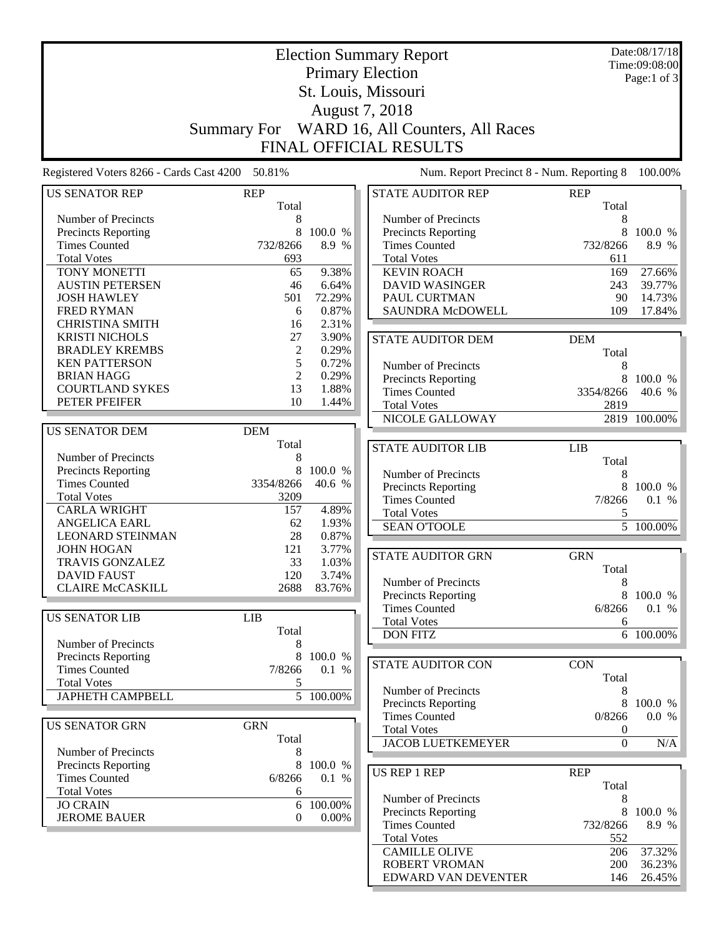| <b>Election Summary Report</b><br><b>Primary Election</b> |                     |                |                                             |                     | Date:08/17/18<br>Time:09:08:00 |  |  |  |  |
|-----------------------------------------------------------|---------------------|----------------|---------------------------------------------|---------------------|--------------------------------|--|--|--|--|
|                                                           |                     | Page:1 of 3    |                                             |                     |                                |  |  |  |  |
|                                                           |                     |                | St. Louis, Missouri                         |                     |                                |  |  |  |  |
| August 7, 2018                                            |                     |                |                                             |                     |                                |  |  |  |  |
|                                                           |                     |                | WARD 16, All Counters, All Races            |                     |                                |  |  |  |  |
|                                                           | Summary For         |                |                                             |                     |                                |  |  |  |  |
| <b>FINAL OFFICIAL RESULTS</b>                             |                     |                |                                             |                     |                                |  |  |  |  |
| Registered Voters 8266 - Cards Cast 4200 50.81%           |                     |                | Num. Report Precinct 8 - Num. Reporting 8   |                     | 100.00%                        |  |  |  |  |
| <b>US SENATOR REP</b>                                     | <b>REP</b><br>Total |                | <b>STATE AUDITOR REP</b>                    | <b>REP</b><br>Total |                                |  |  |  |  |
| Number of Precincts                                       | 8                   |                | Number of Precincts                         | 8                   |                                |  |  |  |  |
| Precincts Reporting                                       | 8                   | 100.0 %        | Precincts Reporting                         | 8                   | 100.0 %                        |  |  |  |  |
| <b>Times Counted</b>                                      | 732/8266            | 8.9 %          | <b>Times Counted</b>                        | 732/8266            | 8.9 %                          |  |  |  |  |
| <b>Total Votes</b>                                        | 693                 |                | <b>Total Votes</b>                          | 611                 |                                |  |  |  |  |
| <b>TONY MONETTI</b>                                       | 65                  | 9.38%          | <b>KEVIN ROACH</b>                          | 169                 | 27.66%                         |  |  |  |  |
| <b>AUSTIN PETERSEN</b>                                    | 46                  | 6.64%          | <b>DAVID WASINGER</b>                       | 243                 | 39.77%                         |  |  |  |  |
| <b>JOSH HAWLEY</b>                                        | 501                 | 72.29%         | PAUL CURTMAN                                | 90                  | 14.73%                         |  |  |  |  |
| <b>FRED RYMAN</b>                                         | 6                   | 0.87%          | SAUNDRA McDOWELL                            | 109                 | 17.84%                         |  |  |  |  |
| <b>CHRISTINA SMITH</b>                                    | 16                  | 2.31%          |                                             |                     |                                |  |  |  |  |
| <b>KRISTI NICHOLS</b>                                     | 27                  | 3.90%          | <b>STATE AUDITOR DEM</b>                    | <b>DEM</b>          |                                |  |  |  |  |
| <b>BRADLEY KREMBS</b>                                     | $\overline{c}$      | 0.29%          |                                             | Total               |                                |  |  |  |  |
| <b>KEN PATTERSON</b><br><b>BRIAN HAGG</b>                 | 5<br>2              | 0.72%<br>0.29% | Number of Precincts                         | 8                   |                                |  |  |  |  |
| <b>COURTLAND SYKES</b>                                    | 13                  | 1.88%          | <b>Precincts Reporting</b>                  | 8                   | 100.0%                         |  |  |  |  |
| PETER PFEIFER                                             | 10                  | 1.44%          | <b>Times Counted</b>                        | 3354/8266           | 40.6 %                         |  |  |  |  |
|                                                           |                     |                | <b>Total Votes</b>                          | 2819                |                                |  |  |  |  |
| <b>US SENATOR DEM</b>                                     | <b>DEM</b>          |                | NICOLE GALLOWAY                             |                     | 2819 100.00%                   |  |  |  |  |
|                                                           | Total               |                |                                             |                     |                                |  |  |  |  |
| Number of Precincts                                       | 8                   |                | <b>STATE AUDITOR LIB</b>                    | <b>LIB</b><br>Total |                                |  |  |  |  |
| Precincts Reporting                                       | 8                   | 100.0 %        | Number of Precincts                         | 8                   |                                |  |  |  |  |
| <b>Times Counted</b>                                      | 3354/8266           | 40.6 %         | Precincts Reporting                         | 8                   | 100.0 %                        |  |  |  |  |
| <b>Total Votes</b>                                        | 3209                |                | <b>Times Counted</b>                        | 7/8266              | 0.1 %                          |  |  |  |  |
| <b>CARLA WRIGHT</b>                                       | 157                 | 4.89%          | <b>Total Votes</b>                          | 5                   |                                |  |  |  |  |
| <b>ANGELICA EARL</b>                                      | 62                  | 1.93%          | <b>SEAN O'TOOLE</b>                         |                     | $\overline{5}$ 100.00%         |  |  |  |  |
| <b>LEONARD STEINMAN</b>                                   | 28                  | 0.87%          |                                             |                     |                                |  |  |  |  |
| <b>JOHN HOGAN</b>                                         | 121                 | 3.77%          | <b>STATE AUDITOR GRN</b>                    | <b>GRN</b>          |                                |  |  |  |  |
| <b>TRAVIS GONZALEZ</b>                                    | 33                  | 1.03%          |                                             | Total               |                                |  |  |  |  |
| <b>DAVID FAUST</b>                                        | 120                 | 3.74%          | Number of Precincts                         | 8                   |                                |  |  |  |  |
| <b>CLAIRE McCASKILL</b>                                   | 2688                | 83.76%         | Precincts Reporting                         | 8                   | 100.0 %                        |  |  |  |  |
|                                                           |                     |                | <b>Times Counted</b>                        | 6/8266              | 0.1 %                          |  |  |  |  |
| <b>US SENATOR LIB</b>                                     | <b>LIB</b>          |                | <b>Total Votes</b>                          | 6                   |                                |  |  |  |  |
|                                                           | Total               |                | <b>DON FITZ</b>                             |                     | 6 100.00%                      |  |  |  |  |
| Number of Precincts<br><b>Precincts Reporting</b>         | 8<br>8              | 100.0 %        |                                             |                     |                                |  |  |  |  |
| <b>Times Counted</b>                                      | 7/8266              | 0.1 %          | STATE AUDITOR CON                           | <b>CON</b>          |                                |  |  |  |  |
| <b>Total Votes</b>                                        | 5                   |                |                                             | Total               |                                |  |  |  |  |
| <b>JAPHETH CAMPBELL</b>                                   |                     | 5 100.00%      | Number of Precincts                         | 8                   |                                |  |  |  |  |
|                                                           |                     |                | Precincts Reporting                         | 8                   | 100.0 %                        |  |  |  |  |
| <b>US SENATOR GRN</b>                                     | <b>GRN</b>          |                | <b>Times Counted</b>                        | 0/8266              | 0.0 %                          |  |  |  |  |
|                                                           | Total               |                | <b>Total Votes</b>                          | $\boldsymbol{0}$    |                                |  |  |  |  |
| Number of Precincts                                       | 8                   |                | <b>JACOB LUETKEMEYER</b>                    | $\boldsymbol{0}$    | N/A                            |  |  |  |  |
| <b>Precincts Reporting</b>                                | 8                   | 100.0 %        |                                             |                     |                                |  |  |  |  |
| <b>Times Counted</b>                                      | 6/8266              | 0.1 %          | <b>US REP 1 REP</b>                         | <b>REP</b>          |                                |  |  |  |  |
| <b>Total Votes</b>                                        | 6                   |                |                                             | Total               |                                |  |  |  |  |
| <b>JO CRAIN</b>                                           | 6                   | 100.00%        | Number of Precincts                         | 8                   |                                |  |  |  |  |
| <b>JEROME BAUER</b>                                       | $\overline{0}$      | $0.00\%$       | Precincts Reporting<br><b>Times Counted</b> | 8<br>732/8266       | 100.0 %<br>8.9 %               |  |  |  |  |
|                                                           |                     |                | <b>Total Votes</b>                          | 552                 |                                |  |  |  |  |
|                                                           |                     |                | <b>CAMILLE OLIVE</b>                        | 206                 | 37.32%                         |  |  |  |  |
|                                                           |                     |                | <b>ROBERT VROMAN</b>                        | 200                 | 36.23%                         |  |  |  |  |
|                                                           |                     |                | EDWARD VAN DEVENTER                         | 146                 | 26.45%                         |  |  |  |  |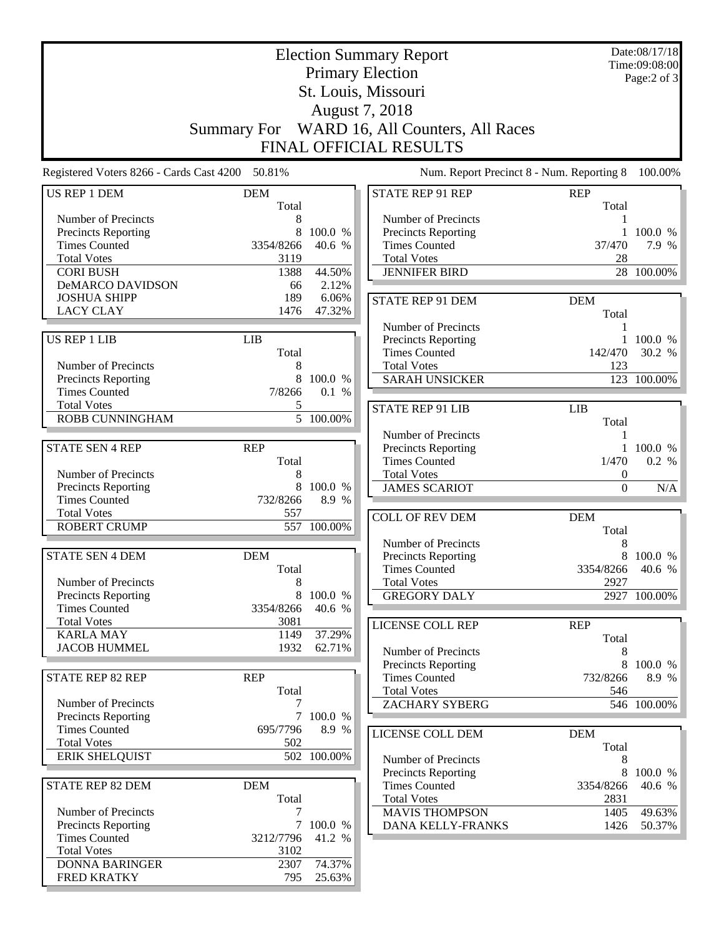| <b>Election Summary Report</b>                     |            |             |  |                                              | Date:08/17/18<br>Time:09:08:00 |              |  |  |
|----------------------------------------------------|------------|-------------|--|----------------------------------------------|--------------------------------|--------------|--|--|
|                                                    |            |             |  | <b>Primary Election</b>                      |                                | Page:2 of 3  |  |  |
|                                                    |            |             |  | St. Louis, Missouri                          |                                |              |  |  |
| August 7, 2018                                     |            |             |  |                                              |                                |              |  |  |
|                                                    |            |             |  | Summary For WARD 16, All Counters, All Races |                                |              |  |  |
|                                                    |            |             |  |                                              |                                |              |  |  |
|                                                    |            |             |  | <b>FINAL OFFICIAL RESULTS</b>                |                                |              |  |  |
| Registered Voters 8266 - Cards Cast 4200 50.81%    |            |             |  | Num. Report Precinct 8 - Num. Reporting 8    |                                | 100.00%      |  |  |
| <b>US REP 1 DEM</b>                                | <b>DEM</b> |             |  | <b>STATE REP 91 REP</b>                      | <b>REP</b>                     |              |  |  |
| Number of Precincts                                | Total<br>8 |             |  | Number of Precincts                          | Total<br>1                     |              |  |  |
| <b>Precincts Reporting</b>                         | 8          | 100.0 %     |  | Precincts Reporting                          |                                | 1 100.0 %    |  |  |
| <b>Times Counted</b>                               | 3354/8266  | 40.6 %      |  | <b>Times Counted</b>                         | 37/470                         | 7.9 %        |  |  |
| <b>Total Votes</b>                                 | 3119       |             |  | <b>Total Votes</b>                           | 28                             |              |  |  |
| <b>CORI BUSH</b>                                   | 1388       | 44.50%      |  | <b>JENNIFER BIRD</b>                         |                                | 28 100.00%   |  |  |
| DeMARCO DAVIDSON                                   | 66         | 2.12%       |  |                                              |                                |              |  |  |
| <b>JOSHUA SHIPP</b>                                | 189        | 6.06%       |  | <b>STATE REP 91 DEM</b>                      | <b>DEM</b>                     |              |  |  |
| <b>LACY CLAY</b>                                   | 1476       | 47.32%      |  |                                              | Total                          |              |  |  |
|                                                    |            |             |  | Number of Precincts                          | 1                              |              |  |  |
| <b>US REP 1 LIB</b>                                | <b>LIB</b> |             |  | Precincts Reporting                          |                                | 1 100.0 %    |  |  |
|                                                    | Total      |             |  | <b>Times Counted</b>                         | 142/470                        | 30.2 %       |  |  |
| Number of Precincts                                | 8          |             |  | <b>Total Votes</b>                           | 123                            |              |  |  |
| Precincts Reporting                                | 8          | 100.0 %     |  | <b>SARAH UNSICKER</b>                        |                                | 123 100.00%  |  |  |
| <b>Times Counted</b>                               | 7/8266     | 0.1 %       |  |                                              |                                |              |  |  |
| <b>Total Votes</b><br><b>ROBB CUNNINGHAM</b>       | 5          | 5 100.00%   |  | <b>STATE REP 91 LIB</b>                      | <b>LIB</b>                     |              |  |  |
|                                                    |            |             |  |                                              | Total                          |              |  |  |
|                                                    |            |             |  | Number of Precincts                          | 1                              |              |  |  |
| <b>STATE SEN 4 REP</b>                             | <b>REP</b> |             |  | Precincts Reporting                          |                                | $1\,100.0\%$ |  |  |
| Number of Precincts                                | Total<br>8 |             |  | <b>Times Counted</b><br><b>Total Votes</b>   | 1/470<br>$\boldsymbol{0}$      | 0.2 %        |  |  |
| <b>Precincts Reporting</b>                         | 8          | 100.0 %     |  | <b>JAMES SCARIOT</b>                         | $\boldsymbol{0}$               | N/A          |  |  |
| <b>Times Counted</b>                               | 732/8266   | 8.9 %       |  |                                              |                                |              |  |  |
| <b>Total Votes</b>                                 | 557        |             |  | <b>COLL OF REV DEM</b>                       | <b>DEM</b>                     |              |  |  |
| <b>ROBERT CRUMP</b>                                | 557        | 100.00%     |  |                                              | Total                          |              |  |  |
|                                                    |            |             |  | Number of Precincts                          | 8                              |              |  |  |
| <b>STATE SEN 4 DEM</b>                             | <b>DEM</b> |             |  | <b>Precincts Reporting</b>                   |                                | 8 100.0 %    |  |  |
|                                                    | Total      |             |  | <b>Times Counted</b>                         | 3354/8266                      | 40.6 %       |  |  |
| Number of Precincts                                | 8          |             |  | <b>Total Votes</b>                           | 2927                           |              |  |  |
| <b>Precincts Reporting</b>                         | 8          | 100.0 %     |  | <b>GREGORY DALY</b>                          |                                | 2927 100.00% |  |  |
| <b>Times Counted</b>                               | 3354/8266  | 40.6 %      |  |                                              |                                |              |  |  |
| <b>Total Votes</b>                                 | 3081       |             |  | LICENSE COLL REP                             | <b>REP</b>                     |              |  |  |
| <b>KARLA MAY</b>                                   | 1149       | 37.29%      |  |                                              | Total                          |              |  |  |
| <b>JACOB HUMMEL</b>                                | 1932       | 62.71%      |  | Number of Precincts                          | 8                              |              |  |  |
|                                                    |            |             |  | Precincts Reporting                          | 8                              | 100.0 %      |  |  |
| <b>STATE REP 82 REP</b>                            | <b>REP</b> |             |  | <b>Times Counted</b>                         | 732/8266                       | 8.9 %        |  |  |
|                                                    | Total      |             |  | <b>Total Votes</b>                           | 546                            |              |  |  |
| Number of Precincts                                | 7          | 7 100.0 %   |  | <b>ZACHARY SYBERG</b>                        |                                | 546 100.00%  |  |  |
| <b>Precincts Reporting</b><br><b>Times Counted</b> | 695/7796   | 8.9 %       |  |                                              |                                |              |  |  |
| <b>Total Votes</b>                                 | 502        |             |  | LICENSE COLL DEM                             | <b>DEM</b>                     |              |  |  |
| <b>ERIK SHELQUIST</b>                              |            | 502 100.00% |  | Number of Precincts                          | Total                          |              |  |  |
|                                                    |            |             |  | Precincts Reporting                          | 8<br>8                         | 100.0 %      |  |  |
| STATE REP 82 DEM                                   | <b>DEM</b> |             |  | <b>Times Counted</b>                         | 3354/8266                      | 40.6 %       |  |  |
|                                                    | Total      |             |  | <b>Total Votes</b>                           | 2831                           |              |  |  |
| Number of Precincts                                | 7          |             |  | <b>MAVIS THOMPSON</b>                        | 1405                           | 49.63%       |  |  |
| <b>Precincts Reporting</b>                         |            | 7 100.0 %   |  | DANA KELLY-FRANKS                            | 1426                           | 50.37%       |  |  |
| <b>Times Counted</b>                               | 3212/7796  | 41.2 %      |  |                                              |                                |              |  |  |
| <b>Total Votes</b>                                 | 3102       |             |  |                                              |                                |              |  |  |
| <b>DONNA BARINGER</b>                              | 2307       | 74.37%      |  |                                              |                                |              |  |  |
| <b>FRED KRATKY</b>                                 | 795        | 25.63%      |  |                                              |                                |              |  |  |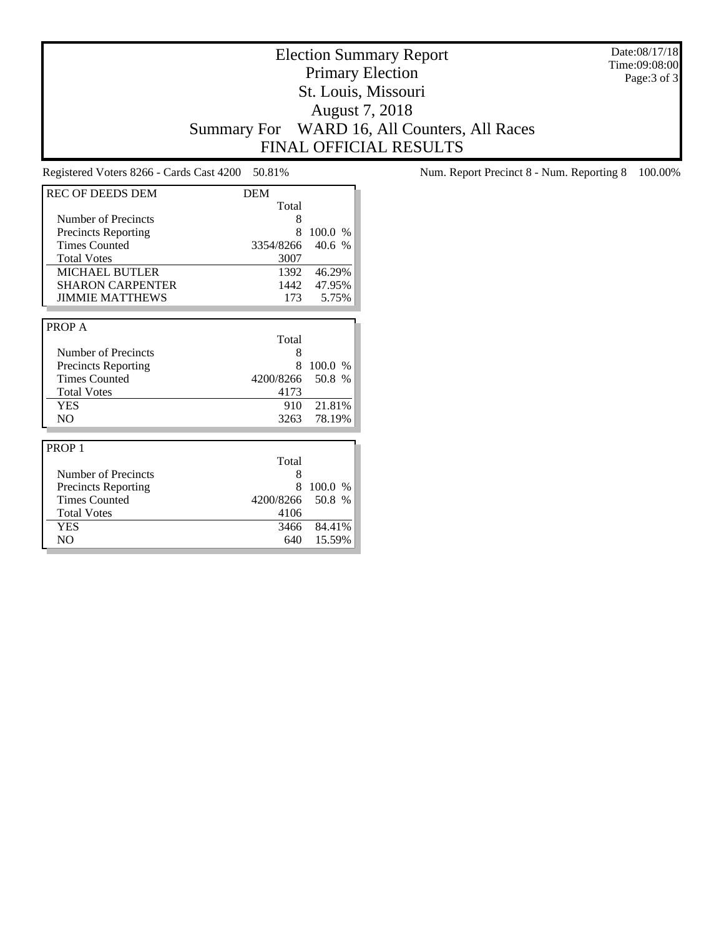Date:08/17/18 Time:09:08:00 Page:3 of 3

# Election Summary Report Primary Election St. Louis, Missouri August 7, 2018 Summary For WARD 16, All Counters, All Races FINAL OFFICIAL RESULTS

| <b>REC OF DEEDS DEM</b>    | <b>DEM</b> |               |
|----------------------------|------------|---------------|
|                            | Total      |               |
| Number of Precincts        | 8          |               |
| <b>Precincts Reporting</b> | 8          | 100.0<br>$\%$ |
| <b>Times Counted</b>       | 3354/8266  | 40.6<br>$\%$  |
| <b>Total Votes</b>         | 3007       |               |
| <b>MICHAEL BUTLER</b>      | 1392       | 46.29%        |
| <b>SHARON CARPENTER</b>    | 1442       | 47.95%        |
| <b>JIMMIE MATTHEWS</b>     | 173        | 5.75%         |
|                            |            |               |
| PROP A                     |            |               |
|                            | Total      |               |
| Number of Precincts        | 8          |               |
| <b>Precincts Reporting</b> | 8          | 100.0<br>$\%$ |
| <b>Times Counted</b>       | 4200/8266  | 50.8 %        |
| <b>Total Votes</b>         | 4173       |               |
| <b>YES</b>                 | 910        | 21.81%        |
| N <sub>O</sub>             | 3263       | 78.19%        |
|                            |            |               |
| PROP <sub>1</sub>          |            |               |
|                            | Total      |               |
| Number of Precincts        | 8          |               |
| Precincts Reporting        | 8          | 100.0<br>$\%$ |
| <b>Times Counted</b>       | 4200/8266  | 50.8 %        |
| <b>Total Votes</b>         | 4106       |               |
| <b>YES</b>                 | 3466       | 84.41%        |
| N <sub>O</sub>             | 640        | 15.59%        |

Registered Voters 8266 - Cards Cast 4200 50.81% Num. Report Precinct 8 - Num. Reporting 8 100.00%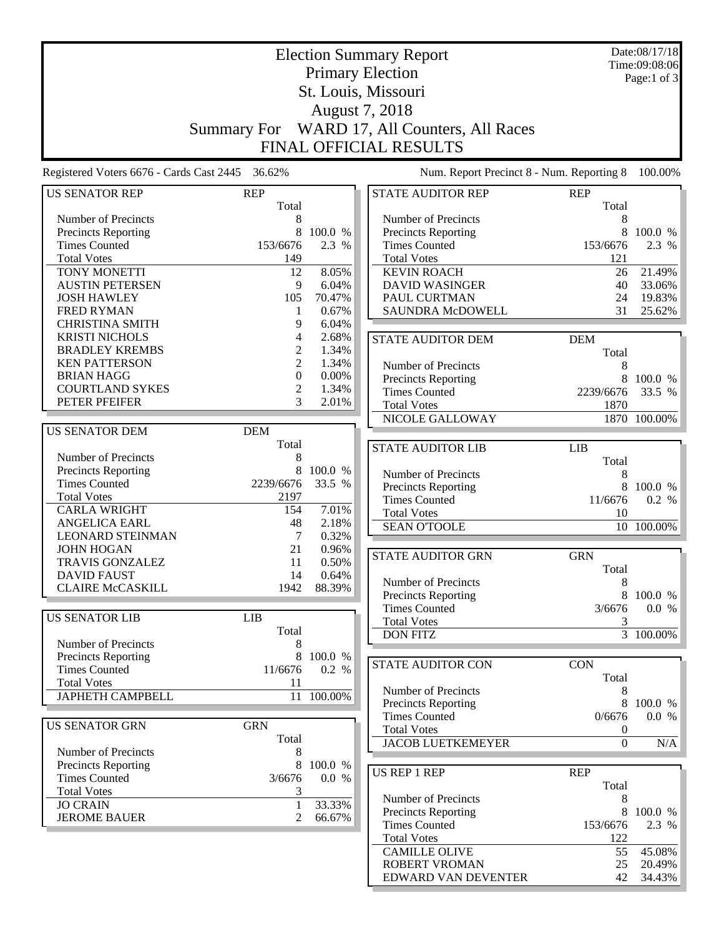| <b>Election Summary Report</b>                    |                     |                |                                              |                  | Date:08/17/18          |  |  |  |
|---------------------------------------------------|---------------------|----------------|----------------------------------------------|------------------|------------------------|--|--|--|
| <b>Primary Election</b>                           |                     |                |                                              |                  | Time:09:08:06          |  |  |  |
|                                                   |                     | Page:1 of 3    |                                              |                  |                        |  |  |  |
|                                                   |                     |                | St. Louis, Missouri                          |                  |                        |  |  |  |
| August 7, 2018                                    |                     |                |                                              |                  |                        |  |  |  |
|                                                   |                     |                | Summary For WARD 17, All Counters, All Races |                  |                        |  |  |  |
|                                                   |                     |                |                                              |                  |                        |  |  |  |
|                                                   |                     |                | <b>FINAL OFFICIAL RESULTS</b>                |                  |                        |  |  |  |
| Registered Voters 6676 - Cards Cast 2445          | 36.62%              |                | Num. Report Precinct 8 - Num. Reporting 8    |                  | 100.00%                |  |  |  |
| <b>US SENATOR REP</b>                             | <b>REP</b>          |                | <b>STATE AUDITOR REP</b>                     | <b>REP</b>       |                        |  |  |  |
|                                                   | Total               |                |                                              | Total            |                        |  |  |  |
| Number of Precincts                               | 8                   |                | Number of Precincts                          | 8                |                        |  |  |  |
| <b>Precincts Reporting</b>                        | 8                   | 100.0 %        | <b>Precincts Reporting</b>                   | 8                | 100.0 %                |  |  |  |
| <b>Times Counted</b>                              | 153/6676            | 2.3 %          | <b>Times Counted</b>                         | 153/6676         | 2.3 %                  |  |  |  |
| <b>Total Votes</b>                                | 149                 |                | <b>Total Votes</b>                           | 121              |                        |  |  |  |
| TONY MONETTI                                      | 12                  | 8.05%          | <b>KEVIN ROACH</b>                           | 26               | 21.49%                 |  |  |  |
| <b>AUSTIN PETERSEN</b>                            | 9                   | 6.04%          | <b>DAVID WASINGER</b>                        | 40               | 33.06%                 |  |  |  |
| <b>JOSH HAWLEY</b>                                | 105                 | 70.47%         | PAUL CURTMAN                                 | 24               | 19.83%                 |  |  |  |
| <b>FRED RYMAN</b>                                 | 1                   | 0.67%          | SAUNDRA McDOWELL                             | 31               | 25.62%                 |  |  |  |
| <b>CHRISTINA SMITH</b>                            | 9                   | 6.04%          |                                              |                  |                        |  |  |  |
| <b>KRISTI NICHOLS</b>                             | 4                   | 2.68%          | <b>STATE AUDITOR DEM</b>                     | <b>DEM</b>       |                        |  |  |  |
| <b>BRADLEY KREMBS</b>                             | $\mathbf{2}$        | 1.34%          |                                              | Total            |                        |  |  |  |
| <b>KEN PATTERSON</b>                              | $\overline{c}$      | 1.34%          | Number of Precincts                          | 8                |                        |  |  |  |
| <b>BRIAN HAGG</b>                                 | $\mathbf{0}$        | 0.00%          | <b>Precincts Reporting</b>                   |                  | 8 100.0 %              |  |  |  |
| <b>COURTLAND SYKES</b>                            | 2                   | 1.34%          | <b>Times Counted</b>                         | 2239/6676        | 33.5 %                 |  |  |  |
| PETER PFEIFER                                     | 3                   | 2.01%          | <b>Total Votes</b>                           | 1870             |                        |  |  |  |
|                                                   |                     |                | NICOLE GALLOWAY                              |                  | 1870 100.00%           |  |  |  |
| <b>US SENATOR DEM</b>                             | <b>DEM</b>          |                |                                              |                  |                        |  |  |  |
|                                                   | Total               |                | <b>STATE AUDITOR LIB</b>                     | LIB              |                        |  |  |  |
| Number of Precincts                               | 8                   |                |                                              | Total            |                        |  |  |  |
| Precincts Reporting                               | 8                   | 100.0 %        | Number of Precincts                          | 8                |                        |  |  |  |
| <b>Times Counted</b>                              | 2239/6676           | 33.5 %         | <b>Precincts Reporting</b>                   | 8                | 100.0 %                |  |  |  |
| <b>Total Votes</b>                                | 2197                |                | <b>Times Counted</b>                         | 11/6676          | 0.2 %                  |  |  |  |
| <b>CARLA WRIGHT</b>                               | 154                 | 7.01%          | <b>Total Votes</b>                           | 10               |                        |  |  |  |
| <b>ANGELICA EARL</b>                              | 48                  | 2.18%          | <b>SEAN O'TOOLE</b>                          |                  | 10 100.00%             |  |  |  |
| <b>LEONARD STEINMAN</b><br><b>JOHN HOGAN</b>      | 7<br>21             | 0.32%<br>0.96% |                                              |                  |                        |  |  |  |
| <b>TRAVIS GONZALEZ</b>                            | 11                  | 0.50%          | <b>STATE AUDITOR GRN</b>                     | <b>GRN</b>       |                        |  |  |  |
| <b>DAVID FAUST</b>                                | 14                  | 0.64%          |                                              | Total            |                        |  |  |  |
| <b>CLAIRE McCASKILL</b>                           | 1942                | 88.39%         | Number of Precincts                          | 8                |                        |  |  |  |
|                                                   |                     |                | Precincts Reporting                          | 8                | 100.0 %                |  |  |  |
|                                                   | <b>LIB</b>          |                | <b>Times Counted</b>                         | 3/6676           | 0.0 %                  |  |  |  |
| <b>US SENATOR LIB</b>                             | Total               |                | <b>Total Votes</b>                           | 3                |                        |  |  |  |
| Number of Precincts                               |                     |                | <b>DON FITZ</b>                              |                  | $\overline{3}$ 100.00% |  |  |  |
| Precincts Reporting                               | 8<br>$\,8\,$        | 100.0 %        |                                              |                  |                        |  |  |  |
| <b>Times Counted</b>                              | 11/6676             | 0.2 %          | STATE AUDITOR CON                            | <b>CON</b>       |                        |  |  |  |
| <b>Total Votes</b>                                | 11                  |                |                                              | Total            |                        |  |  |  |
| <b>JAPHETH CAMPBELL</b>                           |                     | 11 100.00%     | Number of Precincts                          | 8                |                        |  |  |  |
|                                                   |                     |                | <b>Precincts Reporting</b>                   | 8                | 100.0 %                |  |  |  |
|                                                   |                     |                | <b>Times Counted</b>                         | 0/6676           | 0.0 %                  |  |  |  |
| <b>US SENATOR GRN</b>                             | <b>GRN</b><br>Total |                | <b>Total Votes</b>                           | $\boldsymbol{0}$ |                        |  |  |  |
|                                                   |                     |                | <b>JACOB LUETKEMEYER</b>                     | $\boldsymbol{0}$ | $\rm N/A$              |  |  |  |
| Number of Precincts<br><b>Precincts Reporting</b> | 8<br>8              | 100.0 %        |                                              |                  |                        |  |  |  |
| <b>Times Counted</b>                              | 3/6676              | 0.0 %          | <b>US REP 1 REP</b>                          | <b>REP</b>       |                        |  |  |  |
| <b>Total Votes</b>                                | 3                   |                |                                              | Total            |                        |  |  |  |
| <b>JO CRAIN</b>                                   | $\mathbf{1}$        | 33.33%         | Number of Precincts                          | 8                |                        |  |  |  |
| <b>JEROME BAUER</b>                               | $\overline{2}$      | 66.67%         | Precincts Reporting                          |                  | 8 100.0 %              |  |  |  |
|                                                   |                     |                | <b>Times Counted</b>                         | 153/6676         | 2.3 %                  |  |  |  |
|                                                   |                     |                | <b>Total Votes</b>                           | 122              |                        |  |  |  |
|                                                   |                     |                | <b>CAMILLE OLIVE</b>                         | 55               | 45.08%                 |  |  |  |
|                                                   |                     |                | <b>ROBERT VROMAN</b>                         | 25               | 20.49%                 |  |  |  |
|                                                   |                     |                | EDWARD VAN DEVENTER                          | 42               | 34.43%                 |  |  |  |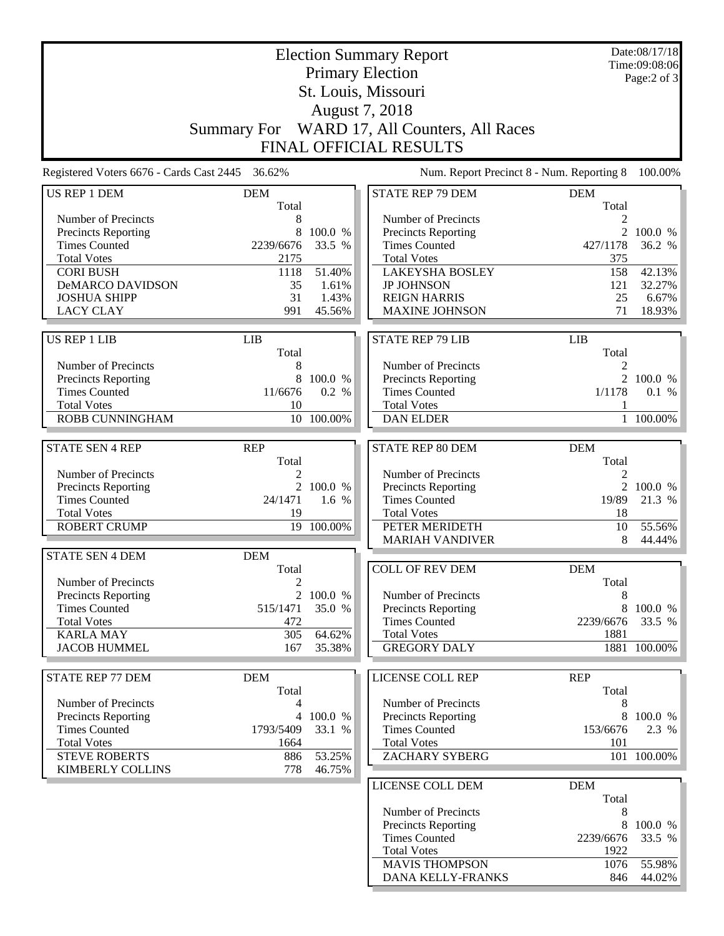|                                                 | <b>Election Summary Report</b> |                  |                                                    |                     | Date:08/17/18<br>Time:09:08:06 |
|-------------------------------------------------|--------------------------------|------------------|----------------------------------------------------|---------------------|--------------------------------|
|                                                 |                                |                  | <b>Primary Election</b>                            |                     | Page:2 of 3                    |
|                                                 |                                |                  |                                                    |                     |                                |
|                                                 |                                |                  | August 7, 2018                                     |                     |                                |
|                                                 | <b>Summary For</b>             |                  | WARD 17, All Counters, All Races                   |                     |                                |
|                                                 |                                |                  | <b>FINAL OFFICIAL RESULTS</b>                      |                     |                                |
| Registered Voters 6676 - Cards Cast 2445 36.62% |                                |                  | Num. Report Precinct 8 - Num. Reporting 8          |                     | 100.00%                        |
| <b>US REP 1 DEM</b>                             | <b>DEM</b>                     |                  | <b>STATE REP 79 DEM</b>                            | <b>DEM</b>          |                                |
|                                                 | Total                          |                  |                                                    | Total               |                                |
| Number of Precincts                             | 8                              |                  | Number of Precincts                                | 2                   |                                |
| Precincts Reporting<br><b>Times Counted</b>     | 8                              | 100.0 %          | <b>Precincts Reporting</b><br><b>Times Counted</b> | $\overline{2}$      | 100.0 %                        |
|                                                 | 2239/6676                      | 33.5 %           | <b>Total Votes</b>                                 | 427/1178            | 36.2 %                         |
| <b>Total Votes</b><br><b>CORI BUSH</b>          | 2175<br>1118                   | 51.40%           | <b>LAKEYSHA BOSLEY</b>                             | 375<br>158          |                                |
| DeMARCO DAVIDSON                                | 35                             | 1.61%            | <b>JP JOHNSON</b>                                  | 121                 | 42.13%<br>32.27%               |
| <b>JOSHUA SHIPP</b>                             | 31                             | 1.43%            | <b>REIGN HARRIS</b>                                | 25                  | 6.67%                          |
| <b>LACY CLAY</b>                                | 991                            | 45.56%           | <b>MAXINE JOHNSON</b>                              | 71                  | 18.93%                         |
|                                                 |                                |                  |                                                    |                     |                                |
| <b>US REP 1 LIB</b>                             | <b>LIB</b>                     |                  | <b>STATE REP 79 LIB</b>                            | <b>LIB</b>          |                                |
|                                                 | Total                          |                  |                                                    | Total               |                                |
| Number of Precincts                             | 8                              |                  | Number of Precincts                                | 2                   |                                |
| Precincts Reporting<br><b>Times Counted</b>     | 8<br>11/6676                   | 100.0 %<br>0.2 % | <b>Precincts Reporting</b><br><b>Times Counted</b> | 1/1178              | 2 100.0 %<br>0.1 %             |
| <b>Total Votes</b>                              | 10                             |                  | <b>Total Votes</b>                                 |                     |                                |
| ROBB CUNNINGHAM                                 |                                | 10 100.00%       | <b>DAN ELDER</b>                                   |                     | 1 100.00%                      |
|                                                 |                                |                  |                                                    |                     |                                |
| <b>STATE SEN 4 REP</b>                          | <b>REP</b>                     |                  | <b>STATE REP 80 DEM</b>                            | <b>DEM</b>          |                                |
|                                                 | Total                          |                  |                                                    | Total               |                                |
| Number of Precincts                             | 2                              |                  | Number of Precincts                                | 2                   |                                |
| Precincts Reporting                             | $\overline{2}$                 | 100.0 %          | <b>Precincts Reporting</b>                         | $\overline{2}$      | 100.0 %                        |
| <b>Times Counted</b>                            | 24/1471                        | 1.6 %            | <b>Times Counted</b>                               | 19/89               | 21.3 %                         |
| <b>Total Votes</b>                              | 19                             |                  | <b>Total Votes</b>                                 | 18                  |                                |
| <b>ROBERT CRUMP</b>                             | 19                             | 100.00%          | <b>PETER MERIDETH</b><br><b>MARIAH VANDIVER</b>    | 10<br>8             | 55.56%<br>44.44%               |
|                                                 |                                |                  |                                                    |                     |                                |
| <b>STATE SEN 4 DEM</b>                          | <b>DEM</b>                     |                  |                                                    |                     |                                |
| Number of Precincts                             | Total                          |                  | <b>COLL OF REV DEM</b>                             | <b>DEM</b><br>Total |                                |
| Precincts Reporting                             | $\boldsymbol{2}$               | 2 100.0 %        | Number of Precincts                                | 8                   |                                |
| <b>Times Counted</b>                            | 515/1471                       | 35.0 %           | Precincts Reporting                                | 8                   | 100.0 %                        |
| <b>Total Votes</b>                              | 472                            |                  | <b>Times Counted</b>                               | 2239/6676           | 33.5 %                         |
| <b>KARLA MAY</b>                                | 305                            | 64.62%           | <b>Total Votes</b>                                 | 1881                |                                |
| <b>JACOB HUMMEL</b>                             | 167                            | 35.38%           | <b>GREGORY DALY</b>                                |                     | 1881 100.00%                   |
|                                                 |                                |                  |                                                    |                     |                                |
| <b>STATE REP 77 DEM</b>                         | <b>DEM</b>                     |                  | <b>LICENSE COLL REP</b>                            | <b>REP</b>          |                                |
|                                                 | Total                          |                  |                                                    | Total               |                                |
| Number of Precincts                             | 4                              |                  | Number of Precincts                                | 8                   |                                |
| <b>Precincts Reporting</b>                      |                                | 4 100.0 %        | Precincts Reporting                                |                     | 8 100.0 %                      |
| <b>Times Counted</b>                            | 1793/5409                      | 33.1 %           | <b>Times Counted</b>                               | 153/6676            | 2.3 %                          |
| <b>Total Votes</b>                              | 1664                           |                  | <b>Total Votes</b>                                 | 101                 |                                |
| <b>STEVE ROBERTS</b><br><b>KIMBERLY COLLINS</b> | 886<br>778                     | 53.25%<br>46.75% | <b>ZACHARY SYBERG</b>                              |                     | 101 100.00%                    |
|                                                 |                                |                  | LICENSE COLL DEM                                   | <b>DEM</b>          |                                |
|                                                 |                                |                  |                                                    | Total               |                                |
|                                                 |                                |                  | Number of Precincts                                | 8                   |                                |
|                                                 |                                |                  | Precincts Reporting                                | 8                   | 100.0 %                        |
|                                                 |                                |                  | <b>Times Counted</b>                               | 2239/6676           | 33.5 %                         |
|                                                 |                                |                  | <b>Total Votes</b>                                 | 1922                |                                |
|                                                 |                                |                  | <b>MAVIS THOMPSON</b>                              | 1076                | 55.98%                         |
|                                                 |                                |                  | DANA KELLY-FRANKS                                  | 846                 | 44.02%                         |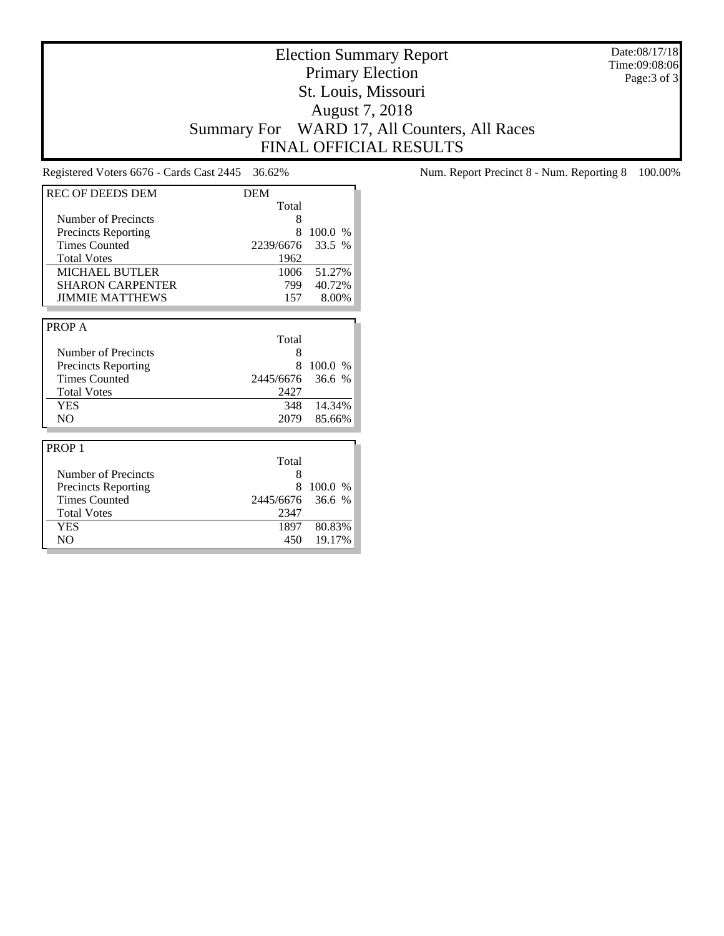Date:08/17/18 Time:09:08:06 Page:3 of 3

# Election Summary Report Primary Election St. Louis, Missouri August 7, 2018 Summary For WARD 17, All Counters, All Races FINAL OFFICIAL RESULTS

| <b>REC OF DEEDS DEM</b>    | <b>DEM</b> |               |
|----------------------------|------------|---------------|
|                            | Total      |               |
| Number of Precincts        | 8          |               |
| Precincts Reporting        | 8          | 100.0 %       |
| <b>Times Counted</b>       | 2239/6676  | 33.5 %        |
| <b>Total Votes</b>         | 1962       |               |
| <b>MICHAEL BUTLER</b>      | 1006       | 51.27%        |
| <b>SHARON CARPENTER</b>    | 799        | 40.72%        |
| <b>JIMMIE MATTHEWS</b>     | 157        | 8.00%         |
|                            |            |               |
| PROP A                     |            |               |
|                            | Total      |               |
| <b>Number of Precincts</b> | 8          |               |
| <b>Precincts Reporting</b> | 8          | 100.0 %       |
| <b>Times Counted</b>       | 2445/6676  | 36.6%         |
| <b>Total Votes</b>         | 2427       |               |
| <b>YES</b>                 | 348        | 14.34%        |
| N <sub>O</sub>             | 2079       | 85.66%        |
|                            |            |               |
| PROP <sub>1</sub>          |            |               |
|                            | Total      |               |
| Number of Precincts        | 8          |               |
| <b>Precincts Reporting</b> | 8          | 100.0<br>$\%$ |
| <b>Times Counted</b>       | 2445/6676  | 36.6%         |
| <b>Total Votes</b>         | 2347       |               |
| <b>YES</b>                 | 1897       | 80.83%        |
| N <sub>O</sub>             | 450        | 19.17%        |

Registered Voters 6676 - Cards Cast 2445 36.62% Num. Report Precinct 8 - Num. Reporting 8 100.00%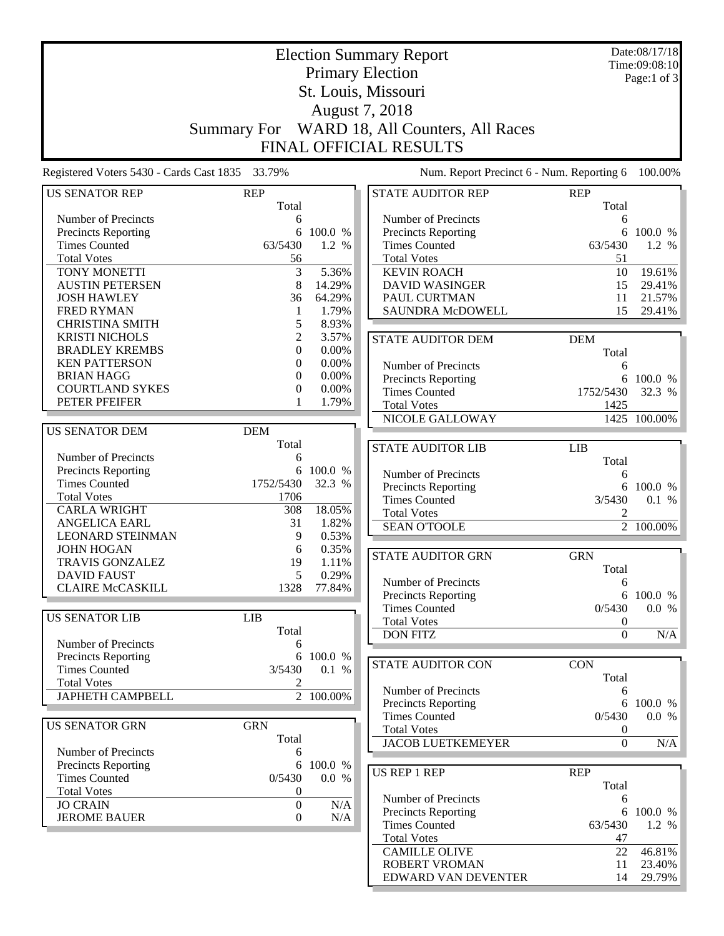|                                                 |                     | Date:08/17/18 |                                              |                     |                        |  |  |  |  |
|-------------------------------------------------|---------------------|---------------|----------------------------------------------|---------------------|------------------------|--|--|--|--|
|                                                 |                     | Time:09:08:10 |                                              |                     |                        |  |  |  |  |
|                                                 |                     |               | <b>Primary Election</b>                      |                     | Page:1 of 3            |  |  |  |  |
|                                                 |                     |               |                                              |                     |                        |  |  |  |  |
| St. Louis, Missouri                             |                     |               |                                              |                     |                        |  |  |  |  |
|                                                 | August 7, 2018      |               |                                              |                     |                        |  |  |  |  |
|                                                 |                     |               | Summary For WARD 18, All Counters, All Races |                     |                        |  |  |  |  |
|                                                 |                     |               |                                              |                     |                        |  |  |  |  |
|                                                 |                     |               | <b>FINAL OFFICIAL RESULTS</b>                |                     |                        |  |  |  |  |
| Registered Voters 5430 - Cards Cast 1835 33.79% |                     |               | Num. Report Precinct 6 - Num. Reporting 6    |                     | 100.00%                |  |  |  |  |
|                                                 |                     |               |                                              |                     |                        |  |  |  |  |
| <b>US SENATOR REP</b>                           | <b>REP</b><br>Total |               | <b>STATE AUDITOR REP</b>                     | <b>REP</b><br>Total |                        |  |  |  |  |
|                                                 |                     |               |                                              |                     |                        |  |  |  |  |
| Number of Precincts                             | 6<br>6              | 100.0 %       | Number of Precincts                          | 6<br>6              |                        |  |  |  |  |
| Precincts Reporting<br><b>Times Counted</b>     | 63/5430             | 1.2 %         | Precincts Reporting<br><b>Times Counted</b>  | 63/5430             | 100.0 %<br>1.2 %       |  |  |  |  |
| <b>Total Votes</b>                              |                     |               | <b>Total Votes</b>                           | 51                  |                        |  |  |  |  |
|                                                 | 56                  | 5.36%         |                                              | 10                  | 19.61%                 |  |  |  |  |
| TONY MONETTI                                    | 3                   |               | <b>KEVIN ROACH</b>                           |                     |                        |  |  |  |  |
| <b>AUSTIN PETERSEN</b>                          | 8                   | 14.29%        | <b>DAVID WASINGER</b>                        | 15                  | 29.41%                 |  |  |  |  |
| <b>JOSH HAWLEY</b>                              | 36                  | 64.29%        | PAUL CURTMAN                                 | 11                  | 21.57%                 |  |  |  |  |
| <b>FRED RYMAN</b>                               | 1                   | 1.79%         | <b>SAUNDRA McDOWELL</b>                      | 15                  | 29.41%                 |  |  |  |  |
| <b>CHRISTINA SMITH</b>                          | 5                   | 8.93%         |                                              |                     |                        |  |  |  |  |
| <b>KRISTI NICHOLS</b>                           | $\overline{c}$      | 3.57%         | <b>STATE AUDITOR DEM</b>                     | <b>DEM</b>          |                        |  |  |  |  |
| <b>BRADLEY KREMBS</b>                           | $\overline{0}$      | 0.00%         |                                              | Total               |                        |  |  |  |  |
| <b>KEN PATTERSON</b>                            | $\overline{0}$      | 0.00%         | Number of Precincts                          | 6                   |                        |  |  |  |  |
| <b>BRIAN HAGG</b>                               | 0                   | 0.00%         | <b>Precincts Reporting</b>                   |                     | 6 100.0 %              |  |  |  |  |
| <b>COURTLAND SYKES</b>                          | 0                   | 0.00%         | <b>Times Counted</b>                         | 1752/5430           | 32.3 %                 |  |  |  |  |
| PETER PFEIFER                                   |                     | 1.79%         | <b>Total Votes</b>                           | 1425                |                        |  |  |  |  |
|                                                 |                     |               | NICOLE GALLOWAY                              |                     | 1425 100.00%           |  |  |  |  |
| <b>US SENATOR DEM</b>                           | <b>DEM</b>          |               |                                              |                     |                        |  |  |  |  |
|                                                 | Total               |               | <b>STATE AUDITOR LIB</b>                     | <b>LIB</b>          |                        |  |  |  |  |
| Number of Precincts                             | 6                   |               |                                              | Total               |                        |  |  |  |  |
| Precincts Reporting                             | 6                   | 100.0 %       | Number of Precincts                          | 6                   |                        |  |  |  |  |
| <b>Times Counted</b>                            | 1752/5430           | 32.3 %        | Precincts Reporting                          | 6                   | 100.0 %                |  |  |  |  |
| <b>Total Votes</b>                              | 1706                |               | <b>Times Counted</b>                         | 3/5430              | 0.1 %                  |  |  |  |  |
| <b>CARLA WRIGHT</b>                             | 308                 | 18.05%        | <b>Total Votes</b>                           | 2                   |                        |  |  |  |  |
| <b>ANGELICA EARL</b>                            | 31                  | 1.82%         | <b>SEAN O'TOOLE</b>                          |                     | $\overline{2}$ 100.00% |  |  |  |  |
| <b>LEONARD STEINMAN</b>                         | 9                   | 0.53%         |                                              |                     |                        |  |  |  |  |
| <b>JOHN HOGAN</b>                               | 6                   | 0.35%         |                                              |                     |                        |  |  |  |  |
| TRAVIS GONZALEZ                                 | 19                  | 1.11%         | <b>STATE AUDITOR GRN</b>                     | <b>GRN</b>          |                        |  |  |  |  |
| <b>DAVID FAUST</b>                              | 5                   | 0.29%         |                                              | Total               |                        |  |  |  |  |
| <b>CLAIRE McCASKILL</b>                         | 1328                | 77.84%        | Number of Precincts                          | 6                   |                        |  |  |  |  |
|                                                 |                     |               | Precincts Reporting                          |                     | 6 100.0 %              |  |  |  |  |
| <b>US SENATOR LIB</b>                           | <b>LIB</b>          |               | <b>Times Counted</b>                         | 0/5430              | 0.0 %                  |  |  |  |  |
|                                                 | Total               |               | <b>Total Votes</b>                           | $\boldsymbol{0}$    |                        |  |  |  |  |
| Number of Precincts                             | 6                   |               | <b>DON FITZ</b>                              | $\boldsymbol{0}$    | N/A                    |  |  |  |  |
| <b>Precincts Reporting</b>                      | 6                   | 100.0 %       |                                              |                     |                        |  |  |  |  |
| <b>Times Counted</b>                            | 3/5430              | 0.1 %         | <b>STATE AUDITOR CON</b>                     | <b>CON</b>          |                        |  |  |  |  |
| <b>Total Votes</b>                              | 2                   |               |                                              | Total               |                        |  |  |  |  |
| <b>JAPHETH CAMPBELL</b>                         |                     | 2 100.00%     | Number of Precincts                          | 6                   |                        |  |  |  |  |
|                                                 |                     |               | Precincts Reporting                          | 6                   | 100.0 %                |  |  |  |  |
|                                                 |                     |               | <b>Times Counted</b>                         | 0/5430              | 0.0 %                  |  |  |  |  |
| <b>US SENATOR GRN</b>                           | <b>GRN</b>          |               | <b>Total Votes</b>                           | $\boldsymbol{0}$    |                        |  |  |  |  |
|                                                 | Total               |               | <b>JACOB LUETKEMEYER</b>                     | $\overline{0}$      | N/A                    |  |  |  |  |
| Number of Precincts                             | 6                   |               |                                              |                     |                        |  |  |  |  |
| <b>Precincts Reporting</b>                      | 6                   | 100.0 %       | <b>US REP 1 REP</b>                          | <b>REP</b>          |                        |  |  |  |  |
| <b>Times Counted</b>                            | 0/5430              | 0.0 %         |                                              | Total               |                        |  |  |  |  |
| <b>Total Votes</b>                              | $\boldsymbol{0}$    |               | Number of Precincts                          | 6                   |                        |  |  |  |  |
| <b>JO CRAIN</b>                                 | $\boldsymbol{0}$    | N/A           | Precincts Reporting                          |                     | 6 100.0 %              |  |  |  |  |
| <b>JEROME BAUER</b>                             | $\boldsymbol{0}$    | N/A           | <b>Times Counted</b>                         | 63/5430             | 1.2 %                  |  |  |  |  |
|                                                 |                     |               | <b>Total Votes</b>                           | 47                  |                        |  |  |  |  |
|                                                 |                     |               | <b>CAMILLE OLIVE</b>                         | 22                  | 46.81%                 |  |  |  |  |
|                                                 |                     |               | <b>ROBERT VROMAN</b>                         | 11                  | 23.40%                 |  |  |  |  |
|                                                 |                     |               | EDWARD VAN DEVENTER                          | 14                  | 29.79%                 |  |  |  |  |
|                                                 |                     |               |                                              |                     |                        |  |  |  |  |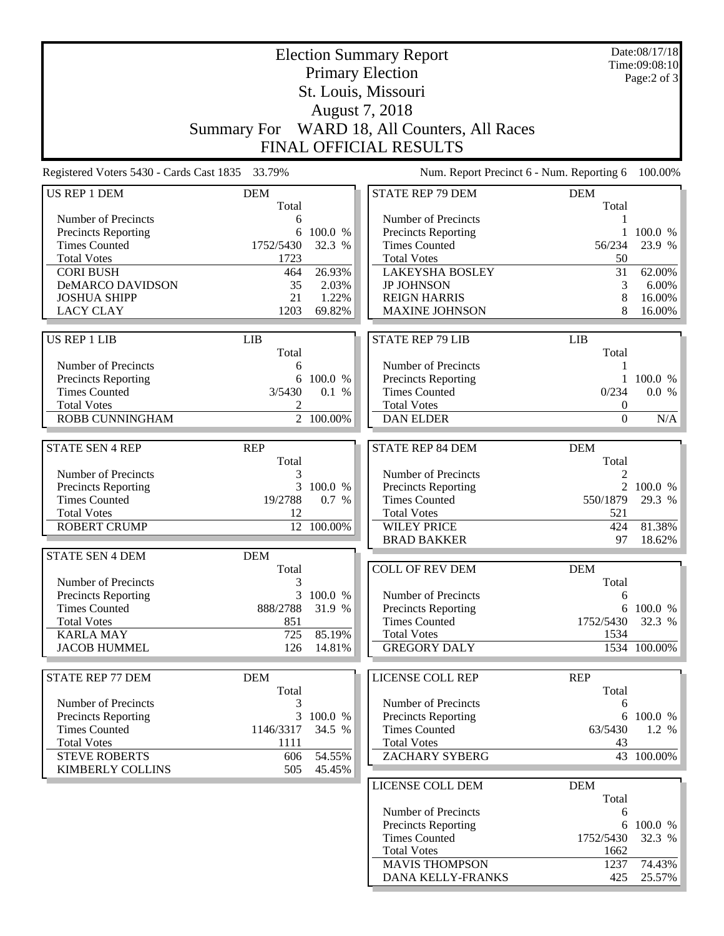|                                                 | <b>Election Summary Report</b> |                  |                                            |                                           | Date:08/17/18<br>Time:09:08:10 |  |  |
|-------------------------------------------------|--------------------------------|------------------|--------------------------------------------|-------------------------------------------|--------------------------------|--|--|
|                                                 |                                | Page:2 of 3      |                                            |                                           |                                |  |  |
|                                                 |                                |                  |                                            |                                           |                                |  |  |
| August 7, 2018                                  |                                |                  |                                            |                                           |                                |  |  |
|                                                 | <b>Summary For</b>             |                  | WARD 18, All Counters, All Races           |                                           |                                |  |  |
|                                                 |                                |                  | FINAL OFFICIAL RESULTS                     |                                           |                                |  |  |
| Registered Voters 5430 - Cards Cast 1835 33.79% |                                |                  |                                            | Num. Report Precinct 6 - Num. Reporting 6 | 100.00%                        |  |  |
| <b>US REP 1 DEM</b>                             | <b>DEM</b>                     |                  | <b>STATE REP 79 DEM</b>                    | <b>DEM</b>                                |                                |  |  |
|                                                 | Total                          |                  |                                            | Total                                     |                                |  |  |
| Number of Precincts                             | 6                              |                  | Number of Precincts                        | 1                                         |                                |  |  |
| <b>Precincts Reporting</b>                      | 6                              | 100.0 %          | Precincts Reporting                        | 1                                         | 100.0 %                        |  |  |
| <b>Times Counted</b>                            | 1752/5430                      | 32.3 %           | <b>Times Counted</b>                       | 56/234                                    | 23.9 %                         |  |  |
| <b>Total Votes</b>                              | 1723                           |                  | <b>Total Votes</b>                         | 50<br>31                                  |                                |  |  |
| <b>CORI BUSH</b>                                | 464                            | 26.93%           | <b>LAKEYSHA BOSLEY</b>                     |                                           | 62.00%<br>6.00%                |  |  |
| DeMARCO DAVIDSON<br><b>JOSHUA SHIPP</b>         | 35<br>21                       | 2.03%<br>1.22%   | <b>JP JOHNSON</b><br><b>REIGN HARRIS</b>   | 3                                         | 16.00%                         |  |  |
| <b>LACY CLAY</b>                                | 1203                           | 69.82%           | <b>MAXINE JOHNSON</b>                      | 8<br>8                                    | 16.00%                         |  |  |
|                                                 |                                |                  |                                            |                                           |                                |  |  |
| <b>US REP 1 LIB</b>                             | <b>LIB</b>                     |                  | <b>STATE REP 79 LIB</b>                    | <b>LIB</b>                                |                                |  |  |
|                                                 | Total                          |                  |                                            | Total                                     |                                |  |  |
| Number of Precincts                             | 6                              |                  | Number of Precincts                        | 1                                         |                                |  |  |
| <b>Precincts Reporting</b>                      | 6                              | 100.0 %          | Precincts Reporting                        | $\mathbf{1}$                              | 100.0 %                        |  |  |
| <b>Times Counted</b><br><b>Total Votes</b>      | 3/5430                         | 0.1 %            | <b>Times Counted</b><br><b>Total Votes</b> | 0/234                                     | 0.0 %                          |  |  |
| ROBB CUNNINGHAM                                 | 2                              | $2 - 100.00\%$   | <b>DAN ELDER</b>                           | 0<br>$\boldsymbol{0}$                     | N/A                            |  |  |
|                                                 |                                |                  |                                            |                                           |                                |  |  |
| <b>STATE SEN 4 REP</b>                          | <b>REP</b>                     |                  | <b>STATE REP 84 DEM</b>                    | <b>DEM</b>                                |                                |  |  |
|                                                 | Total                          |                  |                                            | Total                                     |                                |  |  |
| Number of Precincts                             | 3                              |                  | Number of Precincts                        | 2                                         |                                |  |  |
| <b>Precincts Reporting</b>                      | 3                              | 100.0 %          | Precincts Reporting                        | $\overline{2}$                            | 100.0 %                        |  |  |
| <b>Times Counted</b>                            | 19/2788                        | 0.7 %            | <b>Times Counted</b>                       | 550/1879                                  | 29.3 %                         |  |  |
| <b>Total Votes</b>                              | 12                             |                  | <b>Total Votes</b>                         | 521                                       |                                |  |  |
| <b>ROBERT CRUMP</b>                             | 12                             | 100.00%          | <b>WILEY PRICE</b><br><b>BRAD BAKKER</b>   | 424<br>97                                 | 81.38%<br>18.62%               |  |  |
| <b>STATE SEN 4 DEM</b>                          | <b>DEM</b>                     |                  |                                            |                                           |                                |  |  |
|                                                 | Total                          |                  | COLL OF REV DEM                            | <b>DEM</b>                                |                                |  |  |
| Number of Precincts                             | 3                              |                  |                                            | Total                                     |                                |  |  |
| <b>Precincts Reporting</b>                      |                                | 3 100.0 %        | Number of Precincts                        | 6                                         |                                |  |  |
| <b>Times Counted</b>                            | 888/2788                       | 31.9 %           | Precincts Reporting                        | 6                                         | 100.0 %                        |  |  |
| <b>Total Votes</b>                              | 851                            |                  | <b>Times Counted</b>                       | 1752/5430                                 | 32.3 %                         |  |  |
| <b>KARLA MAY</b>                                | 725                            | 85.19%           | <b>Total Votes</b>                         | 1534                                      |                                |  |  |
| <b>JACOB HUMMEL</b>                             | 126                            | 14.81%           | <b>GREGORY DALY</b>                        |                                           | 1534 100.00%                   |  |  |
|                                                 |                                |                  |                                            |                                           |                                |  |  |
| <b>STATE REP 77 DEM</b>                         | <b>DEM</b>                     |                  | <b>LICENSE COLL REP</b>                    | <b>REP</b>                                |                                |  |  |
|                                                 | Total                          |                  |                                            | Total                                     |                                |  |  |
| Number of Precincts                             | 3                              |                  | Number of Precincts                        | 6                                         |                                |  |  |
| <b>Precincts Reporting</b>                      |                                | 3 100.0 %        | Precincts Reporting                        |                                           | 6 100.0 %                      |  |  |
| <b>Times Counted</b>                            | 1146/3317                      | 34.5 %           | <b>Times Counted</b>                       | 63/5430                                   | 1.2 %                          |  |  |
| <b>Total Votes</b>                              | 1111                           |                  | <b>Total Votes</b>                         | 43                                        |                                |  |  |
| <b>STEVE ROBERTS</b><br><b>KIMBERLY COLLINS</b> | 606<br>505                     | 54.55%<br>45.45% | <b>ZACHARY SYBERG</b>                      |                                           | 43 100.00%                     |  |  |
|                                                 |                                |                  |                                            | <b>DEM</b>                                |                                |  |  |
|                                                 |                                |                  | LICENSE COLL DEM                           | Total                                     |                                |  |  |
|                                                 |                                |                  | Number of Precincts                        | 6                                         |                                |  |  |
|                                                 |                                |                  | Precincts Reporting                        | 6                                         | 100.0 %                        |  |  |
|                                                 |                                |                  | <b>Times Counted</b>                       | 1752/5430                                 | 32.3 %                         |  |  |
|                                                 |                                |                  | <b>Total Votes</b>                         | 1662                                      |                                |  |  |
|                                                 |                                |                  | <b>MAVIS THOMPSON</b>                      | 1237                                      | 74.43%                         |  |  |
|                                                 |                                |                  | DANA KELLY-FRANKS                          | 425                                       | 25.57%                         |  |  |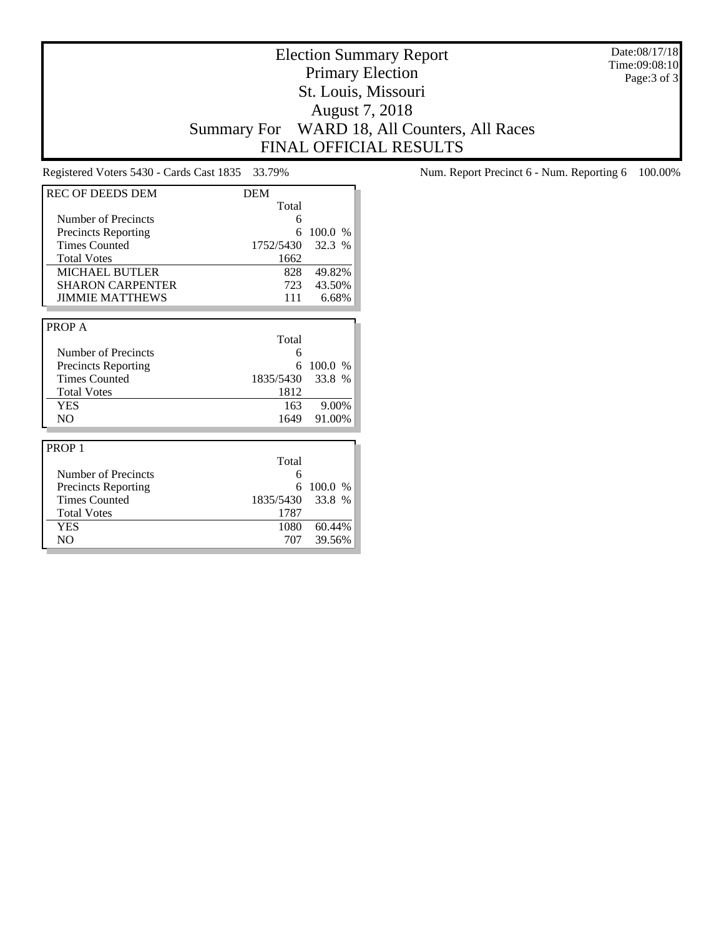Date:08/17/18 Time:09:08:10 Page:3 of 3

# Election Summary Report Primary Election St. Louis, Missouri August 7, 2018 Summary For WARD 18, All Counters, All Races FINAL OFFICIAL RESULTS

| <b>REC OF DEEDS DEM</b>    | <b>DEM</b> |               |
|----------------------------|------------|---------------|
|                            | Total      |               |
| Number of Precincts        | 6          |               |
| <b>Precincts Reporting</b> | 6          | 100.0 %       |
| <b>Times Counted</b>       | 1752/5430  | 32.3 %        |
| <b>Total Votes</b>         | 1662       |               |
| <b>MICHAEL BUTLER</b>      | 828        | 49.82%        |
| <b>SHARON CARPENTER</b>    | 723        | 43.50%        |
| <b>JIMMIE MATTHEWS</b>     | 111        | 6.68%         |
|                            |            |               |
| PROP A                     |            |               |
|                            | Total      |               |
| Number of Precincts        | 6          |               |
| <b>Precincts Reporting</b> | 6          | 100.0 %       |
| <b>Times Counted</b>       | 1835/5430  | 33.8 %        |
| <b>Total Votes</b>         | 1812       |               |
| <b>YES</b>                 | 163        | 9.00%         |
| N <sub>O</sub>             | 1649       | 91.00%        |
|                            |            |               |
| PROP <sub>1</sub>          |            |               |
|                            | Total      |               |
| Number of Precincts        | 6          |               |
| <b>Precincts Reporting</b> | 6          | 100.0<br>$\%$ |
| <b>Times Counted</b>       | 1835/5430  | 33.8 %        |
| <b>Total Votes</b>         | 1787       |               |
| <b>YES</b>                 | 1080       | 60.44%        |
| N <sub>O</sub>             | 707        | 39.56%        |

Registered Voters 5430 - Cards Cast 1835 33.79% Num. Report Precinct 6 - Num. Reporting 6 100.00%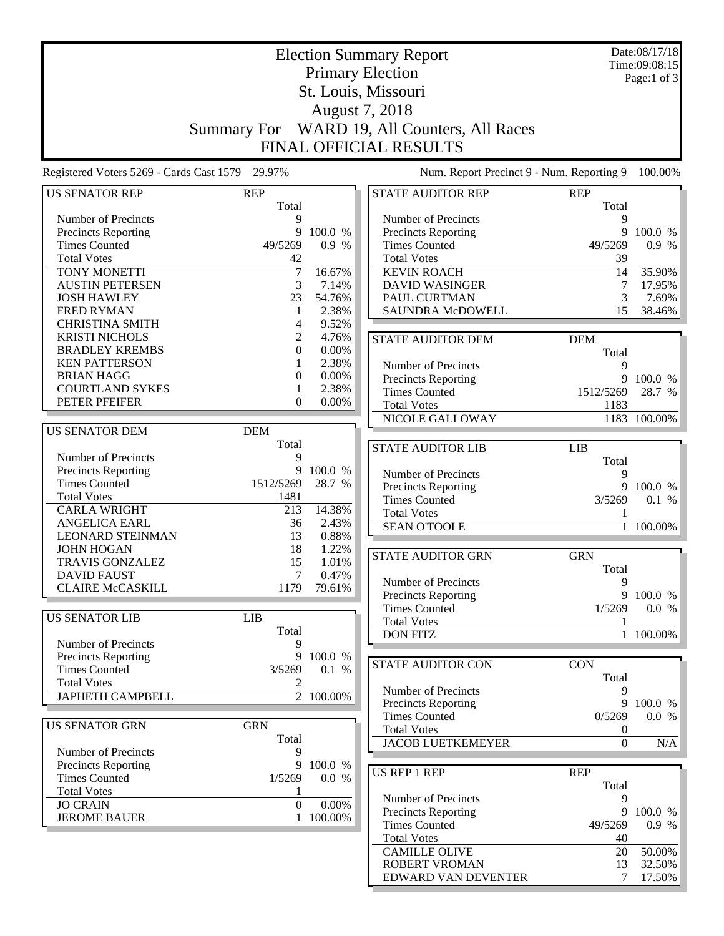|                                                 | <b>Election Summary Report</b> |           |                                              |                  | Date:08/17/18 |
|-------------------------------------------------|--------------------------------|-----------|----------------------------------------------|------------------|---------------|
|                                                 |                                |           |                                              |                  | Time:09:08:15 |
|                                                 |                                |           | <b>Primary Election</b>                      |                  | Page:1 of 3   |
|                                                 | St. Louis, Missouri            |           |                                              |                  |               |
|                                                 |                                |           | August 7, 2018                               |                  |               |
|                                                 |                                |           |                                              |                  |               |
|                                                 |                                |           | Summary For WARD 19, All Counters, All Races |                  |               |
|                                                 |                                |           | FINAL OFFICIAL RESULTS                       |                  |               |
|                                                 |                                |           |                                              |                  |               |
| Registered Voters 5269 - Cards Cast 1579 29.97% |                                |           | Num. Report Precinct 9 - Num. Reporting 9    |                  | 100.00%       |
|                                                 |                                |           |                                              |                  |               |
| <b>US SENATOR REP</b>                           | <b>REP</b>                     |           | <b>STATE AUDITOR REP</b>                     | <b>REP</b>       |               |
|                                                 | Total                          |           |                                              | Total            |               |
| Number of Precincts                             | 9                              |           | Number of Precincts                          | 9                |               |
| Precincts Reporting                             | 9                              | 100.0 %   | Precincts Reporting                          | 9                | 100.0 %       |
| <b>Times Counted</b>                            | 49/5269                        | 0.9 %     | <b>Times Counted</b>                         | 49/5269          | 0.9 %         |
| <b>Total Votes</b>                              | 42                             |           | <b>Total Votes</b>                           | 39               |               |
| TONY MONETTI                                    | $\overline{7}$                 | 16.67%    | <b>KEVIN ROACH</b>                           | 14               | 35.90%        |
| <b>AUSTIN PETERSEN</b>                          | 3                              | 7.14%     | <b>DAVID WASINGER</b>                        | 7                | 17.95%        |
| <b>JOSH HAWLEY</b>                              | 23                             | 54.76%    | PAUL CURTMAN                                 | 3                | 7.69%         |
| <b>FRED RYMAN</b>                               | 1                              | 2.38%     | <b>SAUNDRA McDOWELL</b>                      | 15               | 38.46%        |
| <b>CHRISTINA SMITH</b>                          | 4                              | 9.52%     |                                              |                  |               |
| <b>KRISTI NICHOLS</b>                           | 2                              | 4.76%     | <b>STATE AUDITOR DEM</b>                     | <b>DEM</b>       |               |
| <b>BRADLEY KREMBS</b>                           | 0                              | $0.00\%$  |                                              | Total            |               |
| <b>KEN PATTERSON</b>                            |                                | 2.38%     | Number of Precincts                          | 9                |               |
| <b>BRIAN HAGG</b>                               | $\Omega$                       | 0.00%     | <b>Precincts Reporting</b>                   | 9                | 100.0 %       |
| <b>COURTLAND SYKES</b>                          | 1                              | 2.38%     | <b>Times Counted</b>                         | 1512/5269        | 28.7 %        |
| PETER PFEIFER                                   | $\mathbf{0}$                   | $0.00\%$  |                                              |                  |               |
|                                                 |                                |           | <b>Total Votes</b>                           | 1183             |               |
|                                                 |                                |           | NICOLE GALLOWAY                              |                  | 1183 100.00%  |
| <b>US SENATOR DEM</b>                           | <b>DEM</b>                     |           |                                              |                  |               |
|                                                 | Total                          |           | <b>STATE AUDITOR LIB</b>                     | <b>LIB</b>       |               |
| Number of Precincts                             | 9                              |           |                                              | Total            |               |
| Precincts Reporting                             | 9                              | 100.0 %   | Number of Precincts                          | 9                |               |
| <b>Times Counted</b>                            | 1512/5269                      | 28.7 %    | Precincts Reporting                          | 9                | 100.0 %       |
| <b>Total Votes</b>                              | 1481                           |           | <b>Times Counted</b>                         | 3/5269           | 0.1 %         |
| <b>CARLA WRIGHT</b>                             | 213                            | 14.38%    | <b>Total Votes</b>                           | 1                |               |
| ANGELICA EARL                                   | 36                             | 2.43%     | <b>SEAN O'TOOLE</b>                          | $\mathbf{1}$     | 100.00%       |
| <b>LEONARD STEINMAN</b>                         | 13                             | 0.88%     |                                              |                  |               |
| <b>JOHN HOGAN</b>                               | 18                             | 1.22%     | <b>STATE AUDITOR GRN</b>                     | <b>GRN</b>       |               |
| <b>TRAVIS GONZALEZ</b>                          | 15                             | 1.01%     |                                              |                  |               |
| <b>DAVID FAUST</b>                              | 7                              | 0.47%     |                                              | Total            |               |
| <b>CLAIRE McCASKILL</b>                         | 1179                           | 79.61%    | Number of Precincts                          | 9                |               |
|                                                 |                                |           | <b>Precincts Reporting</b>                   | 9                | 100.0 %       |
| <b>US SENATOR LIB</b>                           | <b>LIB</b>                     |           | <b>Times Counted</b>                         | 1/5269           | 0.0 %         |
|                                                 | Total                          |           | <b>Total Votes</b>                           | 1                |               |
| Number of Precincts                             | 9                              |           | <b>DON FITZ</b>                              |                  | 1 100.00%     |
|                                                 | 9                              |           |                                              |                  |               |
| Precincts Reporting                             |                                | 100.0 %   | <b>STATE AUDITOR CON</b>                     | <b>CON</b>       |               |
| <b>Times Counted</b>                            | 3/5269                         | 0.1 %     |                                              | Total            |               |
| <b>Total Votes</b>                              | 2                              |           | Number of Precincts                          | 9                |               |
| <b>JAPHETH CAMPBELL</b>                         |                                | 2 100.00% | Precincts Reporting                          | 9                | 100.0 %       |
|                                                 |                                |           | <b>Times Counted</b>                         | 0/5269           | 0.0 %         |
| <b>US SENATOR GRN</b>                           | <b>GRN</b>                     |           | <b>Total Votes</b>                           | $\boldsymbol{0}$ |               |
|                                                 | Total                          |           | <b>JACOB LUETKEMEYER</b>                     | $\overline{0}$   | N/A           |
| Number of Precincts                             | 9                              |           |                                              |                  |               |
| <b>Precincts Reporting</b>                      | 9                              | 100.0 %   |                                              |                  |               |
| <b>Times Counted</b>                            | 1/5269                         | 0.0 %     | <b>US REP 1 REP</b>                          | <b>REP</b>       |               |
| <b>Total Votes</b>                              | 1                              |           |                                              | Total            |               |
| <b>JO CRAIN</b>                                 | $\Omega$                       | 0.00%     | Number of Precincts                          | 9                |               |
| <b>JEROME BAUER</b>                             | $\mathbf{1}$                   | 100.00%   | Precincts Reporting                          | 9                | 100.0 %       |
|                                                 |                                |           | <b>Times Counted</b>                         | 49/5269          | 0.9 %         |
|                                                 |                                |           | <b>Total Votes</b>                           | 40               |               |
|                                                 |                                |           | <b>CAMILLE OLIVE</b>                         | 20               | 50.00%        |
|                                                 |                                |           | <b>ROBERT VROMAN</b>                         | 13               | 32.50%        |
|                                                 |                                |           | EDWARD VAN DEVENTER                          | 7                | 17.50%        |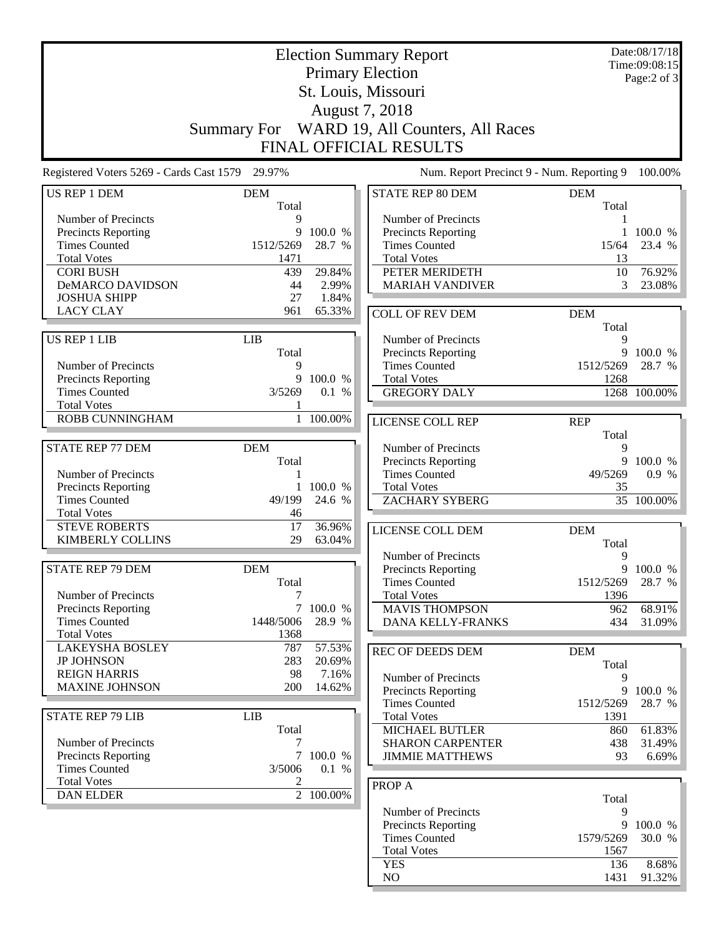|                                                 |                    |                   | <b>Election Summary Report</b>                     |             | Date:08/17/18<br>Time:09:08:15 |
|-------------------------------------------------|--------------------|-------------------|----------------------------------------------------|-------------|--------------------------------|
|                                                 |                    |                   | <b>Primary Election</b>                            |             | Page:2 of 3                    |
|                                                 |                    |                   | St. Louis, Missouri                                |             |                                |
|                                                 |                    |                   | August 7, 2018                                     |             |                                |
|                                                 | <b>Summary For</b> |                   | WARD 19, All Counters, All Races                   |             |                                |
|                                                 |                    |                   | FINAL OFFICIAL RESULTS                             |             |                                |
| Registered Voters 5269 - Cards Cast 1579 29.97% |                    |                   | Num. Report Precinct 9 - Num. Reporting 9          |             | 100.00%                        |
| US REP 1 DEM                                    | <b>DEM</b>         |                   | STATE REP 80 DEM                                   | <b>DEM</b>  |                                |
|                                                 | Total              |                   |                                                    | Total       |                                |
| Number of Precincts                             | 9                  |                   | Number of Precincts                                |             |                                |
| Precincts Reporting<br><b>Times Counted</b>     | 9<br>1512/5269     | 100.0 %<br>28.7 % | <b>Precincts Reporting</b><br><b>Times Counted</b> |             | 100.0 %<br>23.4 %              |
| <b>Total Votes</b>                              | 1471               |                   | <b>Total Votes</b>                                 | 15/64<br>13 |                                |
| <b>CORI BUSH</b>                                | 439                | 29.84%            | PETER MERIDETH                                     | 10          | 76.92%                         |
| DeMARCO DAVIDSON                                | 44                 | 2.99%             | <b>MARIAH VANDIVER</b>                             | 3           | 23.08%                         |
| <b>JOSHUA SHIPP</b>                             | 27                 | 1.84%             |                                                    |             |                                |
| <b>LACY CLAY</b>                                | 961                | 65.33%            | <b>COLL OF REV DEM</b>                             | <b>DEM</b>  |                                |
|                                                 |                    |                   |                                                    | Total       |                                |
| US REP 1 LIB                                    | <b>LIB</b>         |                   | Number of Precincts                                | 9           |                                |
|                                                 | Total              |                   | Precincts Reporting                                | 9           | 100.0 %                        |
| Number of Precincts                             | 9                  |                   | <b>Times Counted</b>                               | 1512/5269   | 28.7 %                         |
| Precincts Reporting                             | 9                  | 100.0 %           | <b>Total Votes</b>                                 | 1268        |                                |
| <b>Times Counted</b>                            | 3/5269             | 0.1 %             | <b>GREGORY DALY</b>                                |             | 1268 100.00%                   |
| <b>Total Votes</b>                              |                    |                   |                                                    |             |                                |
| ROBB CUNNINGHAM                                 |                    | 1 100.00%         | <b>LICENSE COLL REP</b>                            | <b>REP</b>  |                                |
| <b>STATE REP 77 DEM</b>                         | <b>DEM</b>         |                   | Number of Precincts                                | Total<br>9  |                                |
|                                                 | Total              |                   | Precincts Reporting                                |             | 9 100.0 %                      |
| Number of Precincts                             | 1                  |                   | <b>Times Counted</b>                               | 49/5269     | 0.9 %                          |
| Precincts Reporting                             | 1                  | 100.0 %           | <b>Total Votes</b>                                 | 35          |                                |
| <b>Times Counted</b>                            | 49/199             | 24.6 %            | <b>ZACHARY SYBERG</b>                              |             | 35 100.00%                     |
| <b>Total Votes</b>                              | 46                 |                   |                                                    |             |                                |
| <b>STEVE ROBERTS</b>                            | 17                 | 36.96%            | <b>LICENSE COLL DEM</b>                            | <b>DEM</b>  |                                |
| <b>KIMBERLY COLLINS</b>                         | 29                 | 63.04%            |                                                    | Total       |                                |
|                                                 |                    |                   | Number of Precincts                                | 9           |                                |
| STATE REP 79 DEM                                | <b>DEM</b>         |                   | <b>Precincts Reporting</b>                         |             | 9 100.0 %                      |
|                                                 | Total              |                   | <b>Times Counted</b>                               | 1512/5269   | 28.7 %                         |
| Number of Precincts                             | 7                  |                   | <b>Total Votes</b>                                 | 1396        |                                |
| <b>Precincts Reporting</b>                      | $\tau$             | 100.0 %           | <b>MAVIS THOMPSON</b>                              | 962         | 68.91%                         |
| <b>Times Counted</b>                            | 1448/5006          | 28.9 %            | DANA KELLY-FRANKS                                  | 434         | 31.09%                         |
| <b>Total Votes</b>                              | 1368               |                   |                                                    |             |                                |
| <b>LAKEYSHA BOSLEY</b>                          | 787                | 57.53%            | <b>REC OF DEEDS DEM</b>                            | <b>DEM</b>  |                                |
| <b>JP JOHNSON</b>                               | 283                | 20.69%            |                                                    | Total       |                                |
| <b>REIGN HARRIS</b><br><b>MAXINE JOHNSON</b>    | 98<br>200          | 7.16%<br>14.62%   | Number of Precincts                                | 9           |                                |
|                                                 |                    |                   | Precincts Reporting                                |             | 9 100.0 %                      |
|                                                 |                    |                   | <b>Times Counted</b>                               | 1512/5269   | 28.7 %                         |
| <b>STATE REP 79 LIB</b>                         | <b>LIB</b>         |                   | <b>Total Votes</b>                                 | 1391        |                                |
| Number of Precincts                             | Total<br>7         |                   | <b>MICHAEL BUTLER</b><br><b>SHARON CARPENTER</b>   | 860<br>438  | 61.83%                         |
| <b>Precincts Reporting</b>                      |                    | 7 100.0 %         | <b>JIMMIE MATTHEWS</b>                             | 93          | 31.49%<br>6.69%                |
| <b>Times Counted</b>                            | 3/5006             | 0.1 %             |                                                    |             |                                |
| <b>Total Votes</b>                              | 2                  |                   |                                                    |             |                                |
| <b>DAN ELDER</b>                                |                    | 2 100.00%         | <b>PROP A</b>                                      |             |                                |
|                                                 |                    |                   | Number of Precincts                                | Total<br>9  |                                |
|                                                 |                    |                   | <b>Precincts Reporting</b>                         | 9           | 100.0 %                        |
|                                                 |                    |                   | <b>Times Counted</b>                               | 1579/5269   | 30.0 %                         |
|                                                 |                    |                   | <b>Total Votes</b>                                 | 1567        |                                |
|                                                 |                    |                   | <b>YES</b>                                         | 136         | 8.68%                          |
|                                                 |                    |                   | NO                                                 | 1431        | 91.32%                         |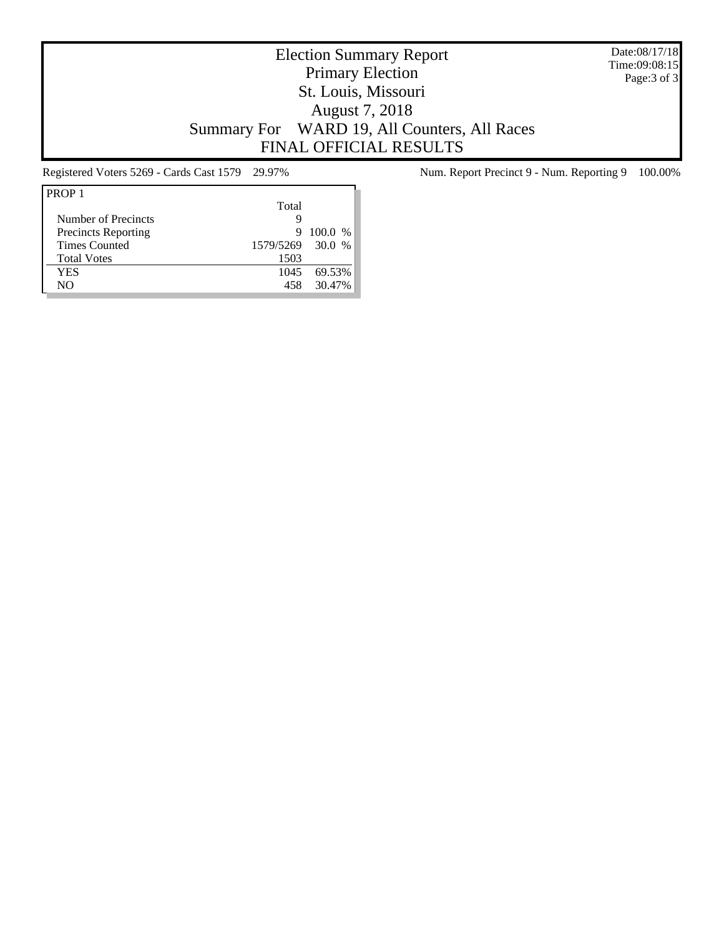Date:08/17/18 Time:09:08:15 Page:3 of 3

# Election Summary Report Primary Election St. Louis, Missouri August 7, 2018 Summary For WARD 19, All Counters, All Races FINAL OFFICIAL RESULTS

| Total |                |
|-------|----------------|
| Ч     |                |
| 9     | $100.0\%$      |
|       | $\%$           |
| 1503  |                |
| 1045  | 69.53%         |
| 458   | 30.47%         |
|       | 1579/5269 30.0 |

Registered Voters 5269 - Cards Cast 1579 29.97% Num. Report Precinct 9 - Num. Reporting 9 100.00%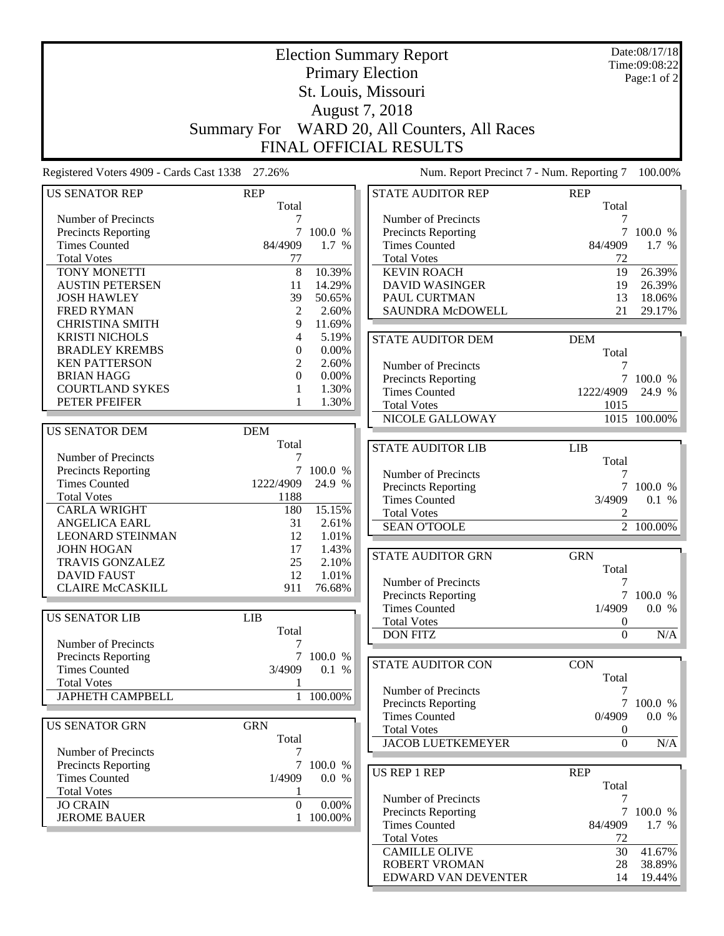|                                                   |                     |                   | <b>Election Summary Report</b>               |                  | Date:08/17/18<br>Time:09:08:22 |
|---------------------------------------------------|---------------------|-------------------|----------------------------------------------|------------------|--------------------------------|
|                                                   |                     |                   | <b>Primary Election</b>                      |                  | Page:1 of 2                    |
|                                                   | St. Louis, Missouri |                   |                                              |                  |                                |
|                                                   |                     |                   | August 7, 2018                               |                  |                                |
|                                                   |                     |                   | Summary For WARD 20, All Counters, All Races |                  |                                |
|                                                   |                     |                   |                                              |                  |                                |
|                                                   |                     |                   | <b>FINAL OFFICIAL RESULTS</b>                |                  |                                |
| Registered Voters 4909 - Cards Cast 1338 27.26%   |                     |                   | Num. Report Precinct 7 - Num. Reporting 7    |                  | 100.00%                        |
| <b>US SENATOR REP</b>                             | <b>REP</b>          |                   | <b>STATE AUDITOR REP</b>                     | <b>REP</b>       |                                |
|                                                   | Total               |                   |                                              | Total            |                                |
| Number of Precincts                               | 7                   |                   | Number of Precincts                          | 7                |                                |
| Precincts Reporting                               | $\tau$              | 100.0 %           | Precincts Reporting                          | $\tau$           | 100.0 %                        |
| <b>Times Counted</b>                              | 84/4909             | 1.7 %             | <b>Times Counted</b>                         | 84/4909          | 1.7 %                          |
| <b>Total Votes</b>                                | 77                  |                   | <b>Total Votes</b>                           | 72               |                                |
| TONY MONETTI                                      | 8                   | 10.39%            | <b>KEVIN ROACH</b>                           | 19               | 26.39%                         |
| <b>AUSTIN PETERSEN</b>                            | 11                  | 14.29%            | <b>DAVID WASINGER</b>                        | 19               | 26.39%                         |
| <b>JOSH HAWLEY</b>                                | 39                  | 50.65%            | PAUL CURTMAN                                 | 13               | 18.06%                         |
| <b>FRED RYMAN</b>                                 | 2                   | 2.60%             | <b>SAUNDRA McDOWELL</b>                      | 21               | 29.17%                         |
| <b>CHRISTINA SMITH</b>                            | 9                   | 11.69%            |                                              |                  |                                |
| <b>KRISTI NICHOLS</b><br><b>BRADLEY KREMBS</b>    | 4                   | 5.19%<br>0.00%    | <b>STATE AUDITOR DEM</b>                     | <b>DEM</b>       |                                |
|                                                   | $\mathbf{0}$        |                   |                                              | Total            |                                |
| <b>KEN PATTERSON</b>                              | 2<br>$\Omega$       | 2.60%<br>0.00%    | Number of Precincts                          | 7                |                                |
| <b>BRIAN HAGG</b>                                 |                     |                   | Precincts Reporting                          | $\overline{7}$   | 100.0 %                        |
| <b>COURTLAND SYKES</b><br>PETER PFEIFER           | 1<br>1              | 1.30%             | <b>Times Counted</b>                         | 1222/4909        | 24.9 %                         |
|                                                   |                     | 1.30%             | <b>Total Votes</b>                           | 1015             |                                |
|                                                   |                     |                   | NICOLE GALLOWAY                              |                  | 1015 100.00%                   |
| <b>US SENATOR DEM</b>                             | <b>DEM</b>          |                   |                                              |                  |                                |
|                                                   | Total               |                   | <b>STATE AUDITOR LIB</b>                     | <b>LIB</b>       |                                |
| Number of Precincts                               | 7                   |                   |                                              | Total            |                                |
| Precincts Reporting<br><b>Times Counted</b>       | 7<br>1222/4909      | 100.0 %<br>24.9 % | Number of Precincts                          | 7                |                                |
|                                                   |                     |                   | Precincts Reporting                          | $7\overline{ }$  | 100.0 %                        |
| <b>Total Votes</b><br><b>CARLA WRIGHT</b>         | 1188                | 15.15%            | <b>Times Counted</b>                         | 3/4909           | 0.1 %                          |
|                                                   | 180                 |                   | <b>Total Votes</b>                           | $\overline{c}$   |                                |
| <b>ANGELICA EARL</b><br><b>LEONARD STEINMAN</b>   | 31<br>12            | 2.61%<br>1.01%    | <b>SEAN O'TOOLE</b>                          |                  | $\overline{2}$ 100.00%         |
| <b>JOHN HOGAN</b>                                 | 17                  | 1.43%             |                                              |                  |                                |
| TRAVIS GONZALEZ                                   | 25                  | 2.10%             | <b>STATE AUDITOR GRN</b>                     | <b>GRN</b>       |                                |
| <b>DAVID FAUST</b>                                | 12                  | 1.01%             |                                              | Total            |                                |
| <b>CLAIRE McCASKILL</b>                           | 911                 | 76.68%            | Number of Precincts                          | 7                |                                |
|                                                   |                     |                   | Precincts Reporting                          | $7\overline{ }$  | 100.0 %                        |
|                                                   |                     |                   | <b>Times Counted</b>                         | 1/4909           | 0.0 %                          |
| <b>US SENATOR LIB</b>                             | <b>LIB</b>          |                   | <b>Total Votes</b>                           | $\boldsymbol{0}$ |                                |
| Number of Precincts                               | Total<br>7          |                   | <b>DON FITZ</b>                              | $\boldsymbol{0}$ | N/A                            |
| Precincts Reporting                               |                     | 7 100.0 %         |                                              |                  |                                |
| <b>Times Counted</b>                              | 3/4909              | 0.1 %             | <b>STATE AUDITOR CON</b>                     | <b>CON</b>       |                                |
| <b>Total Votes</b>                                |                     |                   |                                              | Total            |                                |
| <b>JAPHETH CAMPBELL</b>                           |                     | 1 100.00%         | Number of Precincts                          | 7                |                                |
|                                                   |                     |                   | Precincts Reporting                          |                  | 7 100.0 %                      |
|                                                   |                     |                   | <b>Times Counted</b>                         | 0/4909           | 0.0 %                          |
| <b>US SENATOR GRN</b>                             | <b>GRN</b>          |                   | <b>Total Votes</b>                           | $\boldsymbol{0}$ |                                |
|                                                   | Total               |                   | <b>JACOB LUETKEMEYER</b>                     | $\boldsymbol{0}$ | N/A                            |
| Number of Precincts<br><b>Precincts Reporting</b> | 7<br>7              | 100.0 %           |                                              |                  |                                |
| <b>Times Counted</b>                              | 1/4909              | 0.0 %             | <b>US REP 1 REP</b>                          | <b>REP</b>       |                                |
| <b>Total Votes</b>                                |                     |                   |                                              | Total            |                                |
| <b>JO CRAIN</b>                                   | 1<br>$\Omega$       | 0.00%             | Number of Precincts                          | 7                |                                |
| <b>JEROME BAUER</b>                               | 1                   | 100.00%           | Precincts Reporting                          |                  | 7 100.0 %                      |
|                                                   |                     |                   | <b>Times Counted</b>                         | 84/4909          | 1.7 %                          |
|                                                   |                     |                   | <b>Total Votes</b>                           | 72               |                                |
|                                                   |                     |                   | <b>CAMILLE OLIVE</b>                         | 30               | 41.67%                         |
|                                                   |                     |                   | ROBERT VROMAN                                | 28               | 38.89%                         |

EDWARD VAN DEVENTER 14 19.44%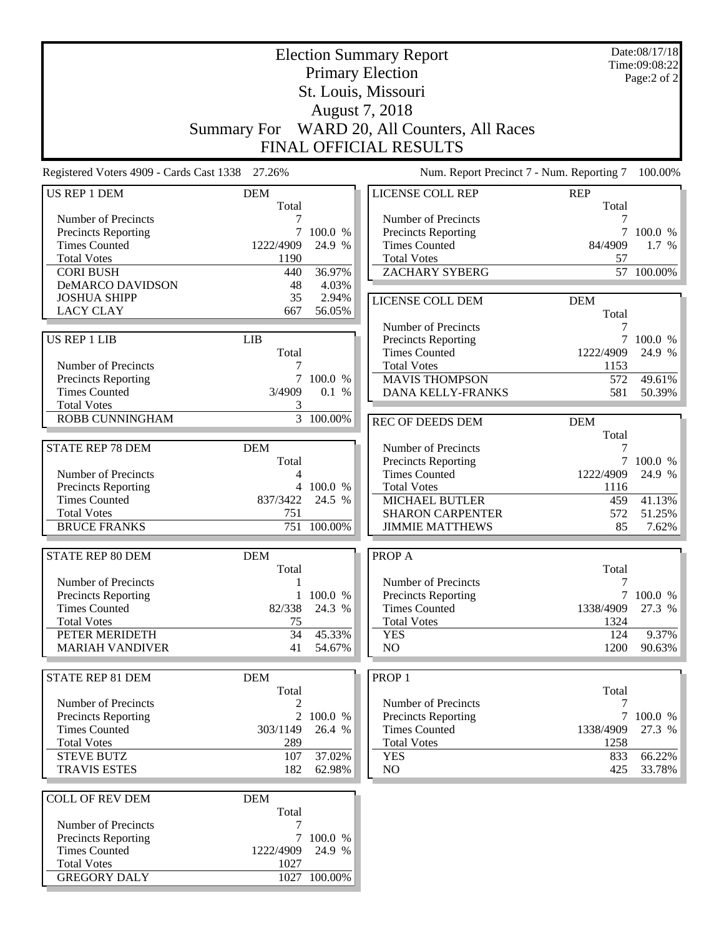|                                                 | <b>Election Summary Report</b> |                        |                                            |                  | Date:08/17/18<br>Time:09:08:22 |
|-------------------------------------------------|--------------------------------|------------------------|--------------------------------------------|------------------|--------------------------------|
|                                                 |                                |                        | <b>Primary Election</b>                    |                  | Page:2 of 2                    |
|                                                 |                                |                        | St. Louis, Missouri                        |                  |                                |
|                                                 |                                |                        | August 7, 2018                             |                  |                                |
|                                                 | <b>Summary For</b>             |                        | WARD 20, All Counters, All Races           |                  |                                |
|                                                 |                                |                        | FINAL OFFICIAL RESULTS                     |                  |                                |
| Registered Voters 4909 - Cards Cast 1338 27.26% |                                |                        | Num. Report Precinct 7 - Num. Reporting 7  |                  | 100.00%                        |
| US REP 1 DEM                                    | <b>DEM</b>                     |                        | LICENSE COLL REP                           | <b>REP</b>       |                                |
|                                                 | Total                          |                        |                                            | Total            |                                |
| Number of Precincts<br>Precincts Reporting      | 7<br>7                         | 100.0 %                | Number of Precincts<br>Precincts Reporting | 7<br>7           | 100.0 %                        |
| <b>Times Counted</b>                            | 1222/4909                      | 24.9 %                 | <b>Times Counted</b>                       | 84/4909          | 1.7 %                          |
| <b>Total Votes</b>                              | 1190                           |                        | <b>Total Votes</b>                         | 57               |                                |
| <b>CORI BUSH</b>                                | 440                            | 36.97%                 | <b>ZACHARY SYBERG</b>                      |                  | 57 100.00%                     |
| <b>DeMARCO DAVIDSON</b>                         | 48                             | 4.03%                  |                                            |                  |                                |
| <b>JOSHUA SHIPP</b>                             | 35                             | 2.94%                  | LICENSE COLL DEM                           | <b>DEM</b>       |                                |
| <b>LACY CLAY</b>                                | 667                            | 56.05%                 |                                            | Total            |                                |
|                                                 |                                |                        | Number of Precincts                        | 7                |                                |
| US REP 1 LIB                                    | <b>LIB</b>                     |                        | Precincts Reporting                        | $\tau$           | 100.0 %                        |
|                                                 | Total                          |                        | <b>Times Counted</b>                       | 1222/4909        | 24.9 %                         |
| Number of Precincts                             | 7                              |                        | <b>Total Votes</b>                         | 1153             |                                |
| <b>Precincts Reporting</b>                      |                                | 7 100.0 %              | <b>MAVIS THOMPSON</b>                      | 572              | 49.61%                         |
| <b>Times Counted</b>                            | 3/4909                         | 0.1 %                  | DANA KELLY-FRANKS                          | 581              | 50.39%                         |
| <b>Total Votes</b>                              | 3                              |                        |                                            |                  |                                |
| <b>ROBB CUNNINGHAM</b>                          |                                | $\overline{3}$ 100.00% | <b>REC OF DEEDS DEM</b>                    | <b>DEM</b>       |                                |
|                                                 |                                |                        |                                            | Total            |                                |
| <b>STATE REP 78 DEM</b>                         | <b>DEM</b>                     |                        | Number of Precincts                        |                  |                                |
|                                                 | Total                          |                        | Precincts Reporting                        |                  | 7 100.0 %                      |
| Number of Precincts                             | 4                              |                        | <b>Times Counted</b>                       | 1222/4909        | 24.9 %                         |
| <b>Precincts Reporting</b>                      |                                | 4 100.0 %              | <b>Total Votes</b>                         | 1116             |                                |
| <b>Times Counted</b>                            | 837/3422                       | 24.5 %                 | <b>MICHAEL BUTLER</b>                      | 459              | 41.13%                         |
| <b>Total Votes</b>                              | 751                            |                        | <b>SHARON CARPENTER</b>                    | 572              | 51.25%                         |
| <b>BRUCE FRANKS</b>                             | 751                            | 100.00%                | <b>JIMMIE MATTHEWS</b>                     | 85               | 7.62%                          |
|                                                 |                                |                        |                                            |                  |                                |
| <b>STATE REP 80 DEM</b>                         | <b>DEM</b>                     |                        | PROP A                                     |                  |                                |
|                                                 | Total                          |                        |                                            | Total            |                                |
| Number of Precincts                             | $\mathbf{1}$                   |                        | Number of Precincts                        | $\boldsymbol{7}$ | 7 100.0 %                      |
| Precincts Reporting                             | $\mathbf{1}$                   | 100.0 %                | Precincts Reporting                        |                  | 27.3 %                         |
| <b>Times Counted</b><br><b>Total Votes</b>      | 82/338                         | 24.3 %                 | <b>Times Counted</b><br><b>Total Votes</b> | 1338/4909        |                                |
| PETER MERIDETH                                  | 75<br>34                       | 45.33%                 | <b>YES</b>                                 | 1324<br>124      | 9.37%                          |
| <b>MARIAH VANDIVER</b>                          | 41                             | 54.67%                 | NO                                         | 1200             | 90.63%                         |
|                                                 |                                |                        |                                            |                  |                                |
| <b>STATE REP 81 DEM</b>                         | <b>DEM</b>                     |                        | PROP <sub>1</sub>                          |                  |                                |
|                                                 | Total                          |                        |                                            | Total            |                                |
| Number of Precincts                             | 2                              |                        | Number of Precincts                        | 7                |                                |
| Precincts Reporting                             |                                | 2 100.0 %              | Precincts Reporting                        |                  | 7 100.0 %                      |
| <b>Times Counted</b>                            | 303/1149                       | 26.4 %                 | <b>Times Counted</b>                       | 1338/4909        | 27.3 %                         |
| <b>Total Votes</b>                              | 289                            |                        | <b>Total Votes</b>                         | 1258             |                                |
| <b>STEVE BUTZ</b>                               | 107                            | 37.02%                 | <b>YES</b>                                 | 833              | 66.22%                         |
| <b>TRAVIS ESTES</b>                             | 182                            | 62.98%                 | NO.                                        | 425              | 33.78%                         |
| <b>COLL OF REV DEM</b>                          | <b>DEM</b>                     |                        |                                            |                  |                                |
|                                                 | Total                          |                        |                                            |                  |                                |
| Number of Precincts                             | 7                              |                        |                                            |                  |                                |
| Precincts Reporting                             |                                | 7 100.0 %              |                                            |                  |                                |
| <b>Times Counted</b>                            | 1222/4909                      | 24.9 %                 |                                            |                  |                                |
| <b>Total Votes</b>                              | 1027                           |                        |                                            |                  |                                |
| <b>GREGORY DALY</b>                             |                                | 1027 100.00%           |                                            |                  |                                |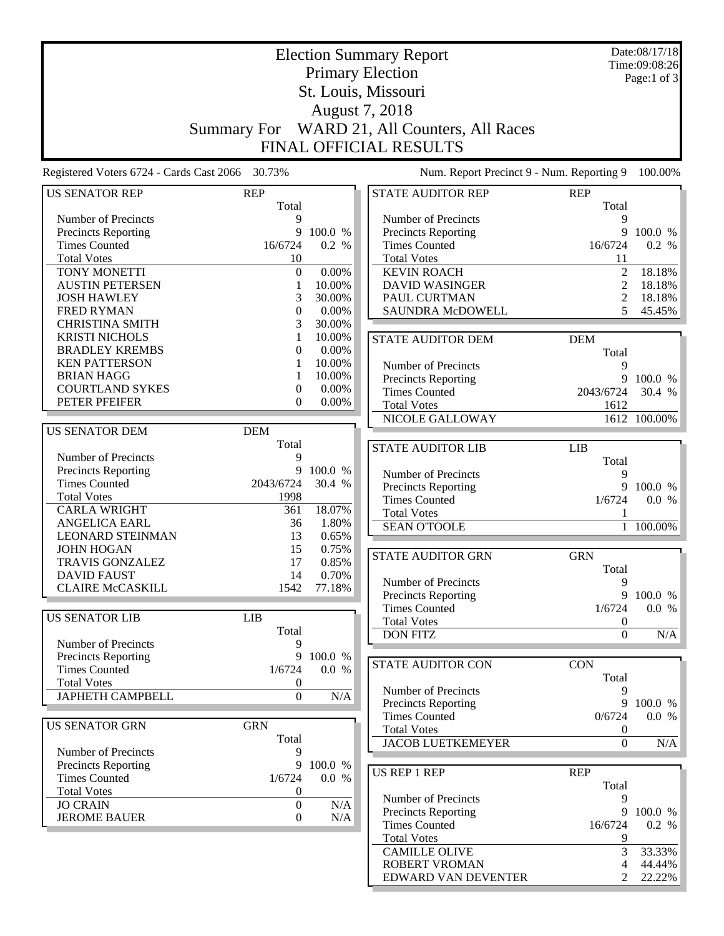|                                             | <b>Election Summary Report</b> |                  |                                              |                  | Date:08/17/18 |
|---------------------------------------------|--------------------------------|------------------|----------------------------------------------|------------------|---------------|
|                                             |                                |                  |                                              |                  | Time:09:08:26 |
|                                             |                                |                  | <b>Primary Election</b>                      |                  | Page:1 of 3   |
|                                             | St. Louis, Missouri            |                  |                                              |                  |               |
|                                             |                                |                  | August 7, 2018                               |                  |               |
|                                             |                                |                  |                                              |                  |               |
|                                             |                                |                  | Summary For WARD 21, All Counters, All Races |                  |               |
|                                             |                                |                  | <b>FINAL OFFICIAL RESULTS</b>                |                  |               |
| Registered Voters 6724 - Cards Cast 2066    | 30.73%                         |                  | Num. Report Precinct 9 - Num. Reporting 9    |                  | 100.00%       |
|                                             |                                |                  |                                              |                  |               |
| <b>US SENATOR REP</b>                       | <b>REP</b>                     |                  | <b>STATE AUDITOR REP</b>                     | <b>REP</b>       |               |
|                                             | Total                          |                  |                                              | Total            |               |
| Number of Precincts                         | 9<br>9                         |                  | Number of Precincts                          | 9<br>9           | 100.0 %       |
| Precincts Reporting<br><b>Times Counted</b> | 16/6724                        | 100.0 %<br>0.2 % | Precincts Reporting<br><b>Times Counted</b>  | 16/6724          | 0.2 %         |
| <b>Total Votes</b>                          | 10                             |                  | <b>Total Votes</b>                           | 11               |               |
| TONY MONETTI                                | $\boldsymbol{0}$               | 0.00%            | <b>KEVIN ROACH</b>                           | $\overline{2}$   | 18.18%        |
| <b>AUSTIN PETERSEN</b>                      | 1                              | 10.00%           | <b>DAVID WASINGER</b>                        | $\mathfrak{2}$   | 18.18%        |
| <b>JOSH HAWLEY</b>                          | 3                              | 30.00%           | PAUL CURTMAN                                 | $\overline{c}$   | 18.18%        |
| <b>FRED RYMAN</b>                           | $\mathbf{0}$                   | 0.00%            | <b>SAUNDRA McDOWELL</b>                      | 5                | 45.45%        |
| <b>CHRISTINA SMITH</b>                      | 3                              | 30.00%           |                                              |                  |               |
| <b>KRISTI NICHOLS</b>                       | 1                              | 10.00%           |                                              |                  |               |
| <b>BRADLEY KREMBS</b>                       | 0                              | 0.00%            | <b>STATE AUDITOR DEM</b>                     | <b>DEM</b>       |               |
| <b>KEN PATTERSON</b>                        |                                | 10.00%           |                                              | Total            |               |
| <b>BRIAN HAGG</b>                           | 1                              | 10.00%           | Number of Precincts                          | 9                |               |
| <b>COURTLAND SYKES</b>                      | $\boldsymbol{0}$               | 0.00%            | <b>Precincts Reporting</b>                   | 9                | 100.0 %       |
| PETER PFEIFER                               | $\mathbf{0}$                   | 0.00%            | <b>Times Counted</b>                         | 2043/6724        | 30.4 %        |
|                                             |                                |                  | <b>Total Votes</b>                           | 1612             |               |
|                                             | <b>DEM</b>                     |                  | NICOLE GALLOWAY                              |                  | 1612 100.00%  |
| <b>US SENATOR DEM</b>                       | Total                          |                  |                                              |                  |               |
| Number of Precincts                         | 9                              |                  | <b>STATE AUDITOR LIB</b>                     | <b>LIB</b>       |               |
| Precincts Reporting                         | 9                              | 100.0 %          |                                              | Total            |               |
| <b>Times Counted</b>                        | 2043/6724                      | 30.4 %           | Number of Precincts                          | 9                |               |
| <b>Total Votes</b>                          | 1998                           |                  | Precincts Reporting                          | 9                | 100.0 %       |
| <b>CARLA WRIGHT</b>                         | 361                            | 18.07%           | <b>Times Counted</b>                         | 1/6724           | 0.0 %         |
| <b>ANGELICA EARL</b>                        | 36                             | 1.80%            | <b>Total Votes</b>                           | 1                |               |
| <b>LEONARD STEINMAN</b>                     | 13                             | 0.65%            | <b>SEAN O'TOOLE</b>                          | $\mathbf{1}$     | 100.00%       |
| <b>JOHN HOGAN</b>                           | 15                             | 0.75%            |                                              |                  |               |
| <b>TRAVIS GONZALEZ</b>                      | 17                             | 0.85%            | <b>STATE AUDITOR GRN</b>                     | <b>GRN</b>       |               |
| <b>DAVID FAUST</b>                          | 14                             | 0.70%            |                                              | Total            |               |
| <b>CLAIRE McCASKILL</b>                     | 1542                           | 77.18%           | Number of Precincts                          | 9                |               |
|                                             |                                |                  | Precincts Reporting                          | 9                | 100.0 %       |
| <b>US SENATOR LIB</b>                       | <b>LIB</b>                     |                  | <b>Times Counted</b>                         | 1/6724           | 0.0 %         |
|                                             | Total                          |                  | <b>Total Votes</b>                           | $\boldsymbol{0}$ |               |
| Number of Precincts                         | 9                              |                  | <b>DON FITZ</b>                              | $\boldsymbol{0}$ | N/A           |
| Precincts Reporting                         | 9                              | 100.0 %          |                                              |                  |               |
| <b>Times Counted</b>                        | 1/6724                         | 0.0 %            | <b>STATE AUDITOR CON</b>                     | <b>CON</b>       |               |
| <b>Total Votes</b>                          | $\boldsymbol{0}$               |                  |                                              | Total            |               |
| <b>JAPHETH CAMPBELL</b>                     | $\boldsymbol{0}$               | N/A              | Number of Precincts                          | 9                |               |
|                                             |                                |                  | <b>Precincts Reporting</b>                   | 9                | 100.0 %       |
|                                             |                                |                  | <b>Times Counted</b>                         | 0/6724           | 0.0 %         |
| <b>US SENATOR GRN</b>                       | <b>GRN</b>                     |                  | <b>Total Votes</b>                           | $\boldsymbol{0}$ |               |
|                                             | Total                          |                  | <b>JACOB LUETKEMEYER</b>                     | $\overline{0}$   | N/A           |
| Number of Precincts                         | 9                              |                  |                                              |                  |               |
| <b>Precincts Reporting</b>                  | 9                              | 100.0 %          | <b>US REP 1 REP</b>                          | <b>REP</b>       |               |
| <b>Times Counted</b>                        | 1/6724                         | 0.0 %            |                                              | Total            |               |
| <b>Total Votes</b>                          | $\boldsymbol{0}$               |                  | Number of Precincts                          | 9                |               |
| <b>JO CRAIN</b>                             | $\boldsymbol{0}$               | N/A              | Precincts Reporting                          |                  | 9 100.0 %     |
| <b>JEROME BAUER</b>                         | $\boldsymbol{0}$               | N/A              | <b>Times Counted</b>                         | 16/6724          | 0.2 %         |
|                                             |                                |                  | <b>Total Votes</b>                           | 9                |               |
|                                             |                                |                  | <b>CAMILLE OLIVE</b>                         | 3                | 33.33%        |
|                                             |                                |                  | <b>ROBERT VROMAN</b>                         | 4                | 44.44%        |
|                                             |                                |                  | EDWARD VAN DEVENTER                          | $\mathfrak{D}$   | 22.22%        |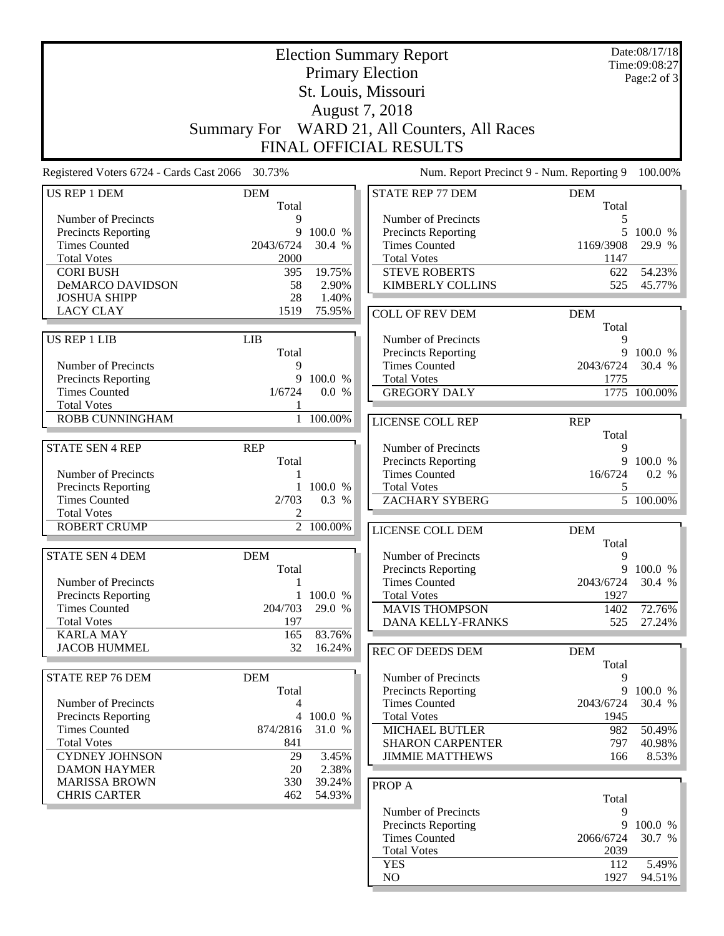|                                                    | <b>Election Summary Report</b><br><b>Primary Election</b> |                        |                                                    |                     | Date:08/17/18<br>Time:09:08:27<br>Page:2 of 3 |
|----------------------------------------------------|-----------------------------------------------------------|------------------------|----------------------------------------------------|---------------------|-----------------------------------------------|
|                                                    | St. Louis, Missouri                                       |                        |                                                    |                     |                                               |
|                                                    |                                                           |                        | August 7, 2018                                     |                     |                                               |
|                                                    | Summary For                                               |                        | WARD 21, All Counters, All Races                   |                     |                                               |
|                                                    |                                                           |                        | FINAL OFFICIAL RESULTS                             |                     |                                               |
| Registered Voters 6724 - Cards Cast 2066 30.73%    |                                                           |                        | Num. Report Precinct 9 - Num. Reporting 9          |                     | 100.00%                                       |
| <b>US REP 1 DEM</b>                                | <b>DEM</b>                                                |                        | <b>STATE REP 77 DEM</b>                            | <b>DEM</b>          |                                               |
| Number of Precincts                                | Total<br>$\mathbf Q$                                      |                        | Number of Precincts                                | Total<br>5          |                                               |
| <b>Precincts Reporting</b>                         | 9                                                         | 100.0 %                | Precincts Reporting                                | 5                   | 100.0 %                                       |
| <b>Times Counted</b>                               | 2043/6724                                                 | 30.4 %                 | <b>Times Counted</b>                               | 1169/3908           | 29.9 %                                        |
| <b>Total Votes</b>                                 | 2000                                                      |                        | <b>Total Votes</b>                                 | 1147                |                                               |
| <b>CORI BUSH</b>                                   | 395                                                       | 19.75%                 | <b>STEVE ROBERTS</b>                               | 622                 | 54.23%                                        |
| <b>DeMARCO DAVIDSON</b>                            | 58                                                        | 2.90%                  | <b>KIMBERLY COLLINS</b>                            | 525                 | 45.77%                                        |
| <b>JOSHUA SHIPP</b>                                | 28                                                        | 1.40%                  |                                                    |                     |                                               |
| <b>LACY CLAY</b>                                   | 1519                                                      | 75.95%                 | <b>COLL OF REV DEM</b>                             | <b>DEM</b><br>Total |                                               |
| US REP 1 LIB                                       | <b>LIB</b>                                                |                        | Number of Precincts                                | 9                   |                                               |
|                                                    | Total                                                     |                        | Precincts Reporting                                | 9                   | 100.0%                                        |
| Number of Precincts                                | 9                                                         |                        | <b>Times Counted</b>                               | 2043/6724           | 30.4 %                                        |
| <b>Precincts Reporting</b><br><b>Times Counted</b> | 9<br>1/6724                                               | 100.0 %<br>0.0 %       | <b>Total Votes</b>                                 | 1775                |                                               |
| <b>Total Votes</b>                                 | 1                                                         |                        | <b>GREGORY DALY</b>                                |                     | 1775 100.00%                                  |
| ROBB CUNNINGHAM                                    |                                                           | 1 100.00%              | LICENSE COLL REP                                   | <b>REP</b>          |                                               |
|                                                    |                                                           |                        |                                                    | Total               |                                               |
| <b>STATE SEN 4 REP</b>                             | <b>REP</b>                                                |                        | Number of Precincts                                | 9                   |                                               |
|                                                    | Total                                                     |                        | Precincts Reporting                                | 9                   | 100.0 %                                       |
| Number of Precincts                                | 1                                                         |                        | <b>Times Counted</b>                               | 16/6724             | 0.2 %                                         |
| <b>Precincts Reporting</b><br><b>Times Counted</b> | 1<br>2/703                                                | 100.0 %<br>0.3 %       | <b>Total Votes</b><br><b>ZACHARY SYBERG</b>        | 5                   | $\overline{5}$ 100.00%                        |
| <b>Total Votes</b>                                 | 2                                                         |                        |                                                    |                     |                                               |
| <b>ROBERT CRUMP</b>                                |                                                           | $\overline{2}$ 100.00% | LICENSE COLL DEM                                   | <b>DEM</b>          |                                               |
|                                                    |                                                           |                        |                                                    | Total               |                                               |
| <b>STATE SEN 4 DEM</b>                             | <b>DEM</b>                                                |                        | Number of Precincts                                | 9                   |                                               |
| Number of Precincts                                | Total<br>$\mathbf{1}$                                     |                        | <b>Precincts Reporting</b><br><b>Times Counted</b> | 2043/6724           | 9 100.0 %<br>30.4 %                           |
| <b>Precincts Reporting</b>                         | $\mathbf{1}$                                              | 100.0 %                | <b>Total Votes</b>                                 | 1927                |                                               |
| <b>Times Counted</b>                               | 204/703                                                   | 29.0 %                 | <b>MAVIS THOMPSON</b>                              | 1402                | 72.76%                                        |
| <b>Total Votes</b>                                 | 197                                                       |                        | <b>DANA KELLY-FRANKS</b>                           | 525                 | 27.24%                                        |
| <b>KARLA MAY</b>                                   | 165                                                       | 83.76%                 |                                                    |                     |                                               |
| <b>JACOB HUMMEL</b>                                | 32                                                        | 16.24%                 | <b>REC OF DEEDS DEM</b>                            | <b>DEM</b>          |                                               |
| <b>STATE REP 76 DEM</b>                            | <b>DEM</b>                                                |                        | Number of Precincts                                | Total<br>9          |                                               |
|                                                    | Total                                                     |                        | Precincts Reporting                                | 9                   | 100.0 %                                       |
| Number of Precincts                                | 4                                                         |                        | <b>Times Counted</b>                               | 2043/6724           | 30.4 %                                        |
| <b>Precincts Reporting</b>                         | $\overline{4}$                                            | 100.0 %                | <b>Total Votes</b>                                 | 1945                |                                               |
| <b>Times Counted</b>                               | 874/2816                                                  | 31.0 %                 | MICHAEL BUTLER                                     | 982                 | 50.49%                                        |
| <b>Total Votes</b>                                 | 841                                                       |                        | <b>SHARON CARPENTER</b>                            | 797                 | 40.98%                                        |
| <b>CYDNEY JOHNSON</b>                              | 29                                                        | 3.45%                  | <b>JIMMIE MATTHEWS</b>                             | 166                 | 8.53%                                         |
| <b>DAMON HAYMER</b><br><b>MARISSA BROWN</b>        | 20<br>330                                                 | 2.38%<br>39.24%        |                                                    |                     |                                               |
| <b>CHRIS CARTER</b>                                | 462                                                       | 54.93%                 | <b>PROP A</b>                                      | Total               |                                               |
|                                                    |                                                           |                        | Number of Precincts                                | 9                   |                                               |
|                                                    |                                                           |                        | Precincts Reporting                                | 9                   | 100.0 %                                       |
|                                                    |                                                           |                        | <b>Times Counted</b>                               | 2066/6724           | 30.7 %                                        |
|                                                    |                                                           |                        | <b>Total Votes</b>                                 | 2039                |                                               |
|                                                    |                                                           |                        | <b>YES</b>                                         | 112                 | 5.49%                                         |
|                                                    |                                                           |                        | NO                                                 | 1927                | 94.51%                                        |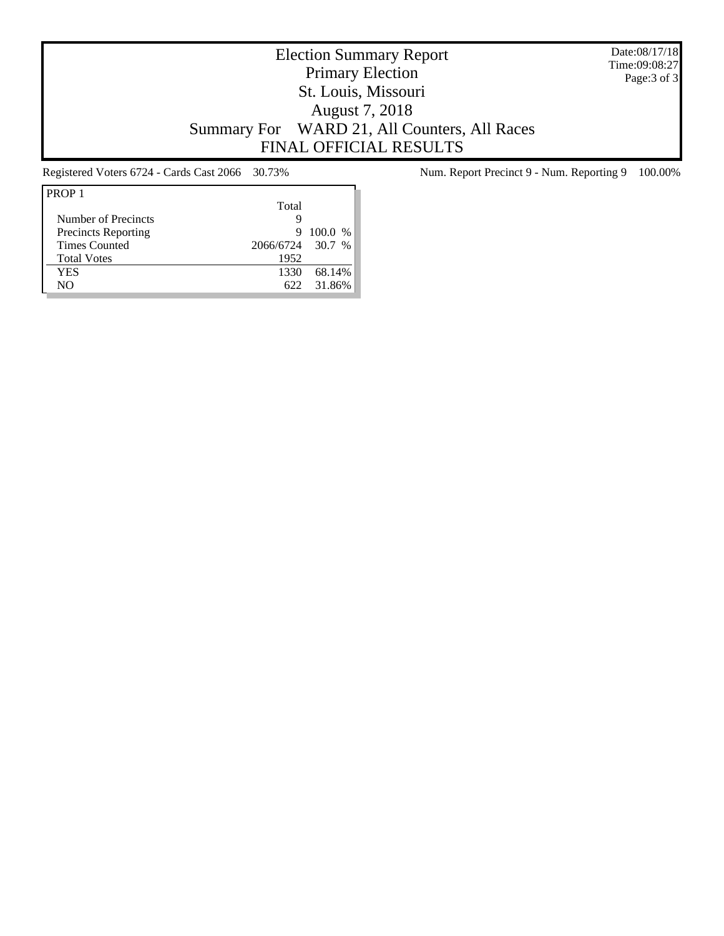Date:08/17/18 Time:09:08:27 Page:3 of 3

# Election Summary Report Primary Election St. Louis, Missouri August 7, 2018 Summary For WARD 21, All Counters, All Races FINAL OFFICIAL RESULTS

| Total |                  |
|-------|------------------|
|       |                  |
| 9     | $100.0\%$        |
|       |                  |
| 1952  |                  |
| 1330  | 68.14%           |
| 622.  | 31.86%           |
|       | 2066/6724 30.7 % |

Registered Voters 6724 - Cards Cast 2066 30.73% Num. Report Precinct 9 - Num. Reporting 9 100.00%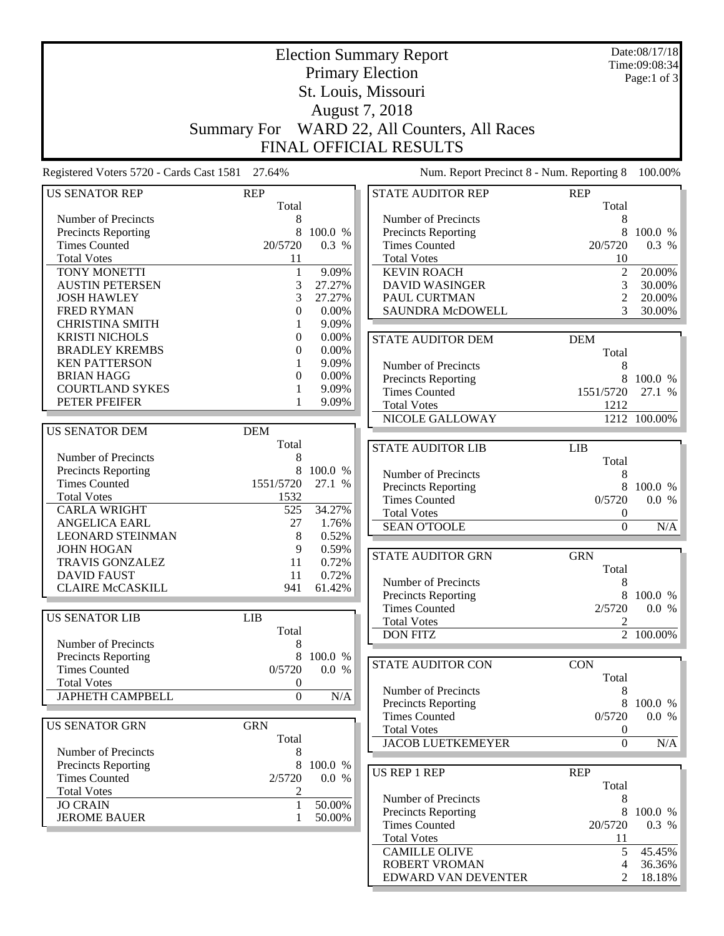|                                                 | <b>Election Summary Report</b> |         |                                                |                                      | Date:08/17/18<br>Time:09:08:34 |
|-------------------------------------------------|--------------------------------|---------|------------------------------------------------|--------------------------------------|--------------------------------|
|                                                 |                                |         | <b>Primary Election</b>                        |                                      | Page:1 of 3                    |
|                                                 | St. Louis, Missouri            |         |                                                |                                      |                                |
|                                                 |                                |         |                                                |                                      |                                |
|                                                 |                                |         | August 7, 2018                                 |                                      |                                |
|                                                 |                                |         | Summary For WARD 22, All Counters, All Races   |                                      |                                |
|                                                 |                                |         | <b>FINAL OFFICIAL RESULTS</b>                  |                                      |                                |
| Registered Voters 5720 - Cards Cast 1581 27.64% |                                |         | Num. Report Precinct 8 - Num. Reporting 8      |                                      | 100.00%                        |
| <b>US SENATOR REP</b>                           | <b>REP</b><br>Total            |         | <b>STATE AUDITOR REP</b>                       | <b>REP</b><br>Total                  |                                |
| Number of Precincts                             | 8                              |         | Number of Precincts                            | 8                                    |                                |
| Precincts Reporting                             | 8                              | 100.0 % | Precincts Reporting                            | 8                                    | 100.0 %                        |
| <b>Times Counted</b>                            | 20/5720                        | 0.3 %   | <b>Times Counted</b>                           | 20/5720                              | 0.3 %                          |
| <b>Total Votes</b>                              | 11                             |         | <b>Total Votes</b>                             | 10                                   |                                |
| TONY MONETTI                                    | $\mathbf{1}$                   | 9.09%   | <b>KEVIN ROACH</b>                             | $\overline{2}$                       | 20.00%                         |
| <b>AUSTIN PETERSEN</b>                          | 3                              | 27.27%  | <b>DAVID WASINGER</b>                          | 3                                    | 30.00%                         |
| <b>JOSH HAWLEY</b>                              | 3                              | 27.27%  | PAUL CURTMAN                                   | $\overline{c}$                       | 20.00%                         |
| <b>FRED RYMAN</b>                               | 0                              | 0.00%   | <b>SAUNDRA McDOWELL</b>                        | 3                                    | 30.00%                         |
| <b>CHRISTINA SMITH</b>                          | 1                              | 9.09%   |                                                |                                      |                                |
| <b>KRISTI NICHOLS</b>                           | 0                              | 0.00%   | <b>STATE AUDITOR DEM</b>                       | <b>DEM</b>                           |                                |
| <b>BRADLEY KREMBS</b>                           | 0                              | 0.00%   |                                                | Total                                |                                |
| <b>KEN PATTERSON</b>                            |                                | 9.09%   | Number of Precincts                            | 8                                    |                                |
| <b>BRIAN HAGG</b>                               | $\theta$                       | 0.00%   | Precincts Reporting                            | 8                                    | 100.0 %                        |
| <b>COURTLAND SYKES</b>                          | 1                              | 9.09%   | <b>Times Counted</b>                           | 1551/5720                            | 27.1 %                         |
| PETER PFEIFER                                   | 1                              | 9.09%   | <b>Total Votes</b>                             | 1212                                 |                                |
|                                                 |                                |         | NICOLE GALLOWAY                                |                                      | 1212 100.00%                   |
| <b>US SENATOR DEM</b>                           | <b>DEM</b>                     |         |                                                |                                      |                                |
|                                                 | Total                          |         | <b>STATE AUDITOR LIB</b>                       | <b>LIB</b>                           |                                |
| Number of Precincts                             | 8                              |         |                                                | Total                                |                                |
| Precincts Reporting<br><b>Times Counted</b>     | 8                              | 100.0 % | Number of Precincts                            | 8                                    |                                |
| <b>Total Votes</b>                              | 1551/5720<br>1532              | 27.1 %  | Precincts Reporting                            | 8                                    | 100.0 %                        |
| <b>CARLA WRIGHT</b>                             | 525                            | 34.27%  | <b>Times Counted</b>                           | 0/5720                               | 0.0 %                          |
| <b>ANGELICA EARL</b>                            | 27                             | 1.76%   | <b>Total Votes</b>                             | $\boldsymbol{0}$                     |                                |
| <b>LEONARD STEINMAN</b>                         | 8                              | 0.52%   | <b>SEAN O'TOOLE</b>                            | $\boldsymbol{0}$                     | N/A                            |
| <b>JOHN HOGAN</b>                               | 9                              | 0.59%   |                                                |                                      |                                |
| <b>TRAVIS GONZALEZ</b>                          | 11                             | 0.72%   | <b>STATE AUDITOR GRN</b>                       | <b>GRN</b>                           |                                |
| <b>DAVID FAUST</b>                              | 11                             | 0.72%   |                                                | Total                                |                                |
| <b>CLAIRE McCASKILL</b>                         | 941                            | 61.42%  | Number of Precincts                            | 8                                    |                                |
|                                                 |                                |         | Precincts Reporting                            | 8                                    | 100.0 %                        |
| <b>US SENATOR LIB</b>                           | <b>LIB</b>                     |         | <b>Times Counted</b>                           | 2/5720                               | 0.0 %                          |
|                                                 | Total                          |         | <b>Total Votes</b>                             | 2                                    |                                |
| Number of Precincts                             | 8                              |         | <b>DON FITZ</b>                                |                                      | $\overline{2}$ 100.00%         |
| <b>Precincts Reporting</b>                      | 8                              | 100.0 % |                                                |                                      |                                |
| <b>Times Counted</b>                            | 0/5720                         | 0.0 %   | <b>STATE AUDITOR CON</b>                       | <b>CON</b>                           |                                |
| <b>Total Votes</b>                              | $\boldsymbol{0}$               |         |                                                | Total                                |                                |
| <b>JAPHETH CAMPBELL</b>                         | $\boldsymbol{0}$               | N/A     | Number of Precincts                            | 8                                    |                                |
|                                                 |                                |         | Precincts Reporting                            | 8                                    | 100.0 %                        |
| <b>US SENATOR GRN</b>                           | <b>GRN</b>                     |         | <b>Times Counted</b>                           | 0/5720                               | 0.0 %                          |
|                                                 | Total                          |         | <b>Total Votes</b><br><b>JACOB LUETKEMEYER</b> | $\boldsymbol{0}$<br>$\boldsymbol{0}$ |                                |
| Number of Precincts                             | 8                              |         |                                                |                                      | N/A                            |
| <b>Precincts Reporting</b>                      | 8                              | 100.0 % |                                                |                                      |                                |
| <b>Times Counted</b>                            | 2/5720                         | 0.0 %   | <b>US REP 1 REP</b>                            | <b>REP</b>                           |                                |
| <b>Total Votes</b>                              | 2                              |         |                                                | Total                                |                                |
| <b>JO CRAIN</b>                                 | $\mathbf{1}$                   | 50.00%  | Number of Precincts                            | 8                                    |                                |
| <b>JEROME BAUER</b>                             | 1                              | 50.00%  | Precincts Reporting<br><b>Times Counted</b>    | 20/5720                              | 8 100.0 %<br>0.3 %             |
|                                                 |                                |         | <b>Total Votes</b>                             | 11                                   |                                |
|                                                 |                                |         | <b>CAMILLE OLIVE</b>                           | 5                                    | 45.45%                         |
|                                                 |                                |         | <b>ROBERT VROMAN</b>                           | 4                                    | 36.36%                         |
|                                                 |                                |         | EDWARD VAN DEVENTER                            | $\overline{2}$                       | 18.18%                         |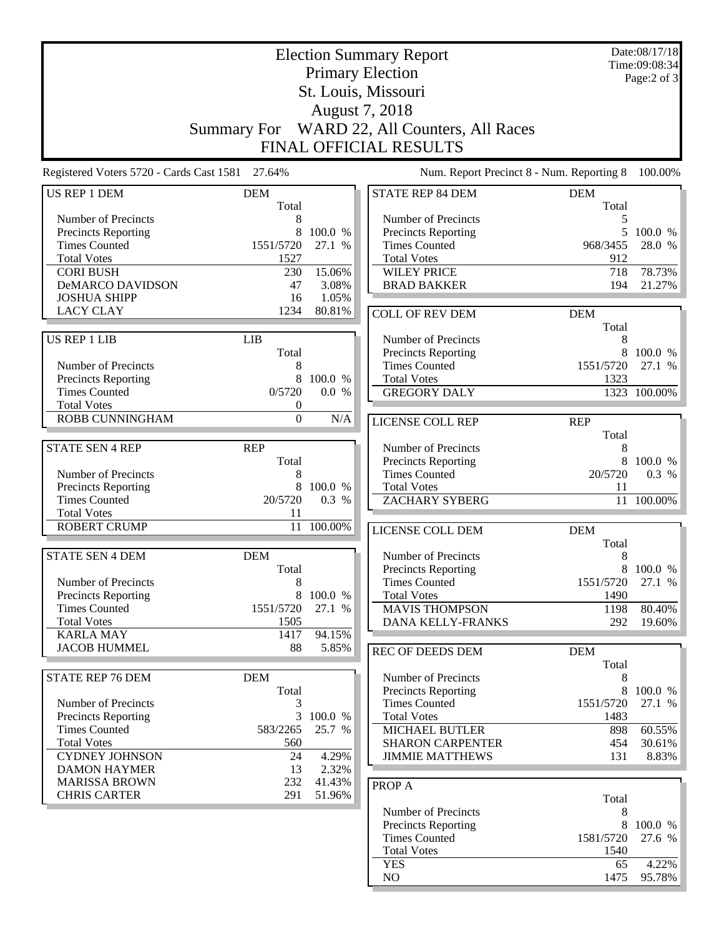|                                                 |                  |         | <b>Election Summary Report</b>                    |                     | Date:08/17/18<br>Time:09:08:34 |
|-------------------------------------------------|------------------|---------|---------------------------------------------------|---------------------|--------------------------------|
|                                                 |                  |         | <b>Primary Election</b>                           |                     | Page:2 of 3                    |
|                                                 |                  |         | St. Louis, Missouri                               |                     |                                |
|                                                 |                  |         | August 7, 2018                                    |                     |                                |
|                                                 |                  |         | Summary For WARD 22, All Counters, All Races      |                     |                                |
|                                                 |                  |         | <b>FINAL OFFICIAL RESULTS</b>                     |                     |                                |
| Registered Voters 5720 - Cards Cast 1581 27.64% |                  |         | Num. Report Precinct 8 - Num. Reporting 8         |                     | 100.00%                        |
| <b>US REP 1 DEM</b>                             | <b>DEM</b>       |         | <b>STATE REP 84 DEM</b>                           | <b>DEM</b>          |                                |
| Number of Precincts                             | Total<br>8       |         | Number of Precincts                               | Total<br>5          |                                |
| Precincts Reporting                             | 8                | 100.0 % | Precincts Reporting                               | 5                   | 100.0 %                        |
| <b>Times Counted</b>                            | 1551/5720        | 27.1 %  | <b>Times Counted</b>                              | 968/3455            | 28.0 %                         |
| <b>Total Votes</b>                              | 1527             |         | <b>Total Votes</b>                                | 912                 |                                |
| <b>CORI BUSH</b>                                | 230              | 15.06%  | <b>WILEY PRICE</b>                                | 718                 | 78.73%                         |
| <b>DeMARCO DAVIDSON</b>                         | 47               | 3.08%   | <b>BRAD BAKKER</b>                                | 194                 | 21.27%                         |
| <b>JOSHUA SHIPP</b>                             | 16               | 1.05%   |                                                   |                     |                                |
| <b>LACY CLAY</b>                                | 1234             | 80.81%  | <b>COLL OF REV DEM</b>                            | <b>DEM</b>          |                                |
|                                                 |                  |         |                                                   | Total               |                                |
| <b>US REP 1 LIB</b>                             | <b>LIB</b>       |         | Number of Precincts                               | 8                   |                                |
|                                                 | Total            |         | Precincts Reporting                               | 8                   | 100.0 %                        |
| Number of Precincts                             | 8<br>8           | 100.0 % | <b>Times Counted</b><br><b>Total Votes</b>        | 1551/5720           | 27.1 %                         |
| Precincts Reporting<br><b>Times Counted</b>     | 0/5720           | 0.0 %   | <b>GREGORY DALY</b>                               | 1323                | 1323 100.00%                   |
| <b>Total Votes</b>                              | $\boldsymbol{0}$ |         |                                                   |                     |                                |
| <b>ROBB CUNNINGHAM</b>                          | $\boldsymbol{0}$ | N/A     | LICENSE COLL REP                                  |                     |                                |
|                                                 |                  |         |                                                   | <b>REP</b><br>Total |                                |
| <b>STATE SEN 4 REP</b>                          | <b>REP</b>       |         | Number of Precincts                               | 8                   |                                |
|                                                 | Total            |         | Precincts Reporting                               | 8                   | 100.0 %                        |
| Number of Precincts                             | 8                |         | <b>Times Counted</b>                              | 20/5720             | 0.3 %                          |
| Precincts Reporting                             | 8                | 100.0 % | <b>Total Votes</b>                                | 11                  |                                |
| <b>Times Counted</b>                            | 20/5720          | 0.3 %   | <b>ZACHARY SYBERG</b>                             | 11                  | 100.00%                        |
| <b>Total Votes</b>                              | 11               |         |                                                   |                     |                                |
| <b>ROBERT CRUMP</b>                             | 11               | 100.00% | LICENSE COLL DEM                                  | <b>DEM</b>          |                                |
|                                                 |                  |         |                                                   | Total               |                                |
| <b>STATE SEN 4 DEM</b>                          | <b>DEM</b>       |         | Number of Precincts                               | 8                   |                                |
| Number of Precincts                             | Total<br>8       |         | Precincts Reporting<br><b>Times Counted</b>       | 1551/5720           | 8 100.0 %                      |
| Precincts Reporting                             | 8                | 100.0 % | <b>Total Votes</b>                                | 1490                | 27.1 %                         |
| <b>Times Counted</b>                            | 1551/5720        | 27.1 %  | <b>MAVIS THOMPSON</b>                             | 1198                | 80.40%                         |
| <b>Total Votes</b>                              | 1505             |         | <b>DANA KELLY-FRANKS</b>                          | 292                 | 19.60%                         |
| <b>KARLA MAY</b>                                | 1417             | 94.15%  |                                                   |                     |                                |
| <b>JACOB HUMMEL</b>                             | 88               | 5.85%   | REC OF DEEDS DEM                                  | <b>DEM</b>          |                                |
|                                                 |                  |         |                                                   | Total               |                                |
| <b>STATE REP 76 DEM</b>                         | <b>DEM</b>       |         | Number of Precincts                               | 8                   |                                |
|                                                 | Total            |         | <b>Precincts Reporting</b>                        | 8                   | 100.0 %                        |
| Number of Precincts                             | 3                |         | <b>Times Counted</b>                              | 1551/5720           | 27.1 %                         |
| Precincts Reporting                             | $\mathfrak{Z}$   | 100.0 % | <b>Total Votes</b>                                | 1483                |                                |
| <b>Times Counted</b><br><b>Total Votes</b>      | 583/2265<br>560  | 25.7 %  | <b>MICHAEL BUTLER</b>                             | 898                 | 60.55%                         |
| <b>CYDNEY JOHNSON</b>                           | 24               | 4.29%   | <b>SHARON CARPENTER</b><br><b>JIMMIE MATTHEWS</b> | 454<br>131          | 30.61%<br>$8.83\%$             |
| <b>DAMON HAYMER</b>                             | 13               | 2.32%   |                                                   |                     |                                |
| <b>MARISSA BROWN</b>                            | 232              | 41.43%  |                                                   |                     |                                |
| <b>CHRIS CARTER</b>                             | 291              | 51.96%  | PROP A                                            | Total               |                                |
|                                                 |                  |         | Number of Precincts                               | 8                   |                                |
|                                                 |                  |         | Precincts Reporting                               | 8                   | 100.0 %                        |
|                                                 |                  |         | <b>Times Counted</b>                              | 1581/5720           | 27.6 %                         |
|                                                 |                  |         | <b>Total Votes</b>                                | 1540                |                                |
|                                                 |                  |         | <b>YES</b>                                        | 65                  | 4.22%                          |
|                                                 |                  |         | NO                                                | 1475                | 95.78%                         |
|                                                 |                  |         |                                                   |                     |                                |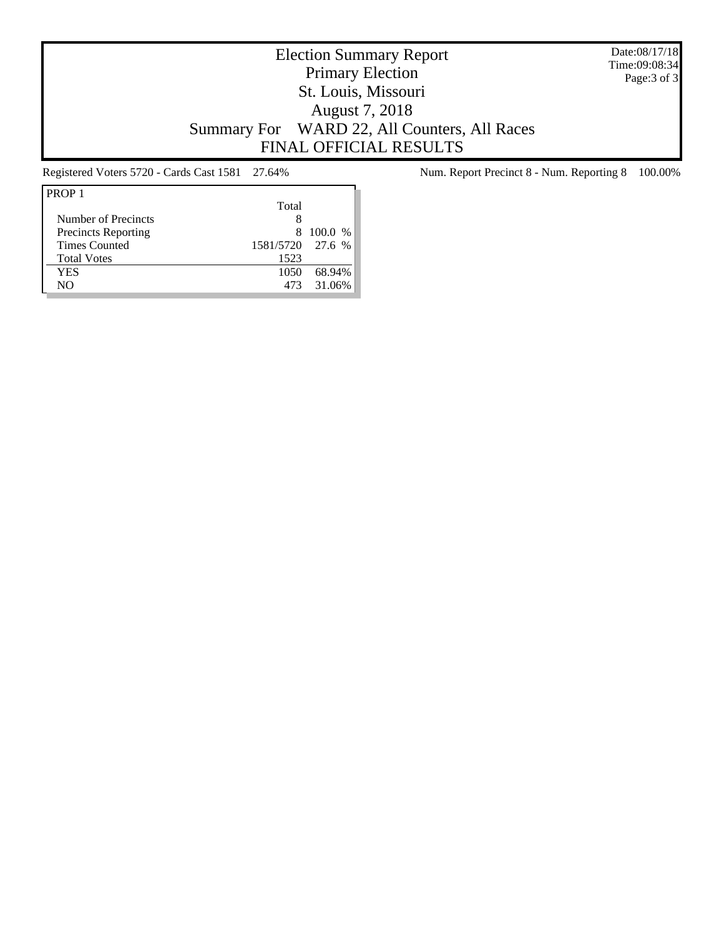Date:08/17/18 Time:09:08:34 Page:3 of 3

## Election Summary Report Primary Election St. Louis, Missouri August 7, 2018 Summary For WARD 22, All Counters, All Races FINAL OFFICIAL RESULTS

| Total |                  |
|-------|------------------|
|       |                  |
| 8     | 100.0 %          |
|       |                  |
| 1523  |                  |
| 1050  | 68.94%           |
| 473   | 31.06%           |
|       | 1581/5720 27.6 % |

Registered Voters 5720 - Cards Cast 1581 27.64% Num. Report Precinct 8 - Num. Reporting 8 100.00%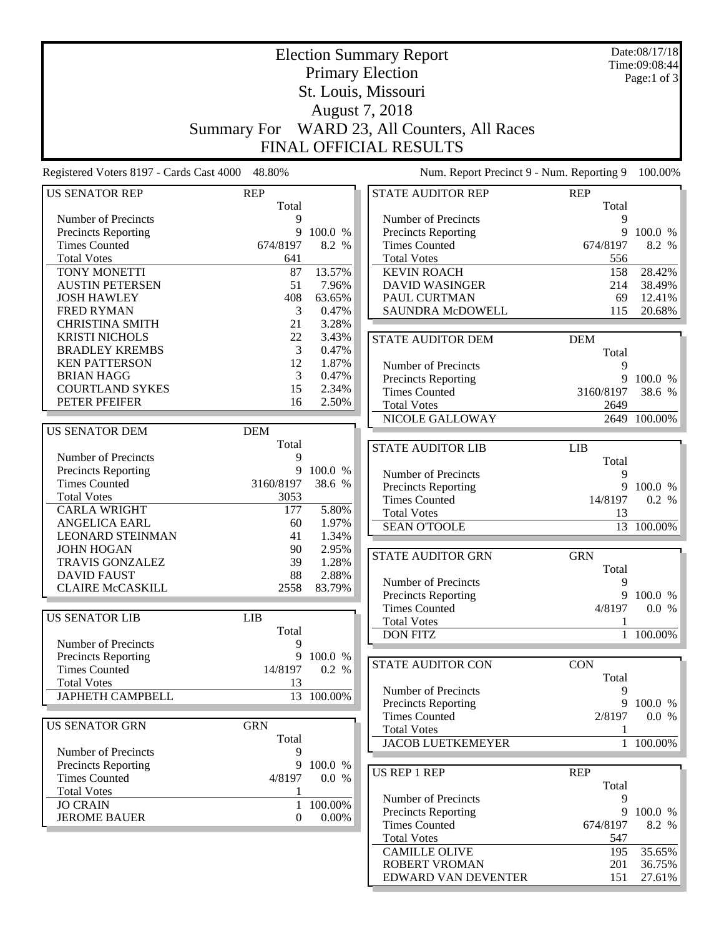| <b>Election Summary Report</b><br><b>Primary Election</b> |                  |                  |  |                                              |               | Date:08/17/18<br>Time:09:08:44 |
|-----------------------------------------------------------|------------------|------------------|--|----------------------------------------------|---------------|--------------------------------|
|                                                           |                  | Page:1 of 3      |  |                                              |               |                                |
| St. Louis, Missouri                                       |                  |                  |  |                                              |               |                                |
|                                                           |                  |                  |  |                                              |               |                                |
|                                                           |                  | August 7, 2018   |  |                                              |               |                                |
|                                                           |                  |                  |  | Summary For WARD 23, All Counters, All Races |               |                                |
|                                                           |                  |                  |  | <b>FINAL OFFICIAL RESULTS</b>                |               |                                |
| Registered Voters 8197 - Cards Cast 4000 48.80%           |                  |                  |  | Num. Report Precinct 9 - Num. Reporting 9    |               | 100.00%                        |
| <b>US SENATOR REP</b>                                     | <b>REP</b>       |                  |  | <b>STATE AUDITOR REP</b>                     | <b>REP</b>    |                                |
|                                                           | Total            |                  |  |                                              | Total         |                                |
| Number of Precincts                                       | 9                |                  |  | Number of Precincts                          | 9             |                                |
| Precincts Reporting<br><b>Times Counted</b>               | 9<br>674/8197    | 100.0 %<br>8.2 % |  | Precincts Reporting<br><b>Times Counted</b>  | 9<br>674/8197 | 100.0 %<br>8.2 %               |
| <b>Total Votes</b>                                        | 641              |                  |  | <b>Total Votes</b>                           | 556           |                                |
| TONY MONETTI                                              | 87               | 13.57%           |  | <b>KEVIN ROACH</b>                           | 158           | 28.42%                         |
| <b>AUSTIN PETERSEN</b>                                    | 51               | 7.96%            |  | <b>DAVID WASINGER</b>                        | 214           | 38.49%                         |
| <b>JOSH HAWLEY</b>                                        | 408              | 63.65%           |  | PAUL CURTMAN                                 | 69            | 12.41%                         |
| <b>FRED RYMAN</b>                                         | 3                | 0.47%            |  | SAUNDRA McDOWELL                             | 115           | 20.68%                         |
| <b>CHRISTINA SMITH</b>                                    | 21               | 3.28%            |  |                                              |               |                                |
| <b>KRISTI NICHOLS</b>                                     | 22               | 3.43%            |  | <b>STATE AUDITOR DEM</b>                     | <b>DEM</b>    |                                |
| <b>BRADLEY KREMBS</b>                                     | 3                | 0.47%            |  |                                              | Total         |                                |
| <b>KEN PATTERSON</b>                                      | 12               | 1.87%            |  | Number of Precincts                          | 9             |                                |
| <b>BRIAN HAGG</b>                                         | 3                | 0.47%            |  | <b>Precincts Reporting</b>                   | 9             | 100.0 %                        |
| <b>COURTLAND SYKES</b>                                    | 15               | 2.34%            |  | <b>Times Counted</b>                         | 3160/8197     | 38.6 %                         |
| PETER PFEIFER                                             | 16               | 2.50%            |  | <b>Total Votes</b>                           | 2649          |                                |
|                                                           |                  |                  |  | NICOLE GALLOWAY                              |               | 2649 100.00%                   |
| <b>US SENATOR DEM</b>                                     | <b>DEM</b>       |                  |  |                                              |               |                                |
|                                                           | Total            |                  |  |                                              |               |                                |
| Number of Precincts                                       | 9                |                  |  | <b>STATE AUDITOR LIB</b>                     | <b>LIB</b>    |                                |
| Precincts Reporting                                       | 9                | 100.0 %          |  |                                              | Total<br>9    |                                |
| <b>Times Counted</b>                                      | 3160/8197        | 38.6 %           |  | Number of Precincts<br>Precincts Reporting   | 9             | 100.0 %                        |
| <b>Total Votes</b>                                        | 3053             |                  |  | <b>Times Counted</b>                         | 14/8197       | 0.2 %                          |
| <b>CARLA WRIGHT</b>                                       | 177              | 5.80%            |  | <b>Total Votes</b>                           | 13            |                                |
| <b>ANGELICA EARL</b>                                      | 60               | 1.97%            |  | <b>SEAN O'TOOLE</b>                          |               | 13 100.00%                     |
| <b>LEONARD STEINMAN</b>                                   | 41               | 1.34%            |  |                                              |               |                                |
| <b>JOHN HOGAN</b>                                         | 90               | 2.95%            |  |                                              |               |                                |
| <b>TRAVIS GONZALEZ</b>                                    | 39               | 1.28%            |  | <b>STATE AUDITOR GRN</b>                     | <b>GRN</b>    |                                |
| DAVID FAUST                                               | 88               | 2.88%            |  | Number of Precincts                          | Total<br>9    |                                |
| <b>CLAIRE McCASKILL</b>                                   | 2558             | 83.79%           |  | Precincts Reporting                          |               | 9 100.0 %                      |
|                                                           |                  |                  |  | <b>Times Counted</b>                         | 4/8197        | 0.0 %                          |
| <b>US SENATOR LIB</b>                                     | <b>LIB</b>       |                  |  | <b>Total Votes</b>                           | 1             |                                |
|                                                           | Total            |                  |  | <b>DON FITZ</b>                              | $\mathbf{1}$  | 100.00%                        |
| Number of Precincts                                       | 9                |                  |  |                                              |               |                                |
| <b>Precincts Reporting</b>                                | 9                | 100.0 %          |  |                                              | <b>CON</b>    |                                |
| <b>Times Counted</b>                                      | 14/8197          | 0.2 %            |  | <b>STATE AUDITOR CON</b>                     |               |                                |
| <b>Total Votes</b>                                        | 13               |                  |  | Number of Precincts                          | Total<br>9    |                                |
| <b>JAPHETH CAMPBELL</b>                                   |                  | 13 100.00%       |  |                                              | 9             | 100.0 %                        |
|                                                           |                  |                  |  | Precincts Reporting<br><b>Times Counted</b>  | 2/8197        | 0.0 %                          |
| <b>US SENATOR GRN</b>                                     | <b>GRN</b>       |                  |  | <b>Total Votes</b>                           | 1             |                                |
|                                                           | Total            |                  |  | <b>JACOB LUETKEMEYER</b>                     |               | 1 100.00%                      |
| Number of Precincts                                       | 9                |                  |  |                                              |               |                                |
| Precincts Reporting                                       | 9                | 100.0 %          |  |                                              |               |                                |
| <b>Times Counted</b>                                      | 4/8197           | 0.0 %            |  | <b>US REP 1 REP</b>                          | <b>REP</b>    |                                |
| <b>Total Votes</b>                                        | 1                |                  |  |                                              | Total         |                                |
| <b>JO CRAIN</b>                                           | 1                | 100.00%          |  | Number of Precincts<br>Precincts Reporting   | 9<br>9        | 100.0 %                        |
| <b>JEROME BAUER</b>                                       | $\boldsymbol{0}$ | $0.00\%$         |  | <b>Times Counted</b>                         | 674/8197      | 8.2 %                          |
|                                                           |                  |                  |  | <b>Total Votes</b>                           | 547           |                                |
|                                                           |                  |                  |  | <b>CAMILLE OLIVE</b>                         | 195           | 35.65%                         |
|                                                           |                  |                  |  | <b>ROBERT VROMAN</b>                         | 201           | 36.75%                         |
|                                                           |                  |                  |  | EDWARD VAN DEVENTER                          | 151           | 27.61%                         |
|                                                           |                  |                  |  |                                              |               |                                |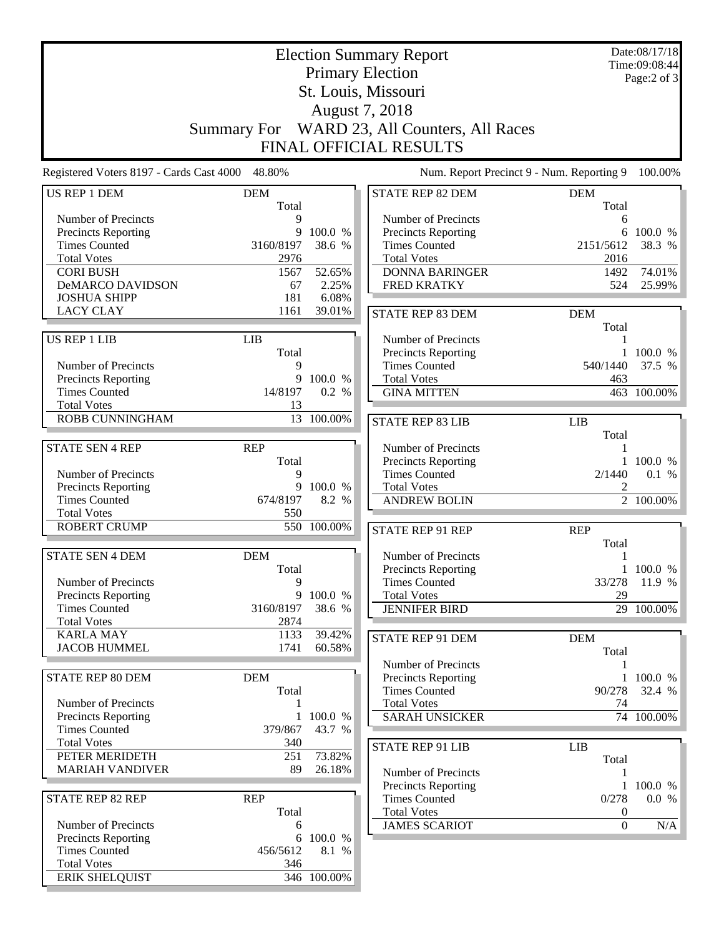|                                                 | <b>Election Summary Report</b> |                              |                                           |              |             |  |
|-------------------------------------------------|--------------------------------|------------------------------|-------------------------------------------|--------------|-------------|--|
|                                                 |                                | Time:09:08:44<br>Page:2 of 3 |                                           |              |             |  |
|                                                 |                                |                              |                                           |              |             |  |
|                                                 |                                |                              |                                           |              |             |  |
|                                                 |                                |                              | August 7, 2018                            |              |             |  |
|                                                 | <b>Summary For</b>             |                              | WARD 23, All Counters, All Races          |              |             |  |
|                                                 |                                |                              | FINAL OFFICIAL RESULTS                    |              |             |  |
| Registered Voters 8197 - Cards Cast 4000 48.80% |                                |                              | Num. Report Precinct 9 - Num. Reporting 9 |              | 100.00%     |  |
| <b>US REP 1 DEM</b>                             | <b>DEM</b>                     |                              | <b>STATE REP 82 DEM</b>                   | <b>DEM</b>   |             |  |
| Number of Precincts                             | Total<br>$\mathbf Q$           |                              | Number of Precincts                       | Total<br>6   |             |  |
| Precincts Reporting                             | 9                              | 100.0 %                      | Precincts Reporting                       | 6            | 100.0 %     |  |
| <b>Times Counted</b>                            | 3160/8197                      | 38.6 %                       | <b>Times Counted</b>                      | 2151/5612    | 38.3 %      |  |
| <b>Total Votes</b>                              | 2976                           |                              | <b>Total Votes</b>                        | 2016         |             |  |
| <b>CORI BUSH</b>                                | 1567                           | 52.65%                       | <b>DONNA BARINGER</b>                     | 1492         | 74.01%      |  |
| <b>DeMARCO DAVIDSON</b>                         | 67                             | 2.25%                        | <b>FRED KRATKY</b>                        | 524          | 25.99%      |  |
| <b>JOSHUA SHIPP</b>                             | 181                            | 6.08%                        |                                           |              |             |  |
| <b>LACY CLAY</b>                                | 1161                           | 39.01%                       | <b>STATE REP 83 DEM</b>                   | <b>DEM</b>   |             |  |
|                                                 |                                |                              |                                           | Total        |             |  |
| <b>US REP 1 LIB</b>                             | <b>LIB</b>                     |                              | Number of Precincts                       | 1            |             |  |
|                                                 | Total                          |                              | Precincts Reporting                       |              | 100.0 %     |  |
| Number of Precincts                             | 9                              |                              | <b>Times Counted</b>                      | 540/1440     | 37.5 %      |  |
| Precincts Reporting                             | 9                              | 100.0 %                      | <b>Total Votes</b>                        | 463          |             |  |
| <b>Times Counted</b>                            | 14/8197                        | 0.2 %                        | <b>GINA MITTEN</b>                        |              | 463 100.00% |  |
| <b>Total Votes</b><br>ROBB CUNNINGHAM           | 13                             | 13 100.00%                   |                                           |              |             |  |
|                                                 |                                |                              | <b>STATE REP 83 LIB</b>                   | <b>LIB</b>   |             |  |
| <b>STATE SEN 4 REP</b>                          | <b>REP</b>                     |                              | Number of Precincts                       | Total<br>1   |             |  |
|                                                 | Total                          |                              | Precincts Reporting                       |              | 1 100.0 %   |  |
| Number of Precincts                             | 9                              |                              | <b>Times Counted</b>                      | 2/1440       | 0.1 %       |  |
| Precincts Reporting                             | 9                              | 100.0 %                      | <b>Total Votes</b>                        | 2            |             |  |
| <b>Times Counted</b>                            | 674/8197                       | 8.2 %                        | <b>ANDREW BOLIN</b>                       |              | 2 100.00%   |  |
| <b>Total Votes</b>                              | 550                            |                              |                                           |              |             |  |
| <b>ROBERT CRUMP</b>                             |                                | 550 100.00%                  | <b>STATE REP 91 REP</b>                   | <b>REP</b>   |             |  |
|                                                 |                                |                              |                                           | Total        |             |  |
| <b>STATE SEN 4 DEM</b>                          | <b>DEM</b>                     |                              | Number of Precincts                       | 1            |             |  |
|                                                 | Total                          |                              | <b>Precincts Reporting</b>                |              | 1 100.0 %   |  |
| Number of Precincts                             | 9                              |                              | <b>Times Counted</b>                      | 33/278       | 11.9 %      |  |
| <b>Precincts Reporting</b>                      | 9                              | 100.0 %                      | <b>Total Votes</b>                        | 29           |             |  |
| <b>Times Counted</b>                            | 3160/8197                      | 38.6 %                       | <b>JENNIFER BIRD</b>                      |              | 29 100.00%  |  |
| <b>Total Votes</b><br><b>KARLA MAY</b>          | 2874<br>1133                   | 39.42%                       |                                           |              |             |  |
| <b>JACOB HUMMEL</b>                             | 1741                           | 60.58%                       | STATE REP 91 DEM                          | <b>DEM</b>   |             |  |
|                                                 |                                |                              | Number of Precincts                       | Total        |             |  |
| <b>STATE REP 80 DEM</b>                         | <b>DEM</b>                     |                              | Precincts Reporting                       | $\mathbf{1}$ | 100.0 %     |  |
|                                                 | Total                          |                              | <b>Times Counted</b>                      | 90/278       | 32.4 %      |  |
| Number of Precincts                             | 1                              |                              | <b>Total Votes</b>                        | 74           |             |  |
| Precincts Reporting                             | $\mathbf{1}$                   | 100.0 %                      | <b>SARAH UNSICKER</b>                     |              | 74 100.00%  |  |
| <b>Times Counted</b>                            | 379/867                        | 43.7 %                       |                                           |              |             |  |
| <b>Total Votes</b>                              | 340                            |                              | <b>STATE REP 91 LIB</b>                   | <b>LIB</b>   |             |  |
| PETER MERIDETH                                  | 251                            | 73.82%                       |                                           | Total        |             |  |
| <b>MARIAH VANDIVER</b>                          | 89                             | 26.18%                       | Number of Precincts                       | 1            |             |  |
|                                                 |                                |                              | Precincts Reporting                       | $\mathbf{1}$ | 100.0 %     |  |
| <b>STATE REP 82 REP</b>                         | <b>REP</b>                     |                              | <b>Times Counted</b>                      | 0/278        | 0.0 %       |  |
|                                                 | Total                          |                              | <b>Total Votes</b>                        | $\theta$     |             |  |
| Number of Precincts                             | 6                              |                              | <b>JAMES SCARIOT</b>                      | $\mathbf{0}$ | N/A         |  |
| Precincts Reporting                             | 6                              | 100.0 %                      |                                           |              |             |  |
| <b>Times Counted</b>                            | 456/5612                       | 8.1 %                        |                                           |              |             |  |
| <b>Total Votes</b>                              | 346                            |                              |                                           |              |             |  |
| <b>ERIK SHELQUIST</b>                           |                                | 346 100.00%                  |                                           |              |             |  |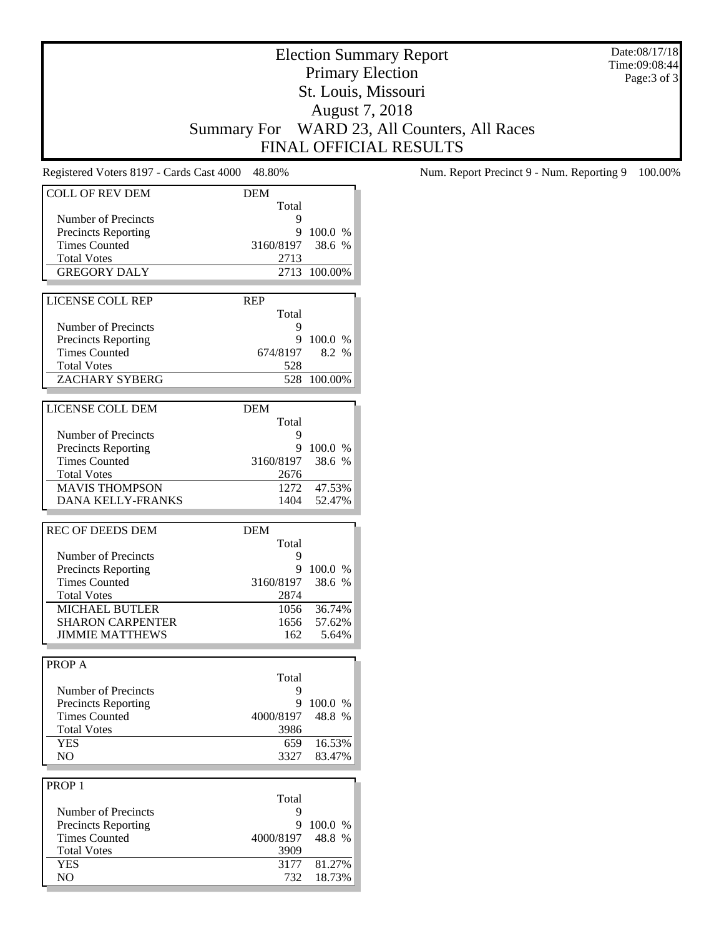Date:08/17/18 Time:09:08:44 Page:3 of 3

# Election Summary Report Primary Election St. Louis, Missouri August 7, 2018 Summary For WARD 23, All Counters, All Races FINAL OFFICIAL RESULTS

| <b>COLL OF REV DEM</b>                             | <b>DEM</b> |              |
|----------------------------------------------------|------------|--------------|
|                                                    | Total      |              |
| Number of Precincts                                | 9          |              |
| <b>Precincts Reporting</b>                         |            | 9 100.0 %    |
| <b>Times Counted</b>                               | 3160/8197  | 38.6 %       |
| <b>Total Votes</b>                                 | 2713       |              |
| <b>GREGORY DALY</b>                                |            | 2713 100.00% |
|                                                    |            |              |
| <b>LICENSE COLL REP</b>                            | <b>REP</b> |              |
|                                                    | Total      |              |
| Number of Precincts                                | 9          |              |
| <b>Precincts Reporting</b>                         | 9          | 100.0 %      |
| <b>Times Counted</b>                               | 674/8197   | 8.2 %        |
| <b>Total Votes</b>                                 | 528        |              |
| ZACHARY SYBERG                                     |            | 528 100.00%  |
|                                                    |            |              |
| LICENSE COLL DEM                                   | <b>DEM</b> |              |
|                                                    | Total      |              |
| Number of Precincts                                | 9          |              |
|                                                    |            | 9 100.0 %    |
| <b>Precincts Reporting</b><br><b>Times Counted</b> |            | 38.6 %       |
|                                                    | 3160/8197  |              |
| <b>Total Votes</b>                                 | 2676       |              |
| <b>MAVIS THOMPSON</b>                              | 1272       | 47.53%       |
| <b>DANA KELLY-FRANKS</b>                           | 1404       | 52.47%       |
|                                                    |            |              |
| <b>REC OF DEEDS DEM</b>                            | <b>DEM</b> |              |
|                                                    | Total      |              |
| Number of Precincts                                | 9          |              |
| <b>Precincts Reporting</b>                         | 9.         | 100.0 %      |
| <b>Times Counted</b>                               | 3160/8197  | 38.6 %       |
| <b>Total Votes</b>                                 | 2874       |              |
| <b>MICHAEL BUTLER</b>                              | 1056       | 36.74%       |
| <b>SHARON CARPENTER</b>                            | 1656       | 57.62%       |
| <b>JIMMIE MATTHEWS</b>                             | 162        | 5.64%        |
|                                                    |            |              |
| PROP A                                             |            |              |
|                                                    | Total      |              |
| Number of Precincts                                | 9          |              |
| <b>Precincts Reporting</b>                         | 9          | 100.0 %      |
| <b>Times Counted</b>                               | 4000/8197  | 48.8 %       |
| <b>Total Votes</b>                                 | 3986       |              |
| <b>YES</b>                                         | 659        | 16.53%       |
| NO                                                 | 3327       | 83.47%       |
|                                                    |            |              |
|                                                    |            |              |
| PROP <sub>1</sub>                                  |            |              |
|                                                    | Total      |              |
| Number of Precincts                                | 9          |              |
| <b>Precincts Reporting</b>                         | 9          | 100.0 %      |
| <b>Times Counted</b>                               | 4000/8197  | 48.8 %       |
| <b>Total Votes</b>                                 | 3909       |              |
| <b>YES</b>                                         | 3177       | 81.27%       |
| NO                                                 | 732        | 18.73%       |
|                                                    |            |              |

Registered Voters 8197 - Cards Cast 4000 48.80% Num. Report Precinct 9 - Num. Reporting 9 100.00%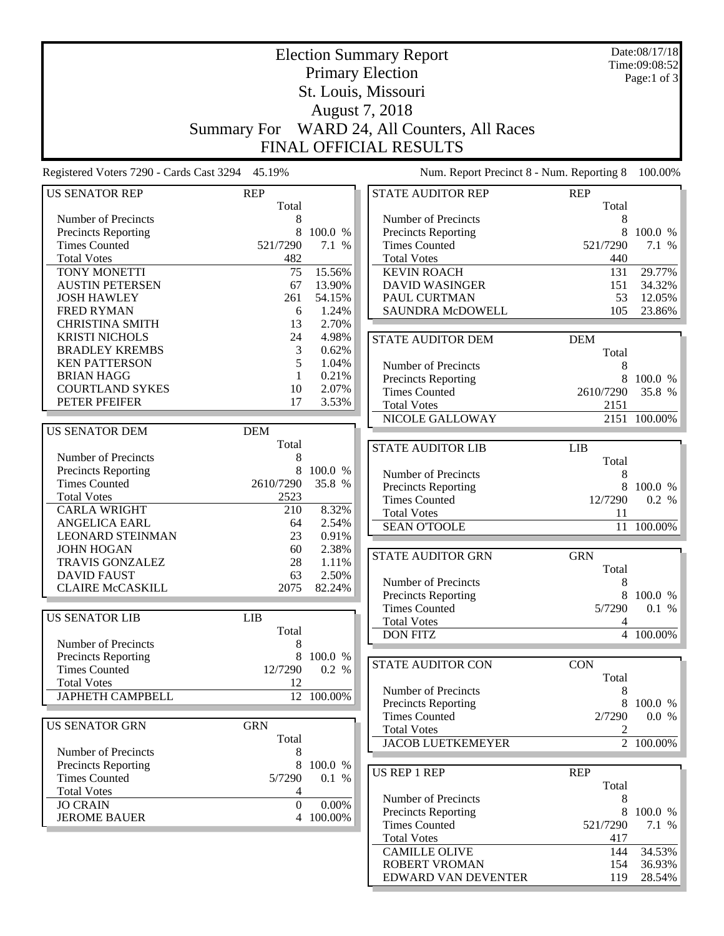|                                                    | <b>Election Summary Report</b>                                 |                              |                                                    |                     |                        |  |  |  |
|----------------------------------------------------|----------------------------------------------------------------|------------------------------|----------------------------------------------------|---------------------|------------------------|--|--|--|
|                                                    |                                                                | Time:09:08:52<br>Page:1 of 3 |                                                    |                     |                        |  |  |  |
|                                                    | St. Louis, Missouri                                            |                              |                                                    |                     |                        |  |  |  |
|                                                    |                                                                |                              |                                                    |                     |                        |  |  |  |
|                                                    | August 7, 2018<br>Summary For WARD 24, All Counters, All Races |                              |                                                    |                     |                        |  |  |  |
|                                                    |                                                                |                              |                                                    |                     |                        |  |  |  |
|                                                    |                                                                |                              | FINAL OFFICIAL RESULTS                             |                     |                        |  |  |  |
| Registered Voters 7290 - Cards Cast 3294 45.19%    |                                                                |                              | Num. Report Precinct 8 - Num. Reporting 8          |                     | 100.00%                |  |  |  |
| <b>US SENATOR REP</b>                              | <b>REP</b><br>Total                                            |                              | <b>STATE AUDITOR REP</b>                           | <b>REP</b><br>Total |                        |  |  |  |
| Number of Precincts                                | 8                                                              |                              | Number of Precincts                                | 8                   |                        |  |  |  |
| Precincts Reporting                                | 8                                                              | 100.0 %                      | <b>Precincts Reporting</b>                         | 8                   | 100.0 %                |  |  |  |
| <b>Times Counted</b>                               | 521/7290                                                       | 7.1 %                        | <b>Times Counted</b>                               | 521/7290            | 7.1 %                  |  |  |  |
| <b>Total Votes</b>                                 | 482                                                            |                              | <b>Total Votes</b>                                 | 440                 |                        |  |  |  |
| TONY MONETTI                                       | 75                                                             | 15.56%                       | <b>KEVIN ROACH</b>                                 | 131                 | 29.77%                 |  |  |  |
| <b>AUSTIN PETERSEN</b>                             | 67                                                             | 13.90%                       | <b>DAVID WASINGER</b>                              | 151                 | 34.32%                 |  |  |  |
| <b>JOSH HAWLEY</b>                                 | 261                                                            | 54.15%                       | PAUL CURTMAN                                       | 53                  | 12.05%                 |  |  |  |
| <b>FRED RYMAN</b>                                  | 6                                                              | 1.24%                        | <b>SAUNDRA McDOWELL</b>                            | 105                 | 23.86%                 |  |  |  |
| <b>CHRISTINA SMITH</b>                             | 13                                                             | 2.70%                        |                                                    |                     |                        |  |  |  |
| <b>KRISTI NICHOLS</b><br><b>BRADLEY KREMBS</b>     | 24<br>3                                                        | 4.98%<br>0.62%               | <b>STATE AUDITOR DEM</b>                           | <b>DEM</b>          |                        |  |  |  |
| <b>KEN PATTERSON</b>                               | 5                                                              | 1.04%                        |                                                    | Total               |                        |  |  |  |
| <b>BRIAN HAGG</b>                                  | 1                                                              | 0.21%                        | Number of Precincts                                | 8                   |                        |  |  |  |
| <b>COURTLAND SYKES</b>                             | 10                                                             | 2.07%                        | <b>Precincts Reporting</b><br><b>Times Counted</b> | 8<br>2610/7290      | 100.0 %<br>35.8 %      |  |  |  |
| PETER PFEIFER                                      | 17                                                             | 3.53%                        | <b>Total Votes</b>                                 | 2151                |                        |  |  |  |
|                                                    |                                                                |                              | NICOLE GALLOWAY                                    |                     | 2151 100.00%           |  |  |  |
| <b>US SENATOR DEM</b>                              | <b>DEM</b>                                                     |                              |                                                    |                     |                        |  |  |  |
|                                                    | Total                                                          |                              | <b>STATE AUDITOR LIB</b>                           | LIB                 |                        |  |  |  |
| Number of Precincts                                | 8                                                              |                              |                                                    | Total               |                        |  |  |  |
| <b>Precincts Reporting</b>                         | 8                                                              | 100.0 %                      | Number of Precincts                                | 8                   |                        |  |  |  |
| <b>Times Counted</b>                               | 2610/7290                                                      | 35.8 %                       | <b>Precincts Reporting</b>                         | 8                   | 100.0 %                |  |  |  |
| <b>Total Votes</b>                                 | 2523                                                           |                              | <b>Times Counted</b>                               | 12/7290             | 0.2 %                  |  |  |  |
| <b>CARLA WRIGHT</b>                                | 210                                                            | 8.32%                        | <b>Total Votes</b>                                 | 11                  |                        |  |  |  |
| ANGELICA EARL                                      | 64                                                             | 2.54%                        | <b>SEAN O'TOOLE</b>                                |                     | 11 100.00%             |  |  |  |
| <b>LEONARD STEINMAN</b><br><b>JOHN HOGAN</b>       | 23<br>60                                                       | 0.91%<br>2.38%               |                                                    |                     |                        |  |  |  |
| <b>TRAVIS GONZALEZ</b>                             | 28                                                             | 1.11%                        | <b>STATE AUDITOR GRN</b>                           | <b>GRN</b>          |                        |  |  |  |
| <b>DAVID FAUST</b>                                 | 63                                                             | 2.50%                        |                                                    | Total               |                        |  |  |  |
| <b>CLAIRE McCASKILL</b>                            | 2075                                                           | 82.24%                       | Number of Precincts                                | 8                   |                        |  |  |  |
|                                                    |                                                                |                              | <b>Precincts Reporting</b>                         | 8                   | 100.0 %                |  |  |  |
| <b>US SENATOR LIB</b>                              | <b>LIB</b>                                                     |                              | <b>Times Counted</b><br><b>Total Votes</b>         | 5/7290              | 0.1 %                  |  |  |  |
|                                                    | Total                                                          |                              | <b>DON FITZ</b>                                    | 4                   | 4 100.00%              |  |  |  |
| Number of Precincts                                | 8                                                              |                              |                                                    |                     |                        |  |  |  |
| <b>Precincts Reporting</b>                         |                                                                | 8 100.0 %                    | <b>STATE AUDITOR CON</b>                           | <b>CON</b>          |                        |  |  |  |
| <b>Times Counted</b>                               | 12/7290                                                        | 0.2 %                        |                                                    | Total               |                        |  |  |  |
| <b>Total Votes</b>                                 | 12                                                             |                              | Number of Precincts                                | 8                   |                        |  |  |  |
| <b>JAPHETH CAMPBELL</b>                            |                                                                | 12 100.00%                   | Precincts Reporting                                | 8                   | 100.0 %                |  |  |  |
|                                                    |                                                                |                              | <b>Times Counted</b>                               | 2/7290              | 0.0 %                  |  |  |  |
| <b>US SENATOR GRN</b>                              | <b>GRN</b>                                                     |                              | <b>Total Votes</b>                                 | 2                   |                        |  |  |  |
|                                                    | Total                                                          |                              | <b>JACOB LUETKEMEYER</b>                           |                     | $\overline{2}$ 100.00% |  |  |  |
| Number of Precincts                                | 8                                                              |                              |                                                    |                     |                        |  |  |  |
| <b>Precincts Reporting</b><br><b>Times Counted</b> | 8                                                              | 100.0 %                      | <b>US REP 1 REP</b>                                | <b>REP</b>          |                        |  |  |  |
| <b>Total Votes</b>                                 | 5/7290<br>4                                                    | 0.1 %                        |                                                    | Total               |                        |  |  |  |
| <b>JO CRAIN</b>                                    | $\Omega$                                                       | 0.00%                        | Number of Precincts                                | 8                   |                        |  |  |  |
| <b>JEROME BAUER</b>                                |                                                                | 4 100.00%                    | Precincts Reporting                                |                     | 8 100.0 %              |  |  |  |
|                                                    |                                                                |                              | <b>Times Counted</b>                               | 521/7290            | 7.1 %                  |  |  |  |
|                                                    |                                                                |                              | <b>Total Votes</b>                                 | 417                 |                        |  |  |  |
|                                                    |                                                                |                              | <b>CAMILLE OLIVE</b>                               | 144                 | 34.53%                 |  |  |  |
|                                                    |                                                                |                              | ROBERT VROMAN                                      | 154                 | 36.93%                 |  |  |  |
|                                                    |                                                                |                              | EDWARD VAN DEVENTER                                | 119                 | 28.54%                 |  |  |  |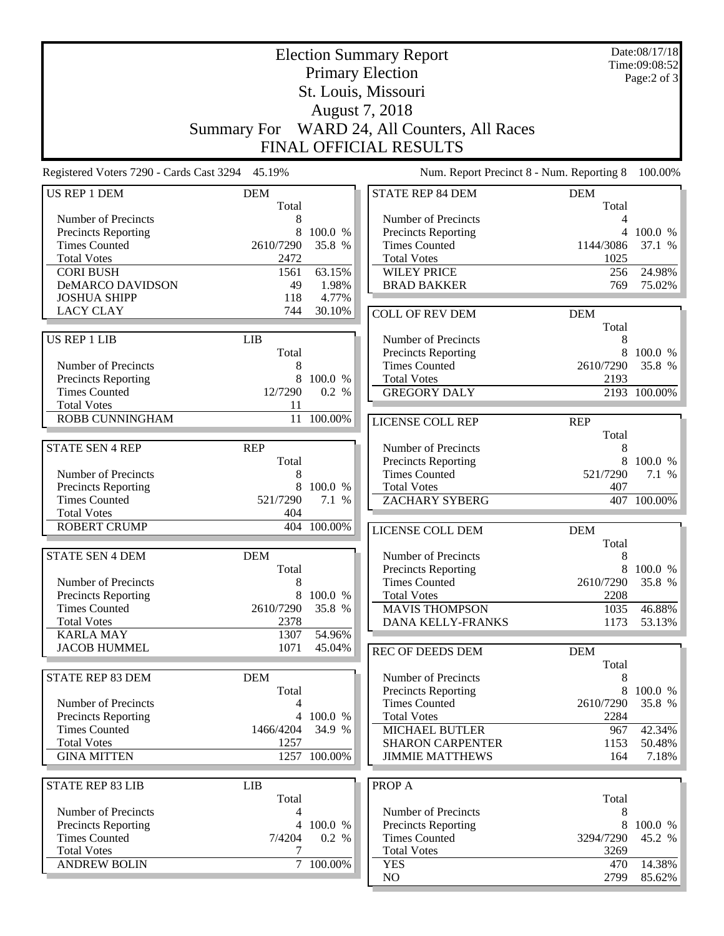|                                                 | Date:08/17/18<br><b>Election Summary Report</b><br>Time:09:08:52 |                           |                                             |            |                     |  |
|-------------------------------------------------|------------------------------------------------------------------|---------------------------|---------------------------------------------|------------|---------------------|--|
| <b>Primary Election</b>                         |                                                                  |                           |                                             |            |                     |  |
| St. Louis, Missouri<br>August 7, 2018           |                                                                  |                           |                                             |            |                     |  |
|                                                 |                                                                  |                           |                                             |            |                     |  |
|                                                 |                                                                  |                           | <b>FINAL OFFICIAL RESULTS</b>               |            |                     |  |
| Registered Voters 7290 - Cards Cast 3294 45.19% |                                                                  |                           | Num. Report Precinct 8 - Num. Reporting 8   |            | 100.00%             |  |
| <b>US REP 1 DEM</b>                             | <b>DEM</b>                                                       |                           | <b>STATE REP 84 DEM</b>                     | <b>DEM</b> |                     |  |
|                                                 | Total                                                            |                           |                                             | Total      |                     |  |
| Number of Precincts                             | 8                                                                |                           | Number of Precincts                         | 4          |                     |  |
| Precincts Reporting<br><b>Times Counted</b>     | 8<br>2610/7290                                                   | 100.0 %<br>35.8 %         | Precincts Reporting<br><b>Times Counted</b> | 1144/3086  | 4 100.0 %<br>37.1 % |  |
| <b>Total Votes</b>                              | 2472                                                             |                           | <b>Total Votes</b>                          | 1025       |                     |  |
| <b>CORI BUSH</b>                                | 1561                                                             | 63.15%                    | <b>WILEY PRICE</b>                          | 256        | 24.98%              |  |
| DeMARCO DAVIDSON                                | 49                                                               | 1.98%                     | <b>BRAD BAKKER</b>                          | 769        | 75.02%              |  |
| <b>JOSHUA SHIPP</b>                             | 118                                                              | 4.77%                     |                                             |            |                     |  |
| <b>LACY CLAY</b>                                | 744                                                              | 30.10%                    | <b>COLL OF REV DEM</b>                      | <b>DEM</b> |                     |  |
|                                                 |                                                                  |                           |                                             | Total      |                     |  |
| <b>US REP 1 LIB</b>                             | <b>LIB</b>                                                       |                           | Number of Precincts                         | 8          |                     |  |
|                                                 | Total                                                            |                           | <b>Precincts Reporting</b>                  | 8          | 100.0 %             |  |
| Number of Precincts                             | 8                                                                |                           | <b>Times Counted</b>                        | 2610/7290  | 35.8 %              |  |
| Precincts Reporting                             | 8                                                                | 100.0 %                   | <b>Total Votes</b>                          | 2193       |                     |  |
| <b>Times Counted</b>                            | 12/7290                                                          | 0.2 %                     | <b>GREGORY DALY</b>                         |            | 2193 100.00%        |  |
| <b>Total Votes</b><br>ROBB CUNNINGHAM           | 11<br>11                                                         |                           |                                             |            |                     |  |
|                                                 |                                                                  | 100.00%                   | LICENSE COLL REP                            | <b>REP</b> |                     |  |
| <b>STATE SEN 4 REP</b>                          | <b>REP</b>                                                       |                           | Number of Precincts                         | Total<br>8 |                     |  |
|                                                 | Total                                                            |                           | Precincts Reporting                         | 8          | 100.0 %             |  |
| Number of Precincts                             | 8                                                                |                           | <b>Times Counted</b>                        | 521/7290   | 7.1 %               |  |
| Precincts Reporting                             | 8                                                                | 100.0 %                   | <b>Total Votes</b>                          | 407        |                     |  |
| <b>Times Counted</b>                            | 521/7290                                                         | 7.1 %                     | <b>ZACHARY SYBERG</b>                       |            | 407 100.00%         |  |
| <b>Total Votes</b>                              | 404                                                              |                           |                                             |            |                     |  |
| <b>ROBERT CRUMP</b>                             |                                                                  | 404 100.00%               | LICENSE COLL DEM                            | <b>DEM</b> |                     |  |
|                                                 |                                                                  |                           |                                             | Total      |                     |  |
| <b>STATE SEN 4 DEM</b>                          | <b>DEM</b>                                                       |                           | Number of Precincts                         | 8          |                     |  |
|                                                 | Total                                                            |                           | <b>Precincts Reporting</b>                  |            | 8 100.0 %           |  |
| Number of Precincts                             | 8                                                                |                           | <b>Times Counted</b>                        | 2610/7290  | 35.8 %              |  |
| Precincts Reporting                             | 8                                                                | 100.0 %                   | <b>Total Votes</b>                          | 2208       |                     |  |
| <b>Times Counted</b><br><b>Total Votes</b>      | 2610/7290<br>2378                                                | 35.8 %                    | <b>MAVIS THOMPSON</b>                       | 1035       | 46.88%<br>53.13%    |  |
| <b>KARLA MAY</b>                                | 1307                                                             | 54.96%                    | DANA KELLY-FRANKS                           | 1173       |                     |  |
| <b>JACOB HUMMEL</b>                             | 1071                                                             | 45.04%                    | <b>REC OF DEEDS DEM</b>                     | <b>DEM</b> |                     |  |
|                                                 |                                                                  |                           |                                             | Total      |                     |  |
| <b>STATE REP 83 DEM</b>                         | <b>DEM</b>                                                       |                           | Number of Precincts                         | 8          |                     |  |
|                                                 | Total                                                            |                           | <b>Precincts Reporting</b>                  | 8          | 100.0 %             |  |
| Number of Precincts                             | 4                                                                |                           | <b>Times Counted</b>                        | 2610/7290  | 35.8 %              |  |
| Precincts Reporting                             | $\overline{4}$                                                   | 100.0 %                   | <b>Total Votes</b>                          | 2284       |                     |  |
| <b>Times Counted</b>                            | 1466/4204                                                        | 34.9 %                    | <b>MICHAEL BUTLER</b>                       | 967        | 42.34%              |  |
| <b>Total Votes</b>                              | 1257                                                             |                           | <b>SHARON CARPENTER</b>                     | 1153       | 50.48%              |  |
| <b>GINA MITTEN</b>                              |                                                                  | $\overline{1257}$ 100.00% | <b>JIMMIE MATTHEWS</b>                      | 164        | 7.18%               |  |
|                                                 |                                                                  |                           |                                             |            |                     |  |
| <b>STATE REP 83 LIB</b>                         | <b>LIB</b><br>Total                                              |                           | PROP A                                      | Total      |                     |  |
| Number of Precincts                             | 4                                                                |                           | Number of Precincts                         | 8          |                     |  |
| Precincts Reporting                             |                                                                  | 4 100.0 %                 | Precincts Reporting                         | 8          | 100.0 %             |  |
| <b>Times Counted</b>                            | 7/4204                                                           | 0.2 %                     | <b>Times Counted</b>                        | 3294/7290  | 45.2 %              |  |
| <b>Total Votes</b>                              | 7                                                                |                           | <b>Total Votes</b>                          | 3269       |                     |  |
| <b>ANDREW BOLIN</b>                             | $\overline{7}$                                                   | 100.00%                   | <b>YES</b>                                  | 470        | 14.38%              |  |
|                                                 |                                                                  |                           | NO                                          | 2799       | 85.62%              |  |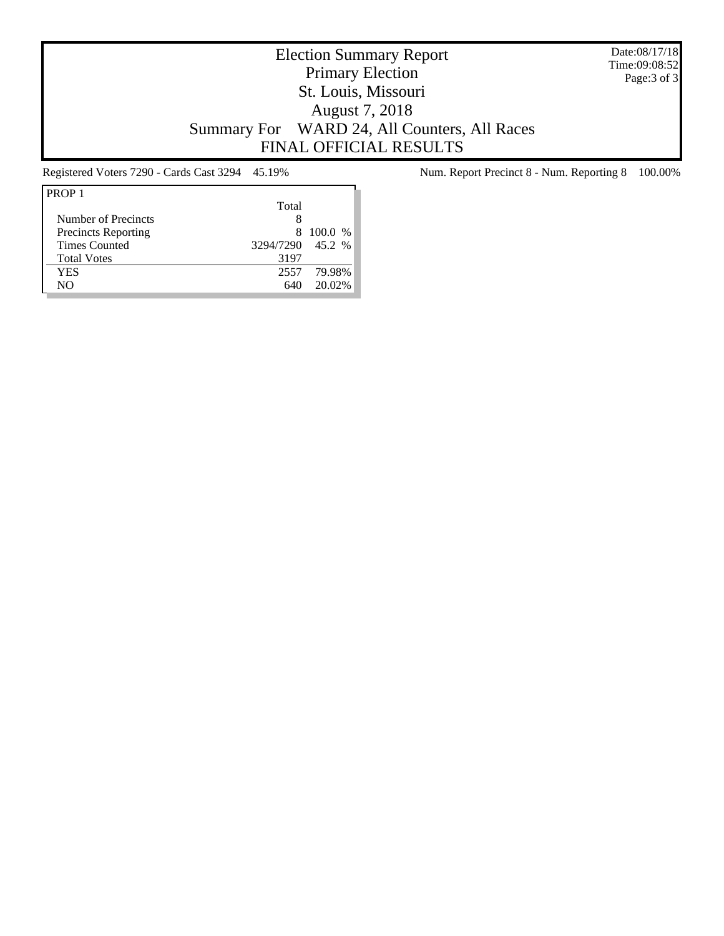Date:08/17/18 Time:09:08:52 Page:3 of 3

# Election Summary Report Primary Election St. Louis, Missouri August 7, 2018 Summary For WARD 24, All Counters, All Races FINAL OFFICIAL RESULTS

| PROP <sub>1</sub>          |                  |         |
|----------------------------|------------------|---------|
|                            | Total            |         |
| Number of Precincts        | Χ                |         |
| <b>Precincts Reporting</b> | 8.               | 100.0 % |
| <b>Times Counted</b>       | 3294/7290 45.2 % |         |
| <b>Total Votes</b>         | 3197             |         |
| YES                        | 2557             | 79.98%  |
| NΟ                         | 640              | 20.02%  |

Registered Voters 7290 - Cards Cast 3294 45.19% Num. Report Precinct 8 - Num. Reporting 8 100.00%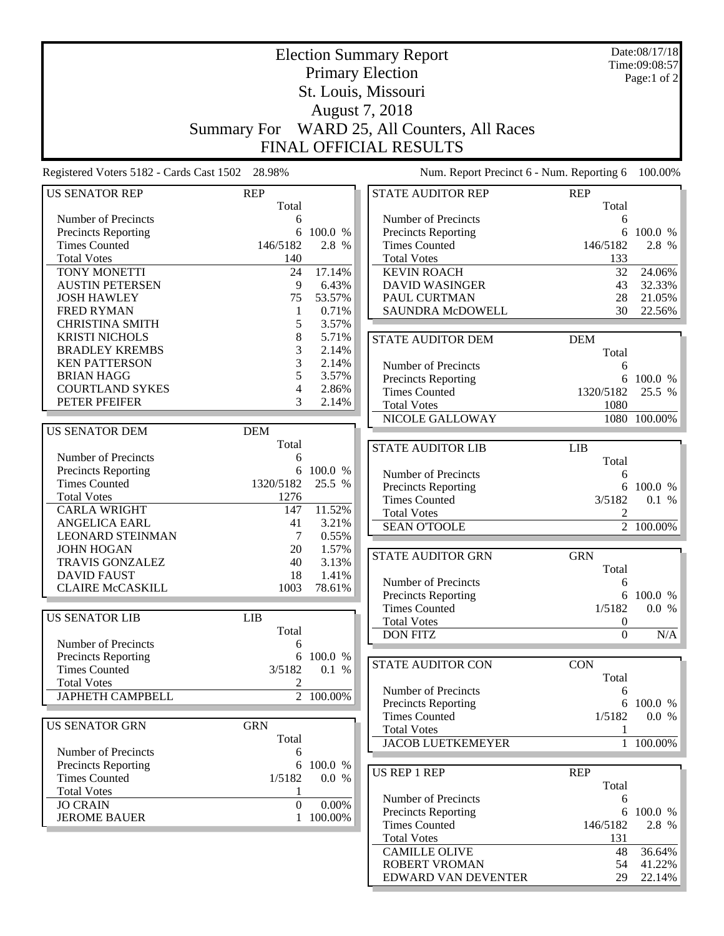|                                                 |                     | Date:08/17/18 |                                              |                  |                        |  |
|-------------------------------------------------|---------------------|---------------|----------------------------------------------|------------------|------------------------|--|
|                                                 |                     | Time:09:08:57 |                                              |                  |                        |  |
|                                                 |                     |               | <b>Primary Election</b>                      |                  | Page:1 of 2            |  |
|                                                 | St. Louis, Missouri |               |                                              |                  |                        |  |
|                                                 |                     |               |                                              |                  |                        |  |
|                                                 |                     |               | August 7, 2018                               |                  |                        |  |
|                                                 |                     |               | Summary For WARD 25, All Counters, All Races |                  |                        |  |
|                                                 |                     |               | FINAL OFFICIAL RESULTS                       |                  |                        |  |
|                                                 |                     |               |                                              |                  |                        |  |
| Registered Voters 5182 - Cards Cast 1502 28.98% |                     |               | Num. Report Precinct 6 - Num. Reporting 6    |                  | 100.00%                |  |
| <b>US SENATOR REP</b>                           | <b>REP</b>          |               | <b>STATE AUDITOR REP</b>                     | <b>REP</b>       |                        |  |
|                                                 | Total               |               |                                              | Total            |                        |  |
| Number of Precincts                             | 6                   |               | Number of Precincts                          | 6                |                        |  |
| <b>Precincts Reporting</b>                      | 6                   | 100.0 %       | <b>Precincts Reporting</b>                   | 6                | 100.0 %                |  |
| <b>Times Counted</b>                            | 146/5182            | 2.8 %         | <b>Times Counted</b>                         | 146/5182         | 2.8 %                  |  |
| <b>Total Votes</b>                              | 140                 |               | <b>Total Votes</b>                           | 133              |                        |  |
| TONY MONETTI                                    | 24                  | 17.14%        | <b>KEVIN ROACH</b>                           | 32               | 24.06%                 |  |
| <b>AUSTIN PETERSEN</b>                          | 9                   | 6.43%         | <b>DAVID WASINGER</b>                        | 43               | 32.33%                 |  |
| <b>JOSH HAWLEY</b>                              | 75                  | 53.57%        | PAUL CURTMAN                                 | 28               | 21.05%                 |  |
| <b>FRED RYMAN</b>                               | $\mathbf{1}$        | 0.71%         | SAUNDRA McDOWELL                             | 30               | 22.56%                 |  |
| <b>CHRISTINA SMITH</b>                          | 5                   | 3.57%         |                                              |                  |                        |  |
| <b>KRISTI NICHOLS</b>                           | 8                   | 5.71%         | <b>STATE AUDITOR DEM</b>                     | <b>DEM</b>       |                        |  |
| <b>BRADLEY KREMBS</b>                           | 3                   | 2.14%         |                                              | Total            |                        |  |
| <b>KEN PATTERSON</b>                            | 3                   | 2.14%         | Number of Precincts                          | 6                |                        |  |
| <b>BRIAN HAGG</b>                               | 5                   | 3.57%         | Precincts Reporting                          |                  | 6 100.0 %              |  |
| <b>COURTLAND SYKES</b>                          | 4                   | 2.86%         | <b>Times Counted</b>                         | 1320/5182        | 25.5 %                 |  |
| PETER PFEIFER                                   | 3                   | 2.14%         | <b>Total Votes</b>                           | 1080             |                        |  |
|                                                 |                     |               | NICOLE GALLOWAY                              |                  | 1080 100.00%           |  |
| <b>US SENATOR DEM</b>                           | <b>DEM</b>          |               |                                              |                  |                        |  |
|                                                 | Total               |               | <b>STATE AUDITOR LIB</b>                     | <b>LIB</b>       |                        |  |
| Number of Precincts                             | 6                   |               |                                              | Total            |                        |  |
| Precincts Reporting                             | 6                   | 100.0 %       | Number of Precincts                          | 6                |                        |  |
| <b>Times Counted</b>                            | 1320/5182           | 25.5 %        | <b>Precincts Reporting</b>                   | 6                | 100.0 %                |  |
| <b>Total Votes</b>                              | 1276                |               | <b>Times Counted</b>                         | 3/5182           | 0.1 %                  |  |
| <b>CARLA WRIGHT</b>                             | 147                 | 11.52%        | <b>Total Votes</b>                           | $\overline{c}$   |                        |  |
| <b>ANGELICA EARL</b>                            | 41                  | 3.21%         | <b>SEAN O'TOOLE</b>                          |                  | $\overline{2}$ 100.00% |  |
| <b>LEONARD STEINMAN</b>                         | 7                   | 0.55%         |                                              |                  |                        |  |
| <b>JOHN HOGAN</b>                               | 20                  | 1.57%         | <b>STATE AUDITOR GRN</b>                     | <b>GRN</b>       |                        |  |
| <b>TRAVIS GONZALEZ</b>                          | 40                  | 3.13%         |                                              | Total            |                        |  |
| <b>DAVID FAUST</b>                              | 18                  | 1.41%         | Number of Precincts                          | 6                |                        |  |
| <b>CLAIRE McCASKILL</b>                         | 1003                | 78.61%        | Precincts Reporting                          |                  | 6 100.0 %              |  |
|                                                 |                     |               | <b>Times Counted</b>                         | 1/5182           | 0.0 %                  |  |
| <b>US SENATOR LIB</b>                           | <b>LIB</b>          |               | <b>Total Votes</b>                           | $\boldsymbol{0}$ |                        |  |
|                                                 | Total               |               | <b>DON FITZ</b>                              | $\boldsymbol{0}$ | N/A                    |  |
| Number of Precincts                             | 6                   |               |                                              |                  |                        |  |
| Precincts Reporting                             |                     | 6 100.0 %     | <b>STATE AUDITOR CON</b>                     | <b>CON</b>       |                        |  |
| <b>Times Counted</b>                            | 3/5182              | 0.1 %         |                                              |                  |                        |  |
| <b>Total Votes</b>                              | $\overline{c}$      |               |                                              | Total            |                        |  |
| <b>JAPHETH CAMPBELL</b>                         |                     | 2 100.00%     | Number of Precincts                          | 6                |                        |  |
|                                                 |                     |               | Precincts Reporting<br><b>Times Counted</b>  | 6<br>1/5182      | 100.0 %<br>0.0 %       |  |
| <b>US SENATOR GRN</b>                           | <b>GRN</b>          |               | <b>Total Votes</b>                           |                  |                        |  |
|                                                 | Total               |               | <b>JACOB LUETKEMEYER</b>                     | 1                |                        |  |
| Number of Precincts                             | 6                   |               |                                              | $\mathbf{1}$     | 100.00%                |  |
| <b>Precincts Reporting</b>                      | 6                   | 100.0 %       |                                              |                  |                        |  |
| <b>Times Counted</b>                            | 1/5182              | 0.0 %         | <b>US REP 1 REP</b>                          | <b>REP</b>       |                        |  |
| <b>Total Votes</b>                              | 1                   |               |                                              | Total            |                        |  |
| <b>JO CRAIN</b>                                 | $\overline{0}$      | 0.00%         | Number of Precincts                          | 6                |                        |  |
| <b>JEROME BAUER</b>                             |                     | 1 100.00%     | <b>Precincts Reporting</b>                   |                  | 6 100.0 %              |  |
|                                                 |                     |               | <b>Times Counted</b>                         | 146/5182         | 2.8 %                  |  |
|                                                 |                     |               | <b>Total Votes</b>                           | 131              |                        |  |
|                                                 |                     |               | <b>CAMILLE OLIVE</b>                         | 48               | 36.64%                 |  |
|                                                 |                     |               | ROBERT VROMAN                                | 54               | 41.22%                 |  |
|                                                 |                     |               | EDWARD VAN DEVENTER                          | 29               | 22.14%                 |  |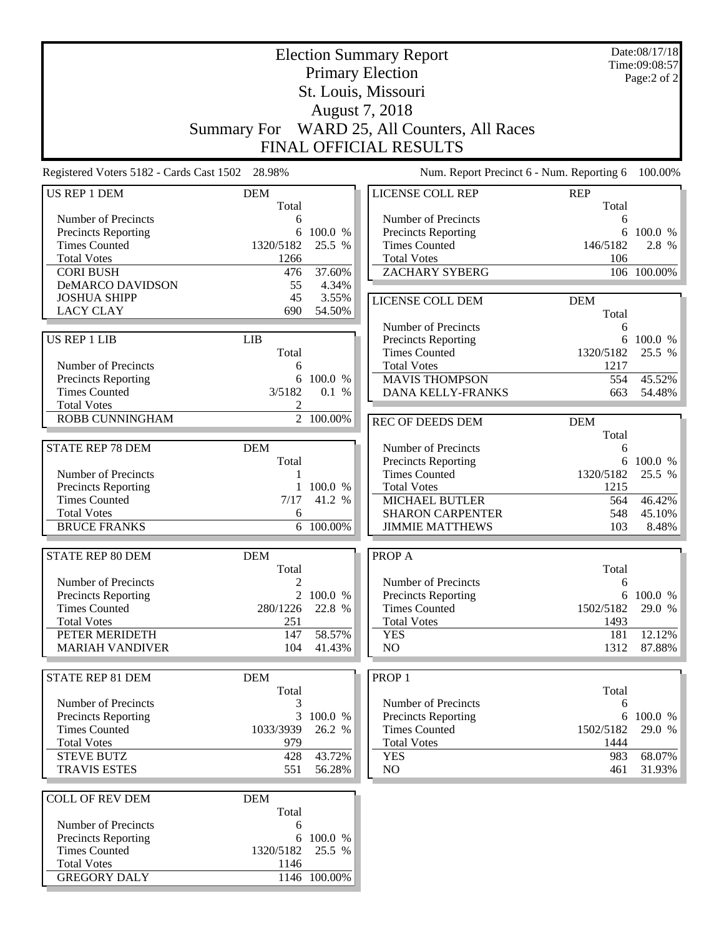|                                                    | Date:08/17/18<br><b>Election Summary Report</b><br>Time:09:08:57<br><b>Primary Election</b> |                   |                                             |             |             |  |
|----------------------------------------------------|---------------------------------------------------------------------------------------------|-------------------|---------------------------------------------|-------------|-------------|--|
|                                                    |                                                                                             | Page:2 of 2       |                                             |             |             |  |
| St. Louis, Missouri                                |                                                                                             |                   |                                             |             |             |  |
| August 7, 2018                                     |                                                                                             |                   |                                             |             |             |  |
|                                                    | <b>Summary For</b>                                                                          |                   | WARD 25, All Counters, All Races            |             |             |  |
|                                                    |                                                                                             |                   | FINAL OFFICIAL RESULTS                      |             |             |  |
| Registered Voters 5182 - Cards Cast 1502 28.98%    |                                                                                             |                   | Num. Report Precinct 6 - Num. Reporting 6   |             | 100.00%     |  |
| US REP 1 DEM                                       | <b>DEM</b>                                                                                  |                   | LICENSE COLL REP                            | <b>REP</b>  |             |  |
|                                                    | Total                                                                                       |                   |                                             | Total       |             |  |
| Number of Precincts                                | 6                                                                                           |                   | Number of Precincts                         | 6           |             |  |
| Precincts Reporting                                | 6                                                                                           | 100.0 %           | <b>Precincts Reporting</b>                  | 6           | 100.0 %     |  |
| <b>Times Counted</b>                               | 1320/5182                                                                                   | 25.5 %            | <b>Times Counted</b><br><b>Total Votes</b>  | 146/5182    | 2.8 %       |  |
| <b>Total Votes</b><br><b>CORI BUSH</b>             | 1266<br>476                                                                                 | 37.60%            | <b>ZACHARY SYBERG</b>                       | 106         | 106 100.00% |  |
| <b>DeMARCO DAVIDSON</b>                            | 55                                                                                          | 4.34%             |                                             |             |             |  |
| <b>JOSHUA SHIPP</b>                                | 45                                                                                          | 3.55%             | LICENSE COLL DEM                            | <b>DEM</b>  |             |  |
| <b>LACY CLAY</b>                                   | 690                                                                                         | 54.50%            |                                             | Total       |             |  |
|                                                    |                                                                                             |                   | Number of Precincts                         | 6           |             |  |
| <b>US REP 1 LIB</b>                                | <b>LIB</b>                                                                                  |                   | <b>Precincts Reporting</b>                  |             | 6 100.0 %   |  |
|                                                    | Total                                                                                       |                   | <b>Times Counted</b>                        | 1320/5182   | 25.5 %      |  |
| Number of Precincts                                | 6                                                                                           |                   | <b>Total Votes</b>                          | 1217        |             |  |
| Precincts Reporting                                | 6                                                                                           | 100.0 %           | <b>MAVIS THOMPSON</b>                       | 554         | 45.52%      |  |
| <b>Times Counted</b>                               | 3/5182                                                                                      | 0.1 %             | DANA KELLY-FRANKS                           | 663         | 54.48%      |  |
| <b>Total Votes</b>                                 | $\overline{2}$                                                                              |                   |                                             |             |             |  |
| ROBB CUNNINGHAM                                    |                                                                                             | 2 100.00%         | <b>REC OF DEEDS DEM</b>                     | <b>DEM</b>  |             |  |
|                                                    |                                                                                             |                   |                                             | Total       |             |  |
| <b>STATE REP 78 DEM</b>                            | <b>DEM</b>                                                                                  |                   | Number of Precincts                         | 6           |             |  |
|                                                    | Total                                                                                       |                   | <b>Precincts Reporting</b>                  |             | 6 100.0 %   |  |
| Number of Precincts                                | 1                                                                                           |                   | <b>Times Counted</b>                        | 1320/5182   | 25.5 %      |  |
| <b>Precincts Reporting</b><br><b>Times Counted</b> | $\mathbf{1}$<br>7/17                                                                        | 100.0 %<br>41.2 % | <b>Total Votes</b><br><b>MICHAEL BUTLER</b> | 1215<br>564 | 46.42%      |  |
| <b>Total Votes</b>                                 | 6                                                                                           |                   | <b>SHARON CARPENTER</b>                     | 548         | 45.10%      |  |
| <b>BRUCE FRANKS</b>                                | 6                                                                                           | 100.00%           | <b>JIMMIE MATTHEWS</b>                      | 103         | 8.48%       |  |
|                                                    |                                                                                             |                   |                                             |             |             |  |
| <b>STATE REP 80 DEM</b>                            | <b>DEM</b>                                                                                  |                   | PROP A                                      |             |             |  |
|                                                    | Total                                                                                       |                   |                                             | Total       |             |  |
| Number of Precincts                                | $\boldsymbol{2}$                                                                            |                   | Number of Precincts                         | 6           |             |  |
| Precincts Reporting                                |                                                                                             | 2 100.0 %         | <b>Precincts Reporting</b>                  |             | 6 100.0 %   |  |
| <b>Times Counted</b>                               | 280/1226                                                                                    | 22.8 %            | <b>Times Counted</b>                        | 1502/5182   | 29.0 %      |  |
| <b>Total Votes</b>                                 | 251                                                                                         |                   | <b>Total Votes</b>                          | 1493        |             |  |
| PETER MERIDETH                                     | 147                                                                                         | 58.57%            | <b>YES</b>                                  | 181         | 12.12%      |  |
| <b>MARIAH VANDIVER</b>                             | 104                                                                                         | 41.43%            | NO                                          | 1312        | 87.88%      |  |
| <b>STATE REP 81 DEM</b>                            | <b>DEM</b>                                                                                  |                   | PROP <sub>1</sub>                           |             |             |  |
|                                                    | Total                                                                                       |                   |                                             | Total       |             |  |
| Number of Precincts                                | 3                                                                                           |                   | Number of Precincts                         | 6           |             |  |
| Precincts Reporting                                |                                                                                             | 3 100.0 %         | Precincts Reporting                         |             | 6 100.0 %   |  |
| <b>Times Counted</b>                               | 1033/3939                                                                                   | 26.2 %            | <b>Times Counted</b>                        | 1502/5182   | 29.0 %      |  |
| <b>Total Votes</b>                                 | 979                                                                                         |                   | <b>Total Votes</b>                          | 1444        |             |  |
| <b>STEVE BUTZ</b>                                  | 428                                                                                         | 43.72%            | <b>YES</b>                                  | 983         | 68.07%      |  |
| <b>TRAVIS ESTES</b>                                | 551                                                                                         | 56.28%            | NO <sub>1</sub>                             | 461         | 31.93%      |  |
| <b>COLL OF REV DEM</b>                             | <b>DEM</b>                                                                                  |                   |                                             |             |             |  |
|                                                    | Total                                                                                       |                   |                                             |             |             |  |
| Number of Precincts                                | 6                                                                                           |                   |                                             |             |             |  |
| Precincts Reporting                                | 6                                                                                           | 100.0 %           |                                             |             |             |  |
| <b>Times Counted</b>                               | 1320/5182                                                                                   | 25.5 %            |                                             |             |             |  |
| <b>Total Votes</b>                                 | 1146                                                                                        |                   |                                             |             |             |  |
| <b>GREGORY DALY</b>                                |                                                                                             | 1146 100.00%      |                                             |             |             |  |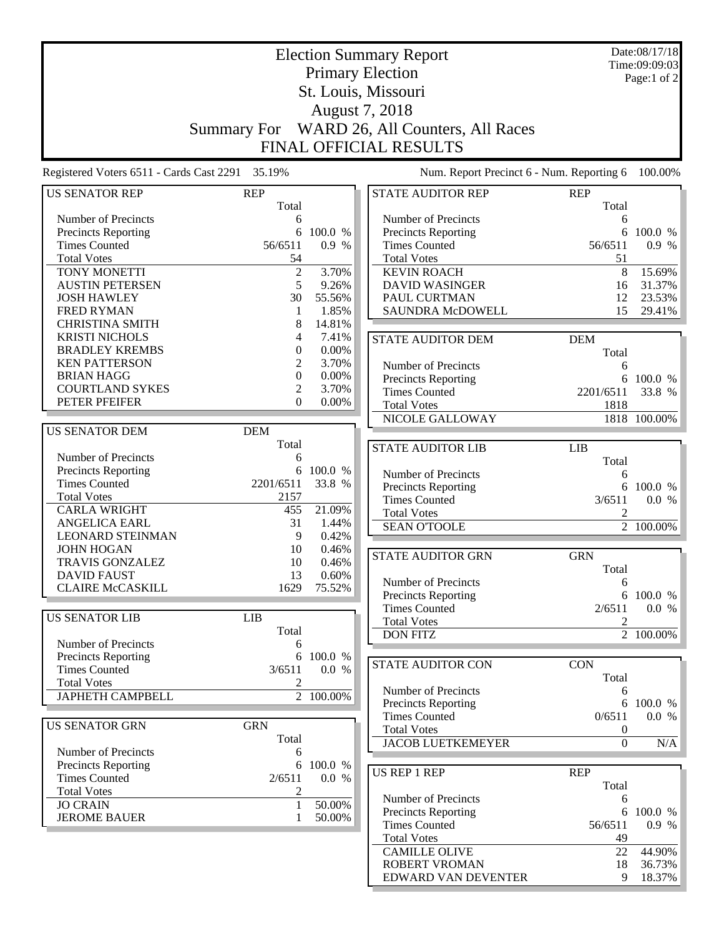|                                                 | <b>Election Summary Report</b> |                |                                              |                     |                        |  |  |
|-------------------------------------------------|--------------------------------|----------------|----------------------------------------------|---------------------|------------------------|--|--|
|                                                 | <b>Primary Election</b>        |                |                                              |                     |                        |  |  |
|                                                 | St. Louis, Missouri            |                |                                              |                     |                        |  |  |
|                                                 | August 7, 2018                 |                |                                              |                     |                        |  |  |
|                                                 |                                |                |                                              |                     |                        |  |  |
|                                                 |                                |                | Summary For WARD 26, All Counters, All Races |                     |                        |  |  |
|                                                 |                                |                | <b>FINAL OFFICIAL RESULTS</b>                |                     |                        |  |  |
| Registered Voters 6511 - Cards Cast 2291 35.19% |                                |                | Num. Report Precinct 6 - Num. Reporting 6    |                     | 100.00%                |  |  |
| <b>US SENATOR REP</b>                           | <b>REP</b><br>Total            |                | <b>STATE AUDITOR REP</b>                     | <b>REP</b><br>Total |                        |  |  |
| Number of Precincts                             | 6                              |                | Number of Precincts                          | 6                   |                        |  |  |
| Precincts Reporting                             | 6                              | 100.0 %        | Precincts Reporting                          | 6                   | 100.0 %                |  |  |
| <b>Times Counted</b>                            | 56/6511                        | 0.9 %          | <b>Times Counted</b>                         | 56/6511             | 0.9%                   |  |  |
| <b>Total Votes</b>                              | 54                             |                | <b>Total Votes</b>                           | 51                  |                        |  |  |
| TONY MONETTI                                    | $\boldsymbol{2}$               | 3.70%          | <b>KEVIN ROACH</b>                           | 8                   | 15.69%                 |  |  |
| <b>AUSTIN PETERSEN</b>                          | 5                              | 9.26%          | <b>DAVID WASINGER</b>                        | 16                  | 31.37%                 |  |  |
| <b>JOSH HAWLEY</b>                              | 30                             | 55.56%         | PAUL CURTMAN                                 | 12                  | 23.53%                 |  |  |
| <b>FRED RYMAN</b>                               | 1                              | 1.85%          | SAUNDRA McDOWELL                             | 15                  | 29.41%                 |  |  |
| <b>CHRISTINA SMITH</b>                          | 8                              | 14.81%         |                                              |                     |                        |  |  |
| <b>KRISTI NICHOLS</b>                           | 4                              | 7.41%          | <b>STATE AUDITOR DEM</b>                     | <b>DEM</b>          |                        |  |  |
| <b>BRADLEY KREMBS</b>                           | $\boldsymbol{0}$               | $0.00\%$       |                                              | Total               |                        |  |  |
| <b>KEN PATTERSON</b>                            | 2                              | 3.70%          | Number of Precincts                          | 6                   |                        |  |  |
| <b>BRIAN HAGG</b>                               | $\mathbf{0}$                   | 0.00%          | <b>Precincts Reporting</b>                   | 6                   | 100.0 %                |  |  |
| <b>COURTLAND SYKES</b>                          | 2                              | 3.70%          | <b>Times Counted</b>                         | 2201/6511           | 33.8 %                 |  |  |
| PETER PFEIFER                                   | $\Omega$                       | $0.00\%$       | <b>Total Votes</b>                           | 1818                |                        |  |  |
|                                                 |                                |                | NICOLE GALLOWAY                              |                     | 1818 100.00%           |  |  |
| <b>US SENATOR DEM</b>                           | <b>DEM</b>                     |                |                                              |                     |                        |  |  |
|                                                 | Total                          |                | <b>STATE AUDITOR LIB</b>                     | <b>LIB</b>          |                        |  |  |
| Number of Precincts                             | 6                              |                |                                              | Total               |                        |  |  |
| Precincts Reporting                             | 6                              | 100.0 %        | Number of Precincts                          | 6                   |                        |  |  |
| <b>Times Counted</b>                            | 2201/6511                      | 33.8 %         | Precincts Reporting                          |                     | 6 100.0 %              |  |  |
| <b>Total Votes</b>                              | 2157                           |                | <b>Times Counted</b>                         | 3/6511              | 0.0 %                  |  |  |
| <b>CARLA WRIGHT</b>                             | 455                            | 21.09%         | <b>Total Votes</b>                           | $\overline{c}$      |                        |  |  |
| <b>ANGELICA EARL</b>                            | 31                             | 1.44%          | <b>SEAN O'TOOLE</b>                          |                     | $\overline{2}$ 100.00% |  |  |
| <b>LEONARD STEINMAN</b><br><b>JOHN HOGAN</b>    | 9<br>10                        | 0.42%          |                                              |                     |                        |  |  |
| <b>TRAVIS GONZALEZ</b>                          | 10                             | 0.46%<br>0.46% | <b>STATE AUDITOR GRN</b>                     | <b>GRN</b>          |                        |  |  |
| <b>DAVID FAUST</b>                              | 13                             | 0.60%          |                                              | Total               |                        |  |  |
| <b>CLAIRE McCASKILL</b>                         | 1629                           | 75.52%         | Number of Precincts                          | 6                   |                        |  |  |
|                                                 |                                |                | <b>Precincts Reporting</b>                   | 6                   | 100.0 %                |  |  |
| <b>US SENATOR LIB</b>                           | LIB                            |                | <b>Times Counted</b>                         | 2/6511              | 0.0 %                  |  |  |
|                                                 | Total                          |                | <b>Total Votes</b>                           | 2                   |                        |  |  |
| Number of Precincts                             | 6                              |                | <b>DON FITZ</b>                              |                     | 2 100.00%              |  |  |
| Precincts Reporting                             | 6                              | 100.0 %        |                                              |                     |                        |  |  |
| <b>Times Counted</b>                            | 3/6511                         | 0.0 %          | <b>STATE AUDITOR CON</b>                     | <b>CON</b>          |                        |  |  |
| <b>Total Votes</b>                              | 2                              |                |                                              | Total               |                        |  |  |
| <b>JAPHETH CAMPBELL</b>                         |                                | 2 100.00%      | Number of Precincts                          | 6                   |                        |  |  |
|                                                 |                                |                | Precincts Reporting                          | 6                   | 100.0 %                |  |  |
| <b>US SENATOR GRN</b>                           | <b>GRN</b>                     |                | <b>Times Counted</b>                         | 0/6511              | 0.0 %                  |  |  |
|                                                 | Total                          |                | <b>Total Votes</b>                           | $\boldsymbol{0}$    |                        |  |  |
| Number of Precincts                             | 6                              |                | <b>JACOB LUETKEMEYER</b>                     | $\overline{0}$      | N/A                    |  |  |
| <b>Precincts Reporting</b>                      | 6                              | 100.0 %        |                                              |                     |                        |  |  |
| <b>Times Counted</b>                            | 2/6511                         | 0.0 %          | US REP 1 REP                                 | <b>REP</b>          |                        |  |  |
| <b>Total Votes</b>                              | 2                              |                |                                              | Total               |                        |  |  |
| <b>JO CRAIN</b>                                 | $\mathbf{1}$                   | 50.00%         | Number of Precincts                          | 6                   |                        |  |  |
| <b>JEROME BAUER</b>                             |                                | 50.00%         | Precincts Reporting                          |                     | 6 100.0 %              |  |  |
|                                                 |                                |                | <b>Times Counted</b>                         | 56/6511             | 0.9 %                  |  |  |
|                                                 |                                |                | <b>Total Votes</b><br><b>CAMILLE OLIVE</b>   | 49<br>22            | 44.90%                 |  |  |
|                                                 |                                |                | <b>ROBERT VROMAN</b>                         | 18                  | 36.73%                 |  |  |
|                                                 |                                |                | EDWARD VAN DEVENTER                          | 9                   | 18.37%                 |  |  |
|                                                 |                                |                |                                              |                     |                        |  |  |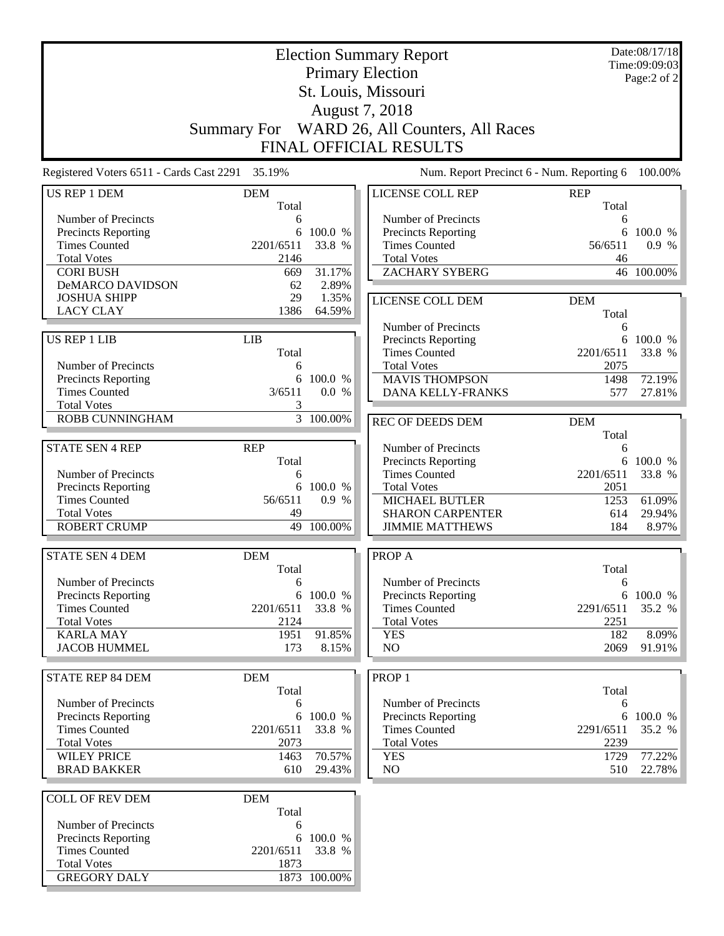|                                                 | Date:08/17/18<br><b>Election Summary Report</b><br><b>Primary Election</b> |                              |                                                   |            |                 |  |
|-------------------------------------------------|----------------------------------------------------------------------------|------------------------------|---------------------------------------------------|------------|-----------------|--|
|                                                 |                                                                            | Time:09:09:03<br>Page:2 of 2 |                                                   |            |                 |  |
| St. Louis, Missouri                             |                                                                            |                              |                                                   |            |                 |  |
| August 7, 2018                                  |                                                                            |                              |                                                   |            |                 |  |
|                                                 | <b>Summary For</b>                                                         |                              | WARD 26, All Counters, All Races                  |            |                 |  |
|                                                 |                                                                            |                              | <b>FINAL OFFICIAL RESULTS</b>                     |            |                 |  |
| Registered Voters 6511 - Cards Cast 2291 35.19% |                                                                            |                              | Num. Report Precinct 6 - Num. Reporting 6         |            | 100.00%         |  |
| US REP 1 DEM                                    | <b>DEM</b>                                                                 |                              | <b>LICENSE COLL REP</b>                           | <b>REP</b> |                 |  |
|                                                 | Total                                                                      |                              |                                                   | Total      |                 |  |
| Number of Precincts                             | 6<br>6                                                                     | 100.0 %                      | Number of Precincts<br>Precincts Reporting        | 6<br>6     | 100.0 %         |  |
| Precincts Reporting<br><b>Times Counted</b>     | 2201/6511                                                                  | 33.8 %                       | <b>Times Counted</b>                              | 56/6511    | 0.9 %           |  |
| <b>Total Votes</b>                              | 2146                                                                       |                              | <b>Total Votes</b>                                | 46         |                 |  |
| <b>CORI BUSH</b>                                | 669                                                                        | 31.17%                       | <b>ZACHARY SYBERG</b>                             |            | 46 100.00%      |  |
| DeMARCO DAVIDSON                                | 62                                                                         | 2.89%                        |                                                   |            |                 |  |
| <b>JOSHUA SHIPP</b>                             | 29                                                                         | 1.35%                        | LICENSE COLL DEM                                  | <b>DEM</b> |                 |  |
| <b>LACY CLAY</b>                                | 1386                                                                       | 64.59%                       |                                                   | Total      |                 |  |
|                                                 |                                                                            |                              | Number of Precincts                               | 6          |                 |  |
| <b>US REP 1 LIB</b>                             | <b>LIB</b>                                                                 |                              | Precincts Reporting                               |            | 6 100.0 %       |  |
|                                                 | Total                                                                      |                              | <b>Times Counted</b>                              | 2201/6511  | 33.8 %          |  |
| Number of Precincts                             | 6                                                                          |                              | <b>Total Votes</b>                                | 2075       |                 |  |
| Precincts Reporting                             | 6                                                                          | 100.0 %                      | <b>MAVIS THOMPSON</b>                             | 1498       | 72.19%          |  |
| <b>Times Counted</b>                            | 3/6511                                                                     | 0.0 %                        | DANA KELLY-FRANKS                                 | 577        | 27.81%          |  |
| <b>Total Votes</b>                              | 3                                                                          |                              |                                                   |            |                 |  |
| ROBB CUNNINGHAM                                 |                                                                            | $\frac{1}{3}$ 100.00%        | <b>REC OF DEEDS DEM</b>                           | <b>DEM</b> |                 |  |
|                                                 |                                                                            |                              |                                                   | Total      |                 |  |
| <b>STATE SEN 4 REP</b>                          | <b>REP</b>                                                                 |                              | Number of Precincts                               | 6          |                 |  |
|                                                 | Total                                                                      |                              | Precincts Reporting                               |            | 6 100.0 %       |  |
| Number of Precincts                             | 6                                                                          |                              | <b>Times Counted</b>                              | 2201/6511  | 33.8 %          |  |
| Precincts Reporting<br><b>Times Counted</b>     | 6                                                                          | 100.0 %                      | <b>Total Votes</b>                                | 2051       |                 |  |
| <b>Total Votes</b>                              | 56/6511                                                                    | 0.9%                         | <b>MICHAEL BUTLER</b>                             | 1253       | 61.09%          |  |
| <b>ROBERT CRUMP</b>                             | 49<br>49                                                                   | 100.00%                      | <b>SHARON CARPENTER</b><br><b>JIMMIE MATTHEWS</b> | 614<br>184 | 29.94%<br>8.97% |  |
|                                                 |                                                                            |                              |                                                   |            |                 |  |
| <b>STATE SEN 4 DEM</b>                          | <b>DEM</b>                                                                 |                              | PROP A                                            |            |                 |  |
|                                                 | Total                                                                      |                              |                                                   | Total      |                 |  |
| Number of Precincts                             | 6                                                                          |                              | Number of Precincts                               | 6          |                 |  |
| Precincts Reporting                             |                                                                            | 6 100.0 %                    | <b>Precincts Reporting</b>                        |            | 6 100.0 %       |  |
| <b>Times Counted</b>                            | 2201/6511                                                                  | 33.8 %                       | <b>Times Counted</b>                              | 2291/6511  | 35.2 %          |  |
| <b>Total Votes</b>                              | 2124                                                                       |                              | <b>Total Votes</b>                                | 2251       |                 |  |
| <b>KARLA MAY</b>                                | 1951                                                                       | 91.85%                       | <b>YES</b>                                        | 182        | 8.09%           |  |
| <b>JACOB HUMMEL</b>                             | 173                                                                        | 8.15%                        | NO                                                | 2069       | 91.91%          |  |
| <b>STATE REP 84 DEM</b>                         | <b>DEM</b>                                                                 |                              | PROP <sub>1</sub>                                 |            |                 |  |
|                                                 | Total                                                                      |                              |                                                   | Total      |                 |  |
| Number of Precincts                             | 6                                                                          |                              | Number of Precincts                               | 6          |                 |  |
| Precincts Reporting                             |                                                                            | 6 100.0 %                    | Precincts Reporting                               |            | 6 100.0 %       |  |
| <b>Times Counted</b>                            | 2201/6511                                                                  | 33.8 %                       | <b>Times Counted</b>                              | 2291/6511  | 35.2 %          |  |
| <b>Total Votes</b>                              | 2073                                                                       |                              | <b>Total Votes</b>                                | 2239       |                 |  |
| <b>WILEY PRICE</b>                              | 1463                                                                       | 70.57%                       | <b>YES</b>                                        | 1729       | 77.22%          |  |
| <b>BRAD BAKKER</b>                              | 610                                                                        | 29.43%                       | NO                                                | 510        | 22.78%          |  |
| <b>COLL OF REV DEM</b>                          | <b>DEM</b>                                                                 |                              |                                                   |            |                 |  |
|                                                 | Total                                                                      |                              |                                                   |            |                 |  |
| Number of Precincts                             | 6                                                                          |                              |                                                   |            |                 |  |
| <b>Precincts Reporting</b>                      | 6                                                                          | 100.0 %                      |                                                   |            |                 |  |
| <b>Times Counted</b>                            | 2201/6511                                                                  | 33.8 %                       |                                                   |            |                 |  |
| <b>Total Votes</b>                              | 1873                                                                       |                              |                                                   |            |                 |  |
| <b>GREGORY DALY</b>                             |                                                                            | 1873 100.00%                 |                                                   |            |                 |  |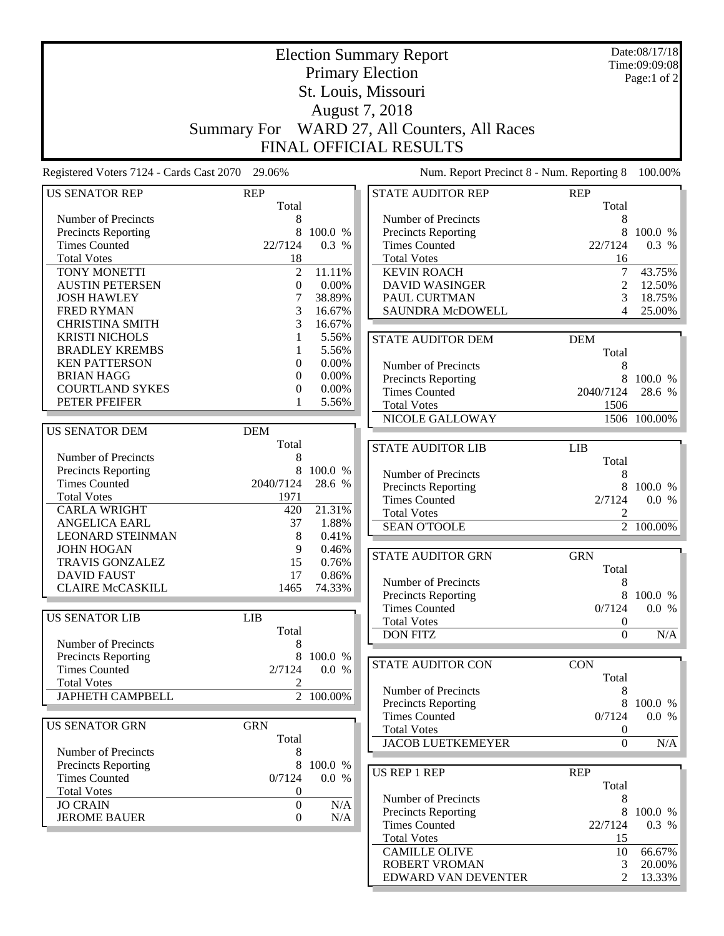|                                                 | <b>Election Summary Report</b> |                              |                                            |                                      |                        |
|-------------------------------------------------|--------------------------------|------------------------------|--------------------------------------------|--------------------------------------|------------------------|
|                                                 |                                | Time:09:09:08<br>Page:1 of 2 |                                            |                                      |                        |
|                                                 |                                |                              | St. Louis, Missouri                        |                                      |                        |
|                                                 |                                |                              | August 7, 2018                             |                                      |                        |
|                                                 | <b>Summary For</b>             |                              | WARD 27, All Counters, All Races           |                                      |                        |
|                                                 |                                |                              | <b>FINAL OFFICIAL RESULTS</b>              |                                      |                        |
|                                                 |                                |                              |                                            |                                      |                        |
| Registered Voters 7124 - Cards Cast 2070 29.06% |                                |                              | Num. Report Precinct 8 - Num. Reporting 8  |                                      | 100.00%                |
| <b>US SENATOR REP</b>                           | <b>REP</b>                     |                              | <b>STATE AUDITOR REP</b>                   | <b>REP</b>                           |                        |
|                                                 | Total                          |                              |                                            | Total                                |                        |
| Number of Precincts<br>Precincts Reporting      | 8<br>8                         | 100.0 %                      | Number of Precincts<br>Precincts Reporting | 8<br>8                               | 100.0 %                |
| <b>Times Counted</b>                            | 22/7124                        | 0.3 %                        | <b>Times Counted</b>                       | 22/7124                              | 0.3 %                  |
| <b>Total Votes</b>                              | 18                             |                              | <b>Total Votes</b>                         | 16                                   |                        |
| TONY MONETTI                                    | $\overline{2}$                 | 11.11%                       | <b>KEVIN ROACH</b>                         | $\overline{7}$                       | 43.75%                 |
| <b>AUSTIN PETERSEN</b>                          | $\boldsymbol{0}$               | 0.00%                        | <b>DAVID WASINGER</b>                      | $\overline{c}$                       | 12.50%                 |
| <b>JOSH HAWLEY</b>                              | 7                              | 38.89%                       | PAUL CURTMAN                               | 3                                    | 18.75%                 |
| <b>FRED RYMAN</b>                               | 3                              | 16.67%                       | SAUNDRA McDOWELL                           | 4                                    | 25.00%                 |
| <b>CHRISTINA SMITH</b>                          | 3                              | 16.67%                       |                                            |                                      |                        |
| <b>KRISTI NICHOLS</b>                           | 1                              | 5.56%                        | <b>STATE AUDITOR DEM</b>                   | <b>DEM</b>                           |                        |
| <b>BRADLEY KREMBS</b>                           |                                | 5.56%                        |                                            | Total                                |                        |
| <b>KEN PATTERSON</b>                            | $\mathbf{0}$                   | 0.00%                        | Number of Precincts                        | 8                                    |                        |
| <b>BRIAN HAGG</b>                               | $\mathbf{0}$                   | 0.00%                        | Precincts Reporting                        | 8                                    | 100.0 %                |
| <b>COURTLAND SYKES</b><br>PETER PFEIFER         | $\boldsymbol{0}$               | 0.00%<br>5.56%               | <b>Times Counted</b>                       | 2040/7124                            | 28.6 %                 |
|                                                 |                                |                              | <b>Total Votes</b>                         | 1506                                 |                        |
| <b>US SENATOR DEM</b>                           | <b>DEM</b>                     |                              | NICOLE GALLOWAY                            |                                      | 1506 100.00%           |
|                                                 | Total                          |                              |                                            |                                      |                        |
| Number of Precincts                             | 8                              |                              | <b>STATE AUDITOR LIB</b>                   | <b>LIB</b>                           |                        |
| Precincts Reporting                             | 8                              | 100.0 %                      |                                            | Total                                |                        |
| <b>Times Counted</b>                            | 2040/7124                      | 28.6 %                       | Number of Precincts<br>Precincts Reporting | 8<br>8                               | 100.0 %                |
| <b>Total Votes</b>                              | 1971                           |                              | <b>Times Counted</b>                       | 2/7124                               | 0.0 %                  |
| <b>CARLA WRIGHT</b>                             | 420                            | 21.31%                       | <b>Total Votes</b>                         | 2                                    |                        |
| <b>ANGELICA EARL</b>                            | 37                             | 1.88%                        | <b>SEAN O'TOOLE</b>                        |                                      | $\overline{2}$ 100.00% |
| <b>LEONARD STEINMAN</b>                         | 8                              | 0.41%                        |                                            |                                      |                        |
| <b>JOHN HOGAN</b>                               | 9                              | 0.46%                        | <b>STATE AUDITOR GRN</b>                   | <b>GRN</b>                           |                        |
| <b>TRAVIS GONZALEZ</b>                          | 15                             | 0.76%                        |                                            | Total                                |                        |
| <b>DAVID FAUST</b>                              | 17                             | 0.86%                        | Number of Precincts                        | 8                                    |                        |
| <b>CLAIRE McCASKILL</b>                         | 1465                           | 74.33%                       | Precincts Reporting                        | 8                                    | 100.0 %                |
|                                                 |                                |                              | <b>Times Counted</b>                       | 0/7124                               | 0.0 %                  |
| <b>US SENATOR LIB</b>                           | LIB                            |                              | <b>Total Votes</b>                         | $\boldsymbol{0}$                     |                        |
| Number of Precincts                             | Total<br>8                     |                              | <b>DON FITZ</b>                            | $\overline{0}$                       | $\overline{N/A}$       |
| Precincts Reporting                             | 8                              | 100.0 %                      |                                            |                                      |                        |
| <b>Times Counted</b>                            | 2/7124                         | 0.0 %                        | STATE AUDITOR CON                          | <b>CON</b>                           |                        |
| <b>Total Votes</b>                              | 2                              |                              |                                            | Total                                |                        |
| <b>JAPHETH CAMPBELL</b>                         |                                | 2 100.00%                    | Number of Precincts                        | 8                                    |                        |
|                                                 |                                |                              | Precincts Reporting                        | 8                                    | 100.0 %                |
| <b>US SENATOR GRN</b>                           | <b>GRN</b>                     |                              | <b>Times Counted</b><br><b>Total Votes</b> | 0/7124                               | 0.0 %                  |
|                                                 | Total                          |                              | <b>JACOB LUETKEMEYER</b>                   | $\boldsymbol{0}$<br>$\boldsymbol{0}$ | N/A                    |
| Number of Precincts                             | 8                              |                              |                                            |                                      |                        |
| <b>Precincts Reporting</b>                      | 8                              | 100.0 %                      |                                            |                                      |                        |
| <b>Times Counted</b>                            | 0/7124                         | 0.0 %                        | US REP 1 REP                               | <b>REP</b><br>Total                  |                        |
| <b>Total Votes</b>                              | $\theta$                       |                              | Number of Precincts                        | 8                                    |                        |
| <b>JO CRAIN</b>                                 | $\boldsymbol{0}$               | N/A                          | Precincts Reporting                        | 8                                    | 100.0 %                |
| <b>JEROME BAUER</b>                             | $\boldsymbol{0}$               | N/A                          | <b>Times Counted</b>                       | 22/7124                              | 0.3 %                  |
|                                                 |                                |                              | <b>Total Votes</b>                         | 15                                   |                        |
|                                                 |                                |                              | <b>CAMILLE OLIVE</b>                       | 10                                   | 66.67%                 |
|                                                 |                                |                              | ROBERT VROMAN                              | 3                                    | 20.00%                 |
|                                                 |                                |                              | EDWARD VAN DEVENTER                        | 2                                    | 13.33%                 |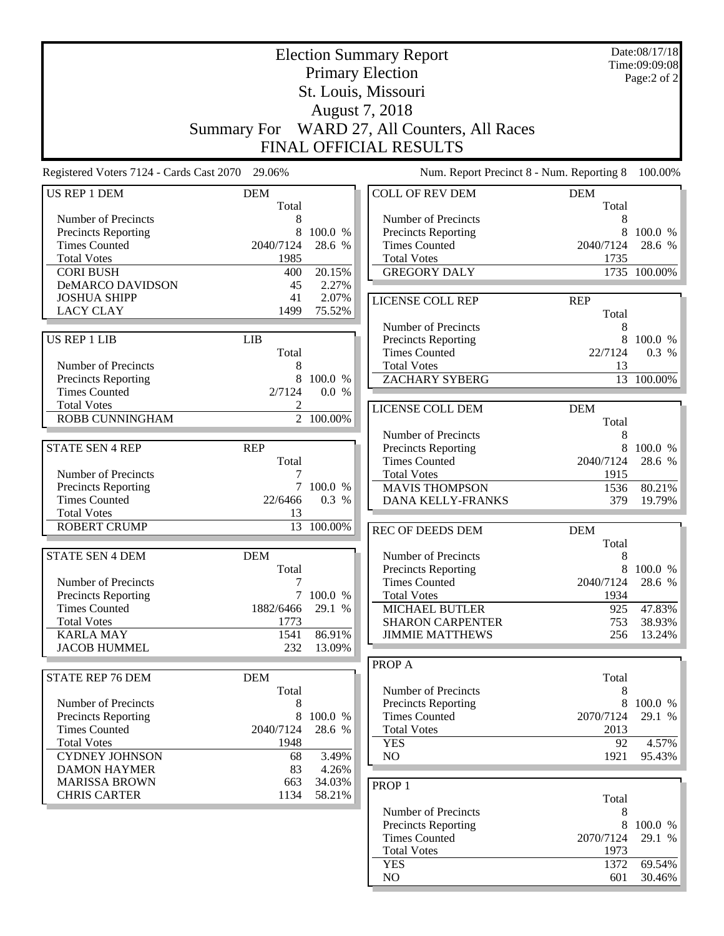|                                                   | <b>Election Summary Report</b>               |            |                                                    |                   |                              |  |  |
|---------------------------------------------------|----------------------------------------------|------------|----------------------------------------------------|-------------------|------------------------------|--|--|
|                                                   |                                              |            | <b>Primary Election</b>                            |                   | Time:09:09:08<br>Page:2 of 2 |  |  |
|                                                   | St. Louis, Missouri                          |            |                                                    |                   |                              |  |  |
|                                                   | August 7, 2018                               |            |                                                    |                   |                              |  |  |
|                                                   | Summary For WARD 27, All Counters, All Races |            |                                                    |                   |                              |  |  |
|                                                   |                                              |            |                                                    |                   |                              |  |  |
|                                                   |                                              |            | <b>FINAL OFFICIAL RESULTS</b>                      |                   |                              |  |  |
| Registered Voters 7124 - Cards Cast 2070 29.06%   |                                              |            | Num. Report Precinct 8 - Num. Reporting 8          |                   | 100.00%                      |  |  |
| US REP 1 DEM                                      | <b>DEM</b>                                   |            | <b>COLL OF REV DEM</b>                             | <b>DEM</b>        |                              |  |  |
|                                                   | Total                                        |            |                                                    | Total             |                              |  |  |
| Number of Precincts<br><b>Precincts Reporting</b> | 8<br>8                                       | 100.0 %    | Number of Precincts<br><b>Precincts Reporting</b>  | 8<br>8            | 100.0 %                      |  |  |
| <b>Times Counted</b>                              | 2040/7124                                    | 28.6 %     | <b>Times Counted</b>                               | 2040/7124         | 28.6 %                       |  |  |
| <b>Total Votes</b>                                | 1985                                         |            | <b>Total Votes</b>                                 | 1735              |                              |  |  |
| <b>CORI BUSH</b>                                  | 400                                          | 20.15%     | <b>GREGORY DALY</b>                                |                   | 1735 100.00%                 |  |  |
| DeMARCO DAVIDSON                                  | 45                                           | 2.27%      |                                                    |                   |                              |  |  |
| <b>JOSHUA SHIPP</b>                               | 41                                           | 2.07%      | LICENSE COLL REP                                   | <b>REP</b>        |                              |  |  |
| <b>LACY CLAY</b>                                  | 1499                                         | 75.52%     |                                                    | Total             |                              |  |  |
|                                                   |                                              |            | Number of Precincts                                | 8                 |                              |  |  |
| <b>US REP 1 LIB</b>                               | <b>LIB</b>                                   |            | Precincts Reporting                                | 8                 | 100.0 %                      |  |  |
|                                                   | Total                                        |            | <b>Times Counted</b>                               | 22/7124           | 0.3 %                        |  |  |
| Number of Precincts                               | 8                                            |            | <b>Total Votes</b>                                 | 13                |                              |  |  |
| Precincts Reporting                               | 8                                            | 100.0 %    | <b>ZACHARY SYBERG</b>                              |                   | 13 100.00%                   |  |  |
| <b>Times Counted</b>                              | 2/7124                                       | 0.0 %      |                                                    |                   |                              |  |  |
| <b>Total Votes</b><br><b>ROBB CUNNINGHAM</b>      |                                              | 2 100.00%  | LICENSE COLL DEM                                   | <b>DEM</b>        |                              |  |  |
|                                                   |                                              |            |                                                    | Total             |                              |  |  |
|                                                   |                                              |            | Number of Precincts                                | 8                 |                              |  |  |
| <b>STATE SEN 4 REP</b>                            | <b>REP</b><br>Total                          |            | <b>Precincts Reporting</b><br><b>Times Counted</b> | 8<br>2040/7124    | 100.0 %<br>28.6 %            |  |  |
| Number of Precincts                               |                                              |            | <b>Total Votes</b>                                 | 1915              |                              |  |  |
| Precincts Reporting                               | 7                                            | 100.0 %    | <b>MAVIS THOMPSON</b>                              | 1536              | 80.21%                       |  |  |
| <b>Times Counted</b>                              | 22/6466                                      | 0.3 %      | DANA KELLY-FRANKS                                  | 379               | 19.79%                       |  |  |
| <b>Total Votes</b>                                | 13                                           |            |                                                    |                   |                              |  |  |
| <b>ROBERT CRUMP</b>                               |                                              | 13 100.00% | REC OF DEEDS DEM                                   | <b>DEM</b>        |                              |  |  |
|                                                   |                                              |            |                                                    | Total             |                              |  |  |
| <b>STATE SEN 4 DEM</b>                            | <b>DEM</b>                                   |            | Number of Precincts                                | 8                 |                              |  |  |
|                                                   | Total                                        |            | <b>Precincts Reporting</b>                         | 8                 | 100.0 %                      |  |  |
| Number of Precincts                               | 7                                            |            | <b>Times Counted</b>                               | 2040/7124         | 28.6 %                       |  |  |
| <b>Precincts Reporting</b>                        |                                              | 7 100.0 %  | <b>Total Votes</b>                                 | 1934              |                              |  |  |
| <b>Times Counted</b>                              | 1882/6466                                    | 29.1 %     | <b>MICHAEL BUTLER</b>                              | 925               | 47.83%                       |  |  |
| <b>Total Votes</b><br><b>KARLA MAY</b>            | 1773<br>1541                                 | 86.91%     | <b>SHARON CARPENTER</b>                            | 753<br>256        | 38.93%                       |  |  |
| <b>JACOB HUMMEL</b>                               | 232                                          | 13.09%     | <b>JIMMIE MATTHEWS</b>                             |                   | 13.24%                       |  |  |
|                                                   |                                              |            | PROP A                                             |                   |                              |  |  |
| <b>STATE REP 76 DEM</b>                           | <b>DEM</b>                                   |            |                                                    | Total             |                              |  |  |
|                                                   | Total                                        |            | Number of Precincts                                | 8                 |                              |  |  |
| Number of Precincts                               | 8                                            |            | <b>Precincts Reporting</b>                         | 8                 | 100.0 %                      |  |  |
| <b>Precincts Reporting</b>                        | 8                                            | 100.0 %    | <b>Times Counted</b>                               | 2070/7124         | 29.1 %                       |  |  |
| <b>Times Counted</b>                              | 2040/7124                                    | 28.6 %     | <b>Total Votes</b>                                 | 2013              |                              |  |  |
| <b>Total Votes</b>                                | 1948                                         |            | <b>YES</b>                                         | 92                | 4.57%                        |  |  |
| <b>CYDNEY JOHNSON</b>                             | 68                                           | 3.49%      | NO                                                 | 1921              | 95.43%                       |  |  |
| <b>DAMON HAYMER</b>                               | 83                                           | 4.26%      |                                                    |                   |                              |  |  |
| <b>MARISSA BROWN</b>                              | 663                                          | 34.03%     | PROP <sub>1</sub>                                  |                   |                              |  |  |
| <b>CHRIS CARTER</b>                               | 1134                                         | 58.21%     |                                                    | Total             |                              |  |  |
|                                                   |                                              |            | Number of Precincts                                | 8                 |                              |  |  |
|                                                   |                                              |            | Precincts Reporting                                | 8                 | 100.0 %<br>29.1 %            |  |  |
|                                                   |                                              |            | <b>Times Counted</b><br><b>Total Votes</b>         | 2070/7124<br>1973 |                              |  |  |
|                                                   |                                              |            | <b>YES</b>                                         | 1372              | 69.54%                       |  |  |
|                                                   |                                              |            | $\rm NO$                                           | 601               | 30.46%                       |  |  |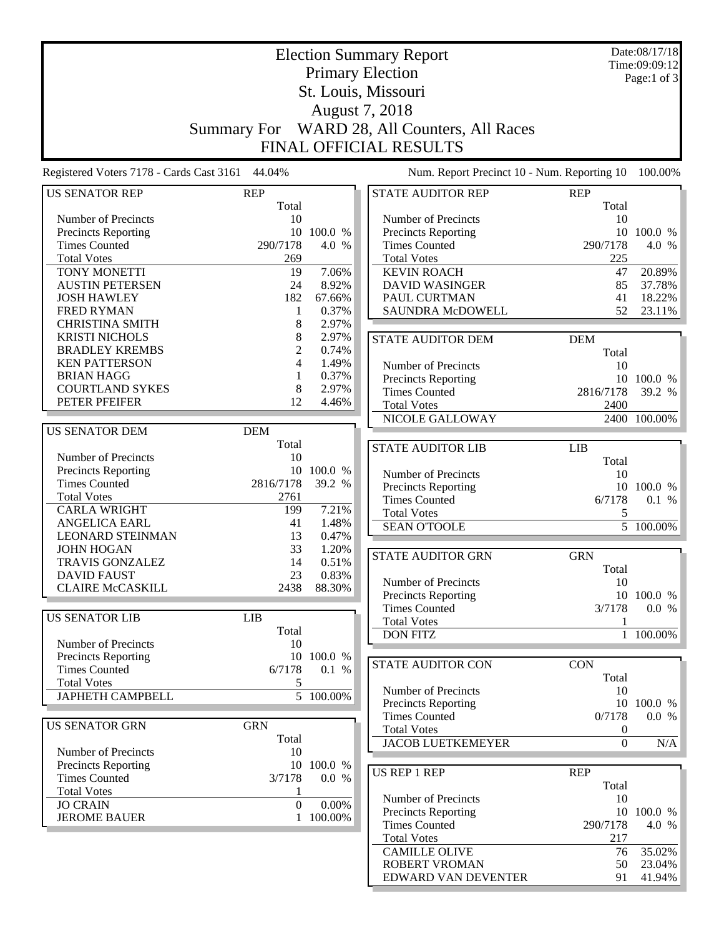| <b>Election Summary Report</b>                  |                  |            |  | Date:08/17/18                                |            |                  |                        |
|-------------------------------------------------|------------------|------------|--|----------------------------------------------|------------|------------------|------------------------|
|                                                 |                  |            |  |                                              |            | Time:09:09:12    |                        |
| <b>Primary Election</b>                         |                  |            |  |                                              |            |                  | Page:1 of 3            |
| St. Louis, Missouri                             |                  |            |  |                                              |            |                  |                        |
|                                                 | August 7, 2018   |            |  |                                              |            |                  |                        |
|                                                 |                  |            |  | Summary For WARD 28, All Counters, All Races |            |                  |                        |
|                                                 |                  |            |  |                                              |            |                  |                        |
|                                                 |                  |            |  | <b>FINAL OFFICIAL RESULTS</b>                |            |                  |                        |
| Registered Voters 7178 - Cards Cast 3161 44.04% |                  |            |  | Num. Report Precinct 10 - Num. Reporting 10  |            |                  | 100.00%                |
| <b>US SENATOR REP</b>                           | <b>REP</b>       |            |  | STATE AUDITOR REP                            | <b>REP</b> |                  |                        |
|                                                 | Total            |            |  |                                              |            | Total            |                        |
| Number of Precincts                             | 10               |            |  | Number of Precincts                          |            | 10               |                        |
| Precincts Reporting                             | 10               | 100.0 %    |  | <b>Precincts Reporting</b>                   |            |                  | 10 100.0 %             |
| <b>Times Counted</b>                            | 290/7178         | 4.0 %      |  | <b>Times Counted</b>                         |            | 290/7178         | 4.0 %                  |
| <b>Total Votes</b>                              | 269              |            |  | <b>Total Votes</b>                           |            | 225              |                        |
| TONY MONETTI                                    | 19               | 7.06%      |  | <b>KEVIN ROACH</b>                           |            | 47               | 20.89%                 |
| <b>AUSTIN PETERSEN</b>                          | 24               | 8.92%      |  | <b>DAVID WASINGER</b>                        |            | 85               | 37.78%                 |
| <b>JOSH HAWLEY</b>                              | 182              | 67.66%     |  | PAUL CURTMAN                                 |            | 41               | 18.22%                 |
| <b>FRED RYMAN</b>                               | 1                | 0.37%      |  | SAUNDRA McDOWELL                             |            | 52               | 23.11%                 |
| <b>CHRISTINA SMITH</b>                          | 8                | 2.97%      |  |                                              |            |                  |                        |
| <b>KRISTI NICHOLS</b>                           | 8                | 2.97%      |  | <b>STATE AUDITOR DEM</b>                     | <b>DEM</b> |                  |                        |
| <b>BRADLEY KREMBS</b>                           | 2                | 0.74%      |  |                                              |            | Total            |                        |
| <b>KEN PATTERSON</b>                            | 4                | 1.49%      |  | Number of Precincts                          |            | 10               |                        |
| <b>BRIAN HAGG</b>                               | 1                | 0.37%      |  | <b>Precincts Reporting</b>                   |            |                  | 10 100.0 %             |
| <b>COURTLAND SYKES</b>                          | 8                | 2.97%      |  | <b>Times Counted</b>                         |            | 2816/7178        | 39.2 %                 |
| PETER PFEIFER                                   | 12               | 4.46%      |  | <b>Total Votes</b>                           |            | 2400             |                        |
|                                                 |                  |            |  | NICOLE GALLOWAY                              |            |                  | 2400 100.00%           |
| <b>US SENATOR DEM</b>                           | <b>DEM</b>       |            |  |                                              |            |                  |                        |
|                                                 | Total            |            |  | <b>STATE AUDITOR LIB</b>                     | LIB        |                  |                        |
| Number of Precincts                             | 10<br>10         | 100.0 %    |  |                                              |            | Total            |                        |
| Precincts Reporting<br><b>Times Counted</b>     | 2816/7178        | 39.2 %     |  | Number of Precincts                          |            | 10               |                        |
| <b>Total Votes</b>                              | 2761             |            |  | <b>Precincts Reporting</b>                   |            |                  | 10 100.0 %             |
| <b>CARLA WRIGHT</b>                             | 199              | 7.21%      |  | <b>Times Counted</b>                         |            | 6/7178           | 0.1 %                  |
| <b>ANGELICA EARL</b>                            | 41               | 1.48%      |  | <b>Total Votes</b>                           |            | 5                |                        |
| <b>LEONARD STEINMAN</b>                         | 13               | 0.47%      |  | <b>SEAN O'TOOLE</b>                          |            |                  | $\overline{5}$ 100.00% |
| <b>JOHN HOGAN</b>                               | 33               | 1.20%      |  |                                              |            |                  |                        |
| <b>TRAVIS GONZALEZ</b>                          | 14               | 0.51%      |  | <b>STATE AUDITOR GRN</b>                     | <b>GRN</b> |                  |                        |
| <b>DAVID FAUST</b>                              | 23               | 0.83%      |  |                                              |            | Total            |                        |
| <b>CLAIRE McCASKILL</b>                         | 2438             | 88.30%     |  | Number of Precincts                          |            | 10               |                        |
|                                                 |                  |            |  | <b>Precincts Reporting</b>                   |            |                  | 10 100.0 %             |
| <b>US SENATOR LIB</b>                           | <b>LIB</b>       |            |  | <b>Times Counted</b>                         |            | 3/7178           | 0.0 %                  |
|                                                 | Total            |            |  | <b>Total Votes</b>                           |            | 1                |                        |
| Number of Precincts                             | 10               |            |  | <b>DON FITZ</b>                              |            |                  | 1 100.00%              |
| Precincts Reporting                             |                  | 10 100.0 % |  |                                              |            |                  |                        |
| <b>Times Counted</b>                            | 6/7178           | 0.1 %      |  | <b>STATE AUDITOR CON</b>                     | <b>CON</b> |                  |                        |
| <b>Total Votes</b>                              | 5                |            |  |                                              |            | Total            |                        |
| <b>JAPHETH CAMPBELL</b>                         |                  | 5 100.00%  |  | Number of Precincts                          |            | 10               |                        |
|                                                 |                  |            |  | Precincts Reporting<br><b>Times Counted</b>  |            | 10<br>0/7178     | 100.0 %<br>0.0 %       |
| <b>US SENATOR GRN</b>                           | <b>GRN</b>       |            |  | <b>Total Votes</b>                           |            | $\boldsymbol{0}$ |                        |
|                                                 | Total            |            |  | <b>JACOB LUETKEMEYER</b>                     |            | $\bar{0}$        | N/A                    |
| Number of Precincts                             | 10               |            |  |                                              |            |                  |                        |
| <b>Precincts Reporting</b>                      |                  | 10 100.0 % |  |                                              |            |                  |                        |
| <b>Times Counted</b>                            | 3/7178           | 0.0 %      |  | <b>US REP 1 REP</b>                          | <b>REP</b> |                  |                        |
| <b>Total Votes</b>                              | 1                |            |  |                                              |            | Total            |                        |
| <b>JO CRAIN</b>                                 | $\boldsymbol{0}$ | 0.00%      |  | Number of Precincts<br>Precincts Reporting   |            | 10               | 10 100.0 %             |
| <b>JEROME BAUER</b>                             | $\mathbf{1}$     | 100.00%    |  | <b>Times Counted</b>                         |            | 290/7178         | 4.0 %                  |
|                                                 |                  |            |  | <b>Total Votes</b>                           |            | 217              |                        |
|                                                 |                  |            |  | <b>CAMILLE OLIVE</b>                         |            | 76               | 35.02%                 |
|                                                 |                  |            |  | ROBERT VROMAN                                |            | 50               | 23.04%                 |
|                                                 |                  |            |  |                                              |            |                  |                        |

EDWARD VAN DEVENTER 91 41.94%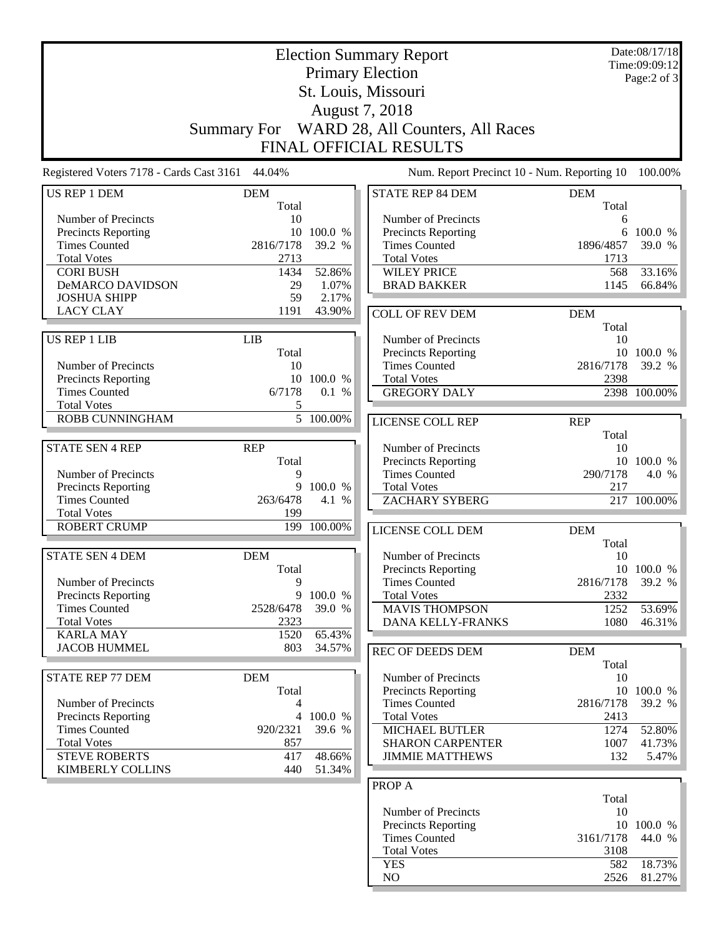| <b>Election Summary Report</b>                     |                         |                        |                                              |                   | Date:08/17/18<br>Time:09:09:12 |  |  |  |
|----------------------------------------------------|-------------------------|------------------------|----------------------------------------------|-------------------|--------------------------------|--|--|--|
|                                                    | <b>Primary Election</b> |                        |                                              |                   |                                |  |  |  |
|                                                    | St. Louis, Missouri     |                        |                                              |                   |                                |  |  |  |
|                                                    | August 7, 2018          |                        |                                              |                   |                                |  |  |  |
|                                                    |                         |                        | Summary For WARD 28, All Counters, All Races |                   |                                |  |  |  |
|                                                    |                         |                        | <b>FINAL OFFICIAL RESULTS</b>                |                   |                                |  |  |  |
| Registered Voters 7178 - Cards Cast 3161 44.04%    |                         |                        | Num. Report Precinct 10 - Num. Reporting 10  |                   | 100.00%                        |  |  |  |
| <b>US REP 1 DEM</b>                                | <b>DEM</b>              |                        | <b>STATE REP 84 DEM</b>                      | <b>DEM</b>        |                                |  |  |  |
|                                                    | Total                   |                        |                                              | Total             |                                |  |  |  |
| Number of Precincts                                | 10                      |                        | Number of Precincts                          | 6                 |                                |  |  |  |
| <b>Precincts Reporting</b><br><b>Times Counted</b> |                         | 10 100.0 %             | Precincts Reporting<br><b>Times Counted</b>  | 6                 | 100.0 %                        |  |  |  |
| <b>Total Votes</b>                                 | 2816/7178               | 39.2 %                 | <b>Total Votes</b>                           | 1896/4857         | 39.0 %                         |  |  |  |
| <b>CORI BUSH</b>                                   | 2713<br>1434            | 52.86%                 | <b>WILEY PRICE</b>                           | 1713<br>568       | 33.16%                         |  |  |  |
| <b>DeMARCO DAVIDSON</b>                            | 29                      | 1.07%                  | <b>BRAD BAKKER</b>                           | 1145              | 66.84%                         |  |  |  |
| <b>JOSHUA SHIPP</b>                                | 59                      | 2.17%                  |                                              |                   |                                |  |  |  |
| <b>LACY CLAY</b>                                   | 1191                    | 43.90%                 | <b>COLL OF REV DEM</b>                       | <b>DEM</b>        |                                |  |  |  |
|                                                    |                         |                        |                                              | Total             |                                |  |  |  |
| <b>US REP 1 LIB</b>                                | <b>LIB</b>              |                        | Number of Precincts                          | 10                |                                |  |  |  |
|                                                    | Total                   |                        | Precincts Reporting                          |                   | 10 100.0 %                     |  |  |  |
| Number of Precincts                                | 10                      |                        | <b>Times Counted</b>                         | 2816/7178         | 39.2 %                         |  |  |  |
| Precincts Reporting                                |                         | 10 100.0 %             | <b>Total Votes</b>                           | 2398              |                                |  |  |  |
| <b>Times Counted</b>                               | 6/7178                  | 0.1 %                  | <b>GREGORY DALY</b>                          |                   | 2398 100.00%                   |  |  |  |
| <b>Total Votes</b>                                 | 5                       |                        |                                              |                   |                                |  |  |  |
| ROBB CUNNINGHAM                                    |                         | $\overline{5}$ 100.00% | <b>LICENSE COLL REP</b>                      | <b>REP</b>        |                                |  |  |  |
|                                                    |                         |                        |                                              | Total             |                                |  |  |  |
| <b>STATE SEN 4 REP</b>                             | <b>REP</b>              |                        | Number of Precincts                          | 10                |                                |  |  |  |
|                                                    | Total                   |                        | <b>Precincts Reporting</b>                   | 10                | 100.0 %                        |  |  |  |
| Number of Precincts                                | 9                       |                        | <b>Times Counted</b>                         | 290/7178          | 4.0 %                          |  |  |  |
| Precincts Reporting                                | 9                       | 100.0 %                | <b>Total Votes</b>                           | 217               |                                |  |  |  |
| <b>Times Counted</b>                               | 263/6478                | 4.1 %                  | <b>ZACHARY SYBERG</b>                        |                   | 217 100.00%                    |  |  |  |
| <b>Total Votes</b>                                 | 199                     |                        |                                              |                   |                                |  |  |  |
| <b>ROBERT CRUMP</b>                                | 199                     | 100.00%                | <b>LICENSE COLL DEM</b>                      | <b>DEM</b>        |                                |  |  |  |
|                                                    |                         |                        |                                              | Total             |                                |  |  |  |
| <b>STATE SEN 4 DEM</b>                             | <b>DEM</b>              |                        | Number of Precincts                          | 10                |                                |  |  |  |
|                                                    | Total                   |                        | <b>Precincts Reporting</b>                   |                   | 10 100.0 %                     |  |  |  |
| Number of Precincts<br>Precincts Reporting         | 9                       | 9 100.0 %              | <b>Times Counted</b><br><b>Total Votes</b>   | 2816/7178<br>2332 | 39.2 %                         |  |  |  |
| <b>Times Counted</b>                               | 2528/6478               | 39.0 %                 | <b>MAVIS THOMPSON</b>                        | 1252              | 53.69%                         |  |  |  |
| <b>Total Votes</b>                                 | 2323                    |                        | <b>DANA KELLY-FRANKS</b>                     | 1080              | 46.31%                         |  |  |  |
| <b>KARLA MAY</b>                                   | 1520                    | 65.43%                 |                                              |                   |                                |  |  |  |
| <b>JACOB HUMMEL</b>                                | 803                     | 34.57%                 | <b>REC OF DEEDS DEM</b>                      | <b>DEM</b>        |                                |  |  |  |
|                                                    |                         |                        |                                              | Total             |                                |  |  |  |
| <b>STATE REP 77 DEM</b>                            | <b>DEM</b>              |                        | Number of Precincts                          | 10                |                                |  |  |  |
|                                                    | Total                   |                        | Precincts Reporting                          |                   | 10 100.0 %                     |  |  |  |
| Number of Precincts                                | 4                       |                        | <b>Times Counted</b>                         | 2816/7178         | 39.2 %                         |  |  |  |
| <b>Precincts Reporting</b>                         | $\overline{4}$          | 100.0 %                | <b>Total Votes</b>                           | 2413              |                                |  |  |  |
| <b>Times Counted</b>                               | 920/2321                | 39.6 %                 | <b>MICHAEL BUTLER</b>                        | 1274              | 52.80%                         |  |  |  |
| <b>Total Votes</b>                                 | 857                     |                        | <b>SHARON CARPENTER</b>                      | 1007              | 41.73%                         |  |  |  |
| <b>STEVE ROBERTS</b>                               | 417                     | 48.66%                 | <b>JIMMIE MATTHEWS</b>                       | 132               | 5.47%                          |  |  |  |
| <b>KIMBERLY COLLINS</b>                            | 440                     | 51.34%                 |                                              |                   |                                |  |  |  |
|                                                    |                         |                        | PROP A                                       |                   |                                |  |  |  |
|                                                    |                         |                        |                                              | Total             |                                |  |  |  |
|                                                    |                         |                        | Number of Precincts                          | 10                |                                |  |  |  |
|                                                    |                         |                        | Precincts Reporting                          |                   | 10 100.0 %                     |  |  |  |
|                                                    |                         |                        | <b>Times Counted</b>                         | 3161/7178         | 44.0 %                         |  |  |  |
|                                                    |                         |                        | <b>Total Votes</b>                           | 3108              |                                |  |  |  |
|                                                    |                         |                        | <b>YES</b>                                   | 582               | 18.73%                         |  |  |  |
|                                                    |                         |                        | NO                                           | 2526              | 81.27%                         |  |  |  |